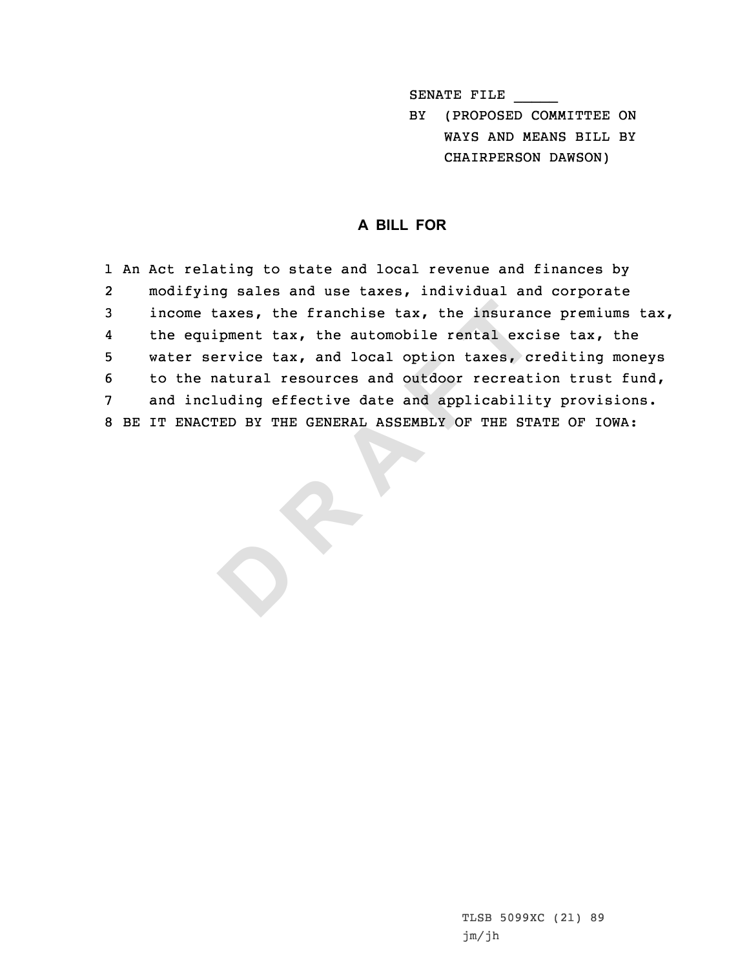SENATE FILE \_\_\_\_\_

BY (PROPOSED COMMITTEE ON WAYS AND MEANS BILL BY CHAIRPERSON DAWSON)

## **A BILL FOR**

e taxes, the franchise tax, the insuran<br>quipment tax, the automobile rental exc<br>service tax, and local option taxes, c<br>e natural resources and outdoor recreat<br>ncluding effective date and applicabili<br>ACTED BY THE GENERAL AS 1 An Act relating to state and local revenue and finances by 2 modifying sales and use taxes, individual and corporate 3 income taxes, the franchise tax, the insurance premiums tax, 4 the equipment tax, the automobile rental excise tax, the 5 water service tax, and local option taxes, crediting moneys 6 to the natural resources and outdoor recreation trust fund, 7 and including effective date and applicability provisions. 8 BE IT ENACTED BY THE GENERAL ASSEMBLY OF THE STATE OF IOWA:

**D**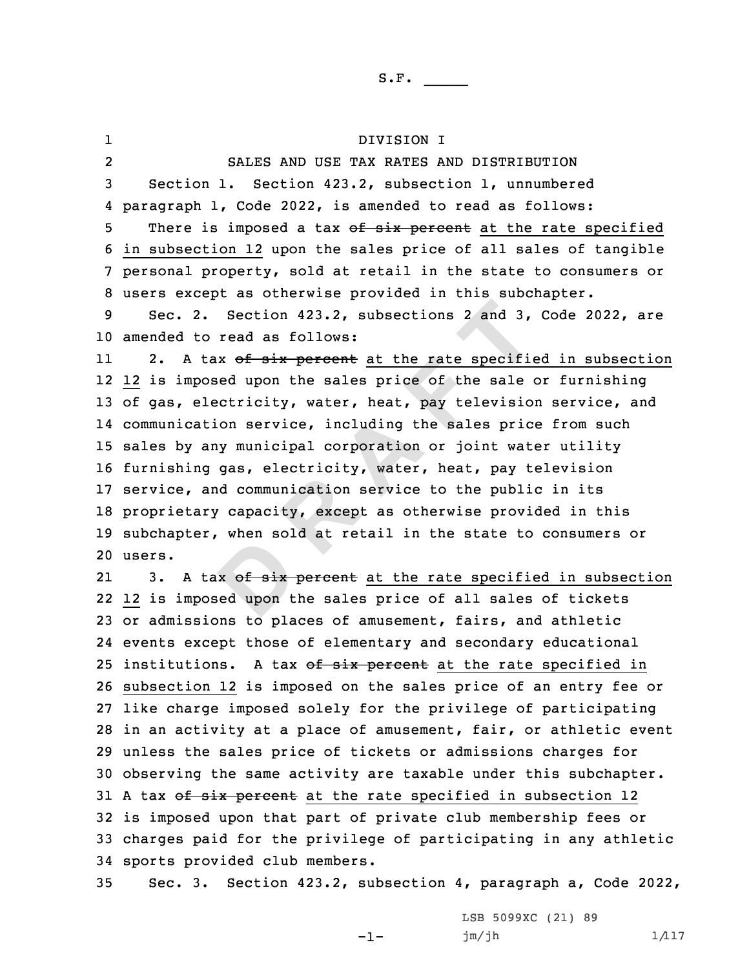x of six<br>ed upon t 2. Section 423.2, subsections 2 and 3,<br>to read as follows:<br>tax of six percent at the rate specific<br>posed upon the sales price of the sale e<br>electricity, water, heat, pay television<br>ation service, including the sales price<br> 1 DIVISION I 2 SALES AND USE TAX RATES AND DISTRIBUTION Section 1. Section 423.2, subsection 1, unnumbered paragraph 1, Code 2022, is amended to read as follows: 5 There is imposed a tax of six percent at the rate specified in subsection 12 upon the sales price of all sales of tangible personal property, sold at retail in the state to consumers or users except as otherwise provided in this subchapter. Sec. 2. Section 423.2, subsections 2 and 3, Code 2022, are amended to read as follows: 112. A tax of six percent at the rate specified in subsection 12 is imposed upon the sales price of the sale or furnishing of gas, electricity, water, heat, pay television service, and communication service, including the sales price from such sales by any municipal corporation or joint water utility furnishing gas, electricity, water, heat, pay television service, and communication service to the public in its proprietary capacity, except as otherwise provided in this subchapter, when sold at retail in the state to consumers or 20 users. 2121 3. A tax of six percent at the rate specified in subsection 12 is imposed upon the sales price of all sales of tickets or admissions to places of amusement, fairs, and athletic events except those of elementary and secondary educational 25 institutions. A tax of six percent at the rate specified in subsection 12 is imposed on the sales price of an entry fee or like charge imposed solely for the privilege of participating in an activity at <sup>a</sup> place of amusement, fair, or athletic event unless the sales price of tickets or admissions charges for observing the same activity are taxable under this subchapter. 31 A tax of six percent at the rate specified in subsection 12 is imposed upon that part of private club membership fees or charges paid for the privilege of participating in any athletic sports provided club members. Sec. 3. Section 423.2, subsection 4, paragraph a, Code 2022,

-1-

LSB 5099XC (21) 89  $jm/jh$  1/117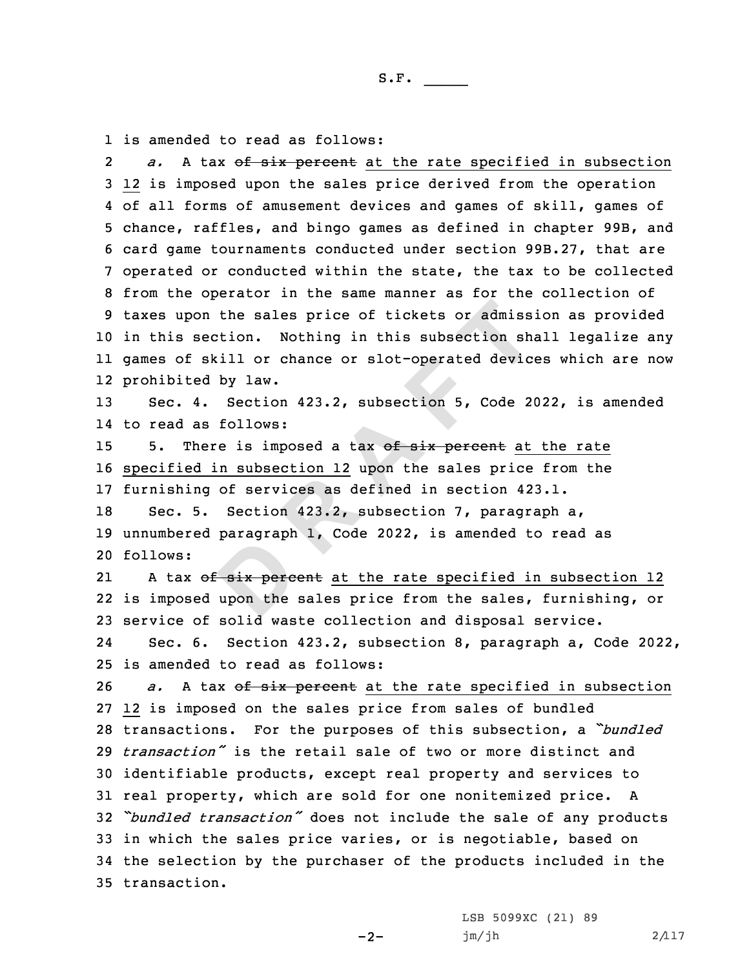1 is amended to read as follows:

**Bundary**<br> **Bix perce**<br>
upon the on the sales price of tickets or admiss.<br>
section. Nothing in this subsection sh.<br>
skill or chance or slot-operated device<br>
ed by law.<br>
4. Section 423.2, subsection 5, Code 20<br>
as follows:<br>
here is imposed a tax of six per 2 *a.* <sup>A</sup> tax of six percent at the rate specified in subsection 12 is imposed upon the sales price derived from the operation of all forms of amusement devices and games of skill, games of chance, raffles, and bingo games as defined in chapter 99B, and card game tournaments conducted under section 99B.27, that are operated or conducted within the state, the tax to be collected from the operator in the same manner as for the collection of taxes upon the sales price of tickets or admission as provided in this section. Nothing in this subsection shall legalize any games of skill or chance or slot-operated devices which are now prohibited by law. Sec. 4. Section 423.2, subsection 5, Code 2022, is amended to read as follows: 15 5. There is imposed a tax of six percent at the rate specified in subsection 12 upon the sales price from the furnishing of services as defined in section 423.1. Sec. 5. Section 423.2, subsection 7, paragraph a, unnumbered paragraph 1, Code 2022, is amended to read as 20 follows: 21A tax of six percent at the rate specified in subsection 12 is imposed upon the sales price from the sales, furnishing, or service of solid waste collection and disposal service. 24 Sec. 6. Section 423.2, subsection 8, paragraph a, Code 2022, is amended to read as follows: *a.* A tax of six percent at the rate specified in subsection 12 is imposed on the sales price from sales of bundled transactions. For the purposes of this subsection, <sup>a</sup> *"bundled transaction"* is the retail sale of two or more distinct and identifiable products, except real property and services to real property, which are sold for one nonitemized price. <sup>A</sup> *"bundled transaction"* does not include the sale of any products in which the sales price varies, or is negotiable, based on the selection by the purchaser of the products included in the transaction.

 $-2-$ 

LSB 5099XC (21) 89  $jm/jh$  2/117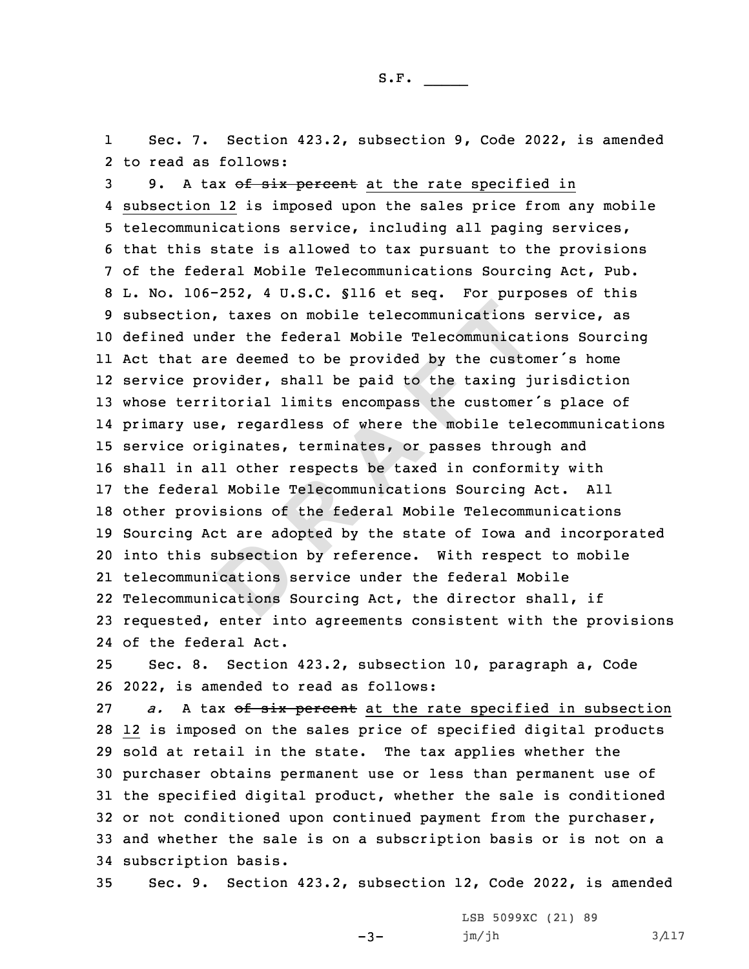1 Sec. 7. Section 423.2, subsection 9, Code 2022, is amended 2 to read as follows:

subsection<br>cations s<br>cations S on, taxes on mobile telecommunications<br>under the federal Mobile Telecommunicat<br>are deemed to be provided by the custor<br>provider, shall be paid to the taxing j<br>rritorial limits encompass the customer<br>use, regardless of wher 3 9. A tax of six percent at the rate specified in subsection 12 is imposed upon the sales price from any mobile telecommunications service, including all paging services, that this state is allowed to tax pursuant to the provisions of the federal Mobile Telecommunications Sourcing Act, Pub. L. No. 106-252, 4 U.S.C. §116 et seq. For purposes of this subsection, taxes on mobile telecommunications service, as defined under the federal Mobile Telecommunications Sourcing Act that are deemed to be provided by the customer's home service provider, shall be paid to the taxing jurisdiction whose territorial limits encompass the customer's place of primary use, regardless of where the mobile telecommunications service originates, terminates, or passes through and shall in all other respects be taxed in conformity with the federal Mobile Telecommunications Sourcing Act. All other provisions of the federal Mobile Telecommunications Sourcing Act are adopted by the state of Iowa and incorporated into this subsection by reference. With respect to mobile telecommunications service under the federal Mobile Telecommunications Sourcing Act, the director shall, if requested, enter into agreements consistent with the provisions of the federal Act.

25 Sec. 8. Section 423.2, subsection 10, paragraph a, Code 26 2022, is amended to read as follows:

*a.* A tax of six percent at the rate specified in subsection 12 is imposed on the sales price of specified digital products sold at retail in the state. The tax applies whether the purchaser obtains permanent use or less than permanent use of the specified digital product, whether the sale is conditioned or not conditioned upon continued payment from the purchaser, and whether the sale is on <sup>a</sup> subscription basis or is not on <sup>a</sup> subscription basis.

35 Sec. 9. Section 423.2, subsection 12, Code 2022, is amended

-3-

LSB 5099XC (21) 89 jm/jh 3/117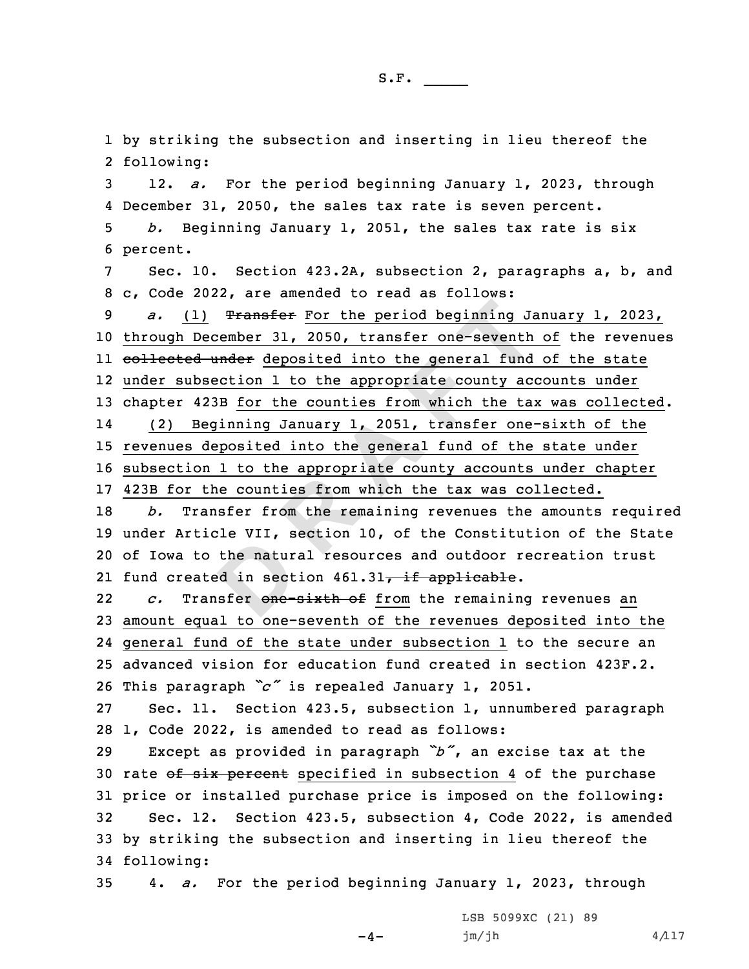the natur<br>
ed in sect<br>
sfer one-1) **Transfer For the period beginning Ja** December 31, 2050, transfer one-seventh d under deposited into the general fund bsection 1 to the appropriate county accounts 423B for the counties from which the tax Beginning Jan by striking the subsection and inserting in lieu thereof the following: 12. *a.* For the period beginning January 1, 2023, through December 31, 2050, the sales tax rate is seven percent. *b.* Beginning January 1, 2051, the sales tax rate is six 6 percent. Sec. 10. Section 423.2A, subsection 2, paragraphs a, b, and c, Code 2022, are amended to read as follows: *a.* (1) Transfer For the period beginning January 1, 2023, through December 31, 2050, transfer one-seventh of the revenues ll <del>collected under</del> deposited into the general fund of the state under subsection 1 to the appropriate county accounts under chapter 423B for the counties from which the tax was collected. 14 (2) Beginning January 1, 2051, transfer one-sixth of the revenues deposited into the general fund of the state under subsection 1 to the appropriate county accounts under chapter 423B for the counties from which the tax was collected. *b.* Transfer from the remaining revenues the amounts required under Article VII, section 10, of the Constitution of the State of Iowa to the natural resources and outdoor recreation trust 21 fund created in section 461.31<del>, if applicable</del>. 22 *c.* Transfer one-sixth of from the remaining revenues an amount equal to one-seventh of the revenues deposited into the general fund of the state under subsection 1 to the secure an advanced vision for education fund created in section 423F.2. This paragraph *"c"* is repealed January 1, 2051. Sec. 11. Section 423.5, subsection 1, unnumbered paragraph 1, Code 2022, is amended to read as follows: Except as provided in paragraph *"b"*, an excise tax at the 30 rate of six percent specified in subsection 4 of the purchase price or installed purchase price is imposed on the following: Sec. 12. Section 423.5, subsection 4, Code 2022, is amended by striking the subsection and inserting in lieu thereof the following: 4. *a.* For the period beginning January 1, 2023, through  $-4-$ LSB 5099XC (21) 89  $jm/jh$  4/117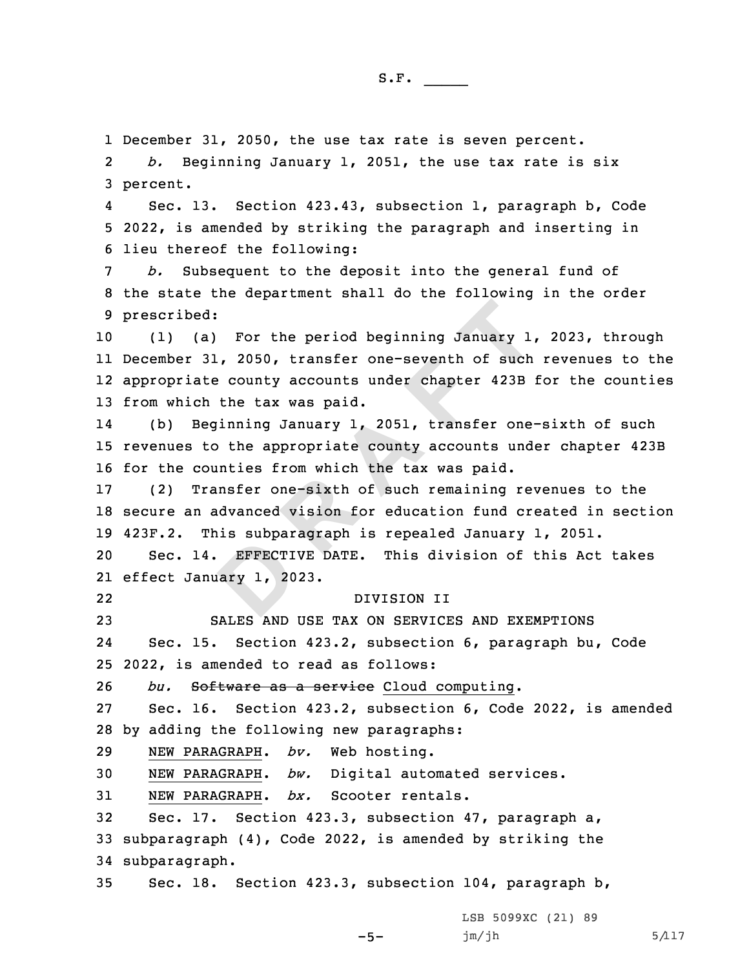1 December 31, 2050, the use tax rate is seven percent.

2 *b.* Beginning January 1, 2051, the use tax rate is six 3 percent.

4 Sec. 13. Section 423.43, subsection 1, paragraph b, Code 5 2022, is amended by striking the paragraph and inserting in 6 lieu thereof the following:

7 *b.* Subsequent to the deposit into the general fund of 8 the state the department shall do the following in the order 9 prescribed:

ed:<br>
(a) For the period beginning January 1<br>
31, 2050, transfer one-seventh of such<br>
ate county accounts under chapter 423B<br>
ch the tax was paid.<br>
Beginning January 1, 2051, transfer one-<br>
to the appropriate county account (1) (a) For the period beginning January 1, 2023, through December 31, 2050, transfer one-seventh of such revenues to the appropriate county accounts under chapter 423B for the counties from which the tax was paid.

14 (b) Beginning January 1, 2051, transfer one-sixth of such 15 revenues to the appropriate county accounts under chapter 423B 16 for the counties from which the tax was paid.

17 (2) Transfer one-sixth of such remaining revenues to the 18 secure an advanced vision for education fund created in section 19 423F.2. This subparagraph is repealed January 1, 2051.

EFFECTI<br> **DREFECTI**<br>
BRITIC 20 20 Sec. 14. EFFECTIVE DATE. This division of this Act takes 21 effect January 1, 2023.

## DIVISION II

23 SALES AND USE TAX ON SERVICES AND EXEMPTIONS 24 Sec. 15. Section 423.2, subsection 6, paragraph bu, Code 25 2022, is amended to read as follows:

26 *bu.* Software as <sup>a</sup> service Cloud computing.

27 Sec. 16. Section 423.2, subsection 6, Code 2022, is amended 28 by adding the following new paragraphs:

29 NEW PARAGRAPH. *bv.* Web hosting.

22

30 NEW PARAGRAPH. *bw.* Digital automated services.

31 NEW PARAGRAPH. *bx.* Scooter rentals.

32 Sec. 17. Section 423.3, subsection 47, paragraph a, 33 subparagraph (4), Code 2022, is amended by striking the 34 subparagraph.

35 Sec. 18. Section 423.3, subsection 104, paragraph b,

 $-5-$ 

LSB 5099XC (21) 89  $jm/jh$  5/117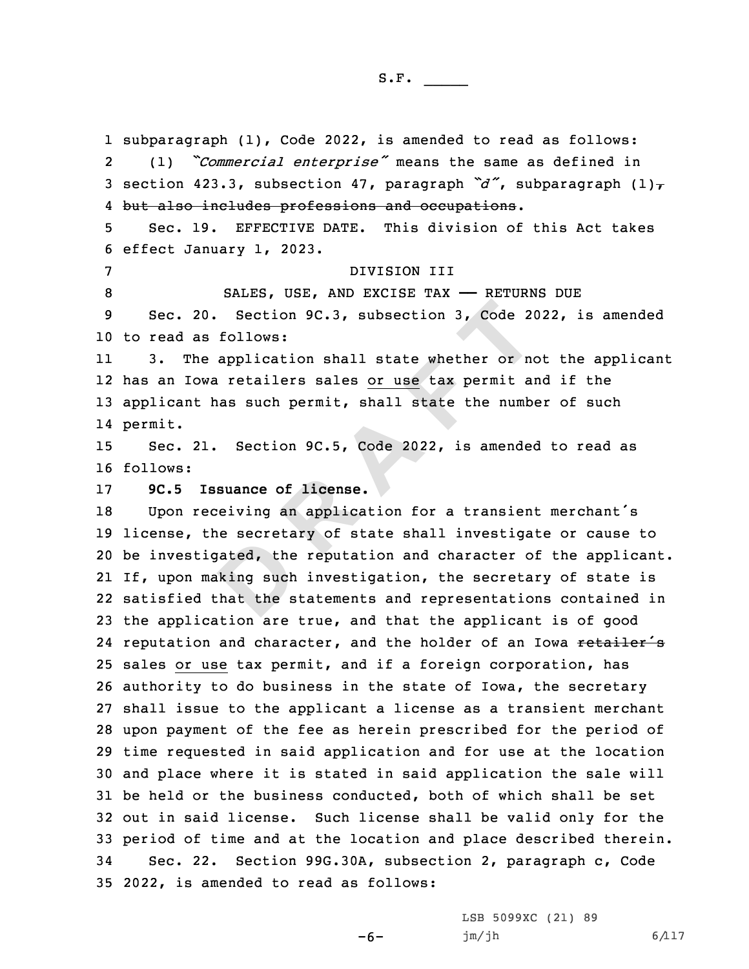ated, the<br>king such<br>that the s 20. Section 9C.3, subsection 3, Code 20<br>as follows:<br>the application shall state whether or no<br>owa retailers sales <u>or use</u> tax permit at<br>thas such permit, shall state the numb<br>21. Section 9C.5, Code 2022, is amended<br>**ISBUA**  subparagraph (1), Code 2022, is amended to read as follows: 2 (1) *"Commercial enterprise"* means the same as defined in 3 section 423.3, subsection 47, paragraph  $\tilde{a}$ , subparagraph  $(1)$  but also includes professions and occupations. Sec. 19. EFFECTIVE DATE. This division of this Act takes effect January 1, 2023. DIVISION III 8 SALES, USE, AND EXCISE TAX - RETURNS DUE Sec. 20. Section 9C.3, subsection 3, Code 2022, is amended to read as follows: 11 3. The application shall state whether or not the applicant has an Iowa retailers sales or use tax permit and if the 13 applicant has such permit, shall state the number of such 14 permit. Sec. 21. Section 9C.5, Code 2022, is amended to read as 16 follows: **9C.5 Issuance of license.** Upon receiving an application for <sup>a</sup> transient merchant's license, the secretary of state shall investigate or cause to be investigated, the reputation and character of the applicant. If, upon making such investigation, the secretary of state is satisfied that the statements and representations contained in the application are true, and that the applicant is of good 24 reputation and character, and the holder of an Iowa retailer's sales or use tax permit, and if <sup>a</sup> foreign corporation, has authority to do business in the state of Iowa, the secretary shall issue to the applicant <sup>a</sup> license as <sup>a</sup> transient merchant upon payment of the fee as herein prescribed for the period of time requested in said application and for use at the location and place where it is stated in said application the sale will be held or the business conducted, both of which shall be set out in said license. Such license shall be valid only for the period of time and at the location and place described therein. Sec. 22. Section 99G.30A, subsection 2, paragraph c, Code 2022, is amended to read as follows:

-6-

LSB 5099XC (21) 89 jm/jh 6/117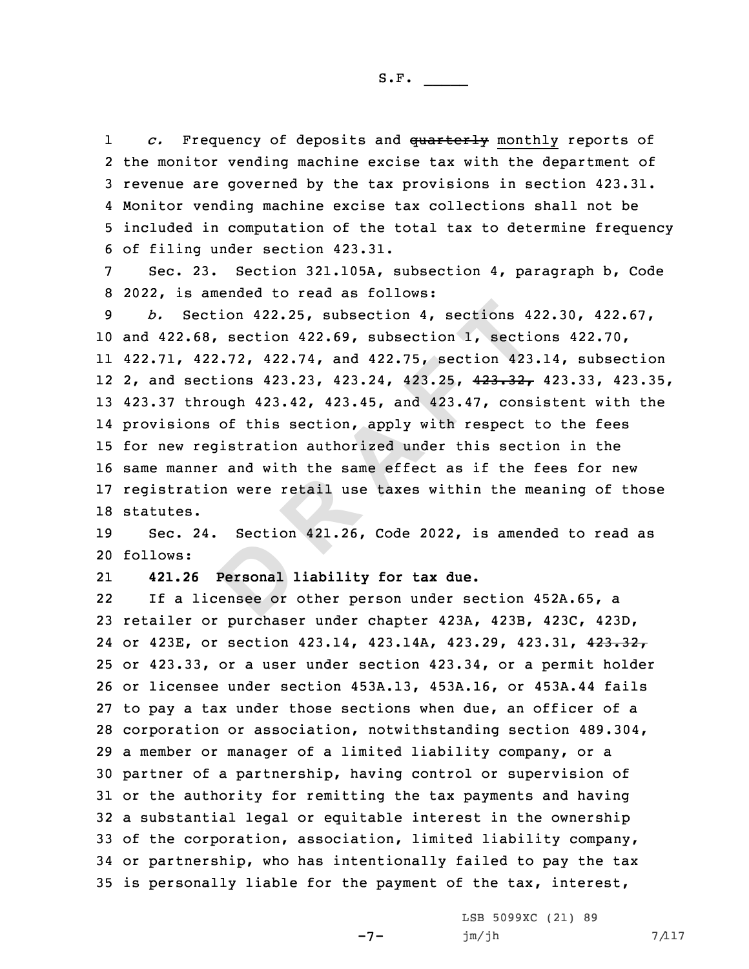1 *c.* Frequency of deposits and quarterly monthly reports of the monitor vending machine excise tax with the department of revenue are governed by the tax provisions in section 423.31. Monitor vending machine excise tax collections shall not be included in computation of the total tax to determine frequency of filing under section 423.31.

7 Sec. 23. Section 321.105A, subsection 4, paragraph b, Code 8 2022, is amended to read as follows:

 **<sup>R</sup> <sup>A</sup> <sup>F</sup> <sup>T</sup>** *b.* Section 422.25, subsection 4, sections 422.30, 422.67, and 422.68, section 422.69, subsection 1, sections 422.70, 422.71, 422.72, 422.74, and 422.75, section 423.14, subsection 2, and sections 423.23, 423.24, 423.25, 423.32, 423.33, 423.35, 423.37 through 423.42, 423.45, and 423.47, consistent with the provisions of this section, apply with respect to the fees for new registration authorized under this section in the same manner and with the same effect as if the fees for new registration were retail use taxes within the meaning of those statutes.

**Personal D**<br>Personal **D**<br>ensee or 19 Sec. 24. Section 421.26, Code 2022, is amended to read as 20 follows:

21**421.26 Personal liability for tax due.**

22 If <sup>a</sup> licensee or other person under section 452A.65, <sup>a</sup> retailer or purchaser under chapter 423A, 423B, 423C, 423D, or 423E, or section 423.14, 423.14A, 423.29, 423.31, 423.32, or 423.33, or <sup>a</sup> user under section 423.34, or <sup>a</sup> permit holder or licensee under section 453A.13, 453A.16, or 453A.44 fails to pay <sup>a</sup> tax under those sections when due, an officer of <sup>a</sup> corporation or association, notwithstanding section 489.304, <sup>a</sup> member or manager of <sup>a</sup> limited liability company, or <sup>a</sup> partner of <sup>a</sup> partnership, having control or supervision of or the authority for remitting the tax payments and having <sup>a</sup> substantial legal or equitable interest in the ownership of the corporation, association, limited liability company, or partnership, who has intentionally failed to pay the tax is personally liable for the payment of the tax, interest,

 $-7-$ 

LSB 5099XC (21) 89  $jm/jh$  7/117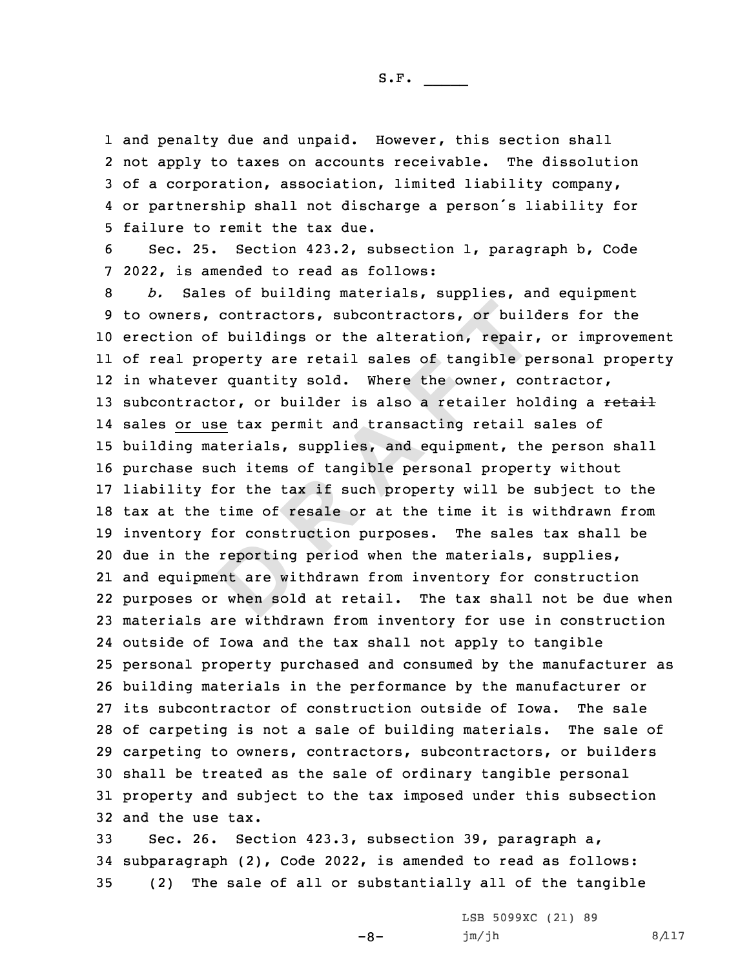and penalty due and unpaid. However, this section shall not apply to taxes on accounts receivable. The dissolution of <sup>a</sup> corporation, association, limited liability company, or partnership shall not discharge <sup>a</sup> person's liability for failure to remit the tax due.

6 Sec. 25. Section 423.2, subsection 1, paragraph b, Code 7 2022, is amended to read as follows:

reporting<br>ent are wi<br>when sol **R R EXECTS R EXECTS CONTRECTS CONTRECTS CONTRECTS CONTRECTS CONTRECTS CONTRECTS CONTRECTS CONTRECTS CONTRECTS CONTRECTS CONTRECTS CONTRECTS CONTRECTS CONTRECTS CONTRECTS CONTRECTS** *b.* Sales of building materials, supplies, and equipment to owners, contractors, subcontractors, or builders for the erection of buildings or the alteration, repair, or improvement of real property are retail sales of tangible personal property in whatever quantity sold. Where the owner, contractor, 13 subcontractor, or builder is also a retailer holding a retail sales or use tax permit and transacting retail sales of building materials, supplies, and equipment, the person shall purchase such items of tangible personal property without liability for the tax if such property will be subject to the tax at the time of resale or at the time it is withdrawn from inventory for construction purposes. The sales tax shall be due in the reporting period when the materials, supplies, and equipment are withdrawn from inventory for construction purposes or when sold at retail. The tax shall not be due when materials are withdrawn from inventory for use in construction outside of Iowa and the tax shall not apply to tangible personal property purchased and consumed by the manufacturer as building materials in the performance by the manufacturer or its subcontractor of construction outside of Iowa. The sale of carpeting is not <sup>a</sup> sale of building materials. The sale of carpeting to owners, contractors, subcontractors, or builders shall be treated as the sale of ordinary tangible personal property and subject to the tax imposed under this subsection and the use tax.

33 Sec. 26. Section 423.3, subsection 39, paragraph a, 34 subparagraph (2), Code 2022, is amended to read as follows: 35 (2) The sale of all or substantially all of the tangible

 $-8-$ 

LSB 5099XC (21) 89 jm/jh 8/117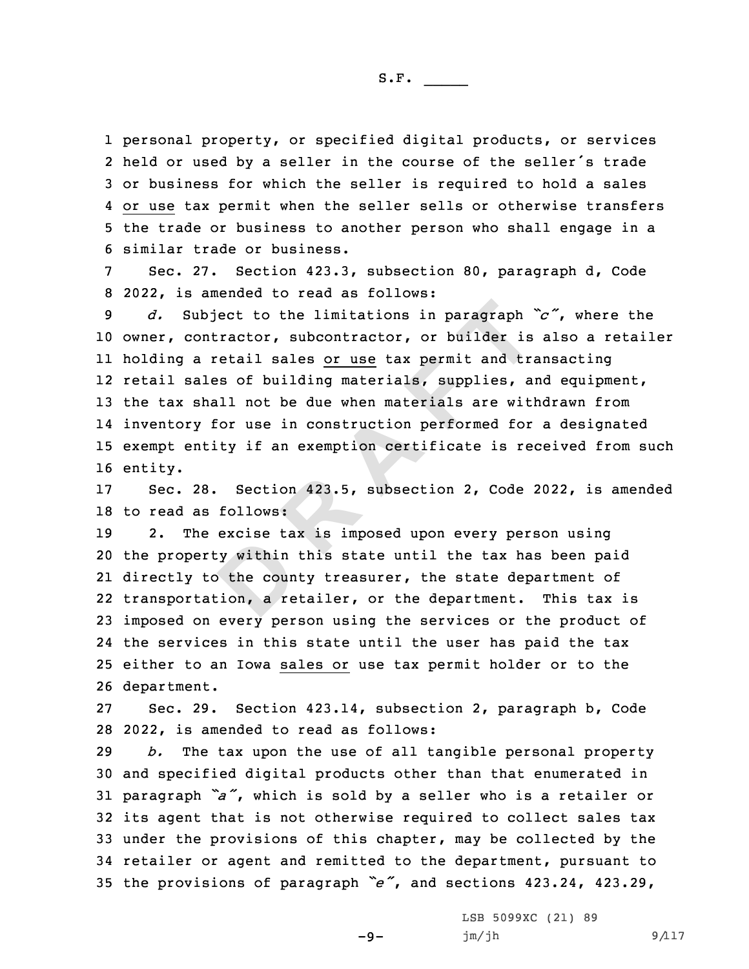personal property, or specified digital products, or services held or used by <sup>a</sup> seller in the course of the seller's trade or business for which the seller is required to hold <sup>a</sup> sales or use tax permit when the seller sells or otherwise transfers the trade or business to another person who shall engage in <sup>a</sup> similar trade or business.

7 Sec. 27. Section 423.3, subsection 80, paragraph d, Code 8 2022, is amended to read as follows:

whject to the limitations in paragraph<br>ontractor, subcontractor, or builder is<br>a retail sales <u>or use</u> tax permit and tra<br>ales of building materials, supplies, a<br>shall not be due when materials are with<br>y for use in constr *d.* Subject to the limitations in paragraph *"c"*, where the owner, contractor, subcontractor, or builder is also <sup>a</sup> retailer holding <sup>a</sup> retail sales or use tax permit and transacting retail sales of building materials, supplies, and equipment, the tax shall not be due when materials are withdrawn from inventory for use in construction performed for <sup>a</sup> designated exempt entity if an exemption certificate is received from such 16 entity.

17 Sec. 28. Section 423.5, subsection 2, Code 2022, is amended 18 to read as follows:

y within<br>b the coun<br>cion, a rection, 2. The excise tax is imposed upon every person using the property within this state until the tax has been paid directly to the county treasurer, the state department of transportation, <sup>a</sup> retailer, or the department. This tax is imposed on every person using the services or the product of the services in this state until the user has paid the tax either to an Iowa sales or use tax permit holder or to the department.

27 Sec. 29. Section 423.14, subsection 2, paragraph b, Code 28 2022, is amended to read as follows:

 *b.* The tax upon the use of all tangible personal property and specified digital products other than that enumerated in paragraph *"a"*, which is sold by <sup>a</sup> seller who is <sup>a</sup> retailer or its agent that is not otherwise required to collect sales tax under the provisions of this chapter, may be collected by the retailer or agent and remitted to the department, pursuant to the provisions of paragraph *"e"*, and sections 423.24, 423.29,

 $-9-$ 

LSB 5099XC (21) 89  $jm/jh$  9/117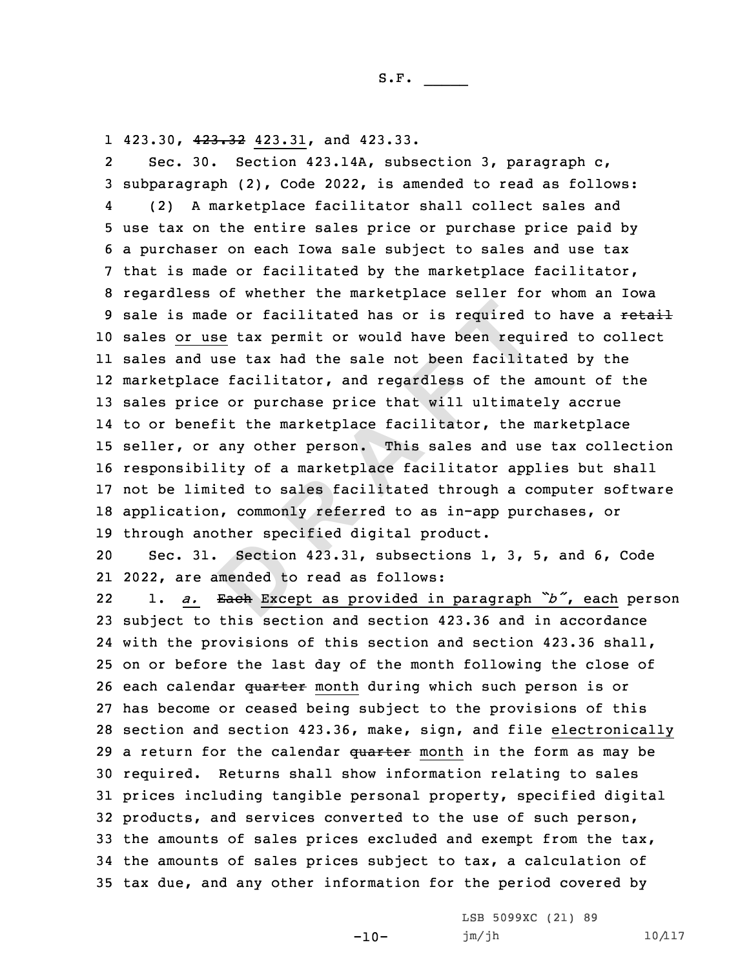1 423.30, <del>423.32</del> 423.31, and 423.33.

made or facilitated has or is required<br>
<u>use</u> tax permit or would have been required<br>
d use tax had the sale not been facilita<br>
ace facilitator, and regardless of the<br>
ice or purchase price that will ultimate<br>
nefit the ma 2 Sec. 30. Section 423.14A, subsection 3, paragraph c, subparagraph (2), Code 2022, is amended to read as follows: 4 (2) <sup>A</sup> marketplace facilitator shall collect sales and use tax on the entire sales price or purchase price paid by <sup>a</sup> purchaser on each Iowa sale subject to sales and use tax that is made or facilitated by the marketplace facilitator, regardless of whether the marketplace seller for whom an Iowa 9 sale is made or facilitated has or is required to have a retail sales or use tax permit or would have been required to collect sales and use tax had the sale not been facilitated by the marketplace facilitator, and regardless of the amount of the sales price or purchase price that will ultimately accrue to or benefit the marketplace facilitator, the marketplace seller, or any other person. This sales and use tax collection responsibility of <sup>a</sup> marketplace facilitator applies but shall not be limited to sales facilitated through <sup>a</sup> computer software application, commonly referred to as in-app purchases, or through another specified digital product.

Section<br>
mended to<br>
<del>Each</del> Excep 20 Sec. 31. Section 423.31, subsections 1, 3, 5, and 6, Code 21 2022, are amended to read as follows:

22 1. *a.* Each Except as provided in paragraph *"b"*, each person subject to this section and section 423.36 and in accordance with the provisions of this section and section 423.36 shall, on or before the last day of the month following the close of 26 each calendar quarter month during which such person is or has become or ceased being subject to the provisions of this section and section 423.36, make, sign, and file electronically 29 a return for the calendar quarter month in the form as may be required. Returns shall show information relating to sales prices including tangible personal property, specified digital products, and services converted to the use of such person, 33 the amounts of sales prices excluded and exempt from the  $\text{tax}_1$  the amounts of sales prices subject to tax, <sup>a</sup> calculation of tax due, and any other information for the period covered by

 $-10-$ 

LSB 5099XC (21) 89 jm/jh 10/117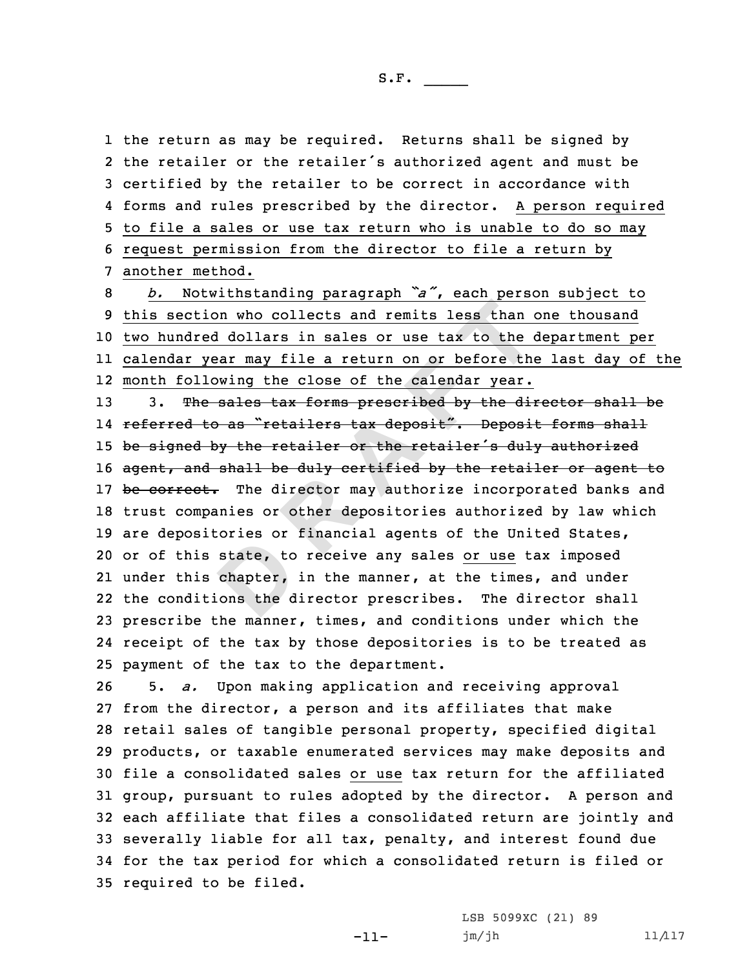the return as may be required. Returns shall be signed by the retailer or the retailer's authorized agent and must be certified by the retailer to be correct in accordance with forms and rules prescribed by the director. <sup>A</sup> person required to file <sup>a</sup> sales or use tax return who is unable to do so may request permission from the director to file <sup>a</sup> return by another method.

 *b.* Notwithstanding paragraph *"a"*, each person subject to this section who collects and remits less than one thousand two hundred dollars in sales or use tax to the department per calendar year may file <sup>a</sup> return on or before the last day of the month following the close of the calendar year.

state, to<br>chapter,<br>ons the d **<sup>R</sup> <sup>A</sup> <sup>F</sup> <sup>T</sup>** 13 3. The sales tax forms prescribed by the director shall be l4 <del>referred to as "retailers tax deposit". Deposit forms shall</del> 15 be signed by the retailer or the retailer's duly authorized 16 agent, and shall be duly certified by the retailer or agent to 17 be correct. The director may authorize incorporated banks and 18 trust companies or other depositories authorized by law which 19 are depositories or financial agents of the United States, 20 or of this state, to receive any sales or use tax imposed 21 under this chapter, in the manner, at the times, and under 22 the conditions the director prescribes. The director shall 23 prescribe the manner, times, and conditions under which the 24 receipt of the tax by those depositories is to be treated as 25 payment of the tax to the department.

 5. *a.* Upon making application and receiving approval from the director, <sup>a</sup> person and its affiliates that make retail sales of tangible personal property, specified digital products, or taxable enumerated services may make deposits and file <sup>a</sup> consolidated sales or use tax return for the affiliated group, pursuant to rules adopted by the director. <sup>A</sup> person and each affiliate that files <sup>a</sup> consolidated return are jointly and severally liable for all tax, penalty, and interest found due for the tax period for which <sup>a</sup> consolidated return is filed or required to be filed.

-11-

LSB 5099XC (21) 89 jm/jh 11/117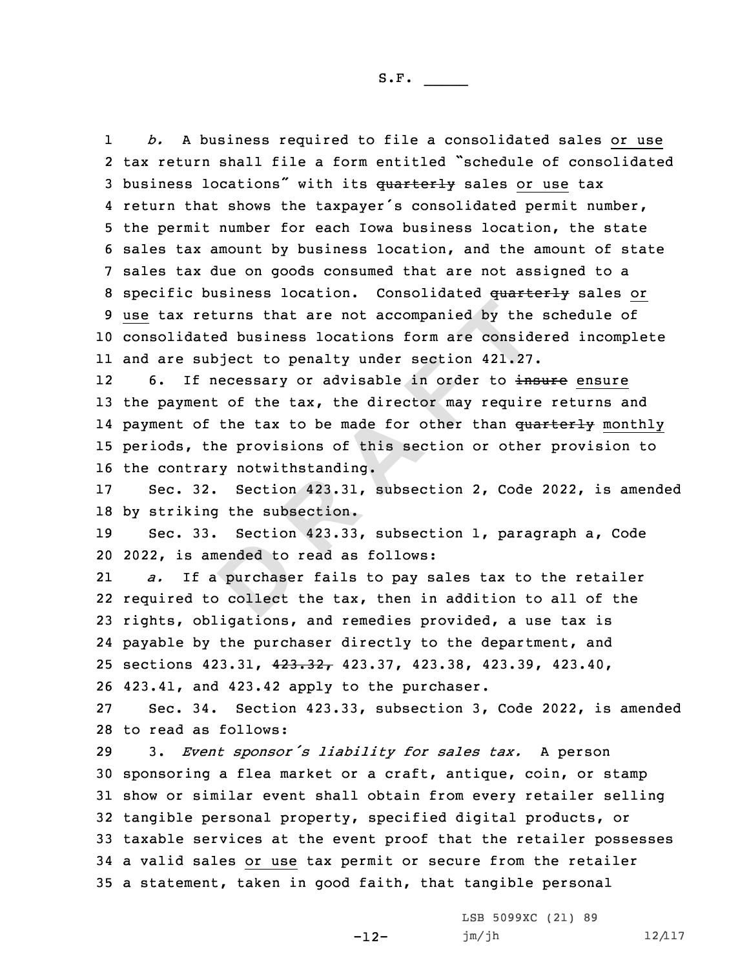1 *b.* <sup>A</sup> business required to file <sup>a</sup> consolidated sales or use tax return shall file <sup>a</sup> form entitled "schedule of consolidated 3 business locations" with its quarterly sales or use tax return that shows the taxpayer's consolidated permit number, the permit number for each Iowa business location, the state sales tax amount by business location, and the amount of state sales tax due on goods consumed that are not assigned to <sup>a</sup> 8 specific business location. Consolidated quarterly sales or use tax returns that are not accompanied by the schedule of consolidated business locations form are considered incomplete and are subject to penalty under section 421.27.

returns that are not accompanied by the<br>ated business locations form are consid<br>subject to penalty under section 421.27<br>f necessary or advisable in order to intent<br>of the tax, the director may require<br>of the tax to be made 126. If necessary or advisable in order to insure ensure 13 the payment of the tax, the director may require returns and 14 payment of the tax to be made for other than <del>quarterly</del> monthly 15 periods, the provisions of this section or other provision to 16 the contrary notwithstanding.

17 Sec. 32. Section 423.31, subsection 2, Code 2022, is amended 18 by striking the subsection.

19 Sec. 33. Section 423.33, subsection 1, paragraph a, Code 20 2022, is amended to read as follows:

ended to<br>purchase:<br>pollect 21 *a.* If <sup>a</sup> purchaser fails to pay sales tax to the retailer required to collect the tax, then in addition to all of the rights, obligations, and remedies provided, <sup>a</sup> use tax is payable by the purchaser directly to the department, and sections 423.31, 423.32, 423.37, 423.38, 423.39, 423.40, 423.41, and 423.42 apply to the purchaser.

27 Sec. 34. Section 423.33, subsection 3, Code 2022, is amended 28 to read as follows:

 3. *Event sponsor's liability for sales tax.* <sup>A</sup> person sponsoring <sup>a</sup> flea market or <sup>a</sup> craft, antique, coin, or stamp show or similar event shall obtain from every retailer selling tangible personal property, specified digital products, or taxable services at the event proof that the retailer possesses <sup>a</sup> valid sales or use tax permit or secure from the retailer <sup>a</sup> statement, taken in good faith, that tangible personal

-12-

LSB 5099XC (21) 89 jm/jh 12/117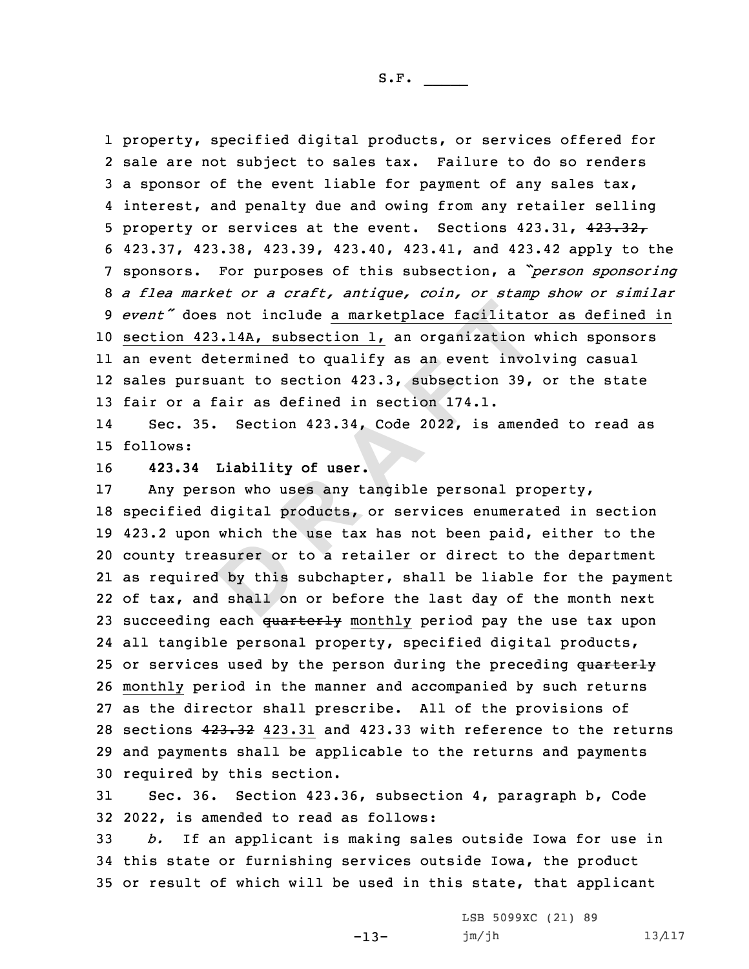property, specified digital products, or services offered for sale are not subject to sales tax. Failure to do so renders <sup>a</sup> sponsor of the event liable for payment of any sales tax, interest, and penalty due and owing from any retailer selling 5 property or services at the event. Sections 423.31, 423.32, 423.37, 423.38, 423.39, 423.40, 423.41, and 423.42 apply to the sponsors. For purposes of this subsection, <sup>a</sup> *"person sponsoring <sup>a</sup> flea market or <sup>a</sup> craft, antique, coin, or stamp show or similar event"* does not include <sup>a</sup> marketplace facilitator as defined in section 423.14A, subsection 1, an organization which sponsors an event determined to qualify as an event involving casual sales pursuant to section 423.3, subsection 39, or the state 13 fair or a fair as defined in section 174.1.

14 Sec. 35. Section 423.34, Code 2022, is amended to read as 15 follows:

16 **423.34 Liability of user.**

**D**oes not include a marketplace facilitate<br>
423.14A, subsection 1, an organization determined to qualify as an event involved<br>
rsuant to section 423.3, subsection 39,<br>
a fair as defined in section 174.1.<br>
35. Section 423.34, Any person who uses any tangible personal property, specified digital products, or services enumerated in section 423.2 upon which the use tax has not been paid, either to the county treasurer or to <sup>a</sup> retailer or direct to the department as required by this subchapter, shall be liable for the payment of tax, and shall on or before the last day of the month next 23 succeeding each quarterly monthly period pay the use tax upon all tangible personal property, specified digital products, 25 or services used by the person during the preceding quarterly monthly period in the manner and accompanied by such returns as the director shall prescribe. All of the provisions of sections 423.32 423.31 and 423.33 with reference to the returns and payments shall be applicable to the returns and payments required by this section.

31 Sec. 36. Section 423.36, subsection 4, paragraph b, Code 32 2022, is amended to read as follows:

33 *b.* If an applicant is making sales outside Iowa for use in 34 this state or furnishing services outside Iowa, the product 35 or result of which will be used in this state, that applicant

-13-

LSB 5099XC (21) 89 jm/jh 13/117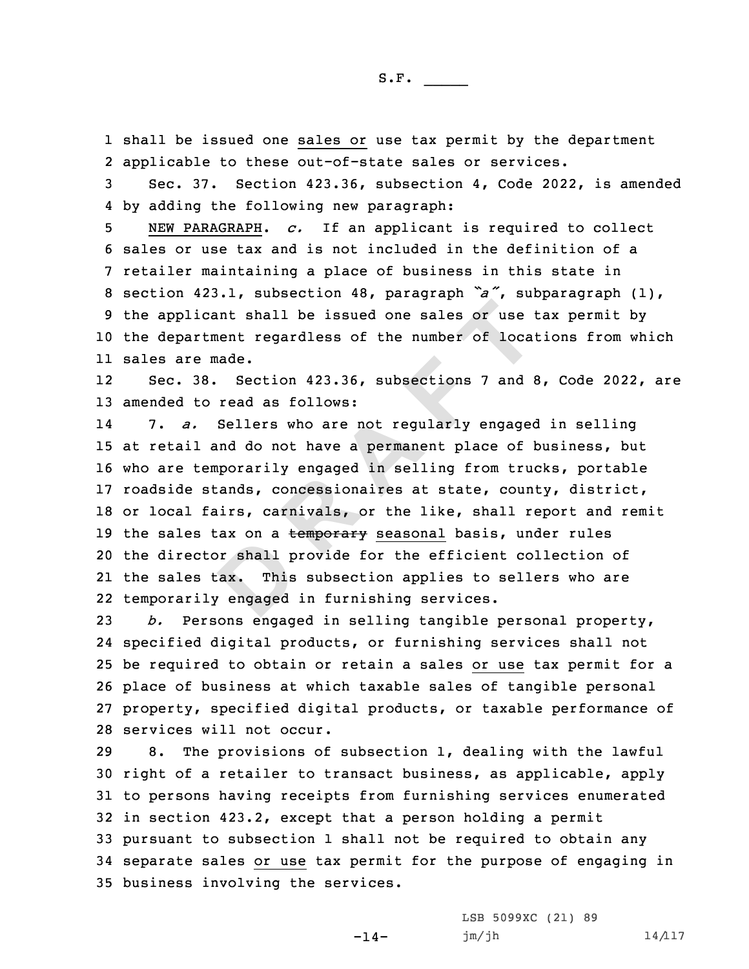1 shall be issued one sales or use tax permit by the department 2 applicable to these out-of-state sales or services.

3 Sec. 37. Section 423.36, subsection 4, Code 2022, is amended 4 by adding the following new paragraph:

 NEW PARAGRAPH. *c.* If an applicant is required to collect sales or use tax and is not included in the definition of <sup>a</sup> retailer maintaining <sup>a</sup> place of business in this state in section 423.1, subsection 48, paragraph *"a"*, subparagraph (1), the applicant shall be issued one sales or use tax permit by the department regardless of the number of locations from which sales are made.

12 Sec. 38. Section 423.36, subsections 7 and 8, Code 2022, are 13 amended to read as follows:

br shall p<br> **Example 1**<br> **Example 1**<br> **Properties**<br> **Properties** icant shall be issued one sales or use intent regardless of the number of local<br>e made.<br>38. Section 423.36, subsections 7 and 8<br>to read as follows:<br>5. Sellers who are not regularly engage<br>1 and do not have a permanent plac 14 7. *a.* Sellers who are not regularly engaged in selling 15 at retail and do not have <sup>a</sup> permanent place of business, but 16 who are temporarily engaged in selling from trucks, portable 17 roadside stands, concessionaires at state, county, district, 18 or local fairs, carnivals, or the like, shall report and remit 19 the sales tax on a temporary seasonal basis, under rules 20 the director shall provide for the efficient collection of 21 the sales tax. This subsection applies to sellers who are 22 temporarily engaged in furnishing services.

 *b.* Persons engaged in selling tangible personal property, specified digital products, or furnishing services shall not be required to obtain or retain <sup>a</sup> sales or use tax permit for <sup>a</sup> place of business at which taxable sales of tangible personal property, specified digital products, or taxable performance of services will not occur.

 8. The provisions of subsection 1, dealing with the lawful right of <sup>a</sup> retailer to transact business, as applicable, apply to persons having receipts from furnishing services enumerated in section 423.2, except that <sup>a</sup> person holding <sup>a</sup> permit pursuant to subsection 1 shall not be required to obtain any separate sales or use tax permit for the purpose of engaging in business involving the services.

-14-

LSB 5099XC (21) 89  $jm/jh$  14/117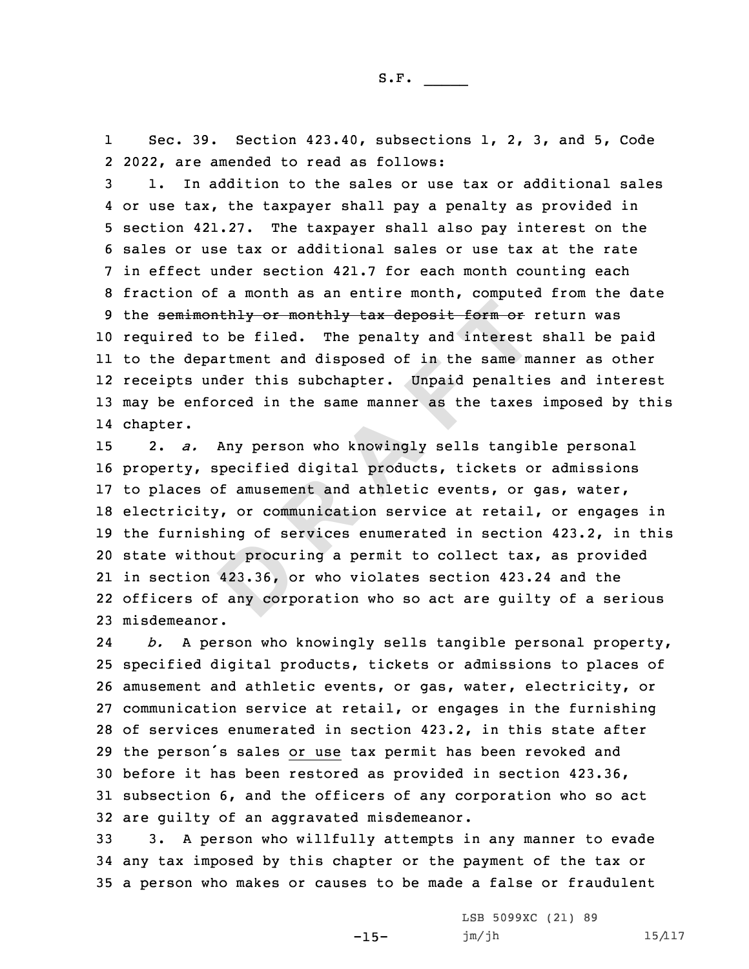1 Sec. 39. Section 423.40, subsections 1, 2, 3, and 5, Code 2 2022, are amended to read as follows:

 1. In addition to the sales or use tax or additional sales or use tax, the taxpayer shall pay <sup>a</sup> penalty as provided in section 421.27. The taxpayer shall also pay interest on the sales or use tax or additional sales or use tax at the rate in effect under section 421.7 for each month counting each fraction of <sup>a</sup> month as an entire month, computed from the date 9 the semimonthly or monthly tax deposit form or return was required to be filed. The penalty and interest shall be paid to the department and disposed of in the same manner as other receipts under this subchapter. Unpaid penalties and interest may be enforced in the same manner as the taxes imposed by this 14 chapter.

but procur<br>423.36, o<br>any corp: monthly or monthly tax deposit form or it o be filed. The penalty and interest epartment and disposed of in the same manner and under this subchapter. Unpaid penaltimforced in the same manner as the taxes . Any person who 2. *a.* Any person who knowingly sells tangible personal property, specified digital products, tickets or admissions to places of amusement and athletic events, or gas, water, electricity, or communication service at retail, or engages in the furnishing of services enumerated in section 423.2, in this state without procuring <sup>a</sup> permit to collect tax, as provided in section 423.36, or who violates section 423.24 and the officers of any corporation who so act are guilty of <sup>a</sup> serious misdemeanor.

24 *b.* <sup>A</sup> person who knowingly sells tangible personal property, specified digital products, tickets or admissions to places of amusement and athletic events, or gas, water, electricity, or communication service at retail, or engages in the furnishing of services enumerated in section 423.2, in this state after the person's sales or use tax permit has been revoked and before it has been restored as provided in section 423.36, subsection 6, and the officers of any corporation who so act are guilty of an aggravated misdemeanor.

33 3. <sup>A</sup> person who willfully attempts in any manner to evade 34 any tax imposed by this chapter or the payment of the tax or 35 <sup>a</sup> person who makes or causes to be made <sup>a</sup> false or fraudulent

-15-

LSB 5099XC (21) 89 jm/jh 15/117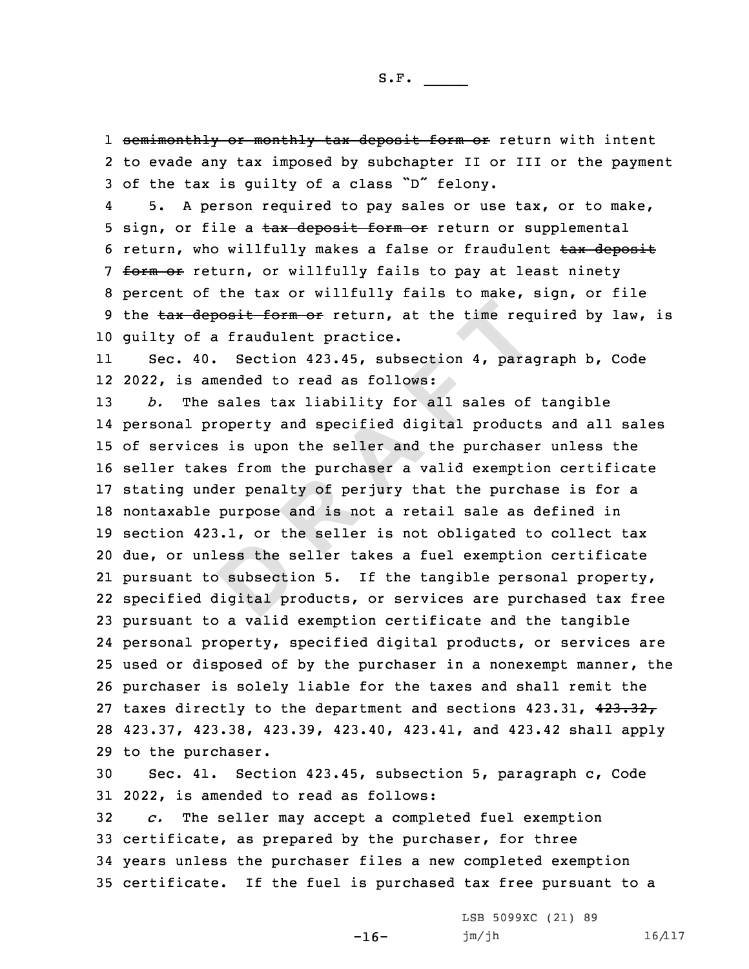1 <del>semimonthly or monthly tax deposit form or</del> return with intent 2 to evade any tax imposed by subchapter II or III or the payment <sup>3</sup> of the tax is guilty of <sup>a</sup> class "D" felony.

4 5. <sup>A</sup> person required to pay sales or use tax, or to make, 5 sign, or file a tax deposit form or return or supplemental 6 return, who willfully makes a false or fraudulent tax deposit 7 form or return, or willfully fails to pay at least ninety 8 percent of the tax or willfully fails to make, sign, or file 9 the tax deposit form or return, at the time required by law, is 10 guilty of <sup>a</sup> fraudulent practice.

11 Sec. 40. Section 423.45, subsection 4, paragraph b, Code 12 2022, is amended to read as follows:

ess the s<br>
b subsection<br> **D**<br> **D**<br> **D**<br> **D** deposit form or return, at the time requentless of a fraudulent practice.<br>40. Section 423.45, subsection 4, paramended to read as follows:<br>the sales tax liability for all sales of property and specified digital product<br>ces *b.* The sales tax liability for all sales of tangible personal property and specified digital products and all sales of services is upon the seller and the purchaser unless the seller takes from the purchaser <sup>a</sup> valid exemption certificate stating under penalty of perjury that the purchase is for <sup>a</sup> nontaxable purpose and is not <sup>a</sup> retail sale as defined in section 423.1, or the seller is not obligated to collect tax due, or unless the seller takes <sup>a</sup> fuel exemption certificate pursuant to subsection 5. If the tangible personal property, specified digital products, or services are purchased tax free pursuant to <sup>a</sup> valid exemption certificate and the tangible personal property, specified digital products, or services are used or disposed of by the purchaser in <sup>a</sup> nonexempt manner, the purchaser is solely liable for the taxes and shall remit the 27 taxes directly to the department and sections 423.31, 423.32, 423.37, 423.38, 423.39, 423.40, 423.41, and 423.42 shall apply to the purchaser.

30 Sec. 41. Section 423.45, subsection 5, paragraph c, Code 31 2022, is amended to read as follows:

 *c.* The seller may accept <sup>a</sup> completed fuel exemption certificate, as prepared by the purchaser, for three years unless the purchaser files <sup>a</sup> new completed exemption certificate. If the fuel is purchased tax free pursuant to <sup>a</sup>

 $-16-$ 

LSB 5099XC (21) 89 jm/jh 16/117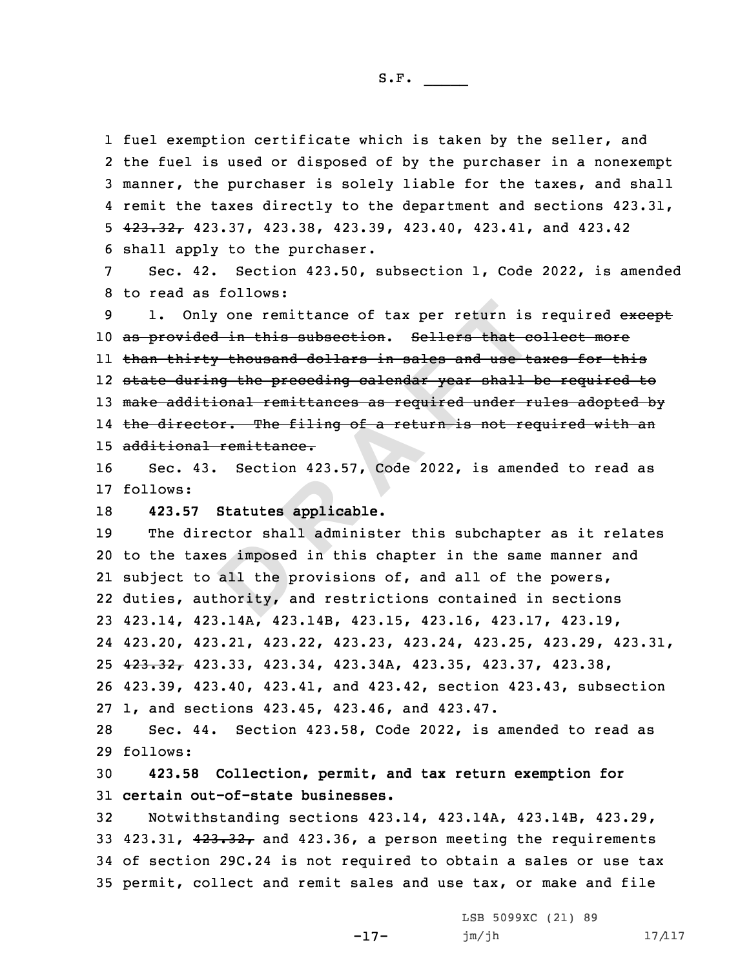1 fuel exemption certificate which is taken by the seller, and the fuel is used or disposed of by the purchaser in <sup>a</sup> nonexempt manner, the purchaser is solely liable for the taxes, and shall remit the taxes directly to the department and sections 423.31, 423.32, 423.37, 423.38, 423.39, 423.40, 423.41, and 423.42 shall apply to the purchaser.

7 Sec. 42. Section 423.50, subsection 1, Code 2022, is amended 8 to read as follows:

mly one remittance of tax per return is<br>ded in this subsection. Sellers that exerty thousand dollars in sales and use the<br>ring the preceding calendar year shall<br>itional remittances as required under retor. The filing of a 9 1. Only one remittance of tax per return is required except as provided in this subsection. Sellers that collect more than thirty thousand dollars in sales and use taxes for this state during the preceding calendar year shall be required to 13 make additional remittances as required under rules adopted by the director. The filing of <sup>a</sup> return is not required with an additional remittance.

16 Sec. 43. Section 423.57, Code 2022, is amended to read as 17 follows:

18 **423.57 Statutes applicable.**

es imposed<br>all the p<br>hority, a The director shall administer this subchapter as it relates to the taxes imposed in this chapter in the same manner and subject to all the provisions of, and all of the powers, duties, authority, and restrictions contained in sections 423.14, 423.14A, 423.14B, 423.15, 423.16, 423.17, 423.19, 423.20, 423.21, 423.22, 423.23, 423.24, 423.25, 423.29, 423.31, 423.32, 423.33, 423.34, 423.34A, 423.35, 423.37, 423.38, 423.39, 423.40, 423.41, and 423.42, section 423.43, subsection 1, and sections 423.45, 423.46, and 423.47.

28 Sec. 44. Section 423.58, Code 2022, is amended to read as 29 follows:

30 **423.58 Collection, permit, and tax return exemption for** 31 **certain out-of-state businesses.**

 Notwithstanding sections 423.14, 423.14A, 423.14B, 423.29, 33 423.31,  $423.32<sub>r</sub>$  and 423.36, a person meeting the requirements of section 29C.24 is not required to obtain <sup>a</sup> sales or use tax permit, collect and remit sales and use tax, or make and file

-17-

LSB 5099XC (21) 89 jm/jh 17/117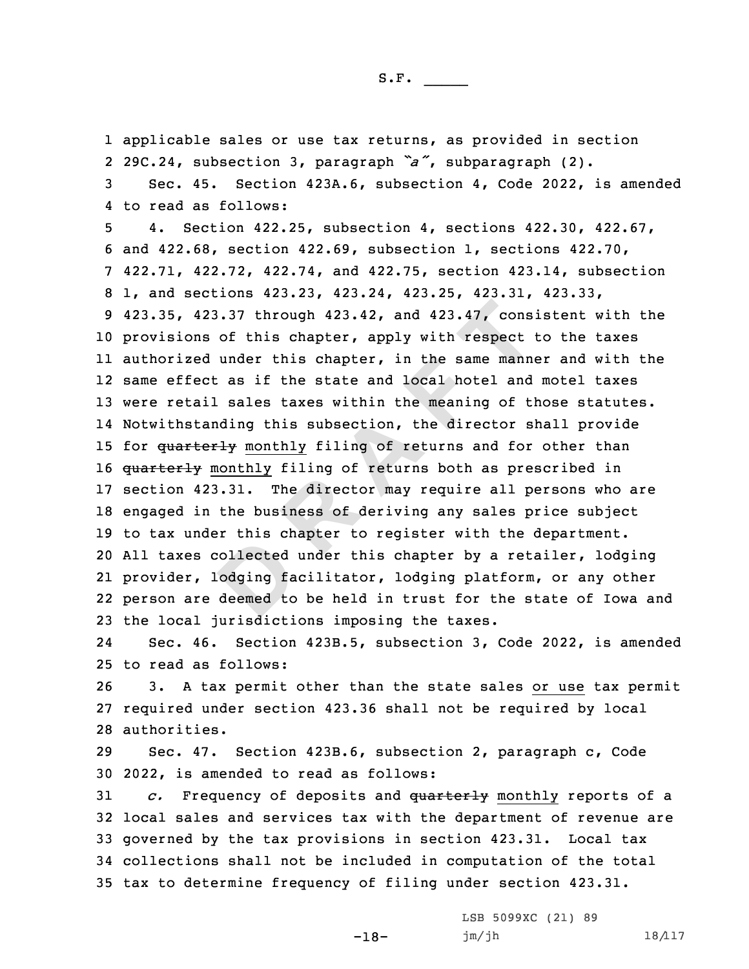applicable sales or use tax returns, as provided in section 29C.24, subsection 3, paragraph *"a"*, subparagraph (2). Sec. 45. Section 423A.6, subsection 4, Code 2022, is amended to read as follows:

collected<br>
odging fa<br>
deemed to 123.37 through 423.42, and 423.47, cons<br>
ns of this chapter, apply with respect<br>
ed under this chapter, apply with respect<br>
ed under this chapter, in the same manne<br>
ect as if the state and local hotel and<br>
ail sales taxes 4. Section 422.25, subsection 4, sections 422.30, 422.67, and 422.68, section 422.69, subsection 1, sections 422.70, 422.71, 422.72, 422.74, and 422.75, section 423.14, subsection 1, and sections 423.23, 423.24, 423.25, 423.31, 423.33, 423.35, 423.37 through 423.42, and 423.47, consistent with the provisions of this chapter, apply with respect to the taxes authorized under this chapter, in the same manner and with the same effect as if the state and local hotel and motel taxes were retail sales taxes within the meaning of those statutes. Notwithstanding this subsection, the director shall provide 15 for quarterly monthly filing of returns and for other than 16 quarterly monthly filing of returns both as prescribed in section 423.31. The director may require all persons who are engaged in the business of deriving any sales price subject to tax under this chapter to register with the department. All taxes collected under this chapter by <sup>a</sup> retailer, lodging provider, lodging facilitator, lodging platform, or any other person are deemed to be held in trust for the state of Iowa and the local jurisdictions imposing the taxes.

24 Sec. 46. Section 423B.5, subsection 3, Code 2022, is amended 25 to read as follows:

26 3. <sup>A</sup> tax permit other than the state sales or use tax permit 27 required under section 423.36 shall not be required by local 28 authorities.

29 Sec. 47. Section 423B.6, subsection 2, paragraph c, Code 30 2022, is amended to read as follows:

 *c.* Frequency of deposits and quarterly monthly reports of <sup>a</sup> local sales and services tax with the department of revenue are governed by the tax provisions in section 423.31. Local tax collections shall not be included in computation of the total tax to determine frequency of filing under section 423.31.

-18-

LSB 5099XC (21) 89 jm/jh 18/117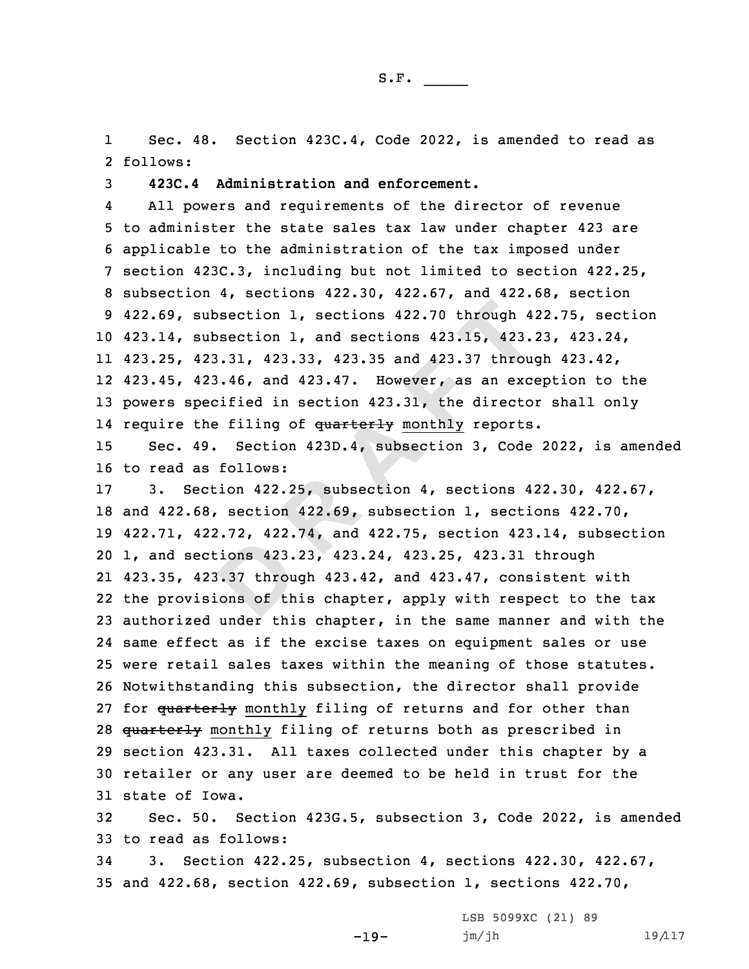1 Sec. 48. Section 423C.4, Code 2022, is amended to read as 2 follows:

S.F.  $\rule{1em}{0.15mm}$ 

3 **423C.4 Administration and enforcement.**

4 All powers and requirements of the director of revenue to administer the state sales tax law under chapter 423 are applicable to the administration of the tax imposed under section 423C.3, including but not limited to section 422.25, subsection 4, sections 422.30, 422.67, and 422.68, section 422.69, subsection 1, sections 422.70 through 422.75, section 423.14, subsection 1, and sections 423.15, 423.23, 423.24, 423.25, 423.31, 423.33, 423.35 and 423.37 through 423.42, 423.45, 423.46, and 423.47. However, as an exception to the powers specified in section 423.31, the director shall only 14 require the filing of <del>quarterly</del> monthly reports.

15 Sec. 49. Section 423D.4, subsection 3, Code 2022, is amended 16 to read as follows:

**EXAMPLE:**<br> **B**<br> **D**<br> **D**<br> **D**<br> **D**<br> **D**<br> **D** subsection 1, sections 422.70 through 4<br>subsection 1, and sections 423.15, 423.<br>423.31, 423.33, 423.35 and 423.37 through<br>423.46, and 423.47. However, as an exce<br>pecified in section 423.31, the directo<br>the filing of <del>quart</del> 3. Section 422.25, subsection 4, sections 422.30, 422.67, and 422.68, section 422.69, subsection 1, sections 422.70, 422.71, 422.72, 422.74, and 422.75, section 423.14, subsection 1, and sections 423.23, 423.24, 423.25, 423.31 through 423.35, 423.37 through 423.42, and 423.47, consistent with the provisions of this chapter, apply with respect to the tax authorized under this chapter, in the same manner and with the same effect as if the excise taxes on equipment sales or use were retail sales taxes within the meaning of those statutes. Notwithstanding this subsection, the director shall provide 27 for quarterly monthly filing of returns and for other than 28 quarterly monthly filing of returns both as prescribed in section 423.31. All taxes collected under this chapter by <sup>a</sup> retailer or any user are deemed to be held in trust for the state of Iowa.

32 Sec. 50. Section 423G.5, subsection 3, Code 2022, is amended 33 to read as follows:

34 3. Section 422.25, subsection 4, sections 422.30, 422.67, 35 and 422.68, section 422.69, subsection 1, sections 422.70,

-19-

LSB 5099XC (21) 89 jm/jh 19/117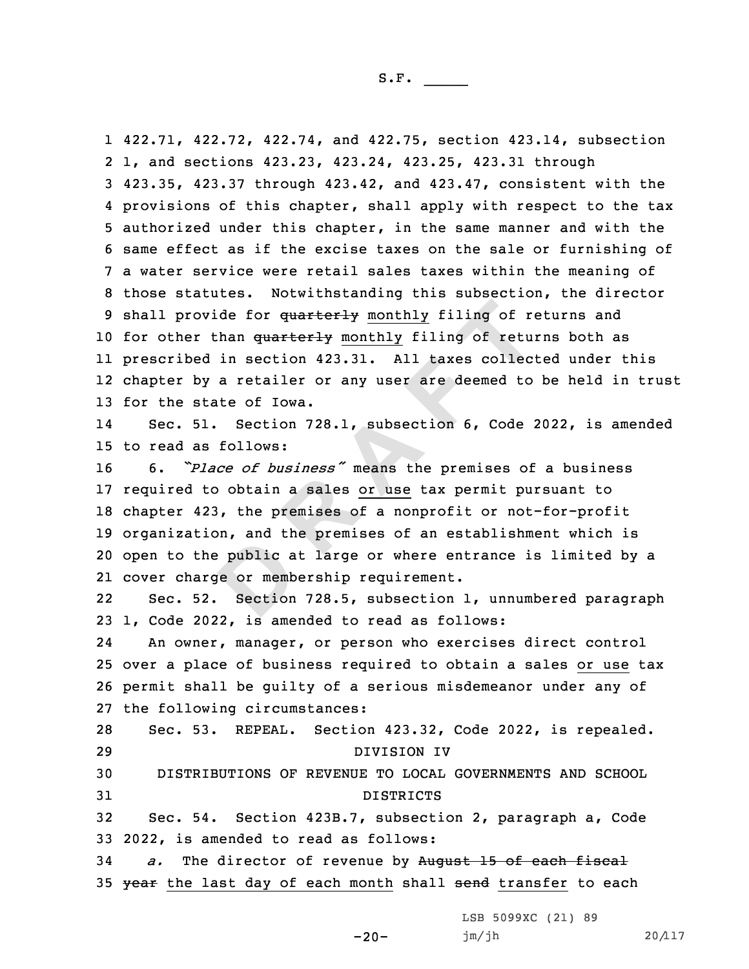public a<br>**ge** or memb<br>Section ovide for quarterly monthly filing of representing to the proof of the control of the ed in section 423.31. All taxes collection and the section 728.1, subsection 6, Code is follows:<br>Figure 2011, subsection 6, Code is foll 422.71, 422.72, 422.74, and 422.75, section 423.14, subsection 1, and sections 423.23, 423.24, 423.25, 423.31 through 423.35, 423.37 through 423.42, and 423.47, consistent with the provisions of this chapter, shall apply with respect to the tax authorized under this chapter, in the same manner and with the same effect as if the excise taxes on the sale or furnishing of <sup>a</sup> water service were retail sales taxes within the meaning of those statutes. Notwithstanding this subsection, the director 9 shall provide for quarterly monthly filing of returns and 10 for other than quarterly monthly filing of returns both as prescribed in section 423.31. All taxes collected under this chapter by <sup>a</sup> retailer or any user are deemed to be held in trust for the state of Iowa. 14 Sec. 51. Section 728.1, subsection 6, Code 2022, is amended to read as follows: 6. *"Place of business"* means the premises of <sup>a</sup> business required to obtain <sup>a</sup> sales or use tax permit pursuant to chapter 423, the premises of <sup>a</sup> nonprofit or not-for-profit organization, and the premises of an establishment which is open to the public at large or where entrance is limited by <sup>a</sup> cover charge or membership requirement. 2222 Sec. 52. Section 728.5, subsection 1, unnumbered paragraph 1, Code 2022, is amended to read as follows: 24 An owner, manager, or person who exercises direct control over <sup>a</sup> place of business required to obtain <sup>a</sup> sales or use tax permit shall be guilty of <sup>a</sup> serious misdemeanor under any of the following circumstances: Sec. 53. REPEAL. Section 423.32, Code 2022, is repealed. DIVISION IV DISTRIBUTIONS OF REVENUE TO LOCAL GOVERNMENTS AND SCHOOL DISTRICTS Sec. 54. Section 423B.7, subsection 2, paragraph a, Code 2022, is amended to read as follows: *a.* The director of revenue by August 15 of each fiscal 35 year the last day of each month shall send transfer to each

 $-20-$ 

LSB 5099XC (21) 89 jm/jh 20/117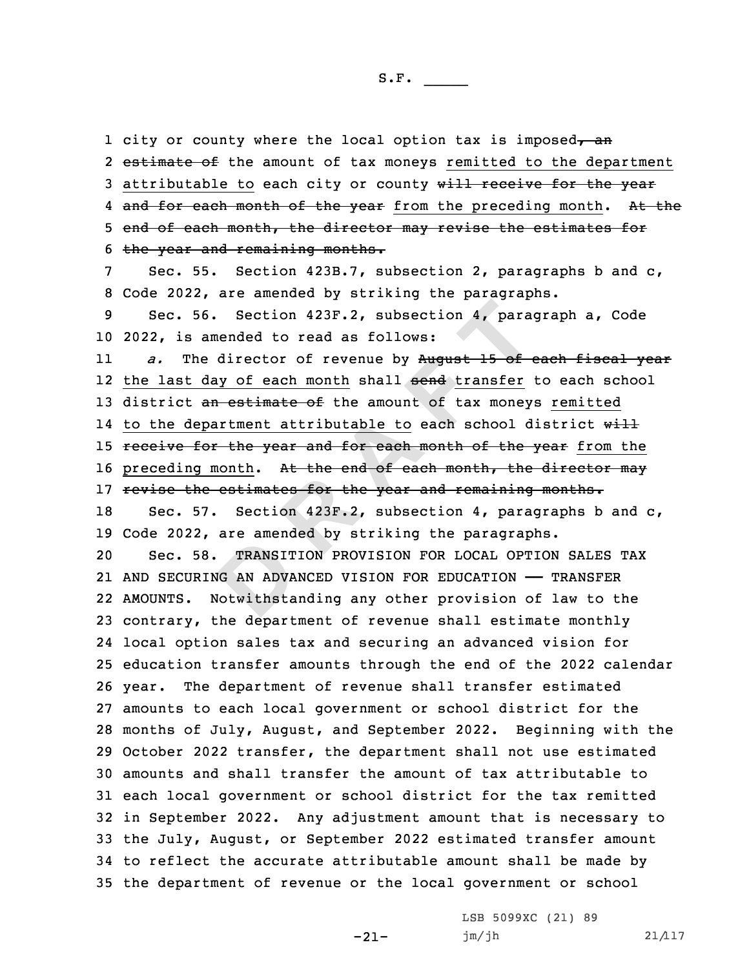TRANSIT<br>TRANSIT<br>Jotwithsta<br>Potwithsta 56. Section 423F.2, subsection 4, paramended to read as follows:<br>the director of revenue by August 15 of day of each month shall send transfer an estimate of the amount of tax money<br>epartment attributable to each school d<br> 1 city or county where the local option tax is imposed, an 2 e<del>stimate of</del> the amount of tax moneys remitted to the department 3 attributable to each city or county will receive for the year 4 <del>and for each month of the year</del> from the preceding month. A<del>t th</del>e 5 end of each month, the director may revise the estimates for the year and remaining months. Sec. 55. Section 423B.7, subsection 2, paragraphs b and c, Code 2022, are amended by striking the paragraphs. Sec. 56. Section 423F.2, subsection 4, paragraph a, Code 2022, is amended to read as follows: 11 *a.* The director of revenue by August 15 of each fiscal year 12 the last day of each month shall <del>send</del> transfer to each school 13 district an estimate of the amount of tax moneys remitted 14 to the department attributable to each school district w<del>ill</del> 15 receive for the year and for each month of the year from the 16 preceding month. At the end of each month, the director may 17 revise the estimates for the year and remaining months. Sec. 57. Section 423F.2, subsection 4, paragraphs b and c, Code 2022, are amended by striking the paragraphs. Sec. 58. TRANSITION PROVISION FOR LOCAL OPTION SALES TAX AND SECURING AN ADVANCED VISION FOR EDUCATION —— TRANSFER AMOUNTS. Notwithstanding any other provision of law to the contrary, the department of revenue shall estimate monthly local option sales tax and securing an advanced vision for education transfer amounts through the end of the 2022 calendar year. The department of revenue shall transfer estimated amounts to each local government or school district for the months of July, August, and September 2022. Beginning with the October 2022 transfer, the department shall not use estimated amounts and shall transfer the amount of tax attributable to each local government or school district for the tax remitted in September 2022. Any adjustment amount that is necessary to the July, August, or September 2022 estimated transfer amount to reflect the accurate attributable amount shall be made by the department of revenue or the local government or school

-21-

LSB 5099XC (21) 89 jm/jh 21/117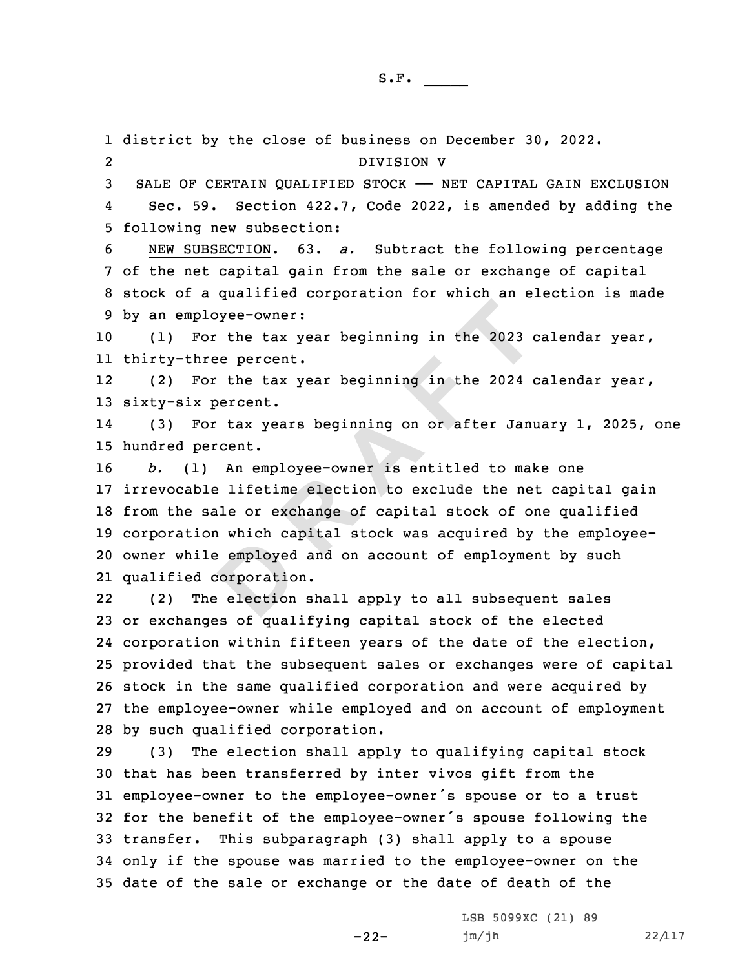employed<br>
corporation<br>
election ployee-owner:<br>For the tax year beginning in the 2023 of<br>three percent.<br>For the tax year beginning in the 2024 of<br>x percent.<br>For tax years beginning on or after Janu<br>percent.<br>1) An employee-owner is entitled to make<br>ble lif district by the close of business on December 30, 2022. 2 DIVISION V SALE OF CERTAIN QUALIFIED STOCK —— NET CAPITAL GAIN EXCLUSION 4 Sec. 59. Section 422.7, Code 2022, is amended by adding the following new subsection: NEW SUBSECTION. 63. *a.* Subtract the following percentage of the net capital gain from the sale or exchange of capital stock of <sup>a</sup> qualified corporation for which an election is made by an employee-owner: (1) For the tax year beginning in the 2023 calendar year, thirty-three percent. 12 (2) For the tax year beginning in the 2024 calendar year, sixty-six percent. 14 (3) For tax years beginning on or after January 1, 2025, one hundred percent. *b.* (1) An employee-owner is entitled to make one irrevocable lifetime election to exclude the net capital gain from the sale or exchange of capital stock of one qualified corporation which capital stock was acquired by the employee- owner while employed and on account of employment by such qualified corporation. 22 (2) The election shall apply to all subsequent sales or exchanges of qualifying capital stock of the elected corporation within fifteen years of the date of the election, provided that the subsequent sales or exchanges were of capital stock in the same qualified corporation and were acquired by the employee-owner while employed and on account of employment by such qualified corporation. (3) The election shall apply to qualifying capital stock that has been transferred by inter vivos gift from the employee-owner to the employee-owner's spouse or to <sup>a</sup> trust for the benefit of the employee-owner's spouse following the transfer. This subparagraph (3) shall apply to <sup>a</sup> spouse only if the spouse was married to the employee-owner on the date of the sale or exchange or the date of death of the

-22-

LSB 5099XC (21) 89 jm/jh 22/117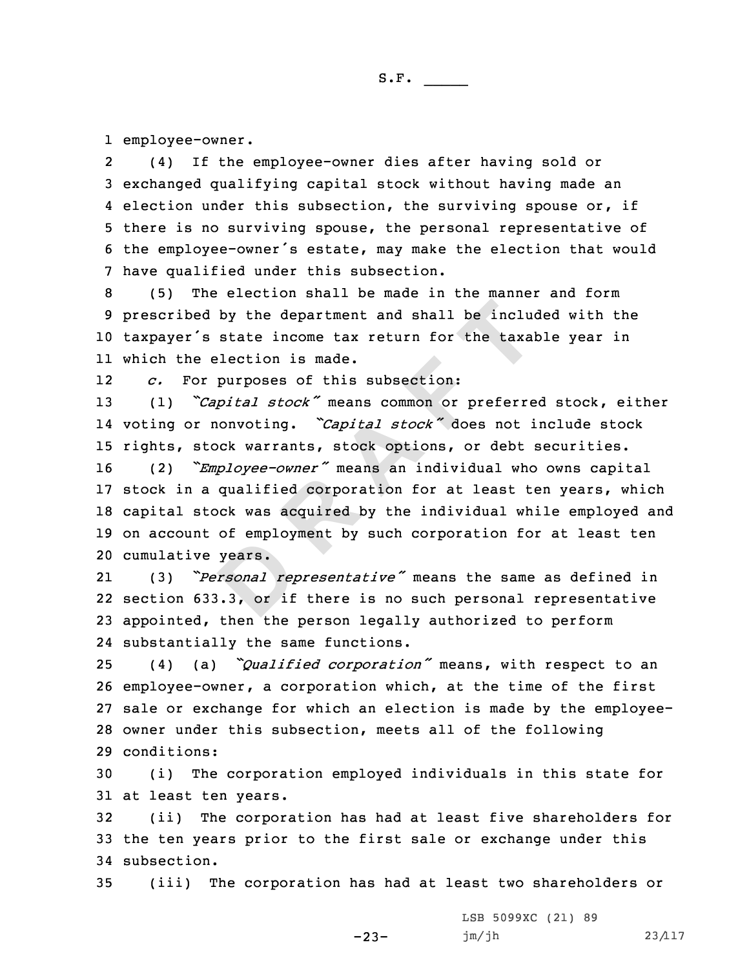1 employee-owner.

2 (4) If the employee-owner dies after having sold or 3 exchanged qualifying capital stock without having made an 4 election under this subsection, the surviving spouse or, if 5 there is no surviving spouse, the personal representative of <sup>6</sup> the employee-owner's estate, may make the election that would 7 have qualified under this subsection.

 (5) The election shall be made in the manner and form prescribed by the department and shall be included with the taxpayer's state income tax return for the taxable year in which the election is made.

12*c.* For purposes of this subsection:

<sup>13</sup> (1) *"Capital stock"* means common or preferred stock, either 14 voting or nonvoting. *"Capital stock"* does not include stock 15 rights, stock warrants, stock options, or debt securities.

ed by the department and shall be included is state income tax return for the taxal<br>
e election is made.<br>
So purposes of this subsection:<br>
So purposes of this subsection:<br>
So purposes of this subsection:<br>
The property mean (2) *"Employee-owner"* means an individual who owns capital stock in <sup>a</sup> qualified corporation for at least ten years, which capital stock was acquired by the individual while employed and on account of employment by such corporation for at least ten cumulative years.

years.<br>*rsonal rep*<br>3.3, or if 21 (3) *"Personal representative"* means the same as defined in 22 section 633.3, or if there is no such personal representative 23 appointed, then the person legally authorized to perform 24 substantially the same functions.

 (4) (a) *"Qualified corporation"* means, with respect to an employee-owner, <sup>a</sup> corporation which, at the time of the first sale or exchange for which an election is made by the employee- owner under this subsection, meets all of the following conditions:

30 (i) The corporation employed individuals in this state for 31 at least ten years.

32 (ii) The corporation has had at least five shareholders for 33 the ten years prior to the first sale or exchange under this 34 subsection.

35 (iii) The corporation has had at least two shareholders or

-23-

LSB 5099XC (21) 89 jm/jh 23/117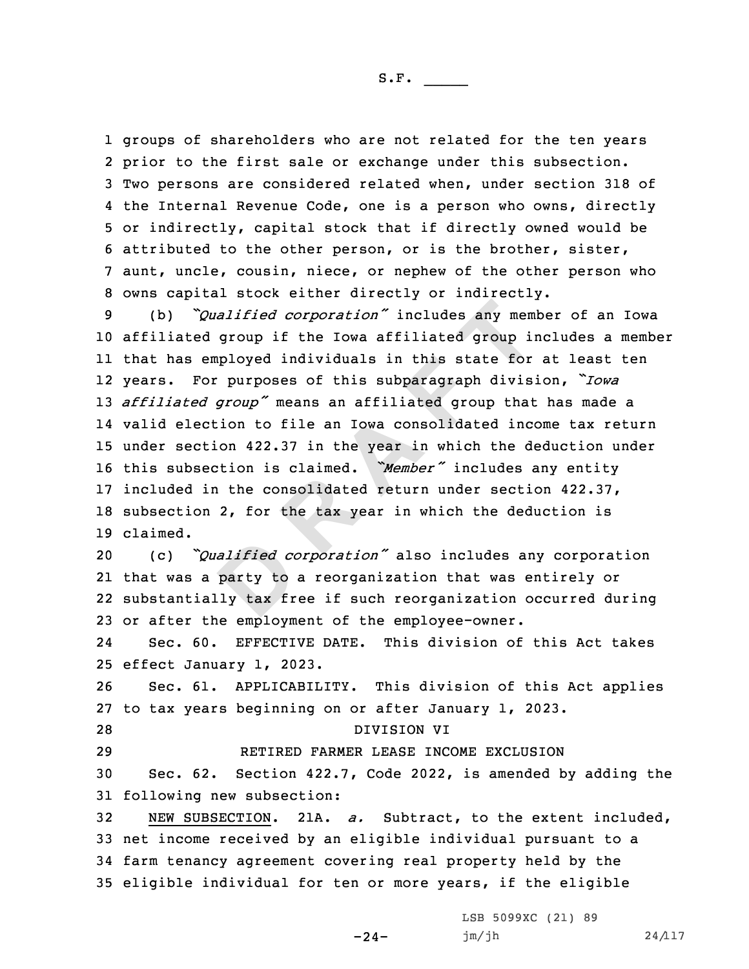groups of shareholders who are not related for the ten years prior to the first sale or exchange under this subsection. Two persons are considered related when, under section 318 of the Internal Revenue Code, one is <sup>a</sup> person who owns, directly or indirectly, capital stock that if directly owned would be attributed to the other person, or is the brother, sister, aunt, uncle, cousin, niece, or nephew of the other person who owns capital stock either directly or indirectly.

Conservation  $\infty$  and  $\infty$   $\infty$   $\infty$   $\infty$   $\infty$   $\infty$   $\infty$   $\infty$   $\infty$   $\infty$   $\infty$   $\infty$   $\infty$   $\infty$   $\infty$   $\infty$   $\infty$   $\infty$   $\infty$   $\infty$   $\infty$   $\infty$   $\infty$   $\infty$   $\infty$   $\infty$   $\infty$   $\infty$   $\infty$   $\infty$   $\infty$   $\infty$   $\infty$  (b) *"Qualified corporation"* includes any member of an Iowa affiliated group if the Iowa affiliated group includes <sup>a</sup> member that has employed individuals in this state for at least ten years. For purposes of this subparagraph division, *"Iowa affiliated group"* means an affiliated group that has made <sup>a</sup> valid election to file an Iowa consolidated income tax return under section 422.37 in the year in which the deduction under this subsection is claimed. *"Member"* includes any entity included in the consolidated return under section 422.37, subsection 2, for the tax year in which the deduction is 19 claimed.

*alified co*<br>party to<br>ly tax fr (c) *"Qualified corporation"* also includes any corporation that was <sup>a</sup> party to <sup>a</sup> reorganization that was entirely or substantially tax free if such reorganization occurred during or after the employment of the employee-owner.

24 Sec. 60. EFFECTIVE DATE. This division of this Act takes 25 effect January 1, 2023.

26 Sec. 61. APPLICABILITY. This division of this Act applies 27 to tax years beginning on or after January 1, 2023.

28 DIVISION VI

29 RETIRED FARMER LEASE INCOME EXCLUSION

30 Sec. 62. Section 422.7, Code 2022, is amended by adding the 31 following new subsection:

 NEW SUBSECTION. 21A. *a.* Subtract, to the extent included, net income received by an eligible individual pursuant to <sup>a</sup> farm tenancy agreement covering real property held by the eligible individual for ten or more years, if the eligible

 $-24-$ 

LSB 5099XC (21) 89 jm/jh 24/117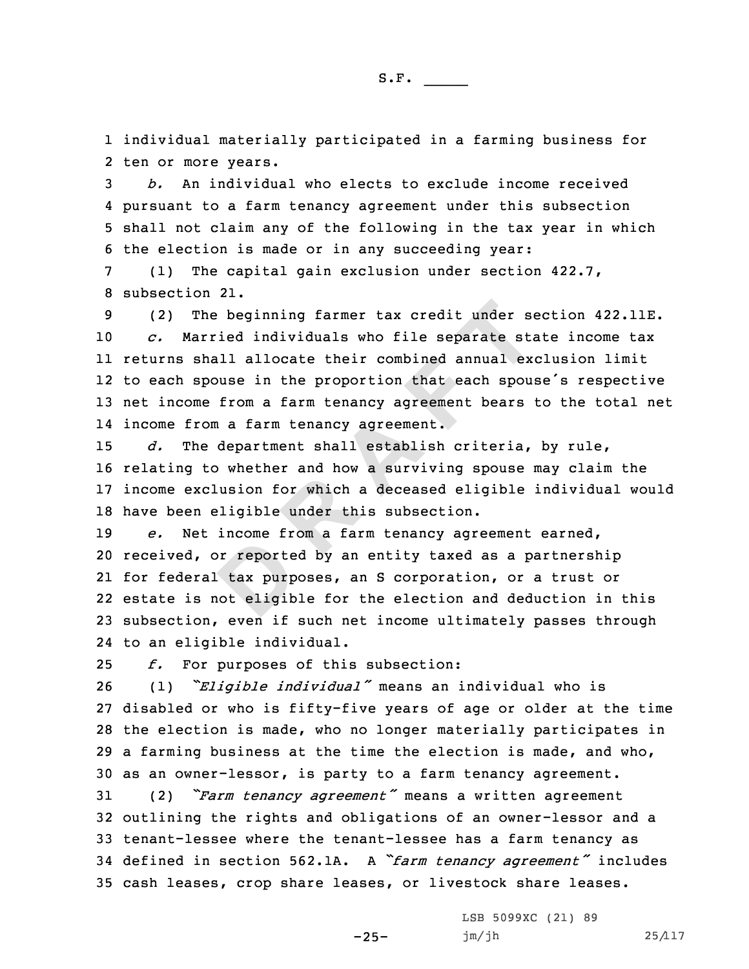1 individual materially participated in <sup>a</sup> farming business for 2 ten or more years.

 *b.* An individual who elects to exclude income received pursuant to <sup>a</sup> farm tenancy agreement under this subsection shall not claim any of the following in the tax year in which the election is made or in any succeeding year:

7 (1) The capital gain exclusion under section 422.7, 8 subsection 21.

The beginning farmer tax credit under sendent<br>
Sarried individuals who file separate sta<br>
Shall allocate their combined annual ex<br>
spouse in the proportion that each spour<br>
me from a farm tenancy agreement bears<br>
rom a far (2) The beginning farmer tax credit under section 422.11E. *c.* Married individuals who file separate state income tax returns shall allocate their combined annual exclusion limit to each spouse in the proportion that each spouse's respective net income from <sup>a</sup> farm tenancy agreement bears to the total net income from <sup>a</sup> farm tenancy agreement.

 *d.* The department shall establish criteria, by rule, relating to whether and how <sup>a</sup> surviving spouse may claim the income exclusion for which <sup>a</sup> deceased eligible individual would have been eligible under this subsection.

br reporte<br>
tax purp<br>
not eligib *e.* Net income from <sup>a</sup> farm tenancy agreement earned, received, or reported by an entity taxed as <sup>a</sup> partnership for federal tax purposes, an S corporation, or <sup>a</sup> trust or estate is not eligible for the election and deduction in this subsection, even if such net income ultimately passes through to an eligible individual.

25 *f.* For purposes of this subsection:

 (1) *"Eligible individual"* means an individual who is disabled or who is fifty-five years of age or older at the time the election is made, who no longer materially participates in <sup>a</sup> farming business at the time the election is made, and who, as an owner-lessor, is party to <sup>a</sup> farm tenancy agreement.

 (2) *"Farm tenancy agreement"* means <sup>a</sup> written agreement outlining the rights and obligations of an owner-lessor and <sup>a</sup> tenant-lessee where the tenant-lessee has <sup>a</sup> farm tenancy as defined in section 562.1A. <sup>A</sup> *"farm tenancy agreement"* includes cash leases, crop share leases, or livestock share leases.

-25-

LSB 5099XC (21) 89 jm/jh 25/117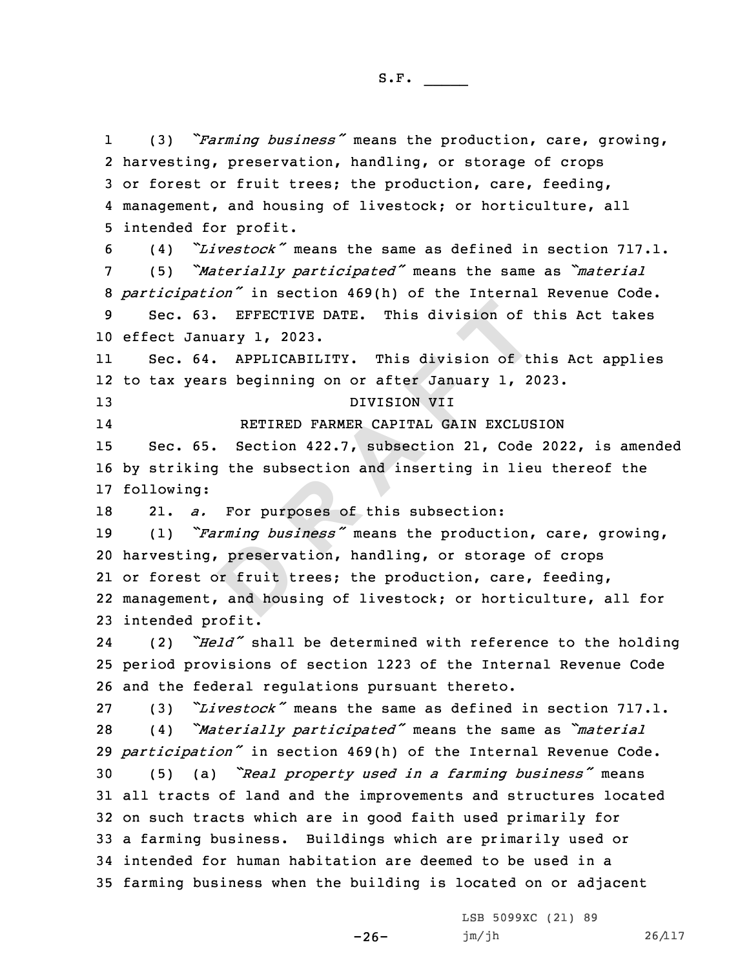1 (3) *"Farming business"* means the production, care, growing, harvesting, preservation, handling, or storage of crops or forest or fruit trees; the production, care, feeding, management, and housing of livestock; or horticulture, all intended for profit.

 (4) *"Livestock"* means the same as defined in section 717.1. (5) *"Materially participated"* means the same as *"material participation"* in section 469(h) of the Internal Revenue Code. Sec. 63. EFFECTIVE DATE. This division of this Act takes effect January 1, 2023.

11 Sec. 64. APPLICABILITY. This division of this Act applies 12 to tax years beginning on or after January 1, 2023.

13 DIVISION VII 14

RETIRED FARMER CAPITAL GAIN EXCLUSION

15 Sec. 65. Section 422.7, subsection 21, Code 2022, is amended 16 by striking the subsection and inserting in lieu thereof the 17 following:

18 21. *a.* For purposes of this subsection:

preserva<br>
preserva<br>
preserva<br>
and hous 63. EFFECTIVE DATE. This division of the<br>
nuary 1, 2023.<br>
64. APPLICABILITY. This division of the<br>
ears beginning on or after January 1, 2<br>
DIVISION VII<br>
RETIRED FARMER CAPITAL GAIN EXCLUS<br>
65. Section 422.7, subsection 21 (1) *"Farming business"* means the production, care, growing, harvesting, preservation, handling, or storage of crops or forest or fruit trees; the production, care, feeding, management, and housing of livestock; or horticulture, all for intended profit.

24 (2) *"Held"* shall be determined with reference to the holding 25 period provisions of section 1223 of the Internal Revenue Code 26 and the federal regulations pursuant thereto.

 (3) *"Livestock"* means the same as defined in section 717.1. (4) *"Materially participated"* means the same as *"material participation"* in section 469(h) of the Internal Revenue Code. (5) (a) *"Real property used in <sup>a</sup> farming business"* means all tracts of land and the improvements and structures located on such tracts which are in good faith used primarily for <sup>a</sup> farming business. Buildings which are primarily used or intended for human habitation are deemed to be used in <sup>a</sup> farming business when the building is located on or adjacent

-26-

LSB 5099XC (21) 89 jm/jh 26/117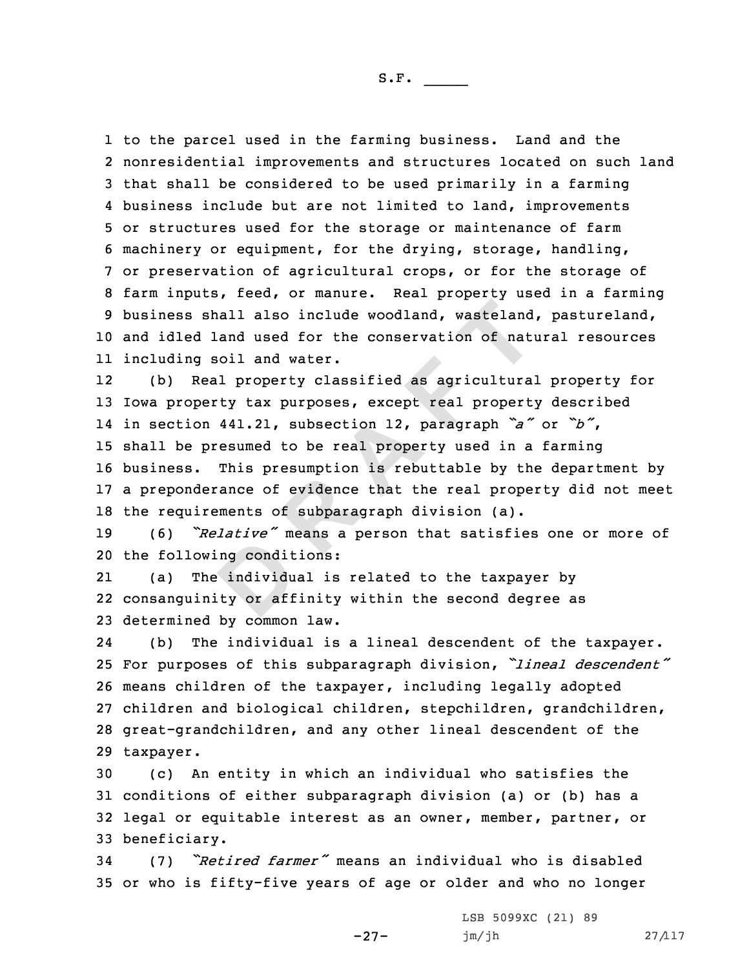to the parcel used in the farming business. Land and the nonresidential improvements and structures located on such land that shall be considered to be used primarily in <sup>a</sup> farming business include but are not limited to land, improvements or structures used for the storage or maintenance of farm machinery or equipment, for the drying, storage, handling, or preservation of agricultural crops, or for the storage of farm inputs, feed, or manure. Real property used in <sup>a</sup> farming business shall also include woodland, wasteland, pastureland, and idled land used for the conservation of natural resources including soil and water.

shall also include woodland, wasteland<br>d land used for the conservation of national<br>g soil and water.<br>Real property classified as agricultura<br>perty tax purposes, except real propert<br>on 441.21, subsection 12, paragraph  $a^x$ 12 (b) Real property classified as agricultural property for Iowa property tax purposes, except real property described in section 441.21, subsection 12, paragraph *"a"* or *"b"*, shall be presumed to be real property used in <sup>a</sup> farming business. This presumption is rebuttable by the department by <sup>a</sup> preponderance of evidence that the real property did not meet the requirements of subparagraph division (a).

<sup>19</sup> (6) *"Relative"* means <sup>a</sup> person that satisfies one or more of 20 the following conditions:

ng condit<br>
individue:<br>
ty or aff 21 (a) The individual is related to the taxpayer by 22 consanguinity or affinity within the second degree as 23 determined by common law.

24 (b) The individual is <sup>a</sup> lineal descendent of the taxpayer. For purposes of this subparagraph division, *"lineal descendent"* means children of the taxpayer, including legally adopted children and biological children, stepchildren, grandchildren, great-grandchildren, and any other lineal descendent of the taxpayer.

 (c) An entity in which an individual who satisfies the conditions of either subparagraph division (a) or (b) has <sup>a</sup> legal or equitable interest as an owner, member, partner, or beneficiary.

<sup>34</sup> (7) *"Retired farmer"* means an individual who is disabled 35 or who is fifty-five years of age or older and who no longer

-27-

LSB 5099XC (21) 89 jm/jh 27/117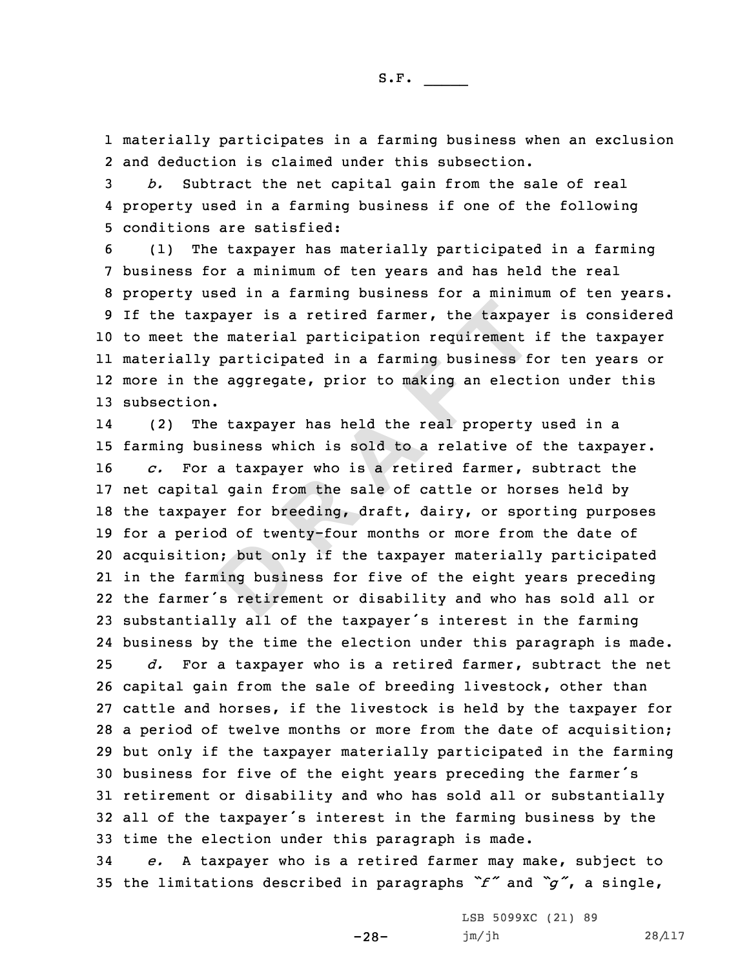1 materially participates in <sup>a</sup> farming business when an exclusion 2 and deduction is claimed under this subsection.

3 *b.* Subtract the net capital gain from the sale of real 4 property used in <sup>a</sup> farming business if one of the following 5 conditions are satisfied:

 (1) The taxpayer has materially participated in <sup>a</sup> farming business for <sup>a</sup> minimum of ten years and has held the real property used in <sup>a</sup> farming business for <sup>a</sup> minimum of ten years. If the taxpayer is <sup>a</sup> retired farmer, the taxpayer is considered to meet the material participation requirement if the taxpayer materially participated in <sup>a</sup> farming business for ten years or more in the aggregate, prior to making an election under this subsection.

put onling busin<br>
ing busin<br>
is retirem axpayer is a retired farmer, the taxpay<br>the material participation requirement<br>ly participated in a farming business fithe aggregate, prior to making an elect<br>on.<br>The taxpayer has held the real property<br>business which is s 14 (2) The taxpayer has held the real property used in <sup>a</sup> farming business which is sold to <sup>a</sup> relative of the taxpayer. *c.* For <sup>a</sup> taxpayer who is <sup>a</sup> retired farmer, subtract the net capital gain from the sale of cattle or horses held by the taxpayer for breeding, draft, dairy, or sporting purposes for <sup>a</sup> period of twenty-four months or more from the date of acquisition; but only if the taxpayer materially participated in the farming business for five of the eight years preceding the farmer's retirement or disability and who has sold all or substantially all of the taxpayer's interest in the farming business by the time the election under this paragraph is made. *d.* For <sup>a</sup> taxpayer who is <sup>a</sup> retired farmer, subtract the net capital gain from the sale of breeding livestock, other than cattle and horses, if the livestock is held by the taxpayer for <sup>a</sup> period of twelve months or more from the date of acquisition; but only if the taxpayer materially participated in the farming business for five of the eight years preceding the farmer's retirement or disability and who has sold all or substantially all of the taxpayer's interest in the farming business by the time the election under this paragraph is made.

34 *e.* <sup>A</sup> taxpayer who is <sup>a</sup> retired farmer may make, subject to <sup>35</sup> the limitations described in paragraphs *"f"* and *"g"*, <sup>a</sup> single,

-28-

LSB 5099XC (21) 89 jm/jh 28/117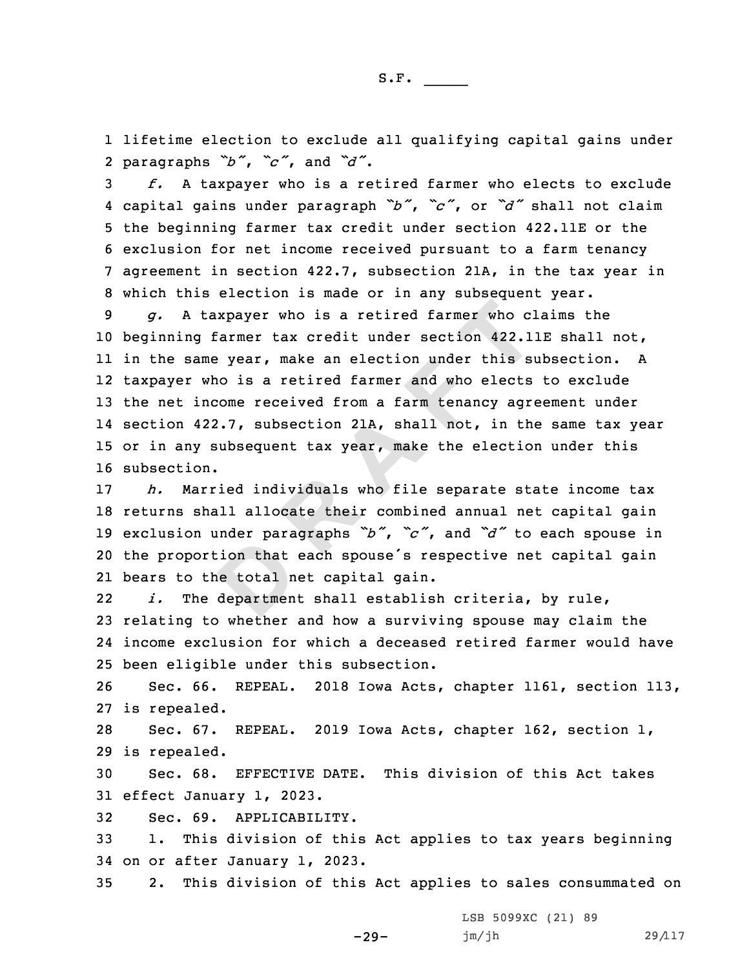1 lifetime election to exclude all qualifying capital gains under 2 paragraphs *"b"*, *"c"*, and *"d"*.

 *f.* <sup>A</sup> taxpayer who is <sup>a</sup> retired farmer who elects to exclude capital gains under paragraph *"b"*, *"c"*, or *"d"* shall not claim the beginning farmer tax credit under section 422.11E or the exclusion for net income received pursuant to <sup>a</sup> farm tenancy agreement in section 422.7, subsection 21A, in the tax year in which this election is made or in any subsequent year.

taxpayer who is a retired farmer who cl<br>g farmer tax credit under section 422.1<br>ame year, make an election under this swho is a retired farmer and who elects<br>income received from a farm tenancy agre<br>422.7, subsection 21A, *g.* <sup>A</sup> taxpayer who is <sup>a</sup> retired farmer who claims the beginning farmer tax credit under section 422.11E shall not, in the same year, make an election under this subsection. <sup>A</sup> taxpayer who is <sup>a</sup> retired farmer and who elects to exclude the net income received from <sup>a</sup> farm tenancy agreement under section 422.7, subsection 21A, shall not, in the same tax year or in any subsequent tax year, make the election under this subsection.

**D** *h.* Married individuals who file separate state income tax returns shall allocate their combined annual net capital gain exclusion under paragraphs *"b"*, *"c"*, and *"d"* to each spouse in the proportion that each spouse's respective net capital gain bears to the total net capital gain.

22 *i.* The department shall establish criteria, by rule, 23 relating to whether and how <sup>a</sup> surviving spouse may claim the 24 income exclusion for which <sup>a</sup> deceased retired farmer would have 25 been eligible under this subsection.

26 Sec. 66. REPEAL. 2018 Iowa Acts, chapter 1161, section 113, 27 is repealed.

28 Sec. 67. REPEAL. 2019 Iowa Acts, chapter 162, section 1, 29 is repealed.

30 Sec. 68. EFFECTIVE DATE. This division of this Act takes 31 effect January 1, 2023.

32 Sec. 69. APPLICABILITY.

33 1. This division of this Act applies to tax years beginning 34 on or after January 1, 2023.

35 2. This division of this Act applies to sales consummated on

-29-

LSB 5099XC (21) 89 jm/jh 29/117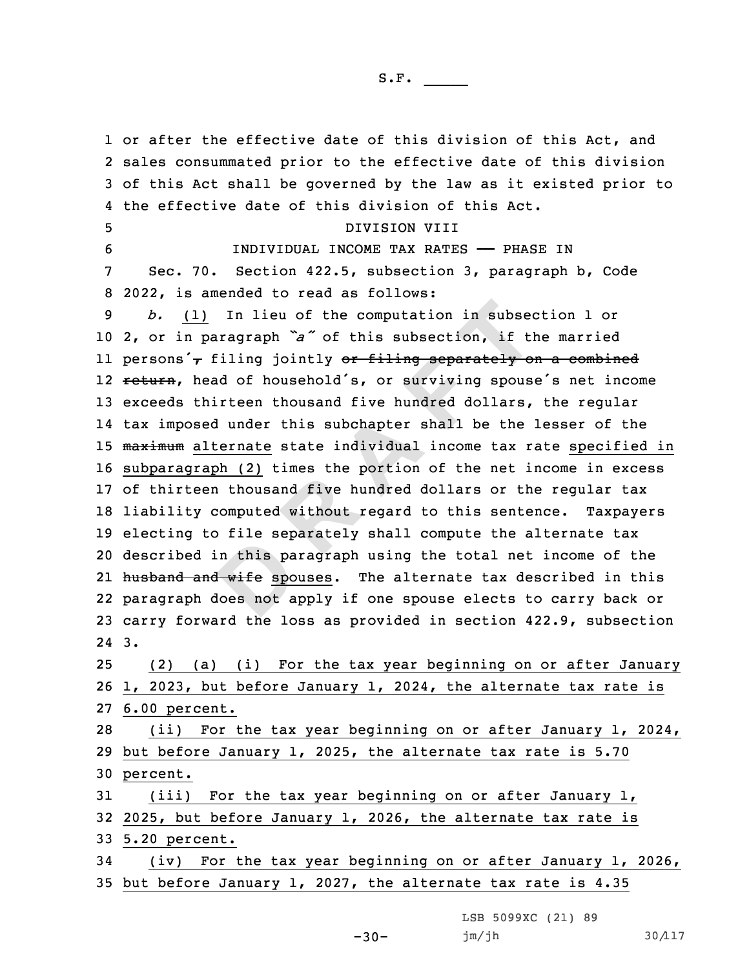n this pa.<br><del>I wife</del> spo<br>loes not a 1) In lieu of the computation in subsect<br>paragraph  $\mathbf{a}^x$  of this subsection, if there is a paragraph  $\mathbf{a}^x$  of this subsection, if therefore it is subchald's, or surviving spouse thirteen thousand five hundred do 1 or after the effective date of this division of this Act, and sales consummated prior to the effective date of this division of this Act shall be governed by the law as it existed prior to the effective date of this division of this Act. DIVISION VIII INDIVIDUAL INCOME TAX RATES —— PHASE IN Sec. 70. Section 422.5, subsection 3, paragraph b, Code 2022, is amended to read as follows: *b.* (1) In lieu of the computation in subsection 1 or 2, or in paragraph *"a"* of this subsection, if the married 11 persons'<sub>7</sub> filing jointly <del>or filing separately on a combined</del> 12 <del>return</del>, head of household's, or surviving spouse's net income exceeds thirteen thousand five hundred dollars, the regular tax imposed under this subchapter shall be the lesser of the 15 maximum alternate state individual income tax rate specified in subparagraph (2) times the portion of the net income in excess of thirteen thousand five hundred dollars or the regular tax liability computed without regard to this sentence. Taxpayers electing to file separately shall compute the alternate tax described in this paragraph using the total net income of the 21 <del>husband and wife</del> spouses. The alternate tax described in this paragraph does not apply if one spouse elects to carry back or carry forward the loss as provided in section 422.9, subsection 24 3. (2) (a) (i) For the tax year beginning on or after January 1, 2023, but before January 1, 2024, the alternate tax rate is 6.00 percent. (ii) For the tax year beginning on or after January 1, 2024, but before January 1, 2025, the alternate tax rate is 5.70 30 percent. (iii) For the tax year beginning on or after January 1, 2025, but before January 1, 2026, the alternate tax rate is 5.20 percent. (iv) For the tax year beginning on or after January 1, 2026, but before January 1, 2027, the alternate tax rate is 4.35

LSB 5099XC (21) 89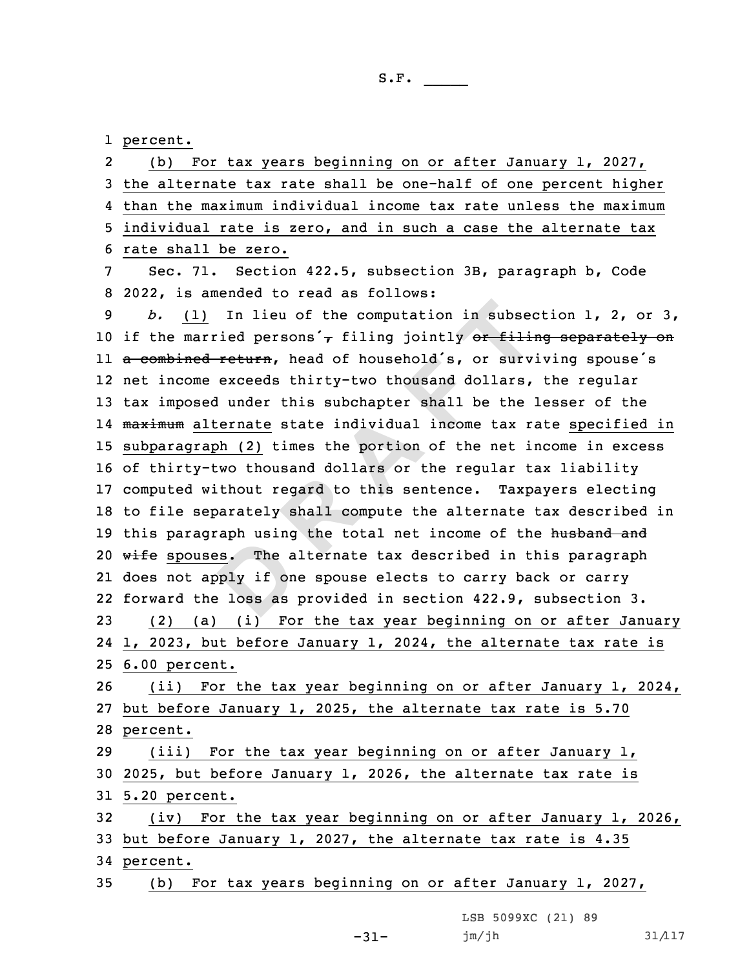1 percent.

external using<br> **D**<sub>p</sub>ly if on<br> **D**<sub>ply</sub> if on<br> **D**<sub>ply</sub> is as 1) In lieu of the computation in subsed<br>
arried persons<sup>'</sup>, filing jointly or filing<br>
ed return, head of household's, or survene exceeds thirty-two thousand dollars,<br>
sed under this subchapter shall be the latternate state 2 (b) For tax years beginning on or after January 1, 2027, the alternate tax rate shall be one-half of one percent higher than the maximum individual income tax rate unless the maximum individual rate is zero, and in such <sup>a</sup> case the alternate tax rate shall be zero. Sec. 71. Section 422.5, subsection 3B, paragraph b, Code 2022, is amended to read as follows: *b.* (1) In lieu of the computation in subsection 1, 2, or 3, 10 if the married persons'<sub> $\tau$ </sub> filing jointly or filing separately on ll <del>a combined return</del>, head of household's, or surviving spouse's net income exceeds thirty-two thousand dollars, the regular tax imposed under this subchapter shall be the lesser of the 14 <del>maximum</del> alternate state individual income tax rate specified in subparagraph (2) times the portion of the net income in excess of thirty-two thousand dollars or the regular tax liability computed without regard to this sentence. Taxpayers electing to file separately shall compute the alternate tax described in 19 this paragraph using the total net income of the husband and 20 wife spouses. The alternate tax described in this paragraph does not apply if one spouse elects to carry back or carry forward the loss as provided in section 422.9, subsection 3. (2) (a) (i) For the tax year beginning on or after January 1, 2023, but before January 1, 2024, the alternate tax rate is 6.00 percent. (ii) For the tax year beginning on or after January 1, 2024, but before January 1, 2025, the alternate tax rate is 5.70 28 percent. (iii) For the tax year beginning on or after January 1, 2025, but before January 1, 2026, the alternate tax rate is 5.20 percent. (iv) For the tax year beginning on or after January 1, 2026, but before January 1, 2027, the alternate tax rate is 4.35 34 percent. (b) For tax years beginning on or after January 1, 2027,

LSB 5099XC (21) 89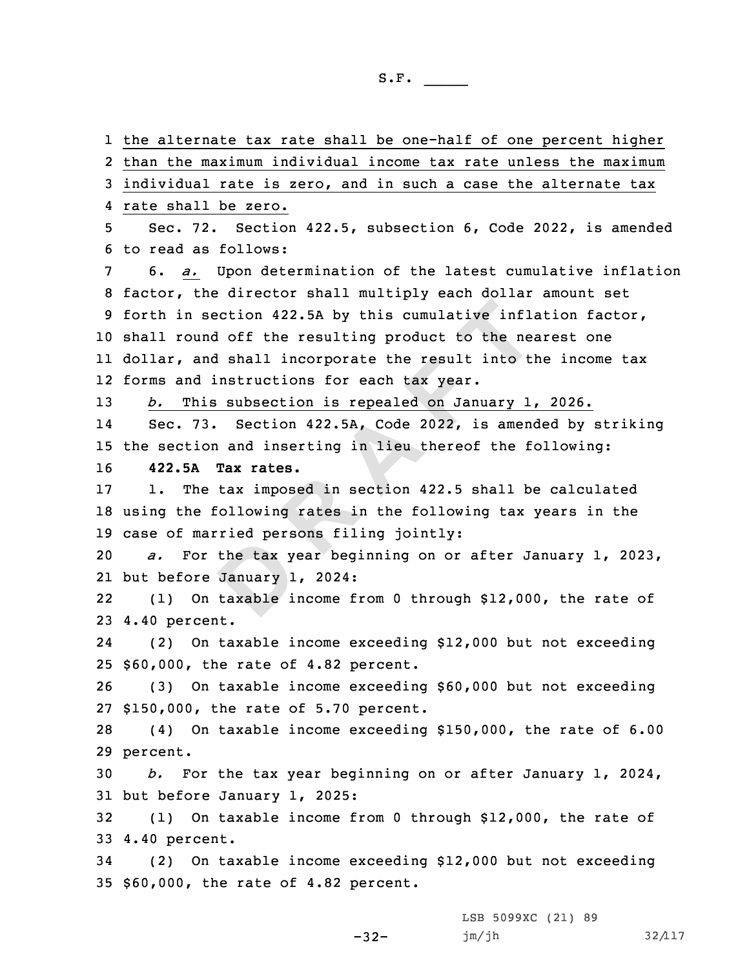the tax your the tax your period of the tax ship is section 422.5A by this cumulative inflaund off the resulting product to the nea<br>and shall incorporate the result into the nea<br>and shall incorporate the result into the<br>d instructions for each tax year.<br>his subsection is re the alternate tax rate shall be one-half of one percent higher than the maximum individual income tax rate unless the maximum individual rate is zero, and in such <sup>a</sup> case the alternate tax rate shall be zero. Sec. 72. Section 422.5, subsection 6, Code 2022, is amended to read as follows: 6. *a.* Upon determination of the latest cumulative inflation factor, the director shall multiply each dollar amount set forth in section 422.5A by this cumulative inflation factor, shall round off the resulting product to the nearest one dollar, and shall incorporate the result into the income tax forms and instructions for each tax year. *b.* This subsection is repealed on January 1, 2026. 14 Sec. 73. Section 422.5A, Code 2022, is amended by striking the section and inserting in lieu thereof the following: **422.5A Tax rates.** 1. The tax imposed in section 422.5 shall be calculated using the following rates in the following tax years in the case of married persons filing jointly: *a.* For the tax year beginning on or after January 1, 2023, but before January 1, 2024: 22 (1) On taxable income from 0 through \$12,000, the rate of 4.40 percent. 24 (2) On taxable income exceeding \$12,000 but not exceeding \$60,000, the rate of 4.82 percent. (3) On taxable income exceeding \$60,000 but not exceeding \$150,000, the rate of 5.70 percent. (4) On taxable income exceeding \$150,000, the rate of 6.00 29 percent. *b.* For the tax year beginning on or after January 1, 2024, but before January 1, 2025: (1) On taxable income from 0 through \$12,000, the rate of 4.40 percent. (2) On taxable income exceeding \$12,000 but not exceeding \$60,000, the rate of 4.82 percent.

-32-

LSB 5099XC (21) 89 jm/jh 32/117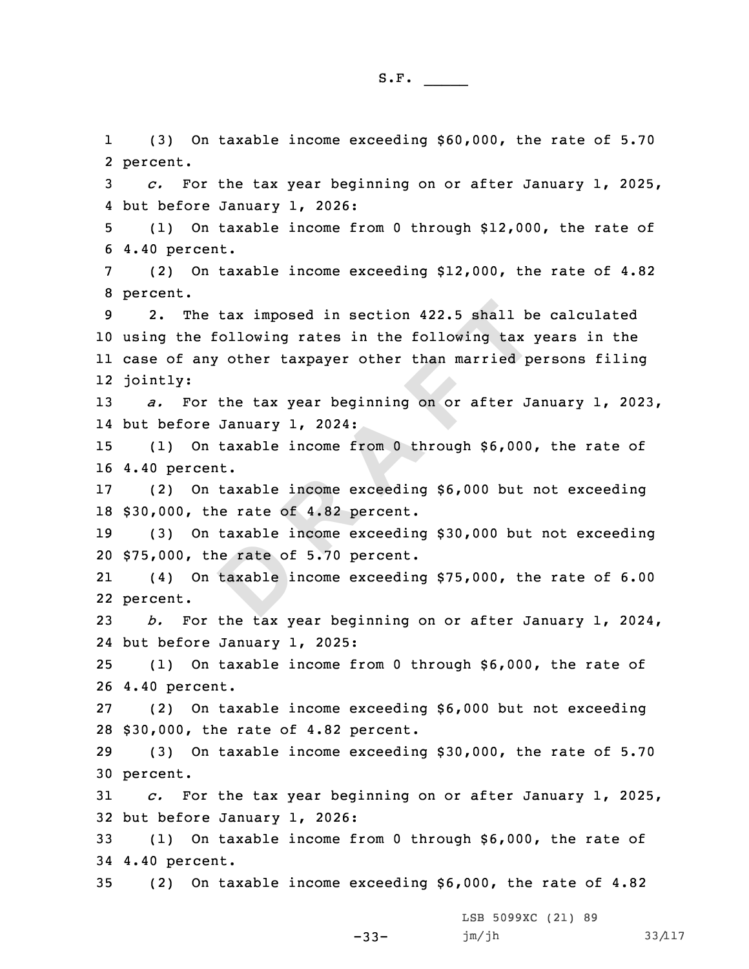e rate of<br>taxable i he tax imposed in section 422.5 shall be<br>e following rates in the following tax y<br>any other taxpayer other than married por<br>the tax year beginning on or after J<sub>2</sub><br>re January 1, 2024:<br>On taxable income from 0 through \$6,00 1 (3) On taxable income exceeding \$60,000, the rate of 5.70 2 percent. *c.* For the tax year beginning on or after January 1, 2025, but before January 1, 2026: (1) On taxable income from 0 through \$12,000, the rate of 4.40 percent. (2) On taxable income exceeding \$12,000, the rate of 4.82 8 percent. 2. The tax imposed in section 422.5 shall be calculated using the following rates in the following tax years in the case of any other taxpayer other than married persons filing 12 jointly: *a.* For the tax year beginning on or after January 1, 2023, but before January 1, 2024: (1) On taxable income from 0 through \$6,000, the rate of 4.40 percent. (2) On taxable income exceeding \$6,000 but not exceeding \$30,000, the rate of 4.82 percent. (3) On taxable income exceeding \$30,000 but not exceeding \$75,000, the rate of 5.70 percent. 21 (4) On taxable income exceeding \$75,000, the rate of 6.00 22 percent. *b.* For the tax year beginning on or after January 1, 2024, but before January 1, 2025: (1) On taxable income from 0 through \$6,000, the rate of 4.40 percent. (2) On taxable income exceeding \$6,000 but not exceeding \$30,000, the rate of 4.82 percent. (3) On taxable income exceeding \$30,000, the rate of 5.70 30 percent. *c.* For the tax year beginning on or after January 1, 2025, but before January 1, 2026: (1) On taxable income from 0 through \$6,000, the rate of 4.40 percent. (2) On taxable income exceeding \$6,000, the rate of 4.82

LSB 5099XC (21) 89

jm/jh 33/117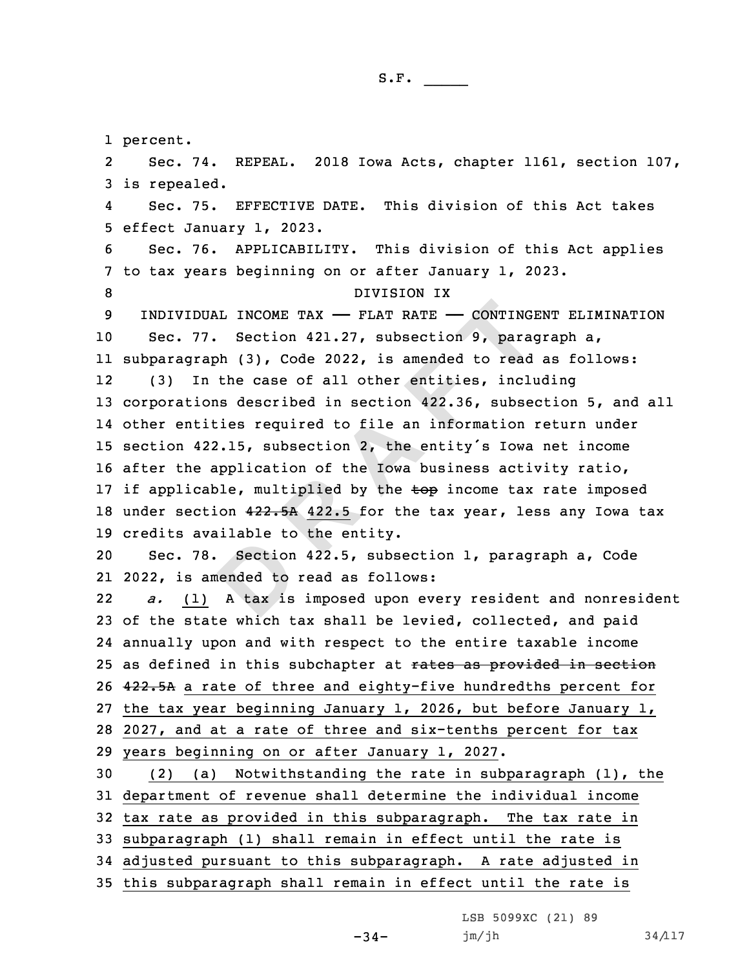1 percent.

**D**DUAL INCOME TAX — FLAT RATE — CONTING:<br>77. Section 421.27, subsection 9, paragraph (3), Code 2022, is amended to read<br>In the case of all other entities, includes<br>ions described in section 422.36, subsetities required to f 2 Sec. 74. REPEAL. 2018 Iowa Acts, chapter 1161, section 107, is repealed. 4 Sec. 75. EFFECTIVE DATE. This division of this Act takes effect January 1, 2023. Sec. 76. APPLICABILITY. This division of this Act applies to tax years beginning on or after January 1, 2023. 8 DIVISION IX INDIVIDUAL INCOME TAX —— FLAT RATE —— CONTINGENT ELIMINATION Sec. 77. Section 421.27, subsection 9, paragraph a, subparagraph (3), Code 2022, is amended to read as follows: 12 (3) In the case of all other entities, including corporations described in section 422.36, subsection 5, and all other entities required to file an information return under section 422.15, subsection 2, the entity's Iowa net income after the application of the Iowa business activity ratio, 17 if applicable, multiplied by the top income tax rate imposed 18 under section  $422.5A$  422.5 for the tax year, less any Iowa tax credits available to the entity. Sec. 78. Section 422.5, subsection 1, paragraph a, Code 2022, is amended to read as follows: 22 *a.* (1) <sup>A</sup> tax is imposed upon every resident and nonresident of the state which tax shall be levied, collected, and paid annually upon and with respect to the entire taxable income 25 as defined in this subchapter at rates as provided in section 422.5A <sup>a</sup> rate of three and eighty-five hundredths percent for the tax year beginning January 1, 2026, but before January 1, 2027, and at <sup>a</sup> rate of three and six-tenths percent for tax years beginning on or after January 1, 2027. (2) (a) Notwithstanding the rate in subparagraph (1), the department of revenue shall determine the individual income tax rate as provided in this subparagraph. The tax rate in subparagraph (1) shall remain in effect until the rate is adjusted pursuant to this subparagraph. <sup>A</sup> rate adjusted in this subparagraph shall remain in effect until the rate is

LSB 5099XC (21) 89

jm/jh 34/117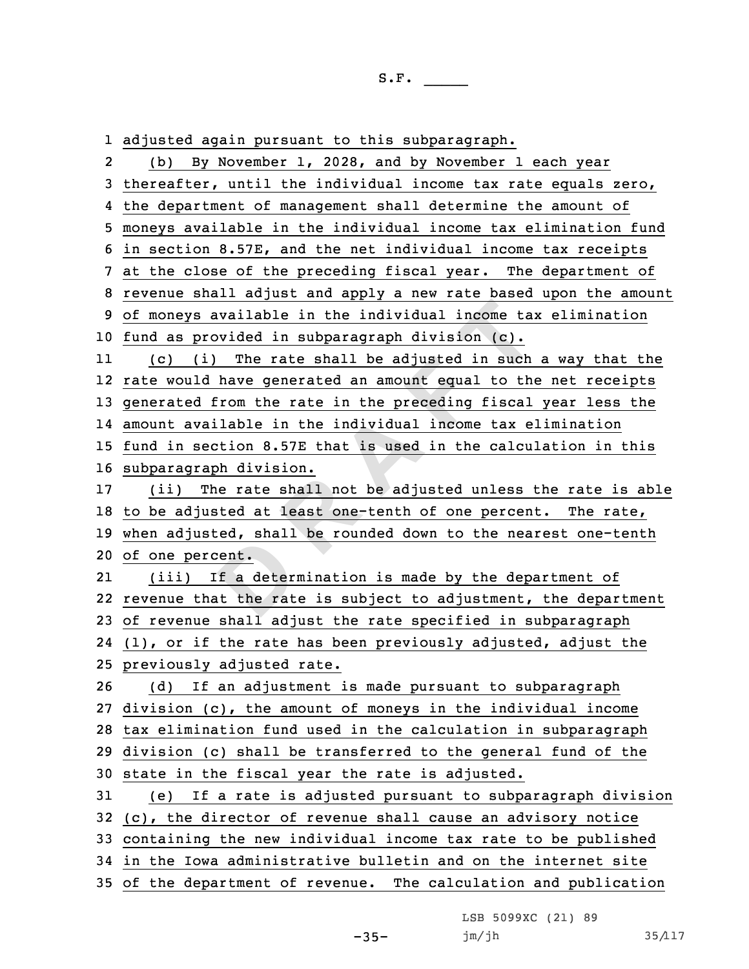1 adjusted again pursuant to this subparagraph.

**DR Example in the individual income taryovided in subparagraph division (c).<br>
(i) The rate shall be adjusted in such ld have generated an amount equal to the direct from the rate in the preceding fiscal vailable in the i** 2 (b) By November 1, 2028, and by November 1 each year thereafter, until the individual income tax rate equals zero, the department of management shall determine the amount of moneys available in the individual income tax elimination fund in section 8.57E, and the net individual income tax receipts at the close of the preceding fiscal year. The department of revenue shall adjust and apply <sup>a</sup> new rate based upon the amount of moneys available in the individual income tax elimination fund as provided in subparagraph division (c). 11 (c) (i) The rate shall be adjusted in such <sup>a</sup> way that the rate would have generated an amount equal to the net receipts generated from the rate in the preceding fiscal year less the amount available in the individual income tax elimination fund in section 8.57E that is used in the calculation in this subparagraph division. (ii) The rate shall not be adjusted unless the rate is able to be adjusted at least one-tenth of one percent. The rate, when adjusted, shall be rounded down to the nearest one-tenth of one percent. 21 (iii) If <sup>a</sup> determination is made by the department of revenue that the rate is subject to adjustment, the department of revenue shall adjust the rate specified in subparagraph (1), or if the rate has been previously adjusted, adjust the previously adjusted rate. (d) If an adjustment is made pursuant to subparagraph division (c), the amount of moneys in the individual income tax elimination fund used in the calculation in subparagraph division (c) shall be transferred to the general fund of the state in the fiscal year the rate is adjusted. (e) If <sup>a</sup> rate is adjusted pursuant to subparagraph division (c), the director of revenue shall cause an advisory notice containing the new individual income tax rate to be published in the Iowa administrative bulletin and on the internet site of the department of revenue. The calculation and publication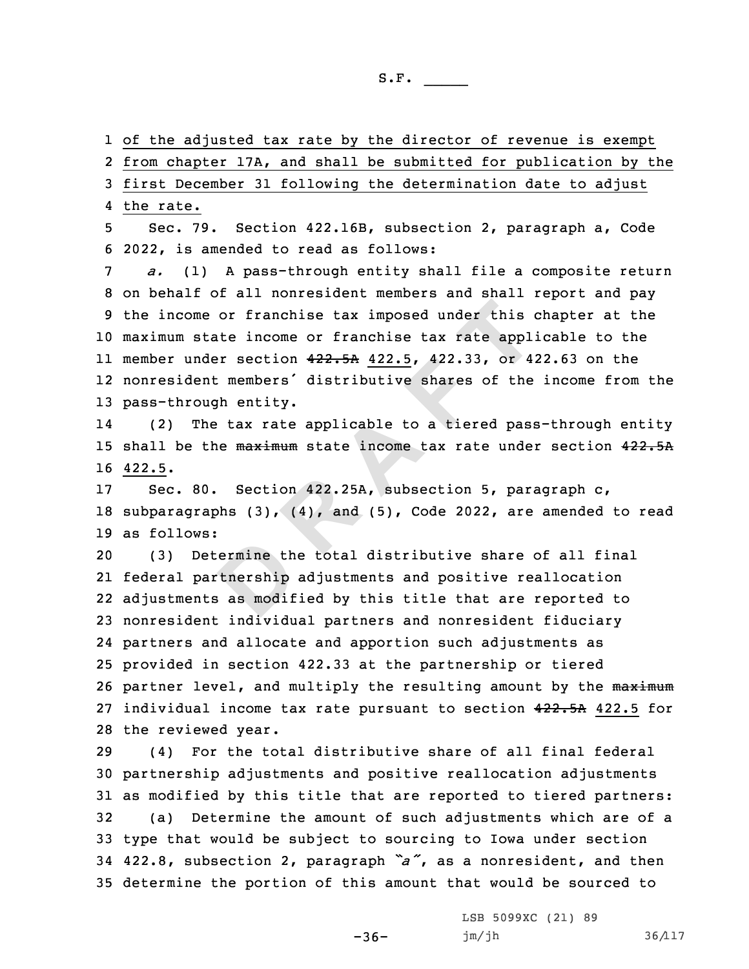1 of the adjusted tax rate by the director of revenue is exempt

2 from chapter 17A, and shall be submitted for publication by the

3 first December 31 following the determination date to adjust

4 the rate.

5 Sec. 79. Section 422.16B, subsection 2, paragraph a, Code 6 2022, is amended to read as follows:

me or franchise tax imposed under this<br>state income or franchise tax rate appl<br>nder section  $422-5A$   $422.5$ ,  $422.33$ , or 4<br>ent members' distributive shares of the<br>ough entity.<br>The tax rate applicable to a tiered pass<br>the *a.* (1) <sup>A</sup> pass-through entity shall file <sup>a</sup> composite return on behalf of all nonresident members and shall report and pay the income or franchise tax imposed under this chapter at the maximum state income or franchise tax rate applicable to the member under section 422.5A 422.5, 422.33, or 422.63 on the nonresident members' distributive shares of the income from the pass-through entity.

14 (2) The tax rate applicable to <sup>a</sup> tiered pass-through entity 15 shall be the maximum state income tax rate under section 422.5A 16 422.5.

17 Sec. 80. Section 422.25A, subsection 5, paragraph c, 18 subparagraphs  $(3)$ ,  $(4)$ , and  $(5)$ , Code 2022, are amended to read 19 as follows:

ermine the<br>
definition in the set of the set of the set of the set of the set of the set of the set of the set of the set of the set of the set of the set of the set of the set of the set of the set of the set of the set o (3) Determine the total distributive share of all final federal partnership adjustments and positive reallocation adjustments as modified by this title that are reported to nonresident individual partners and nonresident fiduciary partners and allocate and apportion such adjustments as provided in section 422.33 at the partnership or tiered 26 partner level, and multiply the resulting amount by the maximum 27 individual income tax rate pursuant to section 422.5A 422.5 for the reviewed year.

 (4) For the total distributive share of all final federal partnership adjustments and positive reallocation adjustments as modified by this title that are reported to tiered partners: (a) Determine the amount of such adjustments which are of <sup>a</sup> type that would be subject to sourcing to Iowa under section 422.8, subsection 2, paragraph *"a"*, as <sup>a</sup> nonresident, and then determine the portion of this amount that would be sourced to

 $-36-$ 

LSB 5099XC (21) 89 jm/jh 36/117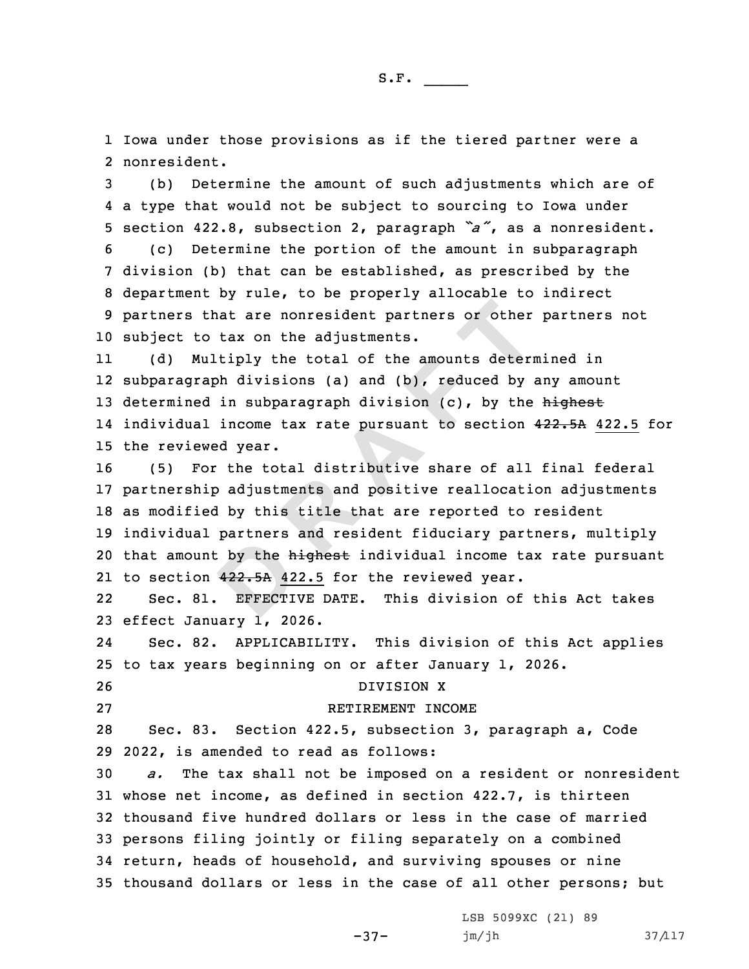1 Iowa under those provisions as if the tiered partner were <sup>a</sup> 2 nonresident.

 (b) Determine the amount of such adjustments which are of <sup>a</sup> type that would not be subject to sourcing to Iowa under section 422.8, subsection 2, paragraph *"a"*, as <sup>a</sup> nonresident. (c) Determine the portion of the amount in subparagraph division (b) that can be established, as prescribed by the department by rule, to be properly allocable to indirect partners that are nonresident partners or other partners not subject to tax on the adjustments.

11 (d) Multiply the total of the amounts determined in 12 subparagraph divisions (a) and (b), reduced by any amount 13 determined in subparagraph division  $(c)$ , by the highest 14 individual income tax rate pursuant to section 4<del>22.5A</del> 422.5 for 15 the reviewed year.

by the h<br>
422.5A 42<br>
EFFECTI that are nonresident partners or other<br>to tax on the adjustments.<br>Multiply the total of the amounts determ<br>raph divisions (a) and (b), reduced by<br>ed in subparagraph division (c), by the<br>al income tax rate pursuant to secti 16 (5) For the total distributive share of all final federal 17 partnership adjustments and positive reallocation adjustments 18 as modified by this title that are reported to resident 19 individual partners and resident fiduciary partners, multiply 20 that amount by the highest individual income tax rate pursuant 21 to section 4<del>22.5A</del> 422.5 for the reviewed year.

22 Sec. 81. EFFECTIVE DATE. This division of this Act takes 23 effect January 1, 2026.

24 Sec. 82. APPLICABILITY. This division of this Act applies 25 to tax years beginning on or after January 1, 2026.

- 26 DIVISION X
- 

27 RETIREMENT INCOME

28 Sec. 83. Section 422.5, subsection 3, paragraph a, Code 29 2022, is amended to read as follows:

 *a.* The tax shall not be imposed on <sup>a</sup> resident or nonresident whose net income, as defined in section 422.7, is thirteen thousand five hundred dollars or less in the case of married persons filing jointly or filing separately on <sup>a</sup> combined return, heads of household, and surviving spouses or nine thousand dollars or less in the case of all other persons; but

-37-

LSB 5099XC (21) 89 jm/jh 37/117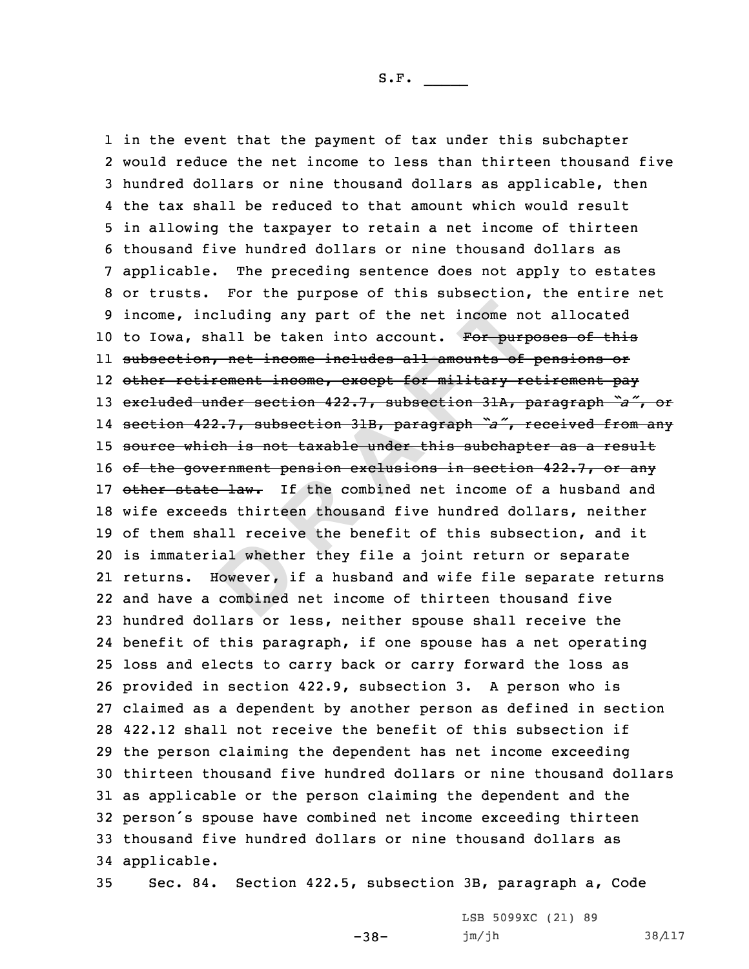al whethe<br> **Dowever**, i<br> **Combined** including any part of the net income no<br>shall be taken into account. For purpo<br>on, net income includes all amounts of<br>tirement income, except for military re<br>under section 422.7, subsection 31A, p<br>422.7, subsection 31B, pa in the event that the payment of tax under this subchapter would reduce the net income to less than thirteen thousand five hundred dollars or nine thousand dollars as applicable, then the tax shall be reduced to that amount which would result in allowing the taxpayer to retain <sup>a</sup> net income of thirteen thousand five hundred dollars or nine thousand dollars as applicable. The preceding sentence does not apply to estates or trusts. For the purpose of this subsection, the entire net income, including any part of the net income not allocated 10 to Iowa, shall be taken into account. For purposes of this subsection, net income includes all amounts of pensions or other retirement income, except for military retirement pay excluded under section 422.7, subsection 31A, paragraph *"a"*, or section 422.7, subsection 31B, paragraph *"a"*, received from any 15 source which is not taxable under this subchapter as a result 16 of the government pension exclusions in section 422.7, or any 17 other state law. If the combined net income of a husband and wife exceeds thirteen thousand five hundred dollars, neither of them shall receive the benefit of this subsection, and it is immaterial whether they file <sup>a</sup> joint return or separate returns. However, if <sup>a</sup> husband and wife file separate returns and have <sup>a</sup> combined net income of thirteen thousand five hundred dollars or less, neither spouse shall receive the benefit of this paragraph, if one spouse has <sup>a</sup> net operating loss and elects to carry back or carry forward the loss as provided in section 422.9, subsection 3. <sup>A</sup> person who is claimed as <sup>a</sup> dependent by another person as defined in section 422.12 shall not receive the benefit of this subsection if the person claiming the dependent has net income exceeding thirteen thousand five hundred dollars or nine thousand dollars as applicable or the person claiming the dependent and the person's spouse have combined net income exceeding thirteen thousand five hundred dollars or nine thousand dollars as applicable.

35 Sec. 84. Section 422.5, subsection 3B, paragraph a, Code

-38-

LSB 5099XC (21) 89 jm/jh 38/117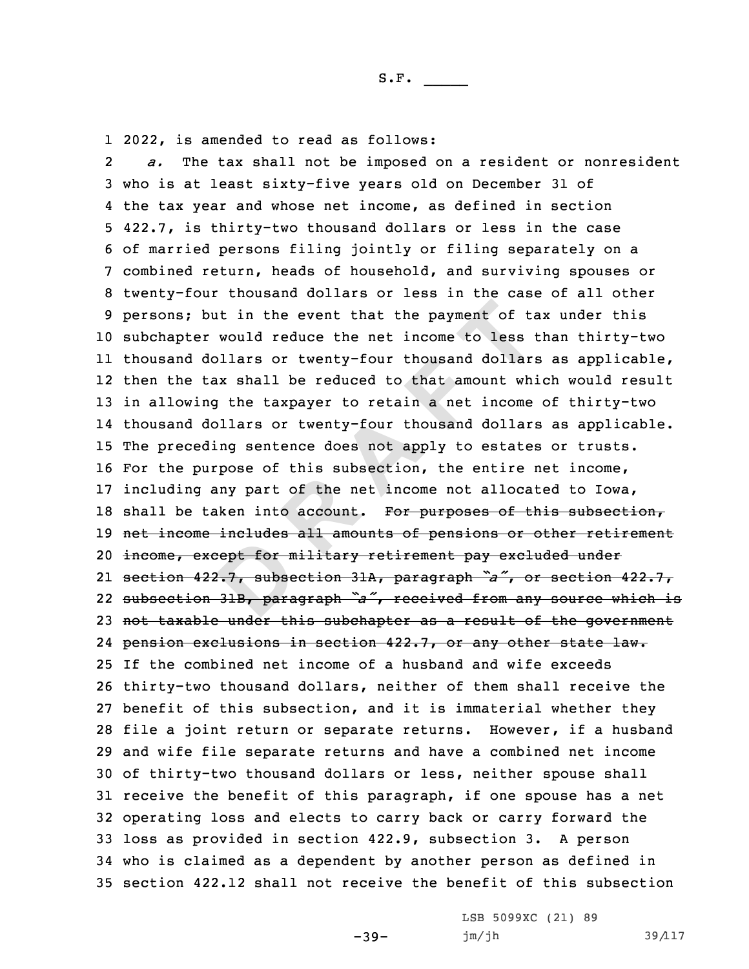1 2022, is amended to read as follows:

ept for m<br>**...**<br>31B, para but in the event that the payment of tare would reduce the net income to less dollars or twenty-four thousand dollar tax shall be reduced to that amount whing the taxpayer to retain a net income dollars or twenty-four thou 2 *a.* The tax shall not be imposed on <sup>a</sup> resident or nonresident who is at least sixty-five years old on December 31 of the tax year and whose net income, as defined in section 422.7, is thirty-two thousand dollars or less in the case of married persons filing jointly or filing separately on <sup>a</sup> combined return, heads of household, and surviving spouses or twenty-four thousand dollars or less in the case of all other persons; but in the event that the payment of tax under this subchapter would reduce the net income to less than thirty-two thousand dollars or twenty-four thousand dollars as applicable, then the tax shall be reduced to that amount which would result in allowing the taxpayer to retain <sup>a</sup> net income of thirty-two thousand dollars or twenty-four thousand dollars as applicable. The preceding sentence does not apply to estates or trusts. For the purpose of this subsection, the entire net income, including any part of the net income not allocated to Iowa, 18 shall be taken into account. For purposes of this subsection, net income includes all amounts of pensions or other retirement income, except for military retirement pay excluded under section 422.7, subsection 31A, paragraph *"a"*, or section 422.7, subsection 31B, paragraph *"a"*, received from any source which is 23 not taxable under this subchapter as a result of the government pension exclusions in section 422.7, or any other state law. If the combined net income of <sup>a</sup> husband and wife exceeds thirty-two thousand dollars, neither of them shall receive the benefit of this subsection, and it is immaterial whether they file <sup>a</sup> joint return or separate returns. However, if <sup>a</sup> husband and wife file separate returns and have <sup>a</sup> combined net income of thirty-two thousand dollars or less, neither spouse shall receive the benefit of this paragraph, if one spouse has <sup>a</sup> net operating loss and elects to carry back or carry forward the loss as provided in section 422.9, subsection 3. <sup>A</sup> person who is claimed as <sup>a</sup> dependent by another person as defined in section 422.12 shall not receive the benefit of this subsection

-39-

LSB 5099XC (21) 89  $jm/jh$  39/117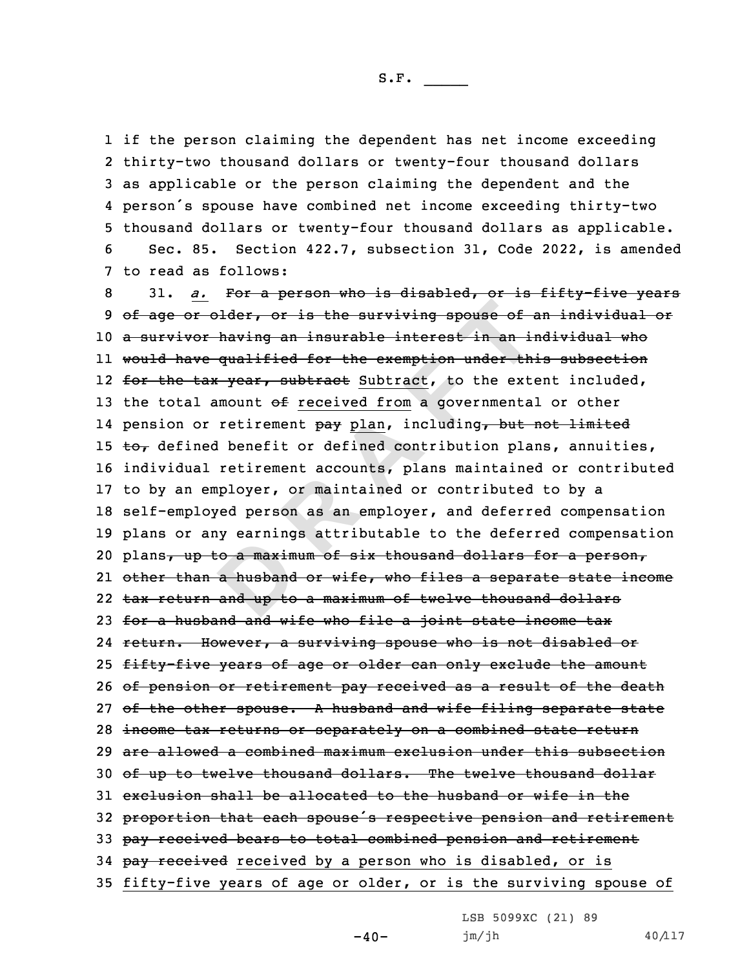S.F.  $\rule{1em}{0.15mm}$ 

 if the person claiming the dependent has net income exceeding thirty-two thousand dollars or twenty-four thousand dollars as applicable or the person claiming the dependent and the person's spouse have combined net income exceeding thirty-two thousand dollars or twenty-four thousand dollars as applicable. Sec. 85. Section 422.7, subsection 31, Code 2022, is amended to read as follows:

by curning<br> **a** husband<br>
a husband<br>
and up to **R**  $\overline{1}$  **Consumers**  $\overline{1}$  **Constant of the surviving spouse of a or** having an insurable interest in an is<br>ve qualified for the exemption under the tax year, subtract Subtract, to the ext<br>1 amount of <u>received fr</u> 8 31. *a.* For <sup>a</sup> person who is disabled, or is fifty-five years 9 of age or older, or is the surviving spouse of an individual or 10 <sup>a</sup> survivor having an insurable interest in an individual who 11 would have qualified for the exemption under this subsection 12 <del>for the tax year, subtract</del> Subtract, to the extent included, 13 the total amount  $ef$  received from a governmental or other 14 pension or retirement <del>pay</del> plan, including<del>, but not limited</del> 15  $\text{to}_{\tau}$  defined benefit or defined contribution plans, annuities, 16 individual retirement accounts, plans maintained or contributed 17 to by an employer, or maintained or contributed to by <sup>a</sup> 18 self-employed person as an employer, and deferred compensation 19 plans or any earnings attributable to the deferred compensation 20 plans<del>, up to a maximum of six thousand dollars for a person,</del> 21 other than <sup>a</sup> husband or wife, who files <sup>a</sup> separate state income 22 tax return and up to <sup>a</sup> maximum of twelve thousand dollars 23 for a husband and wife who file a joint state income tax 24 return. However, <sup>a</sup> surviving spouse who is not disabled or 25 fifty-five years of age or older can only exclude the amount 26 of pension or retirement pay received as a result of the death 27 of the other spouse. A husband and wife filing separate state 28 income tax returns or separately on <sup>a</sup> combined state return 29 are allowed <sup>a</sup> combined maximum exclusion under this subsection 30 of up to twelve thousand dollars. The twelve thousand dollar 31 exclusion shall be allocated to the husband or wife in the <sup>32</sup> proportion that each spouse's respective pension and retirement 33 pay received bears to total combined pension and retirement 34 pay received received by a person who is disabled, or is 35 fifty-five years of age or older, or is the surviving spouse of

LSB 5099XC (21) 89

 $-40-$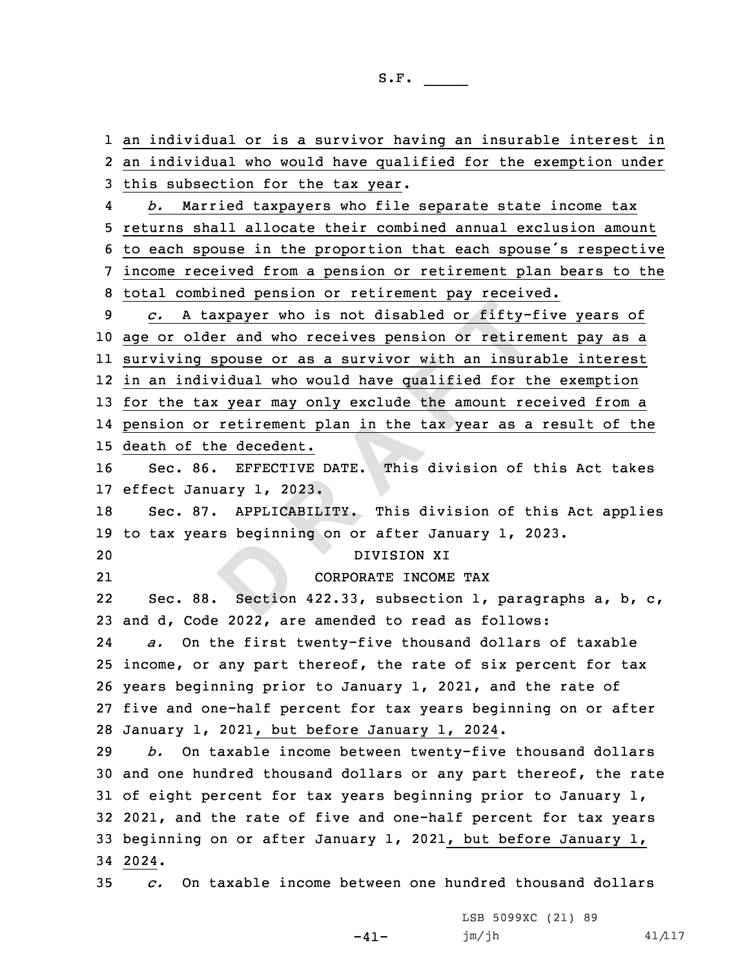**DExample 12** The set of the set of the set of the set of the set of the set of the set of the set of the set of the set of the set of the set of the set of the set of the set of the set of the set of the set of the set of an individual or is <sup>a</sup> survivor having an insurable interest in an individual who would have qualified for the exemption under this subsection for the tax year. 4 *b.* Married taxpayers who file separate state income tax returns shall allocate their combined annual exclusion amount to each spouse in the proportion that each spouse's respective income received from <sup>a</sup> pension or retirement plan bears to the total combined pension or retirement pay received. *c.* <sup>A</sup> taxpayer who is not disabled or fifty-five years of age or older and who receives pension or retirement pay as <sup>a</sup> surviving spouse or as <sup>a</sup> survivor with an insurable interest in an individual who would have qualified for the exemption for the tax year may only exclude the amount received from <sup>a</sup> pension or retirement plan in the tax year as <sup>a</sup> result of the death of the decedent. Sec. 86. EFFECTIVE DATE. This division of this Act takes effect January 1, 2023. Sec. 87. APPLICABILITY. This division of this Act applies to tax years beginning on or after January 1, 2023. DIVISION XI 21 CORPORATE INCOME TAX 2222 Sec. 88. Section 422.33, subsection 1, paragraphs a, b, c, and d, Code 2022, are amended to read as follows: 24 *a.* On the first twenty-five thousand dollars of taxable income, or any part thereof, the rate of six percent for tax years beginning prior to January 1, 2021, and the rate of five and one-half percent for tax years beginning on or after January 1, 2021, but before January 1, 2024. *b.* On taxable income between twenty-five thousand dollars and one hundred thousand dollars or any part thereof, the rate of eight percent for tax years beginning prior to January 1, 2021, and the rate of five and one-half percent for tax years beginning on or after January 1, 2021, but before January 1, 34 2024. *c.* On taxable income between one hundred thousand dollars

 $-41-$ 

LSB 5099XC (21) 89  $jm/jh$  41/117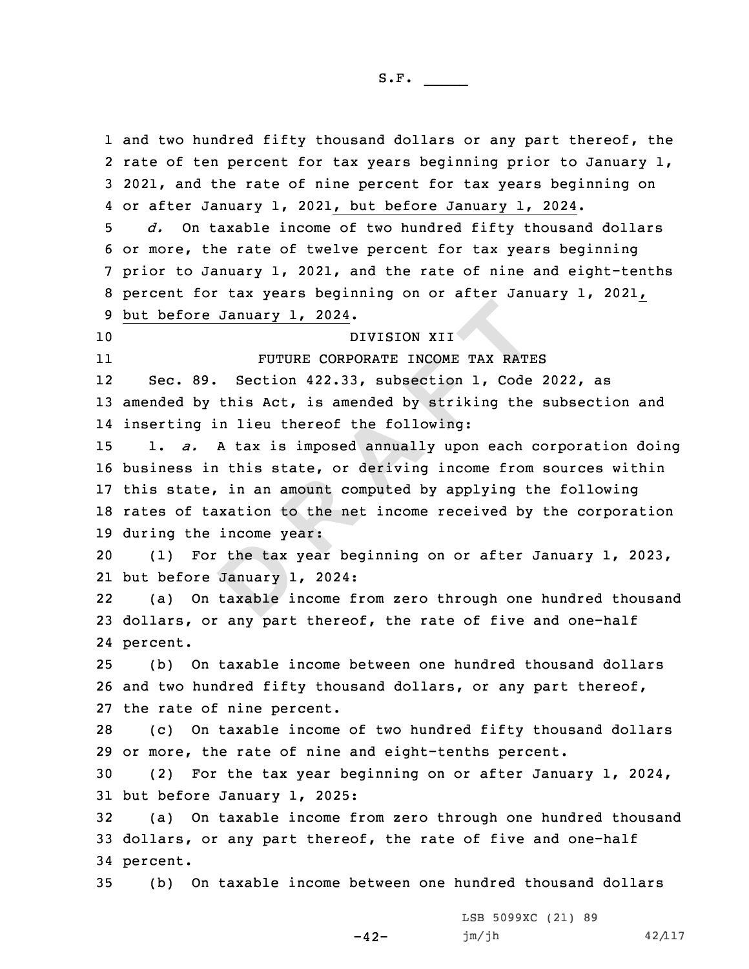S.F.  $\rule{1em}{0.15mm}$ 

the tax January 1<br>January 1<br>taxable i re January 1, 2024.<br>
DIVISION XII<br>
FUTURE CORPORATE INCOME TAX RATE<br>
89. Section 422.33, subsection 1, Code<br>
by this Act, is amended by striking the<br>
g in lieu thereof the following:<br>
A tax is imposed annually upon each c<br> 1 and two hundred fifty thousand dollars or any part thereof, the rate of ten percent for tax years beginning prior to January 1, 2021, and the rate of nine percent for tax years beginning on or after January 1, 2021, but before January 1, 2024. *d.* On taxable income of two hundred fifty thousand dollars or more, the rate of twelve percent for tax years beginning prior to January 1, 2021, and the rate of nine and eight-tenths percent for tax years beginning on or after January 1, 2021, but before January 1, 2024. DIVISION XII 11 FUTURE CORPORATE INCOME TAX RATES 12 Sec. 89. Section 422.33, subsection 1, Code 2022, as amended by this Act, is amended by striking the subsection and inserting in lieu thereof the following: 1. *a.* <sup>A</sup> tax is imposed annually upon each corporation doing business in this state, or deriving income from sources within this state, in an amount computed by applying the following rates of taxation to the net income received by the corporation during the income year: (1) For the tax year beginning on or after January 1, 2023, but before January 1, 2024: 22 (a) On taxable income from zero through one hundred thousand dollars, or any part thereof, the rate of five and one-half 24 percent. (b) On taxable income between one hundred thousand dollars and two hundred fifty thousand dollars, or any part thereof, the rate of nine percent. (c) On taxable income of two hundred fifty thousand dollars or more, the rate of nine and eight-tenths percent. (2) For the tax year beginning on or after January 1, 2024, but before January 1, 2025: (a) On taxable income from zero through one hundred thousand dollars, or any part thereof, the rate of five and one-half 34 percent. (b) On taxable income between one hundred thousand dollars

-42-

LSB 5099XC (21) 89  $jm/jh$  42/117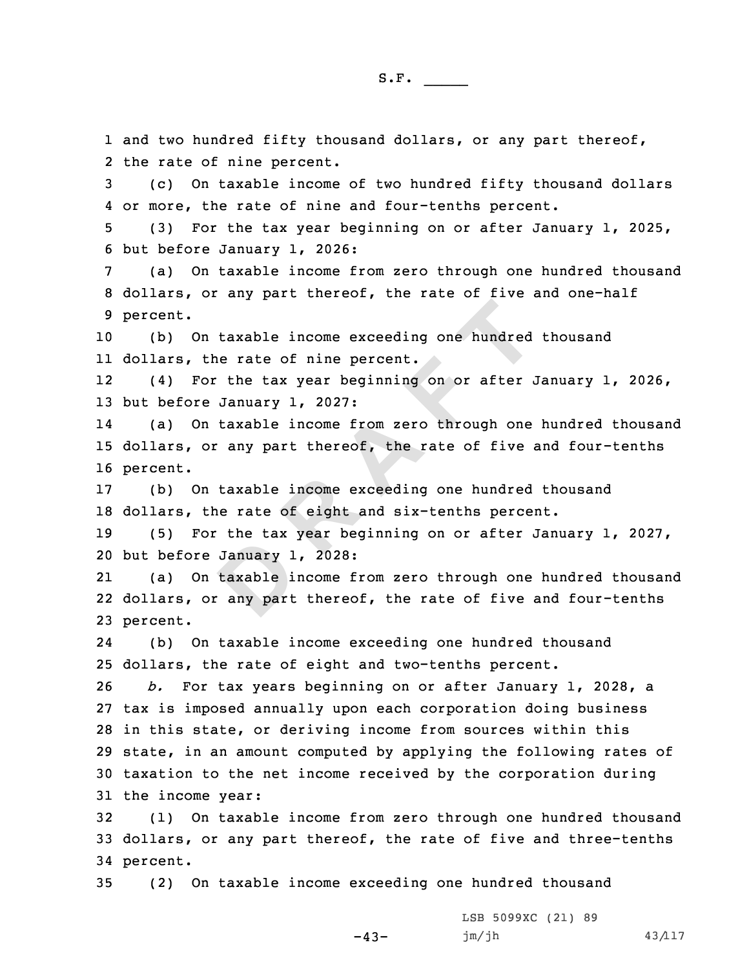January 1<br>
taxable i<br>
any part On taxable income exceeding one hundred<br>
For the tax year beginning on or after a<br>
re January 1, 2027:<br>
On taxable income from zero through one<br>
or any part thereof, the rate of five<br>
On taxable income exceeding one hundre 1 and two hundred fifty thousand dollars, or any part thereof, 2 the rate of nine percent. 3 (c) On taxable income of two hundred fifty thousand dollars 4 or more, the rate of nine and four-tenths percent. 5 (3) For the tax year beginning on or after January 1, 2025, 6 but before January 1, 2026: 7 (a) On taxable income from zero through one hundred thousand 8 dollars, or any part thereof, the rate of five and one-half 9 percent. 10 (b) On taxable income exceeding one hundred thousand 11 dollars, the rate of nine percent. 12 (4) For the tax year beginning on or after January 1, 2026, 13 but before January 1, 2027: 14 (a) On taxable income from zero through one hundred thousand 15 dollars, or any part thereof, the rate of five and four-tenths 16 percent. 17 (b) On taxable income exceeding one hundred thousand 18 dollars, the rate of eight and six-tenths percent. 19 (5) For the tax year beginning on or after January 1, 2027, 20 but before January 1, 2028: 21 (a) On taxable income from zero through one hundred thousand 22 dollars, or any part thereof, the rate of five and four-tenths

23 percent.

24 (b) On taxable income exceeding one hundred thousand 25 dollars, the rate of eight and two-tenths percent.

 *b.* For tax years beginning on or after January 1, 2028, <sup>a</sup> tax is imposed annually upon each corporation doing business in this state, or deriving income from sources within this state, in an amount computed by applying the following rates of taxation to the net income received by the corporation during the income year:

32 (1) On taxable income from zero through one hundred thousand 33 dollars, or any part thereof, the rate of five and three-tenths 34 percent.

-43-

35 (2) On taxable income exceeding one hundred thousand

LSB 5099XC (21) 89 jm/jh 43/117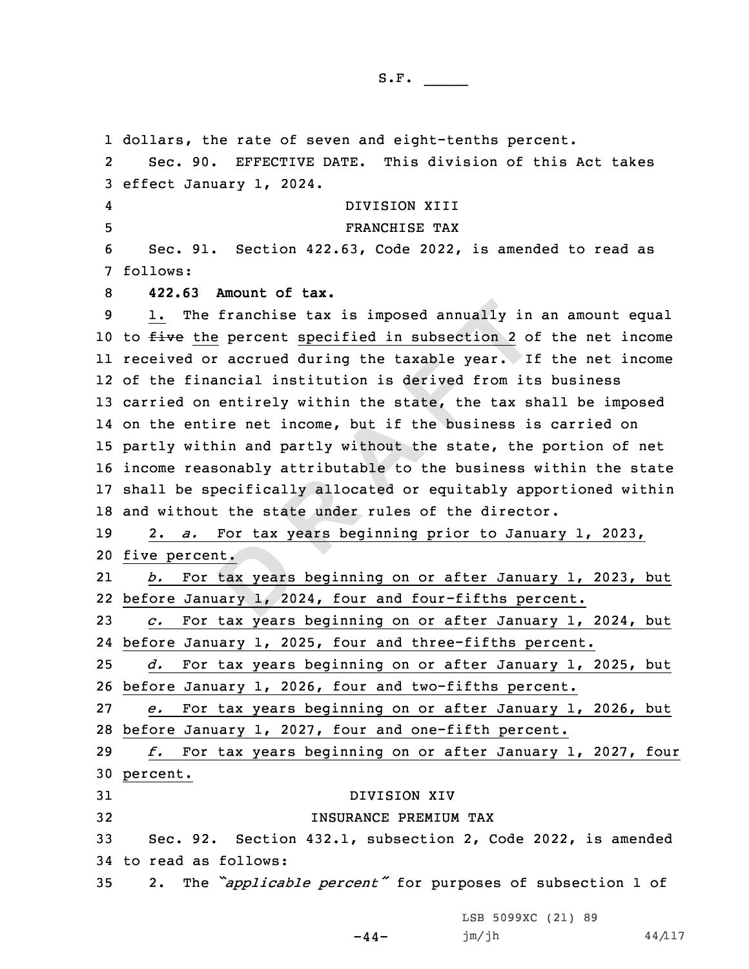<u>nt.</u><br>
tax years<br>
dary 1, 20 he franchise tax is imposed annually in<br>
the percent specified in subsection 2 of<br>
or accrued during the taxable year. I:<br>
inancial institution is derived from it:<br>
on entirely within the state, the tax sl<br>
ntire net incom dollars, the rate of seven and eight-tenths percent. 2 Sec. 90. EFFECTIVE DATE. This division of this Act takes effect January 1, 2024. 4 DIVISION XIII FRANCHISE TAX Sec. 91. Section 422.63, Code 2022, is amended to read as 7 follows: **422.63 Amount of tax.** 1. The franchise tax is imposed annually in an amount equal 10 to five the percent specified in subsection 2 of the net income received or accrued during the taxable year. If the net income of the financial institution is derived from its business carried on entirely within the state, the tax shall be imposed on the entire net income, but if the business is carried on partly within and partly without the state, the portion of net income reasonably attributable to the business within the state shall be specifically allocated or equitably apportioned within and without the state under rules of the director. 2. *a.* For tax years beginning prior to January 1, 2023, five percent. 21 *b.* For tax years beginning on or after January 1, 2023, but before January 1, 2024, four and four-fifths percent. *c.* For tax years beginning on or after January 1, 2024, but before January 1, 2025, four and three-fifths percent. *d.* For tax years beginning on or after January 1, 2025, but before January 1, 2026, four and two-fifths percent. *e.* For tax years beginning on or after January 1, 2026, but before January 1, 2027, four and one-fifth percent. *f.* For tax years beginning on or after January 1, 2027, four 30 percent. DIVISION XIV INSURANCE PREMIUM TAX Sec. 92. Section 432.1, subsection 2, Code 2022, is amended to read as follows: 2. The *"applicable percent"* for purposes of subsection <sup>1</sup> of

LSB 5099XC (21) 89

```
-44-
```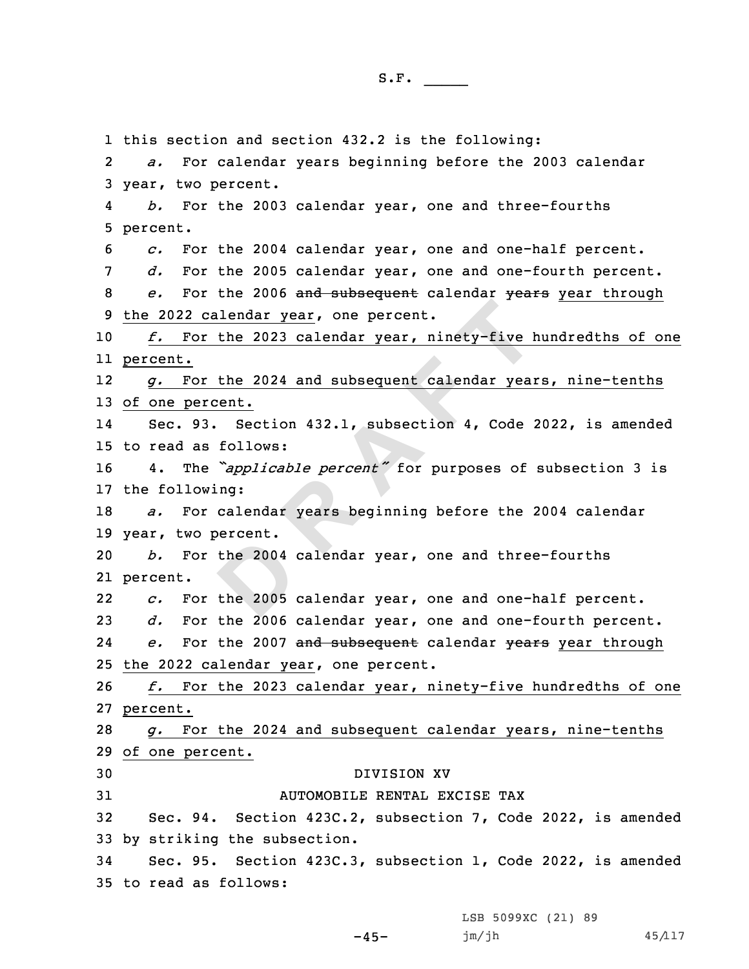the 2004<br>the 2005<br>the 2005 calendar year, one percent.<br>
or the 2023 calendar year, ninety-five b<br>
or the 2024 and subsequent calendar year<br>
ercent.<br>
93. Section 432.1, subsection 4, Code :<br>
as follows:<br>
he "applicable percent" for purposes of<br>
owing 1 this section and section 432.2 is the following: 2 *a.* For calendar years beginning before the 2003 calendar 3 year, two percent. 4 *b.* For the 2003 calendar year, one and three-fourths 5 percent. 6 *c.* For the 2004 calendar year, one and one-half percent. 7 *d.* For the 2005 calendar year, one and one-fourth percent. 8 *e.* For the 2006 and subsequent calendar years year through 9 the 2022 calendar year, one percent. 10 *f.* For the 2023 calendar year, ninety-five hundredths of one 11 percent. 12 *g.* For the 2024 and subsequent calendar years, nine-tenths 13 of one percent. 14 Sec. 93. Section 432.1, subsection 4, Code 2022, is amended 15 to read as follows: <sup>16</sup> 4. The *"applicable percent"* for purposes of subsection <sup>3</sup> is 17 the following: 18 *a.* For calendar years beginning before the 2004 calendar 19 year, two percent. 20 *b.* For the 2004 calendar year, one and three-fourths 21 percent. 22 *c.* For the 2005 calendar year, one and one-half percent. 23 *d.* For the 2006 calendar year, one and one-fourth percent. 24 *e.* For the 2007 and subsequent calendar years year through 25 the 2022 calendar year, one percent. 26 *f.* For the 2023 calendar year, ninety-five hundredths of one 27 percent. 28 *g.* For the 2024 and subsequent calendar years, nine-tenths 29 of one percent. 30 DIVISION XV 31 AUTOMOBILE RENTAL EXCISE TAX 32 Sec. 94. Section 423C.2, subsection 7, Code 2022, is amended 33 by striking the subsection. 34 Sec. 95. Section 423C.3, subsection 1, Code 2022, is amended 35 to read as follows:

LSB 5099XC (21) 89

-45-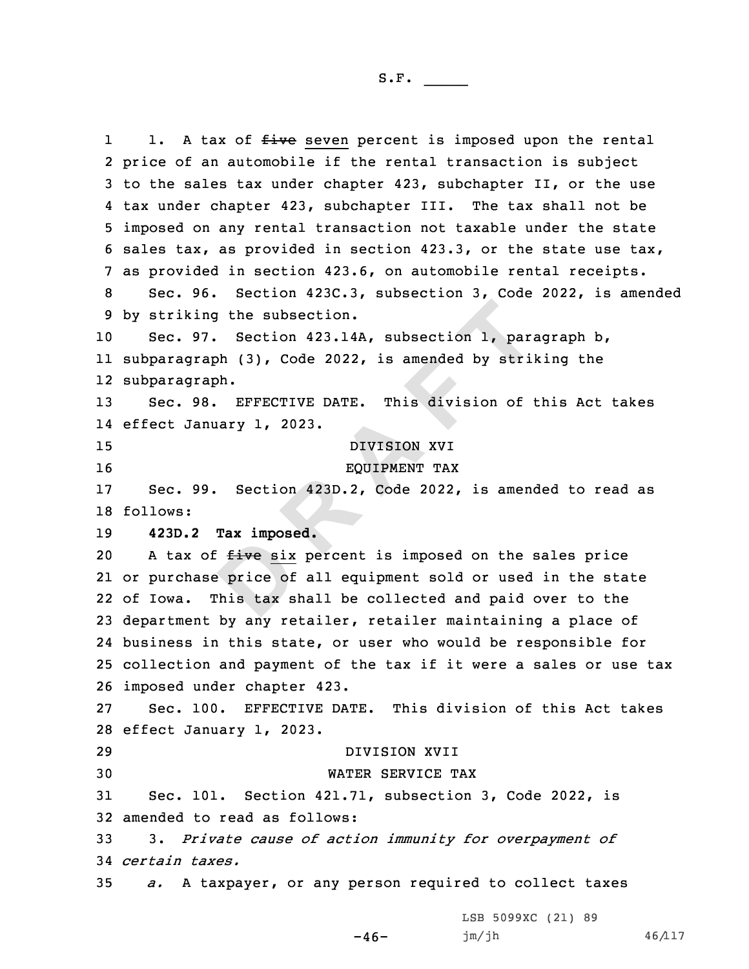Examples:<br> **Price of**<br>
Phis tax s ing the subsection.<br>
97. Section 423.14A, subsection 1, para<br>
raph (3), Code 2022, is amended by stril<br>
raph.<br>
98. EFFECTIVE DATE. This division of t<br>
anuary 1, 2023.<br>
DIVISION XVI<br>
EQUIPMENT TAX<br>
99. Section 423D.2, Code 11. A tax of five seven percent is imposed upon the rental price of an automobile if the rental transaction is subject to the sales tax under chapter 423, subchapter II, or the use tax under chapter 423, subchapter III. The tax shall not be imposed on any rental transaction not taxable under the state sales tax, as provided in section 423.3, or the state use tax, as provided in section 423.6, on automobile rental receipts. Sec. 96. Section 423C.3, subsection 3, Code 2022, is amended by striking the subsection. Sec. 97. Section 423.14A, subsection 1, paragraph b, subparagraph (3), Code 2022, is amended by striking the subparagraph. Sec. 98. EFFECTIVE DATE. This division of this Act takes effect January 1, 2023. DIVISION XVI EQUIPMENT TAX Sec. 99. Section 423D.2, Code 2022, is amended to read as 18 follows: **423D.2 Tax imposed.** 20 A tax of five six percent is imposed on the sales price or purchase price of all equipment sold or used in the state of Iowa. This tax shall be collected and paid over to the department by any retailer, retailer maintaining <sup>a</sup> place of business in this state, or user who would be responsible for collection and payment of the tax if it were <sup>a</sup> sales or use tax imposed under chapter 423. Sec. 100. EFFECTIVE DATE. This division of this Act takes effect January 1, 2023. DIVISION XVII WATER SERVICE TAX Sec. 101. Section 421.71, subsection 3, Code 2022, is amended to read as follows: 3. *Private cause of action immunity for overpayment of certain taxes. a.* <sup>A</sup> taxpayer, or any person required to collect taxes

LSB 5099XC (21) 89

 $-46-$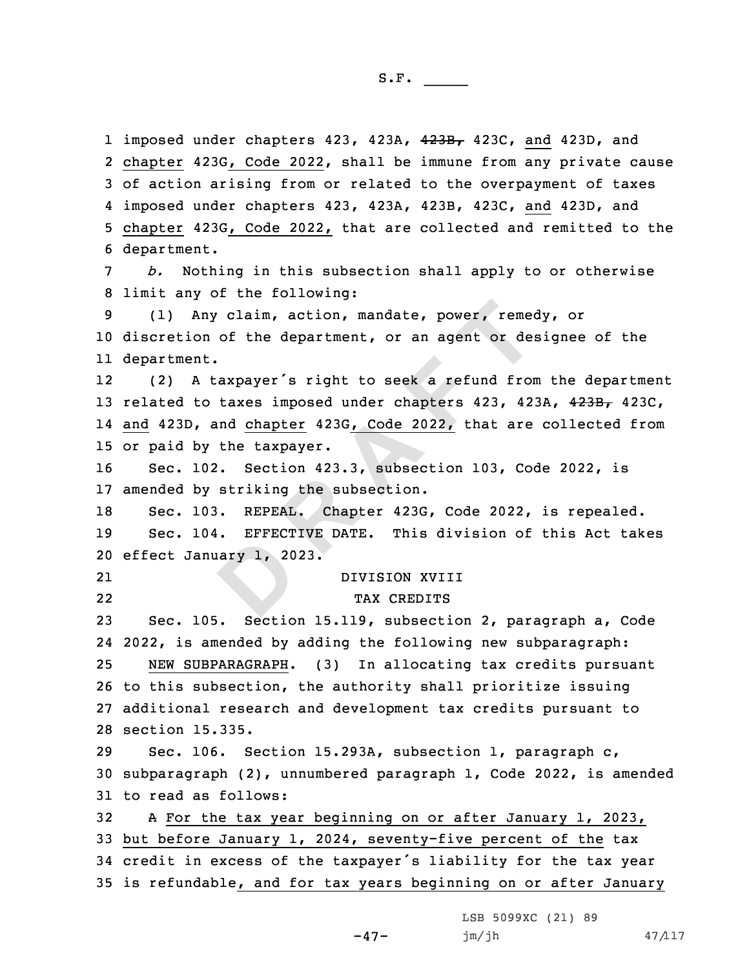1 imposed under chapters 423, 423A, 4<del>23B,</del> 423C, and 423D, and chapter 423G, Code 2022, shall be immune from any private cause of action arising from or related to the overpayment of taxes imposed under chapters 423, 423A, 423B, 423C, and 423D, and chapter 423G, Code 2022, that are collected and remitted to the department. *b.* Nothing in this subsection shall apply to or otherwise limit any of the following:

9 (1) Any claim, action, mandate, power, remedy, or 10 discretion of the department, or an agent or designee of the 11 department.

Any claim, action, mandate, power, remed<br>
on of the department, or an agent or des<br>
nt.<br>
A taxpayer's right to seek a refund from<br>
to taxes imposed under chapters 423, 42<br>
, and <u>chapter</u> 423G, Code 2022, that are<br>
by the 12 (2) <sup>A</sup> taxpayer's right to seek <sup>a</sup> refund from the department 13 related to taxes imposed under chapters 423, 423A, 423B, 423C, 14 and 423D, and chapter 423G, Code 2022, that are collected from 15 or paid by the taxpayer.

16 Sec. 102. Section 423.3, subsection 103, Code 2022, is 17 amended by striking the subsection.

21

18 Sec. 103. REPEAL. Chapter 423G, Code 2022, is repealed. 19 Sec. 104. EFFECTIVE DATE. This division of this Act takes 20 effect January 1, 2023.

DIVISION XVIII

**a**<br>**ary** 1, 20 22 TAX CREDITS Sec. 105. Section 15.119, subsection 2, paragraph a, Code 2022, is amended by adding the following new subparagraph: NEW SUBPARAGRAPH. (3) In allocating tax credits pursuant to this subsection, the authority shall prioritize issuing additional research and development tax credits pursuant to section 15.335.

29 Sec. 106. Section 15.293A, subsection 1, paragraph c, 30 subparagraph (2), unnumbered paragraph 1, Code 2022, is amended 31 to read as follows:

 <sup>A</sup> For the tax year beginning on or after January 1, 2023, but before January 1, 2024, seventy-five percent of the tax credit in excess of the taxpayer's liability for the tax year is refundable, and for tax years beginning on or after January

 $-47-$ 

LSB 5099XC (21) 89  $jm/jh$  47/117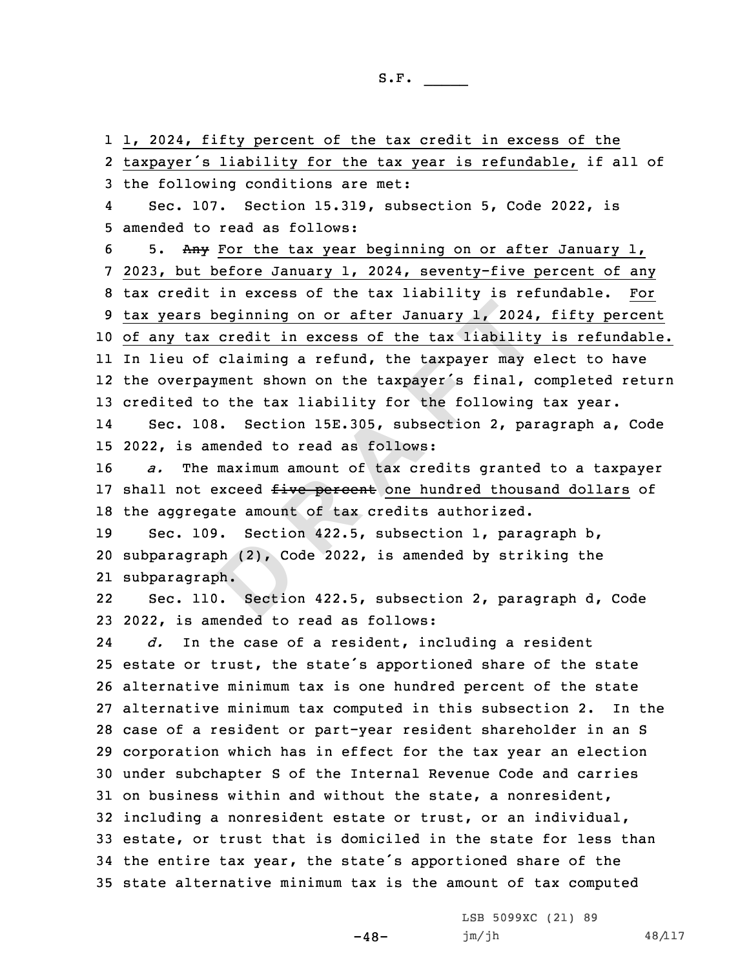bh (2), Co<br>bh.<br>**Bectio**<br>**Bectio R R EXECUTE: R EXECUTE: A EXECUTE: A EXECUTE: A EXECUTE: A EXECUTE: A EXECUTE: A EXECUTE: A EXECUTE: A C C EXECUTE: A C C EXECUTE: A C C C EXECUTE: A C C**  1, 2024, fifty percent of the tax credit in excess of the taxpayer's liability for the tax year is refundable, if all of the following conditions are met: 4 Sec. 107. Section 15.319, subsection 5, Code 2022, is amended to read as follows: 5. Any For the tax year beginning on or after January 1, 2023, but before January 1, 2024, seventy-five percent of any tax credit in excess of the tax liability is refundable. For tax years beginning on or after January 1, 2024, fifty percent of any tax credit in excess of the tax liability is refundable. In lieu of claiming <sup>a</sup> refund, the taxpayer may elect to have the overpayment shown on the taxpayer's final, completed return credited to the tax liability for the following tax year. 14 Sec. 108. Section 15E.305, subsection 2, paragraph a, Code 2022, is amended to read as follows: *a.* The maximum amount of tax credits granted to <sup>a</sup> taxpayer 17 shall not exceed five percent one hundred thousand dollars of the aggregate amount of tax credits authorized. Sec. 109. Section 422.5, subsection 1, paragraph b, subparagraph (2), Code 2022, is amended by striking the subparagraph. 22 Sec. 110. Section 422.5, subsection 2, paragraph d, Code 2022, is amended to read as follows: 24 *d.* In the case of <sup>a</sup> resident, including <sup>a</sup> resident estate or trust, the state's apportioned share of the state alternative minimum tax is one hundred percent of the state alternative minimum tax computed in this subsection 2. In the case of <sup>a</sup> resident or part-year resident shareholder in an S corporation which has in effect for the tax year an election under subchapter S of the Internal Revenue Code and carries on business within and without the state, <sup>a</sup> nonresident, including <sup>a</sup> nonresident estate or trust, or an individual, estate, or trust that is domiciled in the state for less than the entire tax year, the state's apportioned share of the state alternative minimum tax is the amount of tax computed

 $-48-$ 

LSB 5099XC (21) 89 jm/jh 48/117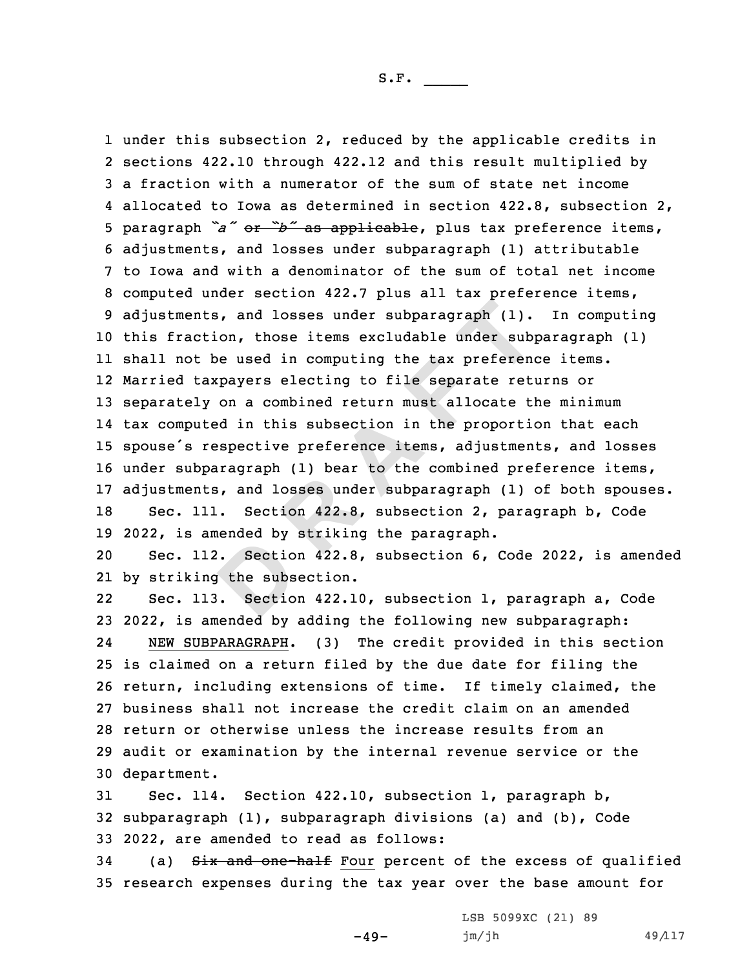nts, and losses under subparagraph (1).<br>
ction, those items excludable under subjet<br>
be used in computing the tax preferent<br>
taxpayers electing to file separate ret<br>
ly on a combined return must allocate til<br>
uted in this under this subsection 2, reduced by the applicable credits in sections 422.10 through 422.12 and this result multiplied by <sup>a</sup> fraction with <sup>a</sup> numerator of the sum of state net income allocated to Iowa as determined in section 422.8, subsection 2, paragraph *"a"* or *"b"* as applicable, plus tax preference items, adjustments, and losses under subparagraph (1) attributable to Iowa and with <sup>a</sup> denominator of the sum of total net income computed under section 422.7 plus all tax preference items, adjustments, and losses under subparagraph (1). In computing this fraction, those items excludable under subparagraph (1) shall not be used in computing the tax preference items. Married taxpayers electing to file separate returns or separately on <sup>a</sup> combined return must allocate the minimum tax computed in this subsection in the proportion that each spouse's respective preference items, adjustments, and losses under subparagraph (1) bear to the combined preference items, adjustments, and losses under subparagraph (1) of both spouses. Sec. 111. Section 422.8, subsection 2, paragraph b, Code 2022, is amended by striking the paragraph.

ended by:<br> **B** the subs<br> **B** . Sectio 20 Sec. 112. Section 422.8, subsection 6, Code 2022, is amended 21 by striking the subsection.

22 Sec. 113. Section 422.10, subsection 1, paragraph a, Code 2022, is amended by adding the following new subparagraph: 24 NEW SUBPARAGRAPH. (3) The credit provided in this section is claimed on <sup>a</sup> return filed by the due date for filing the return, including extensions of time. If timely claimed, the business shall not increase the credit claim on an amended return or otherwise unless the increase results from an audit or examination by the internal revenue service or the department.

31 Sec. 114. Section 422.10, subsection 1, paragraph b, 32 subparagraph (1), subparagraph divisions (a) and (b), Code 33 2022, are amended to read as follows:

34 (a) Six and one-half Four percent of the excess of qualified 35 research expenses during the tax year over the base amount for

 $-49-$ 

LSB 5099XC (21) 89  $jm/jh$  49/117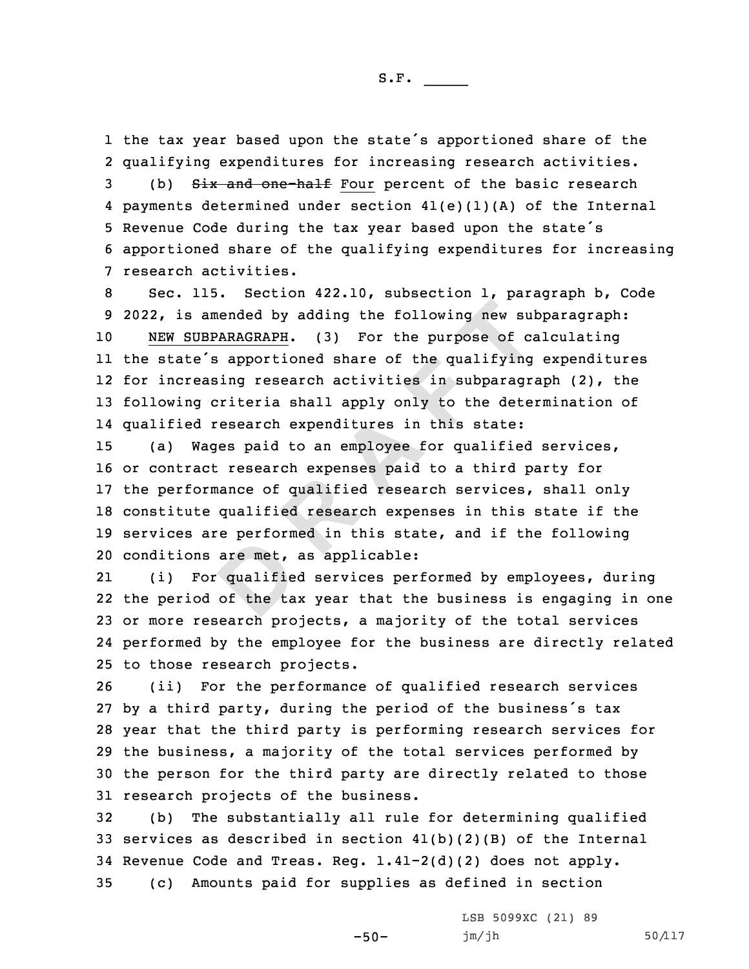the tax year based upon the state's apportioned share of the qualifying expenditures for increasing research activities. 3 (b) Six and one-half Four percent of the basic research payments determined under section 41(e)(1)(A) of the Internal Revenue Code during the tax year based upon the state's apportioned share of the qualifying expenditures for increasing research activities.

amended by adding the following new sul<br>
<u>UBPARAGRAPH</u>. (3) For the purpose of care<br>
e's apportioned share of the qualifying<br>
easing research activities in subparagr<br>
g criteria shall apply only to the dete<br>
d research exp Sec. 115. Section 422.10, subsection 1, paragraph b, Code 2022, is amended by adding the following new subparagraph: NEW SUBPARAGRAPH. (3) For the purpose of calculating the state's apportioned share of the qualifying expenditures for increasing research activities in subparagraph (2), the following criteria shall apply only to the determination of qualified research expenditures in this state:

 (a) Wages paid to an employee for qualified services, or contract research expenses paid to <sup>a</sup> third party for the performance of qualified research services, shall only constitute qualified research expenses in this state if the services are performed in this state, and if the following conditions are met, as applicable:

are met,<br>qualified<br>of the ta 21 (i) For qualified services performed by employees, during 22 the period of the tax year that the business is engaging in one 23 or more research projects, <sup>a</sup> majority of the total services 24 performed by the employee for the business are directly related 25 to those research projects.

 (ii) For the performance of qualified research services by <sup>a</sup> third party, during the period of the business's tax year that the third party is performing research services for the business, <sup>a</sup> majority of the total services performed by the person for the third party are directly related to those research projects of the business.

 (b) The substantially all rule for determining qualified 33 services as described in section  $41(b)(2)(B)$  of the Internal Revenue Code and Treas. Reg. 1.41-2(d)(2) does not apply. (c) Amounts paid for supplies as defined in section

-50-

LSB 5099XC (21) 89 jm/jh 50/117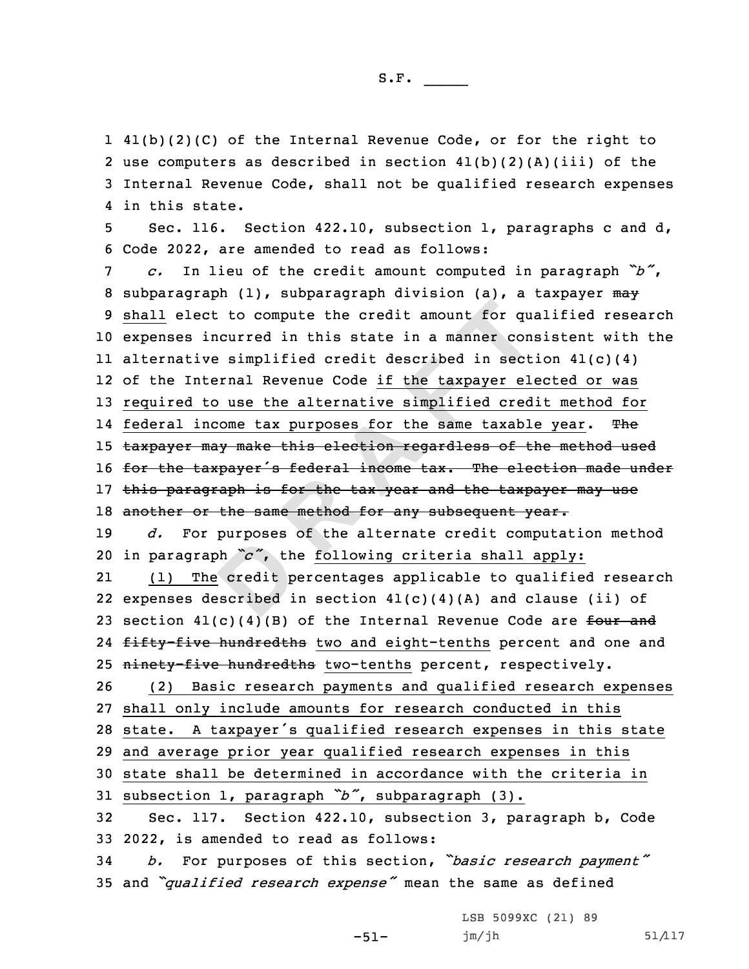41(b)(2)(C) of the Internal Revenue Code, or for the right to use computers as described in section 41(b)(2)(A)(iii) of the Internal Revenue Code, shall not be qualified research expenses in this state.

5 Sec. 116. Section 422.10, subsection 1, paragraphs <sup>c</sup> and d, 6 Code 2022, are amended to read as follows:

 $\chi$ <sub>2</sub>  $\chi$ <sub>2</sub>  $\chi$ <sub>2</sub>  $\chi$ <sub>2</sub>  $\chi$ <sub>2</sub>  $\chi$ <sub>2</sub>  $\chi$ <sub>2</sub>  $\chi$ <sub>2</sub>  $\chi$ <sub>2</sub>  $\chi$ <sub>2</sub>  $\chi$ <sub>2</sub>  $\chi$ <sub>2</sub>  $\chi$ <sub>2</sub>  $\chi$ <sub>2</sub>  $\chi$ <sub>2</sub>  $\chi$ <sub>2</sub>  $\chi$ <sub>2</sub>  $\chi$ <sub>2</sub>  $\chi$ <sub>2</sub>  $\chi$ <sub>2</sub>  $\chi$ <sub>2</sub>  $\chi$ <sub>2</sub>  $\chi$ <sub>2</sub>  $\chi$ <sub>2</sub>  $\chi$ <sub>2</sub>  $\chi$ <sub>2</sub>  $\chi$ <sub>2</sub>  $\chi$ <sub></sub> ect to compute the credit amount for qualincurred in this state in a manner conive simplified credit described in sect<br>nternal Revenue Code <u>if the taxpayer election</u><br>to use the alternative simplified cred<br>income tax purpo <sup>7</sup> *c.* In lieu of the credit amount computed in paragraph *"b"*, 8 subparagraph (1), subparagraph division (a), a taxpayer  $m\rightarrow$ 9 shall elect to compute the credit amount for qualified research 10 expenses incurred in this state in <sup>a</sup> manner consistent with the 11 alternative simplified credit described in section 41(c)(4) 12 of the Internal Revenue Code if the taxpayer elected or was 13 required to use the alternative simplified credit method for 14 federal income tax purposes for the same taxable year. The 15 taxpayer may make this election regardless of the method used 16 for the taxpayer's federal income tax. The election made under 17 this paragraph is for the tax year and the taxpayer may use 18 another or the same method for any subsequent year. 19 *d.* For purposes of the alternate credit computation method <sup>20</sup> in paragraph *"c"*, the following criteria shall apply: 21 (1) The credit percentages applicable to qualified research 22 expenses described in section  $41(c)(4)(A)$  and clause (ii) of 23 section  $41(c)(4)(B)$  of the Internal Revenue Code are four and 24 <del>fifty-five hundredths</del> two and eight-tenths percent and one and 25 ninety-five hundredths two-tenths percent, respectively. 26 (2) Basic research payments and qualified research expenses 27 shall only include amounts for research conducted in this <sup>28</sup> state. <sup>A</sup> taxpayer's qualified research expenses in this state 29 and average prior year qualified research expenses in this 30 state shall be determined in accordance with the criteria in <sup>31</sup> subsection 1, paragraph *"b"*, subparagraph (3). 32 Sec. 117. Section 422.10, subsection 3, paragraph b, Code 33 2022, is amended to read as follows: <sup>34</sup> *b.* For purposes of this section, *"basic research payment"*

<sup>35</sup> and *"qualified research expense"* mean the same as defined

-51-

LSB 5099XC (21) 89 jm/jh 51/117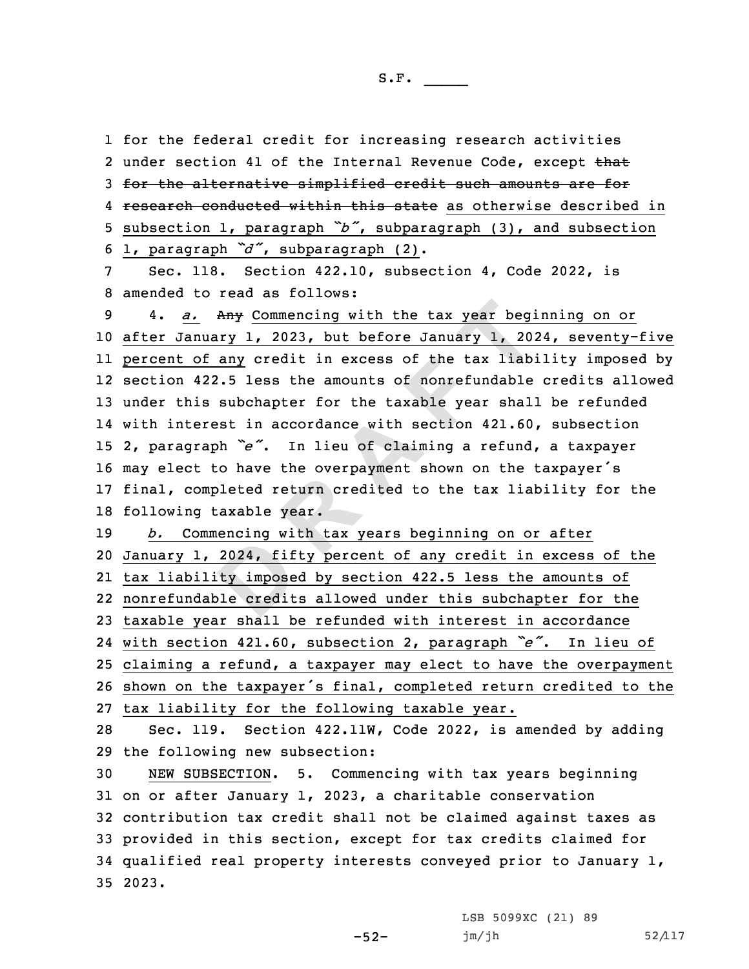for the federal credit for increasing research activities 2 under section 41 of the Internal Revenue Code, except that for the alternative simplified credit such amounts are for 4 research conducted within this state as otherwise described in subsection 1, paragraph *"b"*, subparagraph (3), and subsection 1, paragraph *"d"*, subparagraph (2).

7 Sec. 118. Section 422.10, subsection 4, Code 2022, is 8 amended to read as follows:

Any Commencing with the tax year begindary 1, 2023, but before January 1, 20<br>
of any credit in excess of the tax liab.<br>
422.5 less the amounts of nonrefundable<br>
is subchapter for the taxable year shall<br>
erest in accordance 4. *a.* Any Commencing with the tax year beginning on or after January 1, 2023, but before January 1, 2024, seventy-five percent of any credit in excess of the tax liability imposed by section 422.5 less the amounts of nonrefundable credits allowed under this subchapter for the taxable year shall be refunded with interest in accordance with section 421.60, subsection 2, paragraph *"e"*. In lieu of claiming <sup>a</sup> refund, <sup>a</sup> taxpayer may elect to have the overpayment shown on the taxpayer's final, completed return credited to the tax liability for the following taxable year.

2024, fif<br>
ty impose<br>
ble credit *b.* Commencing with tax years beginning on or after January 1, 2024, fifty percent of any credit in excess of the tax liability imposed by section 422.5 less the amounts of nonrefundable credits allowed under this subchapter for the taxable year shall be refunded with interest in accordance with section 421.60, subsection 2, paragraph *"e"*. In lieu of claiming <sup>a</sup> refund, <sup>a</sup> taxpayer may elect to have the overpayment shown on the taxpayer's final, completed return credited to the tax liability for the following taxable year.

28 Sec. 119. Section 422.11W, Code 2022, is amended by adding 29 the following new subsection:

 NEW SUBSECTION. 5. Commencing with tax years beginning on or after January 1, 2023, <sup>a</sup> charitable conservation contribution tax credit shall not be claimed against taxes as provided in this section, except for tax credits claimed for qualified real property interests conveyed prior to January 1, 35 2023.

-52-

LSB 5099XC (21) 89 jm/jh 52/117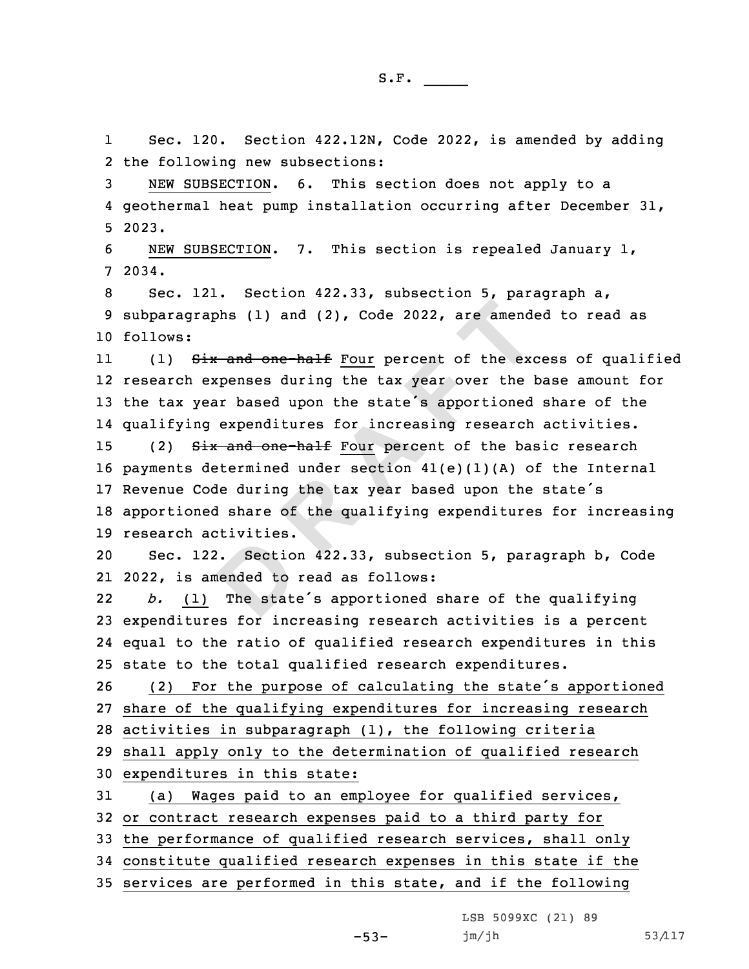1 Sec. 120. Section 422.12N, Code 2022, is amended by adding 2 the following new subsections:

3 NEW SUBSECTION. 6. This section does not apply to <sup>a</sup> 4 geothermal heat pump installation occurring after December 31, 5 2023.

6 NEW SUBSECTION. 7. This section is repealed January 1, 7 2034.

8 Sec. 121. Section 422.33, subsection 5, paragraph a, 9 subparagraphs (1) and (2), Code 2022, are amended to read as 10 follows:

11(1) Six and one-half Four percent of the excess of qualified 12 research expenses during the tax year over the base amount for <sup>13</sup> the tax year based upon the state's apportioned share of the 14 qualifying expenditures for increasing research activities.

raphs (1) and (2), Code 2022, are amended<br>
Six and one-half Four percent of the exerces during the tax year over the lyear based upon the state's apportioned<br>
mg expenditures for increasing research<br>
Six and one-half Four 15 (2) Six and one-half Four percent of the basic research payments determined under section 41(e)(1)(A) of the Internal Revenue Code during the tax year based upon the state's apportioned share of the qualifying expenditures for increasing research activities.

**D**20 Sec. 122. Section 422.33, subsection 5, paragraph b, Code 21 2022, is amended to read as follows:

22 *b.* (1) The state's apportioned share of the qualifying 23 expenditures for increasing research activities is <sup>a</sup> percent 24 equal to the ratio of qualified research expenditures in this 25 state to the total qualified research expenditures.

 (2) For the purpose of calculating the state's apportioned share of the qualifying expenditures for increasing research activities in subparagraph (1), the following criteria shall apply only to the determination of qualified research expenditures in this state:

 (a) Wages paid to an employee for qualified services, or contract research expenses paid to <sup>a</sup> third party for the performance of qualified research services, shall only constitute qualified research expenses in this state if the services are performed in this state, and if the following

LSB 5099XC (21) 89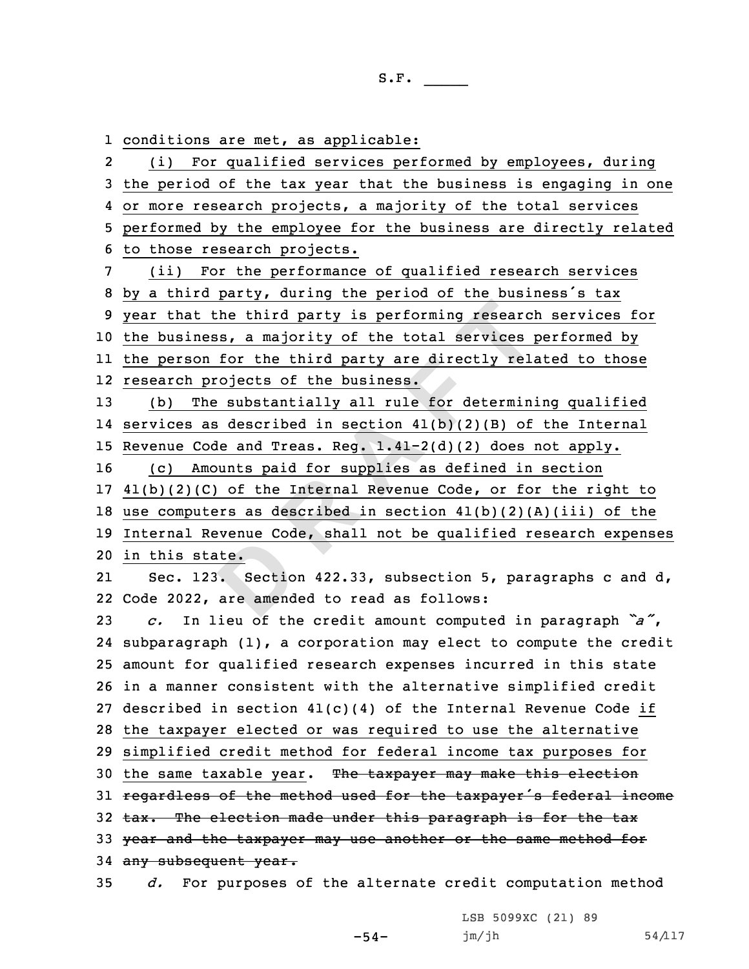**D <sup>R</sup> <sup>A</sup> <sup>F</sup> <sup>T</sup>** conditions are met, as applicable: 2 (i) For qualified services performed by employees, during the period of the tax year that the business is engaging in one or more research projects, <sup>a</sup> majority of the total services performed by the employee for the business are directly related to those research projects. (ii) For the performance of qualified research services by <sup>a</sup> third party, during the period of the business's tax year that the third party is performing research services for the business, <sup>a</sup> majority of the total services performed by the person for the third party are directly related to those research projects of the business. (b) The substantially all rule for determining qualified services as described in section 41(b)(2)(B) of the Internal Revenue Code and Treas. Reg. 1.41-2(d)(2) does not apply. (c) Amounts paid for supplies as defined in section 41(b)(2)(C) of the Internal Revenue Code, or for the right to use computers as described in section 41(b)(2)(A)(iii) of the Internal Revenue Code, shall not be qualified research expenses in this state. 2121 Sec. 123. Section 422.33, subsection 5, paragraphs c and d, Code 2022, are amended to read as follows: *c.* In lieu of the credit amount computed in paragraph *"a"*, subparagraph (1), <sup>a</sup> corporation may elect to compute the credit amount for qualified research expenses incurred in this state in <sup>a</sup> manner consistent with the alternative simplified credit described in section 41(c)(4) of the Internal Revenue Code if the taxpayer elected or was required to use the alternative simplified credit method for federal income tax purposes for 30 the same taxable year. The taxpayer may make this election 31 regardless of the method used for the taxpayer's federal income 32 tax. The election made under this paragraph is for the tax 33 year and the taxpayer may use another or the same method for 34 any subsequent year. *d.* For purposes of the alternate credit computation method

LSB 5099XC (21) 89

 $jm/jh$  54/117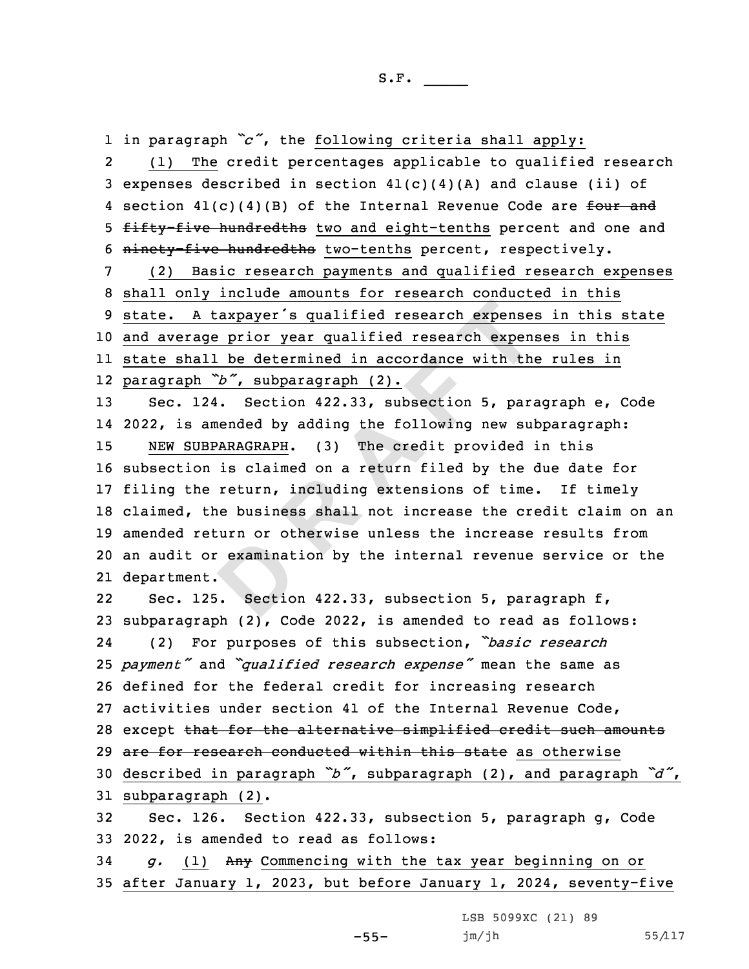1 in paragraph *"c"*, the following criteria shall apply:

2 (1) The credit percentages applicable to qualified research 3 expenses described in section  $41(c)(4)(A)$  and clause (ii) of 4 section 41(c)(4)(B) of the Internal Revenue Code are <del>four and</del> 5 fifty-five hundredths two and eight-tenths percent and one and 6 ninety-five hundredths two-tenths percent, respectively.

 (2) Basic research payments and qualified research expenses shall only include amounts for research conducted in this state. <sup>A</sup> taxpayer's qualified research expenses in this state and average prior year qualified research expenses in this state shall be determined in accordance with the rules in paragraph *"b"*, subparagraph (2).

examinat<br>
. Sectio A taxpayer's qualified research expenses<br>age prior year qualified research expenses<br>all be determined in accordance with the<br>h<sup>b</sup>', subparagraph (2).<br>124. Section 422.33, subsection 5, paramended by adding the following ne Sec. 124. Section 422.33, subsection 5, paragraph e, Code 2022, is amended by adding the following new subparagraph: NEW SUBPARAGRAPH. (3) The credit provided in this subsection is claimed on <sup>a</sup> return filed by the due date for filing the return, including extensions of time. If timely claimed, the business shall not increase the credit claim on an amended return or otherwise unless the increase results from an audit or examination by the internal revenue service or the department.

2222 Sec. 125. Section 422.33, subsection 5, paragraph f, 23 subparagraph (2), Code 2022, is amended to read as follows: 24 (2) For purposes of this subsection, *"basic research* <sup>25</sup> *payment"* and *"qualified research expense"* mean the same as 26 defined for the federal credit for increasing research 27 activities under section 41 of the Internal Revenue Code, 28 except that for the alternative simplified credit such amounts 29 are for research conducted within this state as otherwise <sup>30</sup> described in paragraph *"b"*, subparagraph (2), and paragraph *"d"*, 31 subparagraph (2). 32 Sec. 126. Section 422.33, subsection 5, paragraph g, Code 33 2022, is amended to read as follows:

34 *g.* (1) Any Commencing with the tax year beginning on or 35 after January 1, 2023, but before January 1, 2024, seventy-five

LSB 5099XC (21) 89

-55-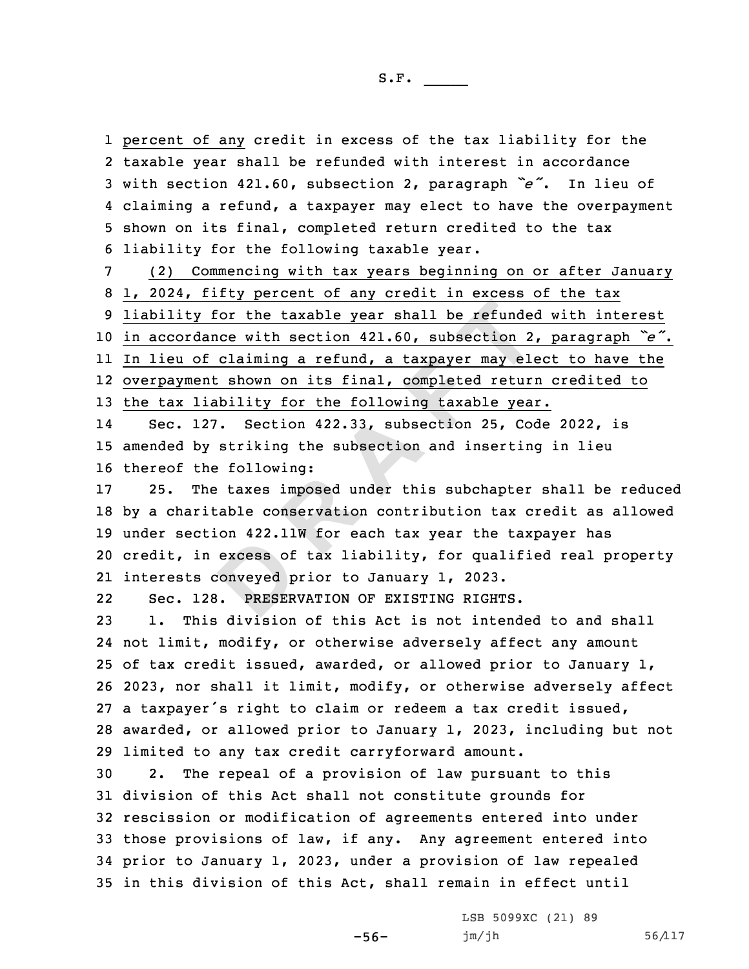percent of any credit in excess of the tax liability for the taxable year shall be refunded with interest in accordance with section 421.60, subsection 2, paragraph *"e"*. In lieu of claiming <sup>a</sup> refund, <sup>a</sup> taxpayer may elect to have the overpayment shown on its final, completed return credited to the tax liability for the following taxable year.

**R R EXECUTE: R EXECUTE: R EXECUTE: R EXECUTE: CONTROMOGIATION: CONTROMOGIATION: CONTROMOGIATION: CONTROMOGIATION: CONTROMOGIATION: CONTROMOGIATION: CONTROMOGIATION: CONTROMOGIATION: CONTR**  (2) Commencing with tax years beginning on or after January 1, 2024, fifty percent of any credit in excess of the tax liability for the taxable year shall be refunded with interest in accordance with section 421.60, subsection 2, paragraph *"e"*. In lieu of claiming <sup>a</sup> refund, <sup>a</sup> taxpayer may elect to have the overpayment shown on its final, completed return credited to the tax liability for the following taxable year.

14 Sec. 127. Section 422.33, subsection 25, Code 2022, is 15 amended by striking the subsection and inserting in lieu 16 thereof the following:

excess of<br>
conveyed p<br> **B DRESER**  25. The taxes imposed under this subchapter shall be reduced by <sup>a</sup> charitable conservation contribution tax credit as allowed under section 422.11W for each tax year the taxpayer has credit, in excess of tax liability, for qualified real property interests conveyed prior to January 1, 2023.

22Sec. 128. PRESERVATION OF EXISTING RIGHTS.

 1. This division of this Act is not intended to and shall not limit, modify, or otherwise adversely affect any amount of tax credit issued, awarded, or allowed prior to January 1, 2023, nor shall it limit, modify, or otherwise adversely affect <sup>a</sup> taxpayer's right to claim or redeem <sup>a</sup> tax credit issued, awarded, or allowed prior to January 1, 2023, including but not limited to any tax credit carryforward amount.

 2. The repeal of <sup>a</sup> provision of law pursuant to this division of this Act shall not constitute grounds for rescission or modification of agreements entered into under those provisions of law, if any. Any agreement entered into prior to January 1, 2023, under <sup>a</sup> provision of law repealed in this division of this Act, shall remain in effect until

-56-

LSB 5099XC (21) 89 jm/jh 56/117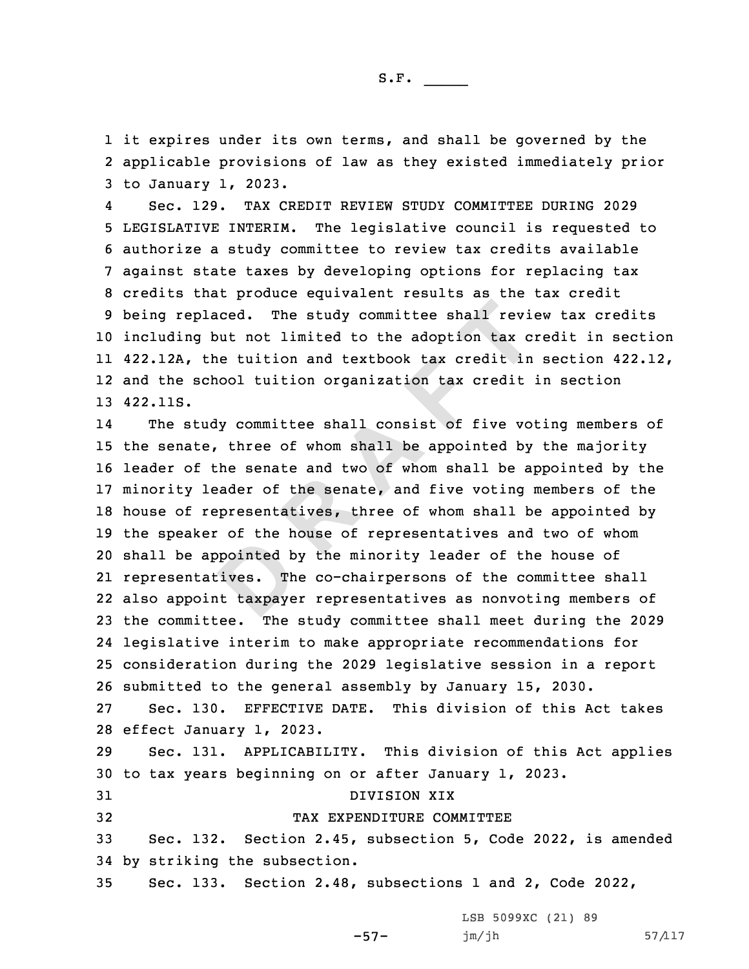1 it expires under its own terms, and shall be governed by the 2 applicable provisions of law as they existed immediately prior 3 to January 1, 2023.

4 Sec. 129. TAX CREDIT REVIEW STUDY COMMITTEE DURING 2029 LEGISLATIVE INTERIM. The legislative council is requested to authorize <sup>a</sup> study committee to review tax credits available against state taxes by developing options for replacing tax credits that produce equivalent results as the tax credit being replaced. The study committee shall review tax credits including but not limited to the adoption tax credit in section 422.12A, the tuition and textbook tax credit in section 422.12, and the school tuition organization tax credit in section 13 422.11S.

pointed b<br>Dives. The<br>It taxpaye placed. The study committee shall revidy but not limited to the adoption tax c:<br>the tuition and textbook tax credit in<br>school tuition organization tax credit<br>tudy committee shall consist of five vot<br>te, three of whom shall 14 The study committee shall consist of five voting members of the senate, three of whom shall be appointed by the majority leader of the senate and two of whom shall be appointed by the minority leader of the senate, and five voting members of the house of representatives, three of whom shall be appointed by the speaker of the house of representatives and two of whom shall be appointed by the minority leader of the house of representatives. The co-chairpersons of the committee shall also appoint taxpayer representatives as nonvoting members of the committee. The study committee shall meet during the 2029 legislative interim to make appropriate recommendations for consideration during the 2029 legislative session in <sup>a</sup> report submitted to the general assembly by January 15, 2030. Sec. 130. EFFECTIVE DATE. This division of this Act takes effect January 1, 2023. Sec. 131. APPLICABILITY. This division of this Act applies to tax years beginning on or after January 1, 2023. DIVISION XIX TAX EXPENDITURE COMMITTEE Sec. 132. Section 2.45, subsection 5, Code 2022, is amended by striking the subsection.

35 Sec. 133. Section 2.48, subsections 1 and 2, Code 2022,

-57-

LSB 5099XC (21) 89 jm/jh 57/117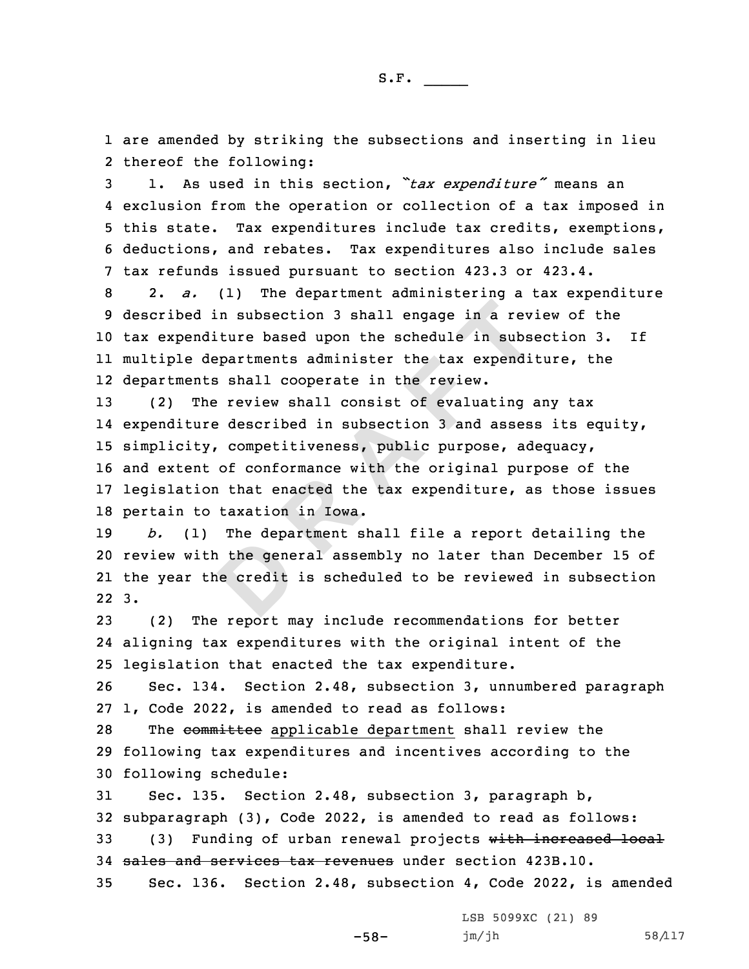1 are amended by striking the subsections and inserting in lieu 2 thereof the following:

 1. As used in this section, *"tax expenditure"* means an exclusion from the operation or collection of <sup>a</sup> tax imposed in this state. Tax expenditures include tax credits, exemptions, deductions, and rebates. Tax expenditures also include sales tax refunds issued pursuant to section 423.3 or 423.4.

 2. *a.* (1) The department administering <sup>a</sup> tax expenditure described in subsection 3 shall engage in <sup>a</sup> review of the tax expenditure based upon the schedule in subsection 3. If multiple departments administer the tax expenditure, the departments shall cooperate in the review.

d in subsection 3 shall engage in a rev.<br>
nditure based upon the schedule in subse<br>
departments administer the tax expendi<br>
nts shall cooperate in the review.<br>
The review shall consist of evaluating a<br>
ure described in sub (2) The review shall consist of evaluating any tax 14 expenditure described in subsection 3 and assess its equity, simplicity, competitiveness, public purpose, adequacy, and extent of conformance with the original purpose of the legislation that enacted the tax expenditure, as those issues pertain to taxation in Iowa.

the gene<br>
e credit 19 *b.* (1) The department shall file <sup>a</sup> report detailing the 20 review with the general assembly no later than December 15 of 21 the year the credit is scheduled to be reviewed in subsection 22 3.

23 (2) The report may include recommendations for better 24 aligning tax expenditures with the original intent of the 25 legislation that enacted the tax expenditure.

26 Sec. 134. Section 2.48, subsection 3, unnumbered paragraph 27 1, Code 2022, is amended to read as follows:

28 The committee applicable department shall review the 29 following tax expenditures and incentives according to the 30 following schedule:

31 Sec. 135. Section 2.48, subsection 3, paragraph b, 32 subparagraph (3), Code 2022, is amended to read as follows: 33 (3) Funding of urban renewal projects with increased local 34 sales and services tax revenues under section 423B.10. 35 Sec. 136. Section 2.48, subsection 4, Code 2022, is amended

-58-

LSB 5099XC (21) 89 jm/jh 58/117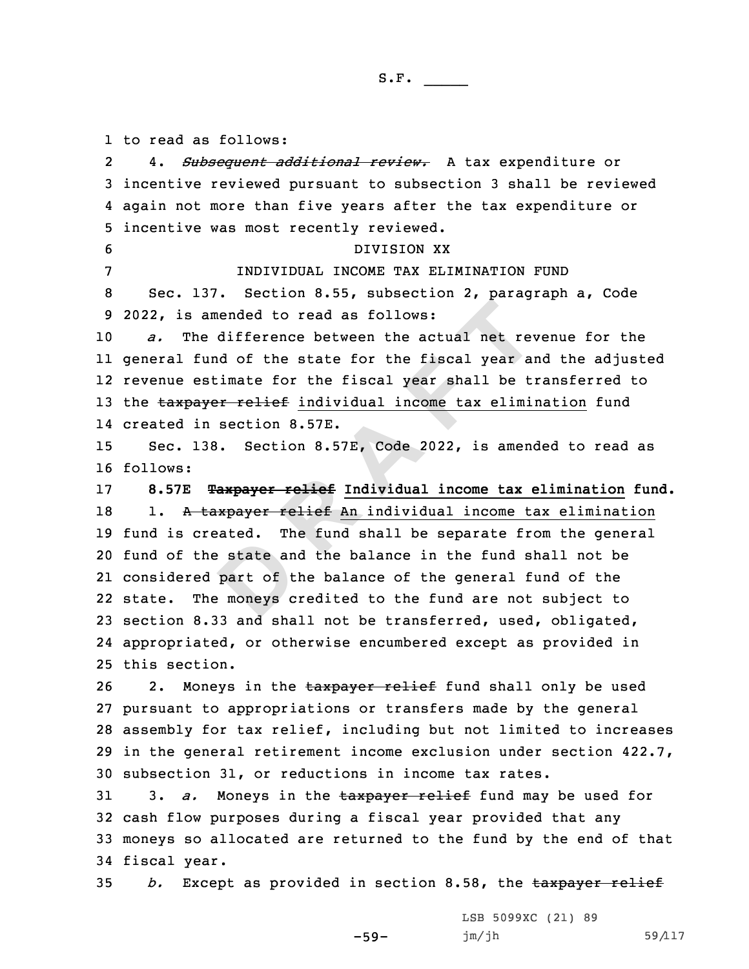1 to read as follows:

exated: In<br>
part of t<br>
example the moneys c amended to read as follows:<br>
the difference between the actual net rev<br>
fund of the state for the fiscal year and<br>
estimate for the fiscal year shall be t<br>
ayer relief individual income tax elimi<br>
in section 8.57E.<br>
138. S 2 4. *Subsequent additional review.* <sup>A</sup> tax expenditure or incentive reviewed pursuant to subsection 3 shall be reviewed again not more than five years after the tax expenditure or incentive was most recently reviewed. DIVISION XX INDIVIDUAL INCOME TAX ELIMINATION FUND Sec. 137. Section 8.55, subsection 2, paragraph a, Code 2022, is amended to read as follows: *a.* The difference between the actual net revenue for the general fund of the state for the fiscal year and the adjusted revenue estimate for the fiscal year shall be transferred to 13 the taxpayer relief individual income tax elimination fund created in section 8.57E. Sec. 138. Section 8.57E, Code 2022, is amended to read as 16 follows: **8.57E Taxpayer relief Individual income tax elimination fund.** 18 1. A taxpayer relief An individual income tax elimination fund is created. The fund shall be separate from the general fund of the state and the balance in the fund shall not be considered part of the balance of the general fund of the state. The moneys credited to the fund are not subject to section 8.33 and shall not be transferred, used, obligated, appropriated, or otherwise encumbered except as provided in this section. 26 2. Moneys in the taxpayer relief fund shall only be used pursuant to appropriations or transfers made by the general assembly for tax relief, including but not limited to increases in the general retirement income exclusion under section 422.7, subsection 31, or reductions in income tax rates. 3. *a.* Moneys in the taxpayer relief fund may be used for cash flow purposes during <sup>a</sup> fiscal year provided that any moneys so allocated are returned to the fund by the end of that fiscal year.

35 *b.* Except as provided in section 8.58, the taxpayer relief

-59-

LSB 5099XC (21) 89 jm/jh 59/117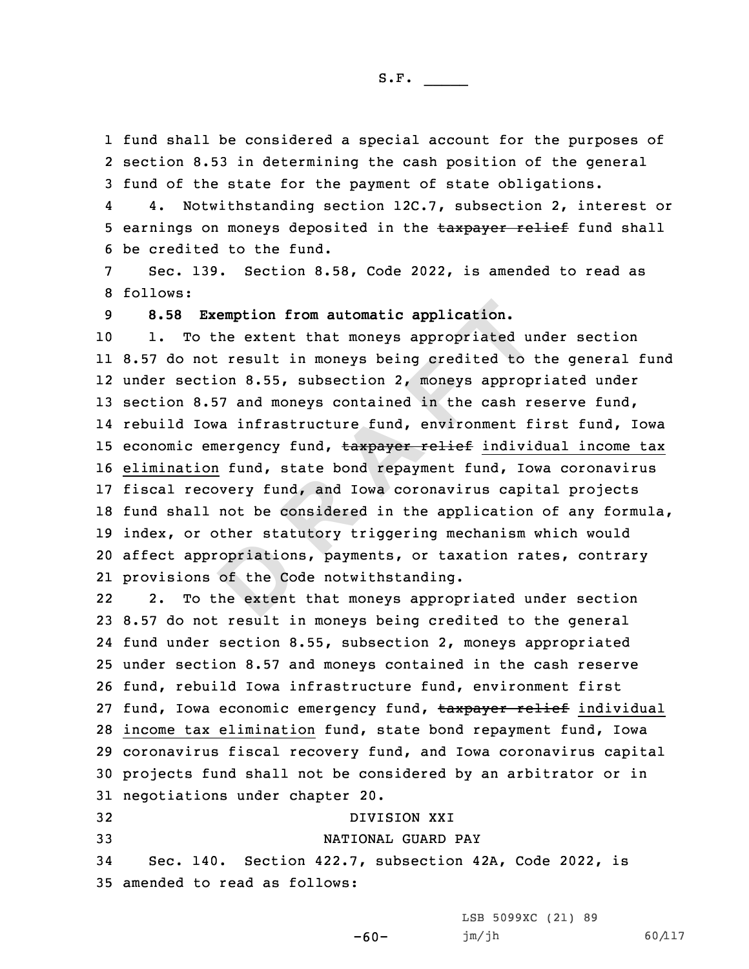S.F.  $\rule{1em}{0.15mm}$ 

1 fund shall be considered <sup>a</sup> special account for the purposes of 2 section 8.53 in determining the cash position of the general 3 fund of the state for the payment of state obligations.

4 4. Notwithstanding section 12C.7, subsection 2, interest or 5 earnings on moneys deposited in the taxpayer relief fund shall 6 be credited to the fund.

7 Sec. 139. Section 8.58, Code 2022, is amended to read as 8 follows:

9 **8.58 Exemption from automatic application.**

copriation<br>
of the Co<br>
the extent **Exemption from automatic application.**<br>
to the extent that moneys appropriated un<br>
not result in moneys being credited to<br>
ction 8.55, subsection 2, moneys approp<br>
8.57 and moneys contained in the cash r<br>
Iowa infrastruct 1. To the extent that moneys appropriated under section 8.57 do not result in moneys being credited to the general fund under section 8.55, subsection 2, moneys appropriated under 13 section 8.57 and moneys contained in the cash reserve fund, rebuild Iowa infrastructure fund, environment first fund, Iowa 15 economic emergency fund, taxpayer relief individual income tax elimination fund, state bond repayment fund, Iowa coronavirus fiscal recovery fund, and Iowa coronavirus capital projects fund shall not be considered in the application of any formula, index, or other statutory triggering mechanism which would affect appropriations, payments, or taxation rates, contrary provisions of the Code notwithstanding.

22 2. To the extent that moneys appropriated under section 8.57 do not result in moneys being credited to the general fund under section 8.55, subsection 2, moneys appropriated under section 8.57 and moneys contained in the cash reserve fund, rebuild Iowa infrastructure fund, environment first 27 fund, Iowa economic emergency fund, taxpayer relief individual income tax elimination fund, state bond repayment fund, Iowa coronavirus fiscal recovery fund, and Iowa coronavirus capital projects fund shall not be considered by an arbitrator or in negotiations under chapter 20. DIVISION XXI NATIONAL GUARD PAY

34 Sec. 140. Section 422.7, subsection 42A, Code 2022, is 35 amended to read as follows:

LSB 5099XC (21) 89

-60-

jm/jh 60/117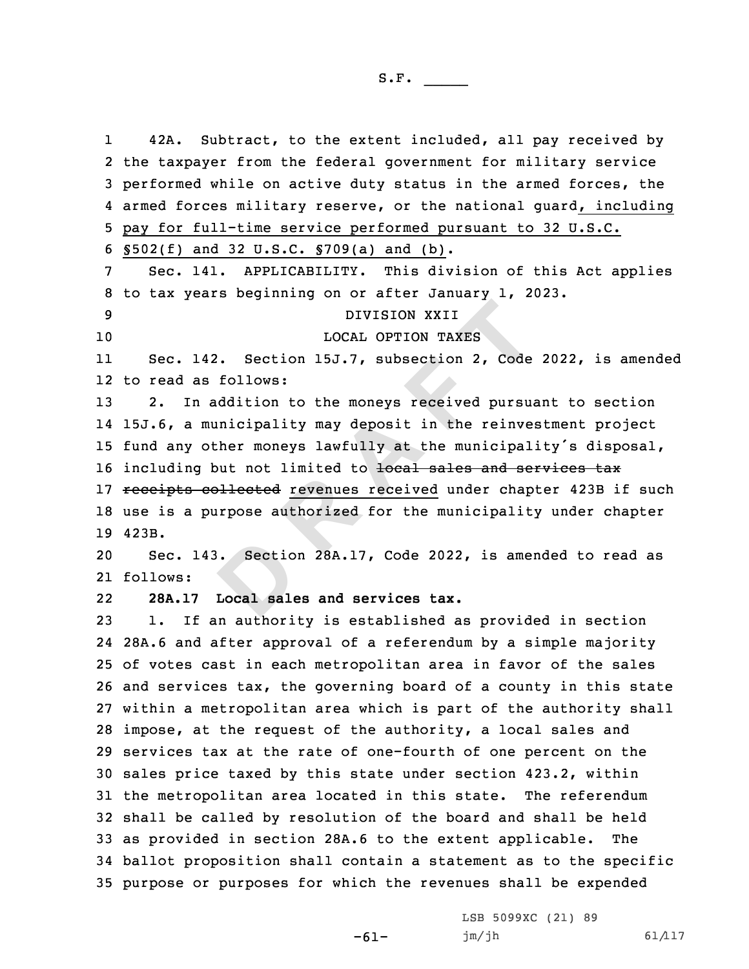**Sectio**<br>**Local sale** DIVISION XXII<br>
LOCAL OPTION TAXES<br>
142. Section 15J.7, subsection 2, Code<br>
as follows:<br>
m addition to the moneys received pursua<br>
municipality may deposit in the reinve-<br>
other moneys lawfully at the municipal<br>
g but not l 1 42A. Subtract, to the extent included, all pay received by the taxpayer from the federal government for military service performed while on active duty status in the armed forces, the armed forces military reserve, or the national guard, including pay for full-time service performed pursuant to 32 U.S.C. §502(f) and 32 U.S.C. §709(a) and (b). Sec. 141. APPLICABILITY. This division of this Act applies to tax years beginning on or after January 1, 2023. DIVISION XXII LOCAL OPTION TAXES 11 Sec. 142. Section 15J.7, subsection 2, Code 2022, is amended to read as follows: 2. In addition to the moneys received pursuant to section 15J.6, <sup>a</sup> municipality may deposit in the reinvestment project fund any other moneys lawfully at the municipality's disposal, 16 including but not limited to local sales and services tax 17 receipts collected revenues received under chapter 423B if such use is <sup>a</sup> purpose authorized for the municipality under chapter 19 423B. Sec. 143. Section 28A.17, Code 2022, is amended to read as 21 follows: 22 **28A.17 Local sales and services tax.** 1. If an authority is established as provided in section 28A.6 and after approval of <sup>a</sup> referendum by <sup>a</sup> simple majority of votes cast in each metropolitan area in favor of the sales and services tax, the governing board of <sup>a</sup> county in this state within <sup>a</sup> metropolitan area which is part of the authority shall impose, at the request of the authority, <sup>a</sup> local sales and services tax at the rate of one-fourth of one percent on the sales price taxed by this state under section 423.2, within the metropolitan area located in this state. The referendum shall be called by resolution of the board and shall be held as provided in section 28A.6 to the extent applicable. The ballot proposition shall contain <sup>a</sup> statement as to the specific purpose or purposes for which the revenues shall be expended

-61-

LSB 5099XC (21) 89 jm/jh 61/117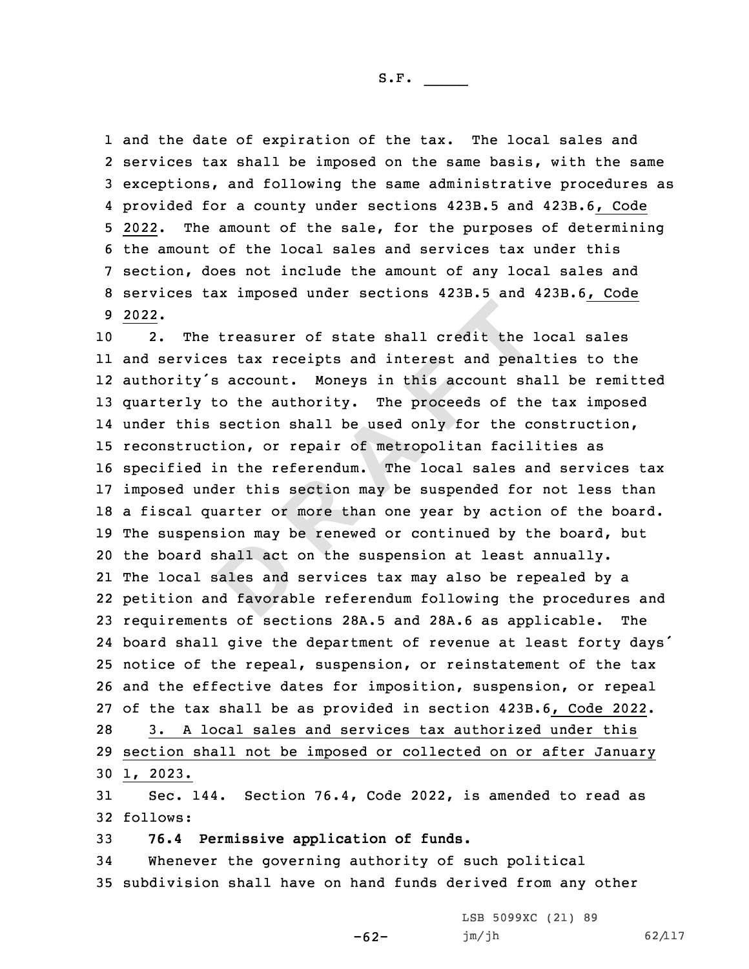S.F.  $\rule{1em}{0.15mm}$ 

 and the date of expiration of the tax. The local sales and services tax shall be imposed on the same basis, with the same exceptions, and following the same administrative procedures as provided for <sup>a</sup> county under sections 423B.5 and 423B.6, Code 2022. The amount of the sale, for the purposes of determining the amount of the local sales and services tax under this section, does not include the amount of any local sales and services tax imposed under sections 423B.5 and 423B.6, Code 9 2022.

hall act<br>ales and<br>d favorab he treasurer of state shall credit the :<br>ices tax receipts and interest and pena.<br>y's account. Moneys in this account sh.<br>y to the authority. The proceeds of the<br>is section shall be used only for the couction, or repair of 2. The treasurer of state shall credit the local sales and services tax receipts and interest and penalties to the authority's account. Moneys in this account shall be remitted quarterly to the authority. The proceeds of the tax imposed 14 under this section shall be used only for the construction, reconstruction, or repair of metropolitan facilities as specified in the referendum. The local sales and services tax imposed under this section may be suspended for not less than <sup>a</sup> fiscal quarter or more than one year by action of the board. The suspension may be renewed or continued by the board, but the board shall act on the suspension at least annually. The local sales and services tax may also be repealed by <sup>a</sup> petition and favorable referendum following the procedures and requirements of sections 28A.5 and 28A.6 as applicable. The board shall give the department of revenue at least forty days' notice of the repeal, suspension, or reinstatement of the tax and the effective dates for imposition, suspension, or repeal of the tax shall be as provided in section 423B.6, Code 2022. 3. A local sales and services tax authorized under this section shall not be imposed or collected on or after January 30 1, 2023.

31 Sec. 144. Section 76.4, Code 2022, is amended to read as 32 follows:

33 **76.4 Permissive application of funds.**

34 Whenever the governing authority of such political 35 subdivision shall have on hand funds derived from any other

-62-

LSB 5099XC (21) 89 jm/jh 62/117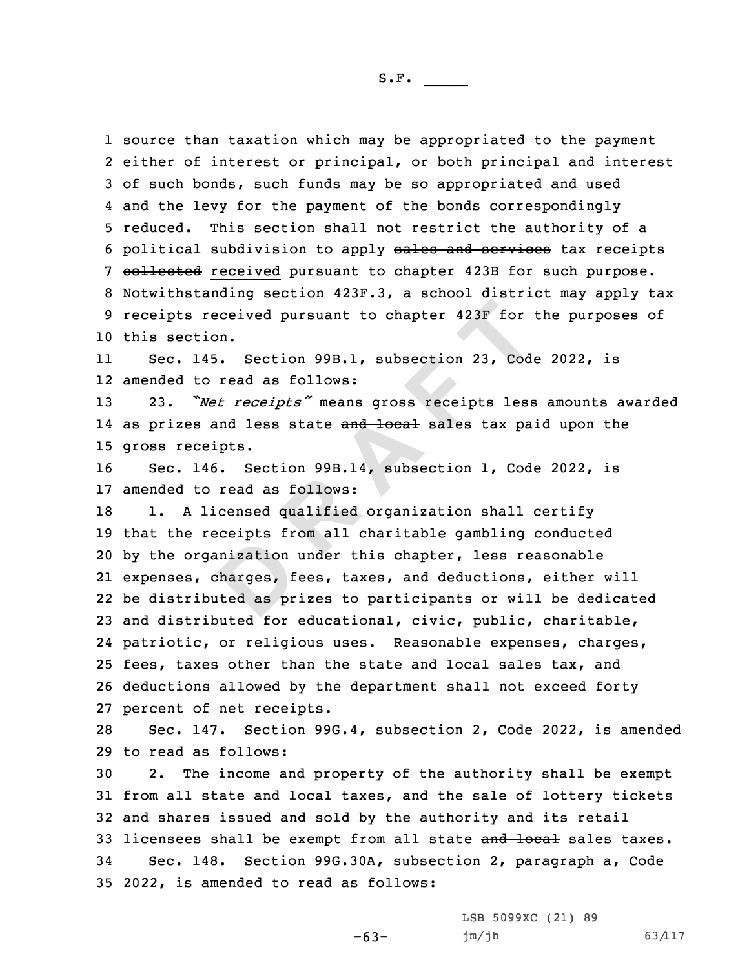source than taxation which may be appropriated to the payment either of interest or principal, or both principal and interest of such bonds, such funds may be so appropriated and used and the levy for the payment of the bonds correspondingly reduced. This section shall not restrict the authority of <sup>a</sup> 6 political subdivision to apply sales and services tax receipts 7 collected received pursuant to chapter 423B for such purpose. Notwithstanding section 423F.3, <sup>a</sup> school district may apply tax receipts received pursuant to chapter 423F for the purposes of this section.

11 Sec. 145. Section 99B.1, subsection 23, Code 2022, is 12 amended to read as follows:

<sup>13</sup> 23. *"Net receipts"* means gross receipts less amounts awarded 14 as prizes and less state <del>and local</del> sales tax paid upon the 15 gross receipts.

16 Sec. 146. Section 99B.14, subsection 1, Code 2022, is 17 amended to read as follows:

excrpcs II<br>
unization<br>
charges, f<br>
uted as pr received pursuant to chapter 423F for<br>tion.<br>145. Section 99B.1, subsection 23, Code<br>to read as follows:<br>"*Net receipts"* means gross receipts less<br>s and less state and local sales tax pa<br>ceipts.<br>146. Section 99B.14, subsec 18 1. A licensed qualified organization shall certify that the receipts from all charitable gambling conducted by the organization under this chapter, less reasonable expenses, charges, fees, taxes, and deductions, either will be distributed as prizes to participants or will be dedicated and distributed for educational, civic, public, charitable, patriotic, or religious uses. Reasonable expenses, charges, 25 fees, taxes other than the state and local sales tax, and deductions allowed by the department shall not exceed forty percent of net receipts.

28 Sec. 147. Section 99G.4, subsection 2, Code 2022, is amended 29 to read as follows:

 2. The income and property of the authority shall be exempt from all state and local taxes, and the sale of lottery tickets and shares issued and sold by the authority and its retail 33 licensees shall be exempt from all state and local sales taxes. Sec. 148. Section 99G.30A, subsection 2, paragraph a, Code 2022, is amended to read as follows:

-63-

LSB 5099XC (21) 89 jm/jh 63/117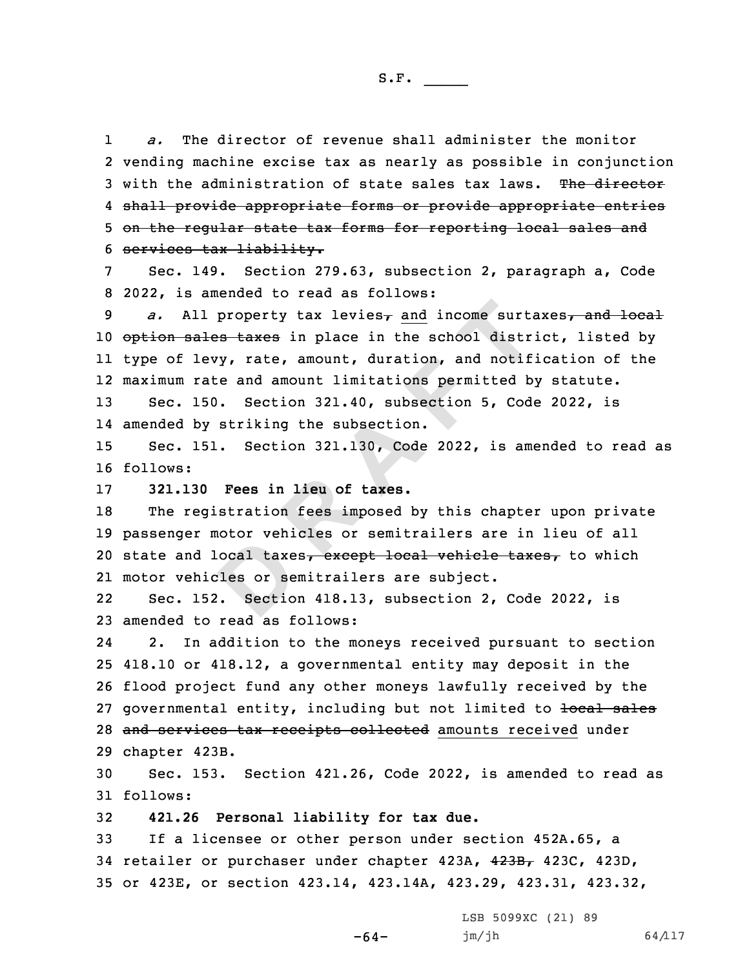1 *a.* The director of revenue shall administer the monitor 2 vending machine excise tax as nearly as possible in conjunction 3 with the administration of state sales tax laws. The director 4 shall provide appropriate forms or provide appropriate entries 5 on the regular state tax forms for reporting local sales and 6 services tax liability.

7 Sec. 149. Section 279.63, subsection 2, paragraph a, Code 8 2022, is amended to read as follows:

11 property tax levies<sub>7</sub> and income surtantles taxes in place in the school distriate the school distriate and amount limitations permitted by striking the subsection.<br>
150. Section 321.40, subsection 5, Code by striking *a.* All property tax levies<sub>7</sub> and income surtaxes<sub>7</sub> and local 10 option sales taxes in place in the school district, listed by type of levy, rate, amount, duration, and notification of the maximum rate and amount limitations permitted by statute. Sec. 150. Section 321.40, subsection 5, Code 2022, is

14 amended by striking the subsection.

15 Sec. 151. Section 321.130, Code 2022, is amended to read as 16 follows:

17 **321.130 Fees in lieu of taxes.**

**D**18 The registration fees imposed by this chapter upon private 19 passenger motor vehicles or semitrailers are in lieu of all 20 state and local taxes, except local vehicle taxes, to which 21 motor vehicles or semitrailers are subject.

22 Sec. 152. Section 418.13, subsection 2, Code 2022, is 23 amended to read as follows:

24 2. In addition to the moneys received pursuant to section 25 418.10 or 418.12, <sup>a</sup> governmental entity may deposit in the 26 flood project fund any other moneys lawfully received by the 27 governmental entity, including but not limited to local sales 28 and services tax receipts collected amounts received under 29 chapter 423B.

30 Sec. 153. Section 421.26, Code 2022, is amended to read as 31 follows:

32 **421.26 Personal liability for tax due.**

33 If <sup>a</sup> licensee or other person under section 452A.65, <sup>a</sup> 34 retailer or purchaser under chapter 423A, 423B, 423C, 423D, 35 or 423E, or section 423.14, 423.14A, 423.29, 423.31, 423.32,

-64-

LSB 5099XC (21) 89  $jm/jh$  64/117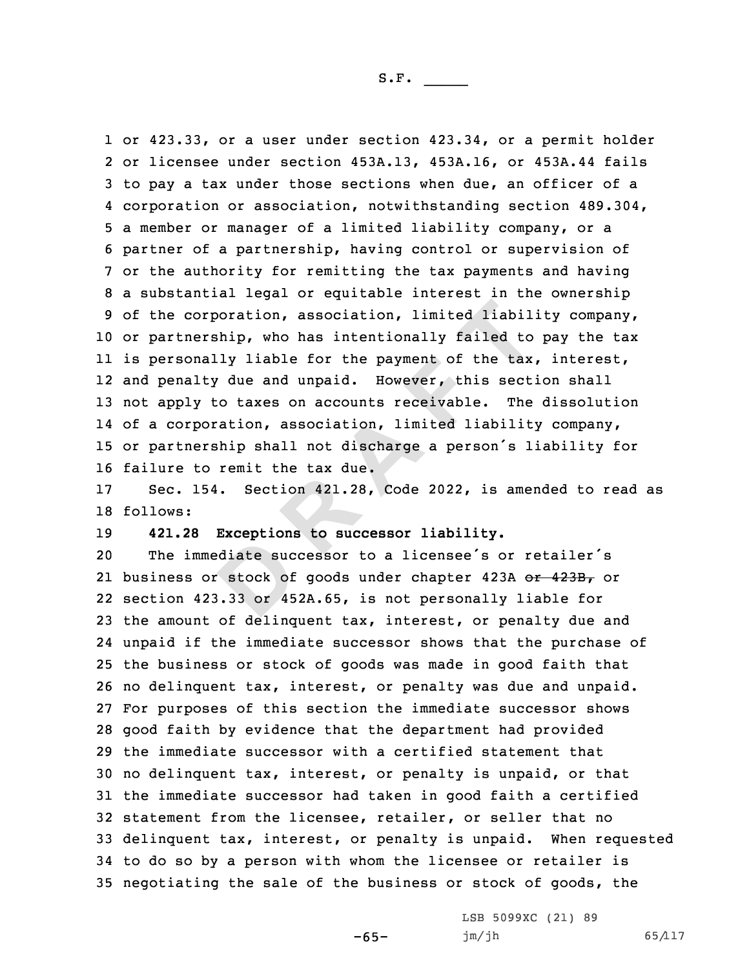orporation, association, limited liabil<br>ership, who has intentionally failed to<br>nally liable for the payment of the tax<br>lty due and unpaid. However, this sect<br>y to taxes on accounts receivable. The<br>poration, association, l or 423.33, or <sup>a</sup> user under section 423.34, or <sup>a</sup> permit holder or licensee under section 453A.13, 453A.16, or 453A.44 fails to pay <sup>a</sup> tax under those sections when due, an officer of <sup>a</sup> corporation or association, notwithstanding section 489.304, <sup>a</sup> member or manager of <sup>a</sup> limited liability company, or <sup>a</sup> partner of <sup>a</sup> partnership, having control or supervision of or the authority for remitting the tax payments and having <sup>a</sup> substantial legal or equitable interest in the ownership of the corporation, association, limited liability company, or partnership, who has intentionally failed to pay the tax is personally liable for the payment of the tax, interest, and penalty due and unpaid. However, this section shall not apply to taxes on accounts receivable. The dissolution of <sup>a</sup> corporation, association, limited liability company, or partnership shall not discharge <sup>a</sup> person's liability for failure to remit the tax due.

17 Sec. 154. Section 421.28, Code 2022, is amended to read as 18 follows:

19 **421.28 Exceptions to successor liability.**

diate such<br>
stock of<br>
3.33 or 45 The immediate successor to <sup>a</sup> licensee's or retailer's 21 business or stock of goods under chapter 423A <del>or 423B,</del> or section 423.33 or 452A.65, is not personally liable for the amount of delinquent tax, interest, or penalty due and unpaid if the immediate successor shows that the purchase of the business or stock of goods was made in good faith that no delinquent tax, interest, or penalty was due and unpaid. For purposes of this section the immediate successor shows good faith by evidence that the department had provided the immediate successor with <sup>a</sup> certified statement that no delinquent tax, interest, or penalty is unpaid, or that the immediate successor had taken in good faith <sup>a</sup> certified statement from the licensee, retailer, or seller that no delinquent tax, interest, or penalty is unpaid. When requested to do so by <sup>a</sup> person with whom the licensee or retailer is negotiating the sale of the business or stock of goods, the

-65-

LSB 5099XC (21) 89 jm/jh 65/117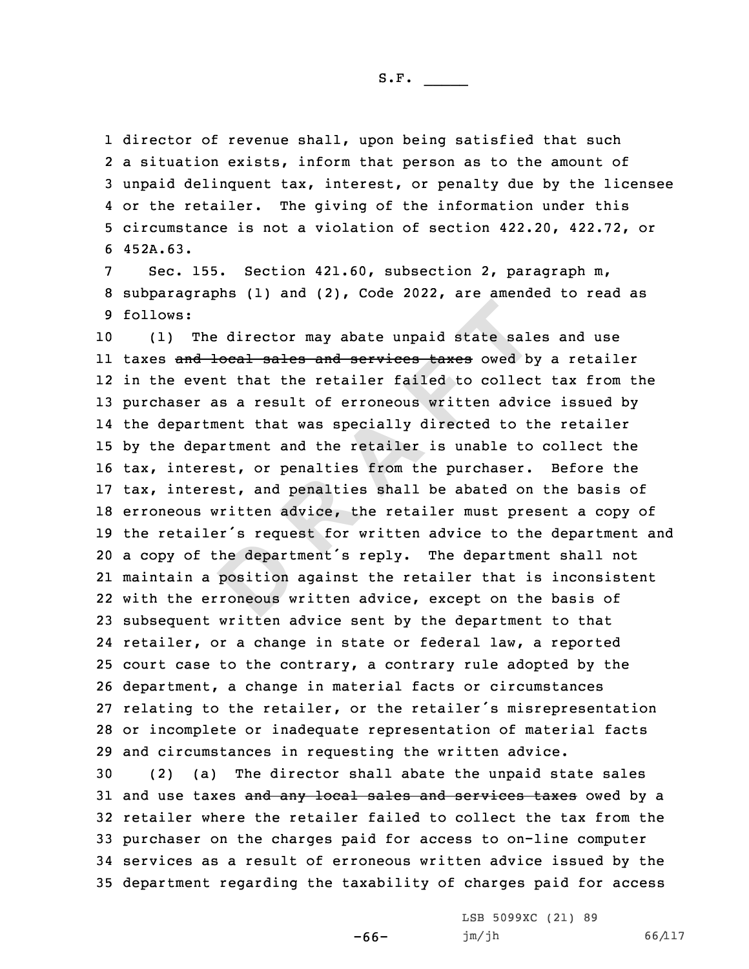S.F.  $\rule{1em}{0.15mm}$ 

 director of revenue shall, upon being satisfied that such <sup>a</sup> situation exists, inform that person as to the amount of unpaid delinquent tax, interest, or penalty due by the licensee or the retailer. The giving of the information under this circumstance is not <sup>a</sup> violation of section 422.20, 422.72, or 6 452A.63.

7 Sec. 155. Section 421.60, subsection 2, paragraph m, 8 subparagraphs (1) and (2), Code 2022, are amended to read as 9 follows:

the depart<br>position<br>roneous w The director may abate unpaid state sale<br>
d local sales and services taxes owed by<br>
vent that the retailer failed to collec<br>
r as a result of erroneous written advict<br>
rtment that was specially directed to ti<br>
epartment an (1) The director may abate unpaid state sales and use ll taxes <del>and local sales and services taxes</del> owed by a retailer in the event that the retailer failed to collect tax from the purchaser as <sup>a</sup> result of erroneous written advice issued by the department that was specially directed to the retailer by the department and the retailer is unable to collect the tax, interest, or penalties from the purchaser. Before the tax, interest, and penalties shall be abated on the basis of erroneous written advice, the retailer must present <sup>a</sup> copy of the retailer's request for written advice to the department and <sup>a</sup> copy of the department's reply. The department shall not maintain <sup>a</sup> position against the retailer that is inconsistent with the erroneous written advice, except on the basis of subsequent written advice sent by the department to that retailer, or <sup>a</sup> change in state or federal law, <sup>a</sup> reported court case to the contrary, <sup>a</sup> contrary rule adopted by the department, <sup>a</sup> change in material facts or circumstances relating to the retailer, or the retailer's misrepresentation or incomplete or inadequate representation of material facts and circumstances in requesting the written advice.

 (2) (a) The director shall abate the unpaid state sales 31 and use taxes and any local sales and services taxes owed by a retailer where the retailer failed to collect the tax from the purchaser on the charges paid for access to on-line computer services as <sup>a</sup> result of erroneous written advice issued by the department regarding the taxability of charges paid for access

-66-

LSB 5099XC (21) 89 jm/jh 66/117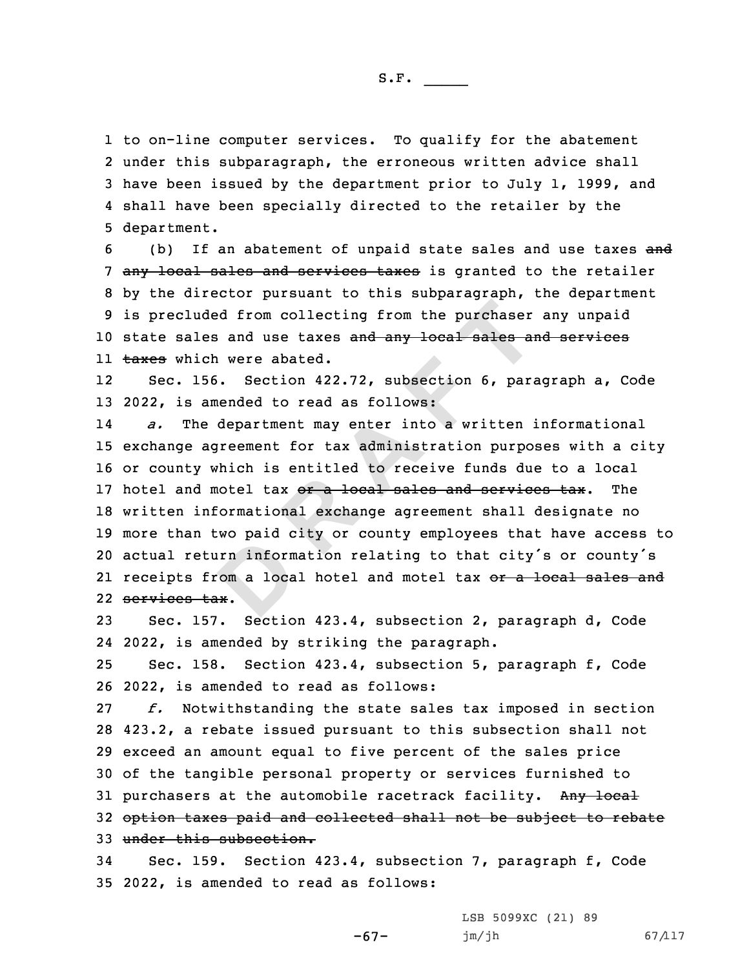to on-line computer services. To qualify for the abatement under this subparagraph, the erroneous written advice shall have been issued by the department prior to July 1, 1999, and shall have been specially directed to the retailer by the department.

6 (b) If an abatement of unpaid state sales and use taxes and 7 any local sales and services taxes is granted to the retailer 8 by the director pursuant to this subparagraph, the department 9 is precluded from collecting from the purchaser any unpaid 10 state sales and use taxes and any local sales and services ll <del>taxes</del> which were abated.

12 Sec. 156. Section 422.72, subsection 6, paragraph a, Code 13 2022, is amended to read as follows:

**D**and the purchaser and the purchaser<br>
Les and use taxes and any local sales and<br>
ich were abated.<br>
156. Section 422.72, subsection 6, para<br>
amended to read as follows:<br>
the department may enter into a written is<br>
agreement 14 *a.* The department may enter into <sup>a</sup> written informational 15 exchange agreement for tax administration purposes with <sup>a</sup> city 16 or county which is entitled to receive funds due to <sup>a</sup> local 17 hotel and motel tax or a local sales and services tax. The 18 written informational exchange agreement shall designate no 19 more than two paid city or county employees that have access to <sup>20</sup> actual return information relating to that city's or county's 21 receipts from a local hotel and motel tax <del>or a local sales and</del> 22 services tax.

23 Sec. 157. Section 423.4, subsection 2, paragraph d, Code 24 2022, is amended by striking the paragraph.

25 Sec. 158. Section 423.4, subsection 5, paragraph f, Code 26 2022, is amended to read as follows:

 *f.* Notwithstanding the state sales tax imposed in section 423.2, <sup>a</sup> rebate issued pursuant to this subsection shall not exceed an amount equal to five percent of the sales price of the tangible personal property or services furnished to 31 purchasers at the automobile racetrack facility. Any local option taxes paid and collected shall not be subject to rebate under this subsection.

34 Sec. 159. Section 423.4, subsection 7, paragraph f, Code 35 2022, is amended to read as follows:

-67-

LSB 5099XC (21) 89 jm/jh 67/117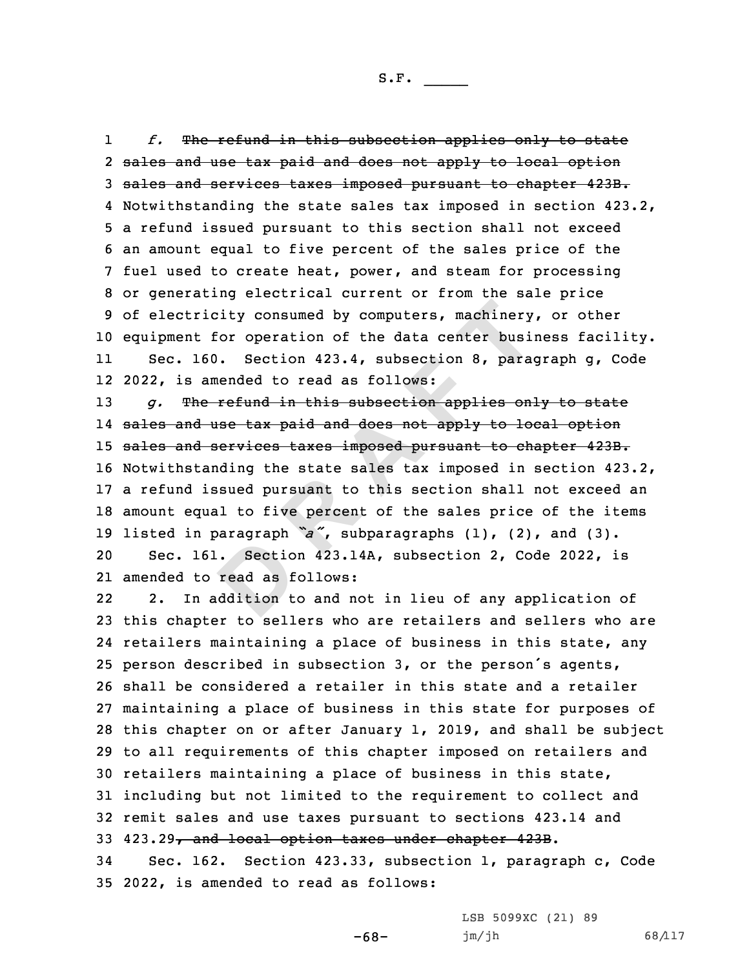1 *f.* The refund in this subsection applies only to state sales and use tax paid and does not apply to local option sales and services taxes imposed pursuant to chapter 423B. Notwithstanding the state sales tax imposed in section 423.2, <sup>a</sup> refund issued pursuant to this section shall not exceed an amount equal to five percent of the sales price of the fuel used to create heat, power, and steam for processing or generating electrical current or from the sale price of electricity consumed by computers, machinery, or other equipment for operation of the data center business facility. 11 Sec. 160. Section 423.4, subsection 8, paragraph g, Code 2022, is amended to read as follows:

aragraph<br> **Parad** as f<br> **D**<br> **D**<br> **D**<br> **D <sup>R</sup> <sup>A</sup> <sup>F</sup> <sup>T</sup>** *g.* The refund in this subsection applies only to state sales and use tax paid and does not apply to local option 15 sales and services taxes imposed pursuant to chapter 423B. Notwithstanding the state sales tax imposed in section 423.2, <sup>a</sup> refund issued pursuant to this section shall not exceed an amount equal to five percent of the sales price of the items listed in paragraph *"a"*, subparagraphs (1), (2), and (3). Sec. 161. Section 423.14A, subsection 2, Code 2022, is

21 amended to read as follows:

22 2. In addition to and not in lieu of any application of this chapter to sellers who are retailers and sellers who are retailers maintaining <sup>a</sup> place of business in this state, any person described in subsection 3, or the person's agents, shall be considered <sup>a</sup> retailer in this state and <sup>a</sup> retailer maintaining <sup>a</sup> place of business in this state for purposes of this chapter on or after January 1, 2019, and shall be subject to all requirements of this chapter imposed on retailers and retailers maintaining <sup>a</sup> place of business in this state, including but not limited to the requirement to collect and remit sales and use taxes pursuant to sections 423.14 and 423.29, and local option taxes under chapter 423B.

34 Sec. 162. Section 423.33, subsection 1, paragraph c, Code 35 2022, is amended to read as follows:

LSB 5099XC (21) 89

jm/jh 68/117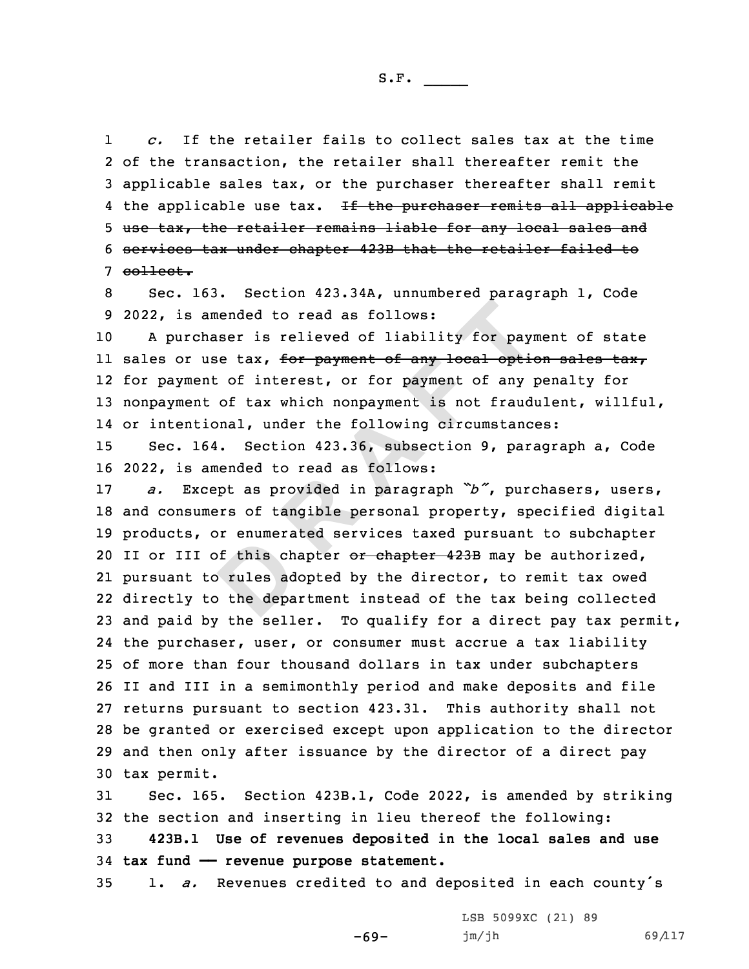1 *c.* If the retailer fails to collect sales tax at the time 2 of the transaction, the retailer shall thereafter remit the 3 applicable sales tax, or the purchaser thereafter shall remit 4 the applicable use tax. <del>If the purchaser remits all applicable</del> 5 use tax, the retailer remains liable for any local sales and 6 services tax under chapter 423B that the retailer failed to 7 collect.

8 Sec. 163. Section 423.34A, unnumbered paragraph 1, Code 9 2022, is amended to read as follows:

10 <sup>A</sup> purchaser is relieved of liability for payment of state ll sales or use tax, <del>for payment of any local option sales tax</del>, 12 for payment of interest, or for payment of any penalty for 13 nonpayment of tax which nonpayment is not fraudulent, willful, 14 or intentional, under the following circumstances:

15 Sec. 164. Section 423.36, subsection 9, paragraph a, Code 16 2022, is amended to read as follows:

of this ch<br>
b rules ad<br>
b the depa amended to read as follows:<br>
chaser is relieved of liability for pay:<br>
use tax, for payment of any local optic<br>
ent of interest, or for payment of any j<br>
nt of tax which nonpayment is not fraud:<br>
tional, under the followin *a.* Except as provided in paragraph *"b"*, purchasers, users, and consumers of tangible personal property, specified digital products, or enumerated services taxed pursuant to subchapter 20 II or III of this chapter or chapter 423B may be authorized, pursuant to rules adopted by the director, to remit tax owed directly to the department instead of the tax being collected and paid by the seller. To qualify for <sup>a</sup> direct pay tax permit, the purchaser, user, or consumer must accrue <sup>a</sup> tax liability of more than four thousand dollars in tax under subchapters II and III in <sup>a</sup> semimonthly period and make deposits and file returns pursuant to section 423.31. This authority shall not be granted or exercised except upon application to the director and then only after issuance by the director of <sup>a</sup> direct pay tax permit.

31 Sec. 165. Section 423B.1, Code 2022, is amended by striking 32 the section and inserting in lieu thereof the following:

33 **423B.1 Use of revenues deposited in the local sales and use** 34 **tax fund —— revenue purpose statement.**

<sup>35</sup> 1. *a.* Revenues credited to and deposited in each county's

-69-

LSB 5099XC (21) 89 jm/jh 69/117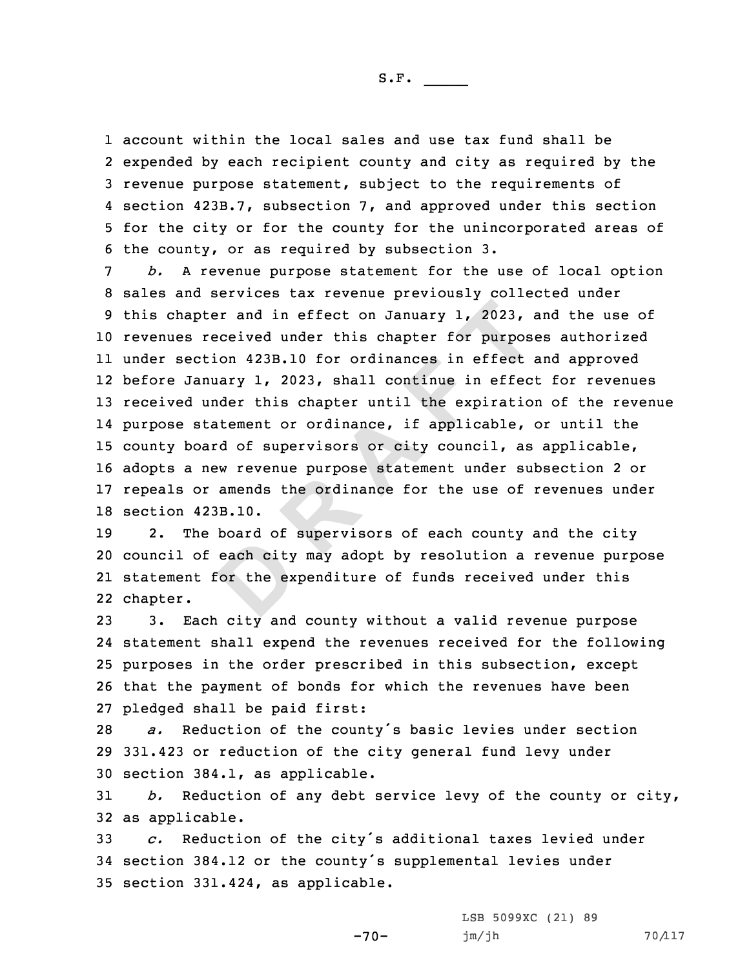S.F.  $\rule{1em}{0.15mm}$ 

 account within the local sales and use tax fund shall be expended by each recipient county and city as required by the revenue purpose statement, subject to the requirements of section 423B.7, subsection 7, and approved under this section for the city or for the county for the unincorporated areas of the county, or as required by subsection 3.

pter and in effect on January 1, 2023, a<br>received under this chapter for purpos<br>ction 423B.10 for ordinances in effect<br>anuary 1, 2023, shall continue in effect<br>under this chapter until the expiration<br>statement or ordinance *b.* <sup>A</sup> revenue purpose statement for the use of local option sales and services tax revenue previously collected under this chapter and in effect on January 1, 2023, and the use of revenues received under this chapter for purposes authorized under section 423B.10 for ordinances in effect and approved before January 1, 2023, shall continue in effect for revenues received under this chapter until the expiration of the revenue purpose statement or ordinance, if applicable, or until the county board of supervisors or city council, as applicable, adopts <sup>a</sup> new revenue purpose statement under subsection 2 or repeals or amends the ordinance for the use of revenues under section 423B.10.

each city<br>
or the ex 19 2. The board of supervisors of each county and the city 20 council of each city may adopt by resolution <sup>a</sup> revenue purpose 21 statement for the expenditure of funds received under this 22 chapter.

 3. Each city and county without <sup>a</sup> valid revenue purpose statement shall expend the revenues received for the following purposes in the order prescribed in this subsection, except that the payment of bonds for which the revenues have been pledged shall be paid first:

<sup>28</sup> *a.* Reduction of the county's basic levies under section 29 331.423 or reduction of the city general fund levy under 30 section 384.1, as applicable.

31 *b.* Reduction of any debt service levy of the county or city, 32 as applicable.

<sup>33</sup> *c.* Reduction of the city's additional taxes levied under <sup>34</sup> section 384.12 or the county's supplemental levies under 35 section 331.424, as applicable.

-70-

LSB 5099XC (21) 89 jm/jh 70/117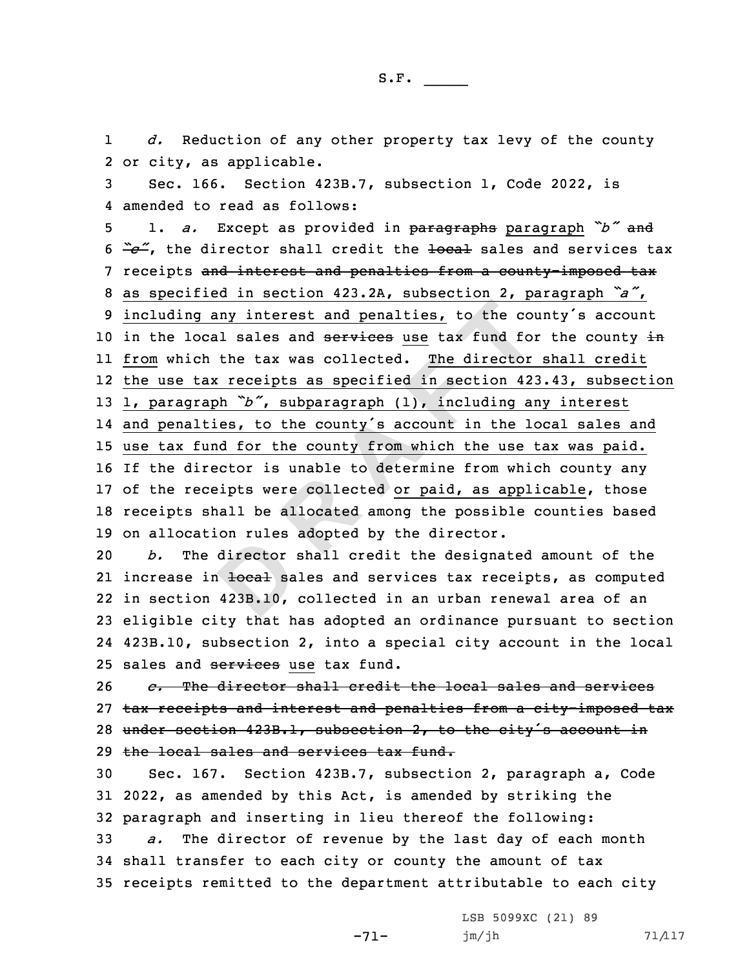1 *d.* Reduction of any other property tax levy of the county 2 or city, as applicable.

3 Sec. 166. Section 423B.7, subsection 1, Code 2022, is 4 amended to read as follows:

 **<sup>R</sup> <sup>A</sup> <sup>F</sup> <sup>T</sup>** 1. *a.* Except as provided in paragraphs paragraph *"b"* and  $\frac{a}{c}$ , the director shall credit the <del>local</del> sales and services tax 7 receipts and interest and penalties from a county-imposed tax as specified in section 423.2A, subsection 2, paragraph *"a"*, including any interest and penalties, to the county's account 10 in the local sales and services use tax fund for the county in from which the tax was collected. The director shall credit the use tax receipts as specified in section 423.43, subsection 1, paragraph *"b"*, subparagraph (1), including any interest and penalties, to the county's account in the local sales and use tax fund for the county from which the use tax was paid. If the director is unable to determine from which county any 17 of the receipts were collected or paid, as applicable, those receipts shall be allocated among the possible counties based on allocation rules adopted by the director.

director<br>
a <del>local</del> sa<br>
423B.10, 20 *b.* The director shall credit the designated amount of the 21 increase in <del>local</del> sales and services tax receipts, as computed 22 in section 423B.10, collected in an urban renewal area of an 23 eligible city that has adopted an ordinance pursuant to section 24 423B.10, subsection 2, into <sup>a</sup> special city account in the local 25 sales and services use tax fund.

 *c.* The director shall credit the local sales and services tax receipts and interest and penalties from <sup>a</sup> city-imposed tax 28 under section 423B.1, subsection 2, to the city's account in the local sales and services tax fund.

30 Sec. 167. Section 423B.7, subsection 2, paragraph a, Code 31 2022, as amended by this Act, is amended by striking the 32 paragraph and inserting in lieu thereof the following:

33 *a.* The director of revenue by the last day of each month 34 shall transfer to each city or county the amount of tax 35 receipts remitted to the department attributable to each city

-71-

LSB 5099XC (21) 89 jm/jh 71/117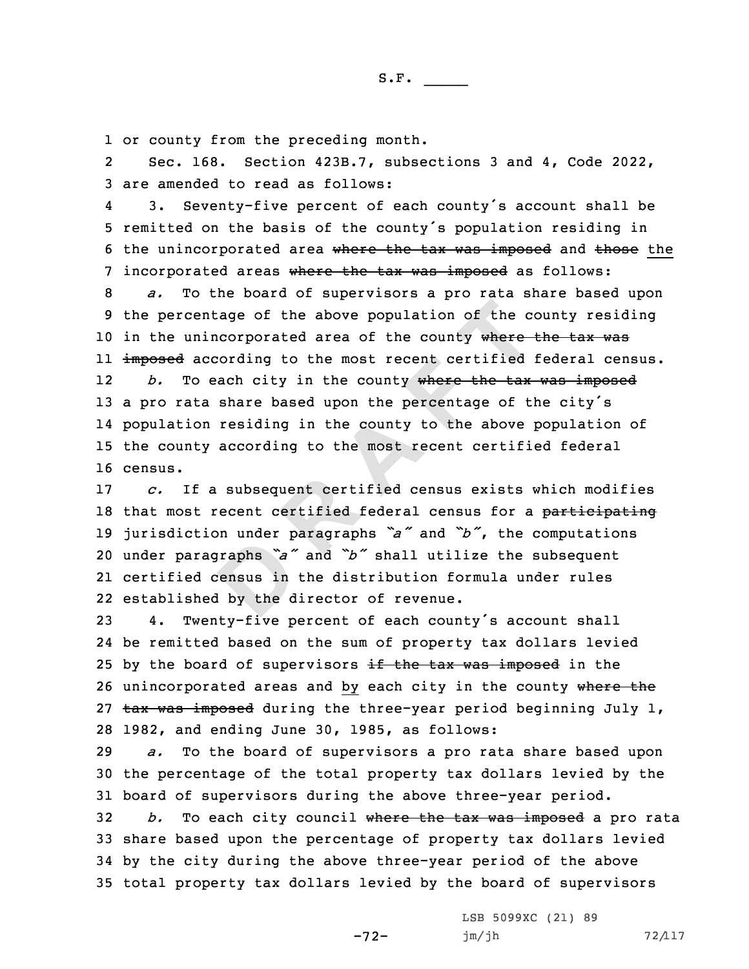1 or county from the preceding month.

2 Sec. 168. Section 423B.7, subsections 3 and 4, Code 2022, 3 are amended to read as follows:

4 3. Seventy-five percent of each county's account shall be <sup>5</sup> remitted on the basis of the county's population residing in 6 the unincorporated area where the tax was imposed and those the 7 incorporated areas where the tax was imposed as follows:

entage of the above population of the connincorporated area of the county where-<br>according to the most recent certified is<br>o each city in the county where the tax-<br>ta share based upon the percentage of the<br>on residing in 8 *a.* To the board of supervisors <sup>a</sup> pro rata share based upon 9 the percentage of the above population of the county residing 10 in the unincorporated area of the county where the tax was ll <del>imposed</del> according to the most recent certified federal census. 12 *b.* To each city in the county where the tax was imposed 13 a pro rata share based upon the percentage of the city's 14 population residing in the county to the above population of 15 the county according to the most recent certified federal 16 census.

praphs "a"<br> **Praphs** "a"<br> **Practical**<br> **D** the d *c.* If <sup>a</sup> subsequent certified census exists which modifies 18 that most recent certified federal census for a participating jurisdiction under paragraphs *"a"* and *"b"*, the computations under paragraphs *"a"* and *"b"* shall utilize the subsequent certified census in the distribution formula under rules established by the director of revenue.

<sup>23</sup> 4. Twenty-five percent of each county's account shall 24 be remitted based on the sum of property tax dollars levied 25 by the board of supervisors  $\frac{1}{2}$  the tax was imposed in the 26 unincorporated areas and by each city in the county where the 27 tax was imposed during the three-year period beginning July 1, 28 1982, and ending June 30, 1985, as follows:

 *a.* To the board of supervisors <sup>a</sup> pro rata share based upon the percentage of the total property tax dollars levied by the board of supervisors during the above three-year period. *b.* To each city council where the tax was imposed <sup>a</sup> pro rata share based upon the percentage of property tax dollars levied by the city during the above three-year period of the above total property tax dollars levied by the board of supervisors

-72-

LSB 5099XC (21) 89 jm/jh 72/117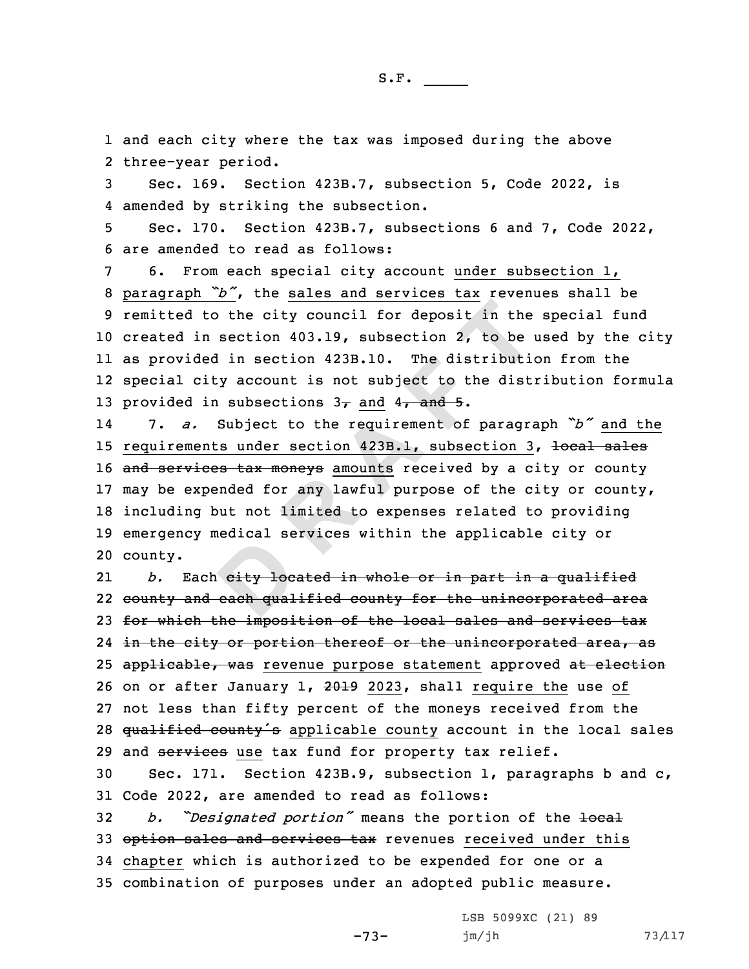1 and each city where the tax was imposed during the above 2 three-year period.

3 Sec. 169. Section 423B.7, subsection 5, Code 2022, is 4 amended by striking the subsection.

5 Sec. 170. Section 423B.7, subsections 6 and 7, Code 2022, 6 are amended to read as follows:

 6. From each special city account under subsection 1, paragraph *"b"*, the sales and services tax revenues shall be remitted to the city council for deposit in the special fund created in section 403.19, subsection 2, to be used by the city as provided in section 423B.10. The distribution from the special city account is not subject to the distribution formula 13 provided in subsections  $3<sub>\tau</sub>$  and  $4<sub>\tau</sub>$  and 5.

**Example 10** to the city council for deposit in the<br>in section 403.19, subsection 2, to be 1<br>ded in section 423B.10. The distributic<br>city account is not subject to the dist:<br>in subsections  $3\tau$  and  $4\tau$  and 5.<br>Subject t 14 7. *a.* Subject to the requirement of paragraph *"b"* and the 15 requirements under section 423B.1, subsection 3, local sales 16 and services tax moneys amounts received by a city or county 17 may be expended for any lawful purpose of the city or county, 18 including but not limited to expenses related to providing 19 emergency medical services within the applicable city or 20 county.

edicar Be<br>
eity loc.<br>
each qual 21 *b.* Each city located in whole or in part in <sup>a</sup> qualified 22 county and each qualified county for the unincorporated area 23 for which the imposition of the local sales and services tax 24 <del>in the city or portion thereof or the unincorporated area, as</del> 25 applicable, was revenue purpose statement approved at election 26 on or after January 1, 2019 2023, shall require the use of 27 not less than fifty percent of the moneys received from the 28 qualified county's applicable county account in the local sales 29 and services use tax fund for property tax relief.

30 Sec. 171. Section 423B.9, subsection 1, paragraphs b and c, 31 Code 2022, are amended to read as follows:

-73-

 *b. "Designated portion"* means the portion of the local 33 option sales and services tax revenues received under this chapter which is authorized to be expended for one or <sup>a</sup> combination of purposes under an adopted public measure.

> LSB 5099XC (21) 89 jm/jh 73/117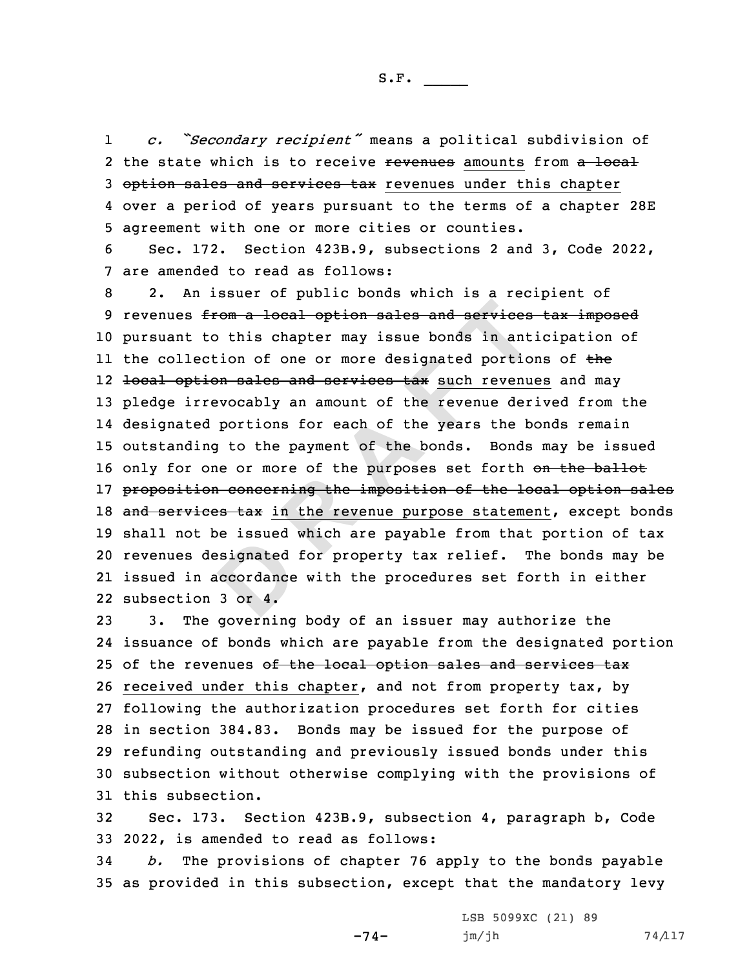1 *c. "Secondary recipient"* means <sup>a</sup> political subdivision of 2 the state which is to receive <del>revenues</del> amounts from a local 3 option sales and services tax revenues under this chapter 4 over <sup>a</sup> period of years pursuant to the terms of <sup>a</sup> chapter 28E 5 agreement with one or more cities or counties.

6 Sec. 172. Section 423B.9, subsections 2 and 3, Code 2022, 7 are amended to read as follows:

esignated<br>coordance<br>3 or 4. from a local option sales and services<br>to this chapter may issue bonds in ant<br>ection of one or more designated portion<br>tion sales and services tax such revenue<br>rrevocably an amount of the revenue der<br>ed portions for each o 8 2. An issuer of public bonds which is <sup>a</sup> recipient of 9 revenues from a local option sales and services tax imposed 10 pursuant to this chapter may issue bonds in anticipation of ll the collection of one or more designated portions of <del>th</del>e 12 <del>local option sales and services tax</del> such revenues and may 13 pledge irrevocably an amount of the revenue derived from the 14 designated portions for each of the years the bonds remain 15 outstanding to the payment of the bonds. Bonds may be issued 16 only for one or more of the purposes set forth on the ballot 17 proposition concerning the imposition of the local option sales 18 and services tax in the revenue purpose statement, except bonds 19 shall not be issued which are payable from that portion of tax 20 revenues designated for property tax relief. The bonds may be 21 issued in accordance with the procedures set forth in either 22 subsection 3 or 4.

 3. The governing body of an issuer may authorize the issuance of bonds which are payable from the designated portion 25 of the revenues of the local option sales and services tax received under this chapter, and not from property tax, by following the authorization procedures set forth for cities in section 384.83. Bonds may be issued for the purpose of refunding outstanding and previously issued bonds under this subsection without otherwise complying with the provisions of this subsection.

32 Sec. 173. Section 423B.9, subsection 4, paragraph b, Code 33 2022, is amended to read as follows:

34 *b.* The provisions of chapter 76 apply to the bonds payable 35 as provided in this subsection, except that the mandatory levy

-74-

LSB 5099XC (21) 89  $jm/jh$  74/117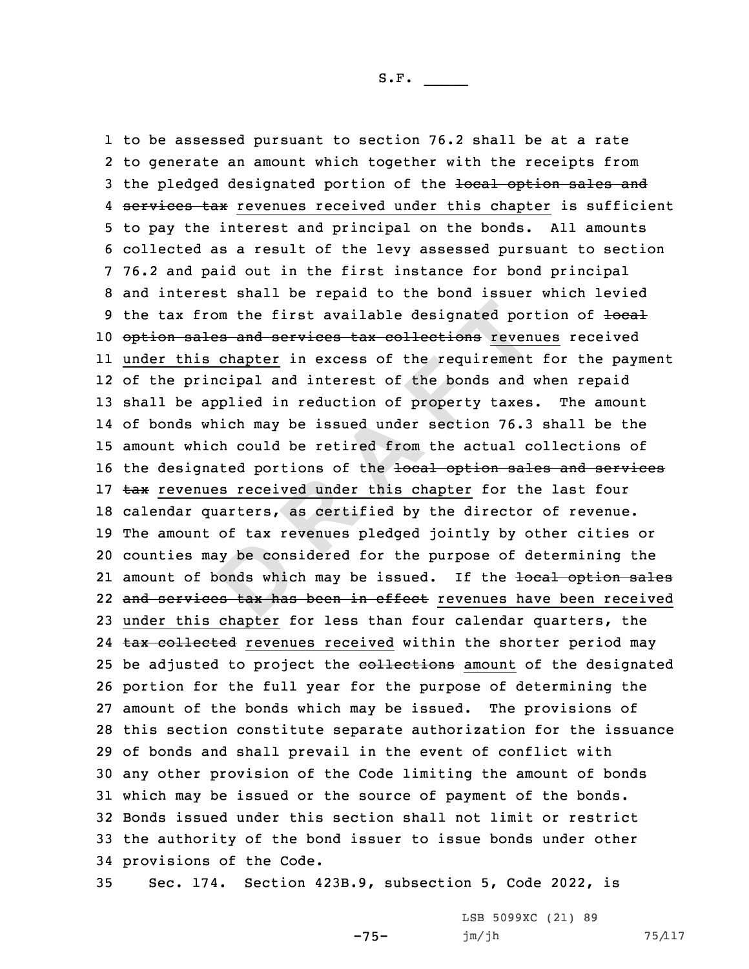ay be cons<br>
bonds which<br>
bonds which<br>
be tax has from the first available designated por<br>ales and services tax collections reven<br>is chapter in excess of the requirement<br>rincipal and interest of the bonds and a<br>applied in reduction of property taxes<br>which may be issued un to be assessed pursuant to section 76.2 shall be at <sup>a</sup> rate to generate an amount which together with the receipts from 3 the pledged designated portion of the local option sales and 4 services tax revenues received under this chapter is sufficient to pay the interest and principal on the bonds. All amounts collected as <sup>a</sup> result of the levy assessed pursuant to section 76.2 and paid out in the first instance for bond principal and interest shall be repaid to the bond issuer which levied 9 the tax from the first available designated portion of  $\frac{1}{10}$ 10 option sales and services tax collections revenues received under this chapter in excess of the requirement for the payment of the principal and interest of the bonds and when repaid shall be applied in reduction of property taxes. The amount of bonds which may be issued under section 76.3 shall be the amount which could be retired from the actual collections of 16 the designated portions of the local option sales and services 17 tax revenues received under this chapter for the last four calendar quarters, as certified by the director of revenue. The amount of tax revenues pledged jointly by other cities or counties may be considered for the purpose of determining the 21 amount of bonds which may be issued. If the <del>local option sales</del> 22 <del>and services tax has been in effect</del> revenues have been received under this chapter for less than four calendar quarters, the 24 tax collected revenues received within the shorter period may 25 be adjusted to project the collections amount of the designated portion for the full year for the purpose of determining the amount of the bonds which may be issued. The provisions of this section constitute separate authorization for the issuance of bonds and shall prevail in the event of conflict with any other provision of the Code limiting the amount of bonds which may be issued or the source of payment of the bonds. Bonds issued under this section shall not limit or restrict the authority of the bond issuer to issue bonds under other provisions of the Code.

35 Sec. 174. Section 423B.9, subsection 5, Code 2022, is

-75-

LSB 5099XC (21) 89 jm/jh 75/117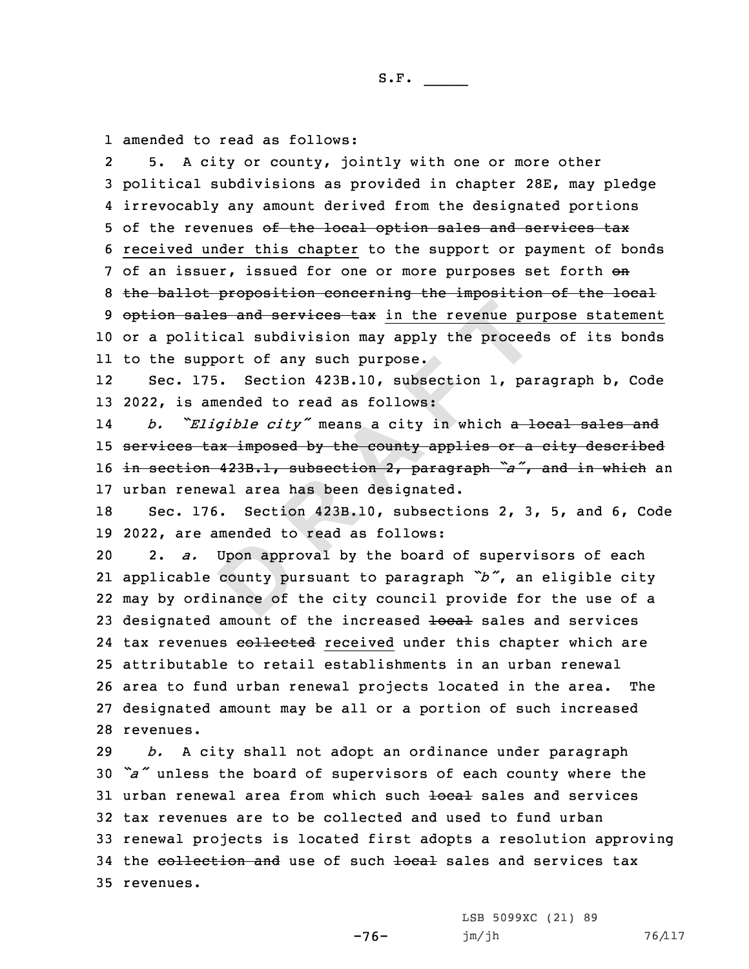1 amended to read as follows:

2 5. <sup>A</sup> city or county, jointly with one or more other 3 political subdivisions as provided in chapter 28E, may pledge 4 irrevocably any amount derived from the designated portions 5 of the revenues of the local option sales and services tax 6 received under this chapter to the support or payment of bonds 7 of an issuer, issued for one or more purposes set forth on 8 the ballot proposition concerning the imposition of the local 9 option sales and services tax in the revenue purpose statement 10 or <sup>a</sup> political subdivision may apply the proceeds of its bonds 11 to the support of any such purpose.

12 Sec. 175. Section 423B.10, subsection 1, paragraph b, Code 13 2022, is amended to read as follows:

ales and services tax in the revenue puricial subdivision may apply the proceed<br>itical subdivision may apply the proceed<br>upport of any such purpose.<br>175. Section 423B.10, subsection 1, paramended to read as follows:<br>Eligib 14 *b. "Eligible city"* means <sup>a</sup> city in which <sup>a</sup> local sales and 15 services tax imposed by the county applies or a city described <sup>16</sup> in section 423B.1, subsection 2, paragraph *"a"*, and in which an 17 urban renewal area has been designated.

18 Sec. 176. Section 423B.10, subsections 2, 3, 5, and 6, Code 19 2022, are amended to read as follows:

Upon approximate to Upon approximate of 2. *a.* Upon approval by the board of supervisors of each applicable county pursuant to paragraph *"b"*, an eligible city may by ordinance of the city council provide for the use of <sup>a</sup> 23 designated amount of the increased local sales and services 24 tax revenues <del>collected</del> received under this chapter which are attributable to retail establishments in an urban renewal area to fund urban renewal projects located in the area. The designated amount may be all or <sup>a</sup> portion of such increased revenues.

 *b.* <sup>A</sup> city shall not adopt an ordinance under paragraph *"a"* unless the board of supervisors of each county where the 31 urban renewal area from which such <del>local</del> sales and services tax revenues are to be collected and used to fund urban renewal projects is located first adopts <sup>a</sup> resolution approving 34 the collection and use of such local sales and services tax revenues.

-76-

LSB 5099XC (21) 89 jm/jh 76/117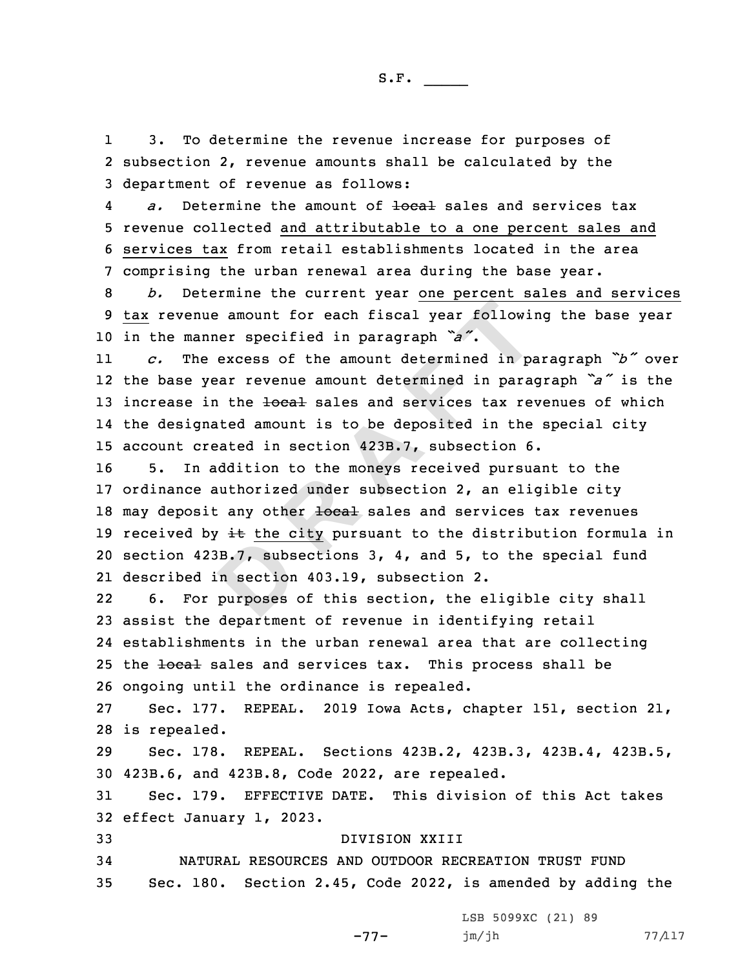1 3. To determine the revenue increase for purposes of 2 subsection 2, revenue amounts shall be calculated by the 3 department of revenue as follows:

4a. Determine the amount of <del>local</del> sales and services tax 5 revenue collected and attributable to <sup>a</sup> one percent sales and 6 services tax from retail establishments located in the area 7 comprising the urban renewal area during the base year.

8 *b.* Determine the current year one percent sales and services 9 tax revenue amount for each fiscal year following the base year <sup>10</sup> in the manner specified in paragraph *"a"*.

11 *c.* The excess of the amount determined in paragraph *"b"* over 12 the base year revenue amount determined in paragraph *"a"* is the 13 increase in the local sales and services tax revenues of which 14 the designated amount is to be deposited in the special city 15 account created in section 423B.7, subsection 6.

B.7, subs<br>n section<br>purposes nue amount for each fiscal year following<br>
nue amount for each fiscal year following<br>
nue amount determined in para<br>
year revenue amount determined in para<br>
in the <del>local</del> sales and services tax revenued amount is to be de 16 5. In addition to the moneys received pursuant to the 17 ordinance authorized under subsection 2, an eligible city 18 may deposit any other local sales and services tax revenues 19 received by  $\pm\epsilon$  the city pursuant to the distribution formula in 20 section 423B.7, subsections 3, 4, and 5, to the special fund 21 described in section 403.19, subsection 2.

22 6. For purposes of this section, the eligible city shall 23 assist the department of revenue in identifying retail 24 establishments in the urban renewal area that are collecting 25 the local sales and services tax. This process shall be 26 ongoing until the ordinance is repealed.

27 Sec. 177. REPEAL. 2019 Iowa Acts, chapter 151, section 21, 28 is repealed.

29 Sec. 178. REPEAL. Sections 423B.2, 423B.3, 423B.4, 423B.5, 30 423B.6, and 423B.8, Code 2022, are repealed.

31 Sec. 179. EFFECTIVE DATE. This division of this Act takes 32 effect January 1, 2023.

33 DIVISION XXIII

34 NATURAL RESOURCES AND OUTDOOR RECREATION TRUST FUND 35 Sec. 180. Section 2.45, Code 2022, is amended by adding the

-77-

LSB 5099XC (21) 89  $jm/jh$  77/117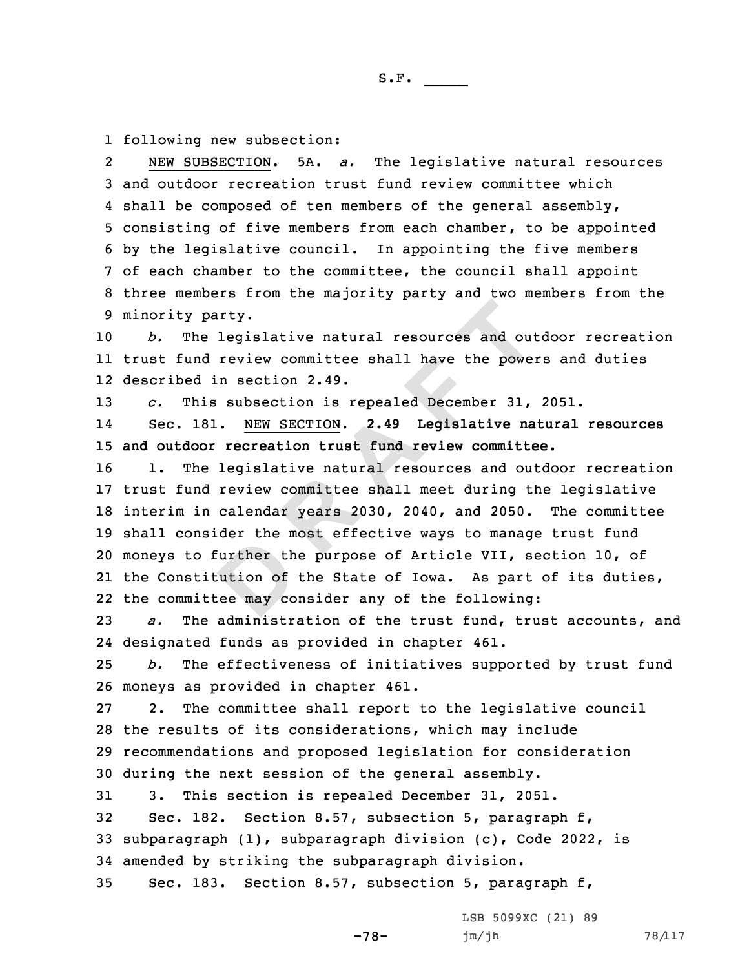1 following new subsection:

2 NEW SUBSECTION. 5A. *a.* The legislative natural resources and outdoor recreation trust fund review committee which 4 shall be composed of ten members of the general assembly, consisting of five members from each chamber, to be appointed by the legislative council. In appointing the five members of each chamber to the committee, the council shall appoint three members from the majority party and two members from the minority party.

10 *b.* The legislative natural resources and outdoor recreation 11 trust fund review committee shall have the powers and duties 12 described in section 2.49.

13 *c.* This subsection is repealed December 31, 2051.

14 Sec. 181. NEW SECTION. **2.49 Legislative natural resources** 15 **and outdoor recreation trust fund review committee.**

Exact the minimized the minimized the magnetic state of the magnetic state of the magnetic state of the magnetic state of the magnetic state of the magnetic state of the magnetic state of the magnetic state of the magnetic party.<br>
he legislative natural resources and out<br>
nd review committee shall have the powe<br>
d in section 2.49.<br>
his subsection is repealed December 31,<br>
181. <u>NEW SECTION</u>. 2.49 Legislative na<br>
poor recreation trust fund re 1. The legislative natural resources and outdoor recreation trust fund review committee shall meet during the legislative interim in calendar years 2030, 2040, and 2050. The committee shall consider the most effective ways to manage trust fund moneys to further the purpose of Article VII, section 10, of the Constitution of the State of Iowa. As part of its duties, the committee may consider any of the following:

23 *a.* The administration of the trust fund, trust accounts, and 24 designated funds as provided in chapter 461.

25 *b.* The effectiveness of initiatives supported by trust fund 26 moneys as provided in chapter 461.

 2. The committee shall report to the legislative council the results of its considerations, which may include recommendations and proposed legislation for consideration during the next session of the general assembly.

 3. This section is repealed December 31, 2051. Sec. 182. Section 8.57, subsection 5, paragraph f, subparagraph (1), subparagraph division (c), Code 2022, is amended by striking the subparagraph division.

-78-

35 Sec. 183. Section 8.57, subsection 5, paragraph f,

LSB 5099XC (21) 89 jm/jh 78/117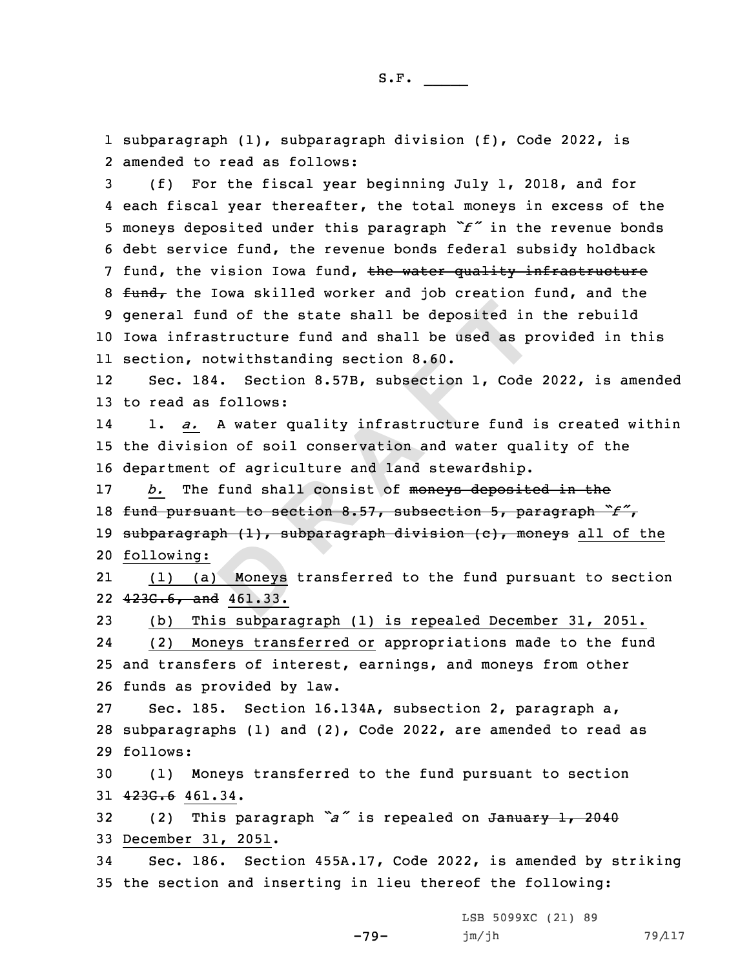1 subparagraph (1), subparagraph division (f), Code 2022, is 2 amended to read as follows:

 (f) For the fiscal year beginning July 1, 2018, and for each fiscal year thereafter, the total moneys in excess of the moneys deposited under this paragraph *"f"* in the revenue bonds debt service fund, the revenue bonds federal subsidy holdback 7 fund, the vision Iowa fund, the water quality infrastructure  $fund<sub>r</sub>$  the Iowa skilled worker and job creation fund, and the general fund of the state shall be deposited in the rebuild Iowa infrastructure fund and shall be used as provided in this section, notwithstanding section 8.60.

12 Sec. 184. Section 8.57B, subsection 1, Code 2022, is amended 13 to read as follows:

14 1. *a.* <sup>A</sup> water quality infrastructure fund is created within 15 the division of soil conservation and water quality of the 16 department of agriculture and land stewardship.

fund of the state shall be deposited in<br>rastructure fund and shall be used as p<br>notwithstanding section 8.60.<br>184. Section 8.57B, subsection 1, Code<br>as follows:<br> $\frac{1}{\sqrt{2}}$  A water quality infrastructure fund<br>sion of soi 17 *b.* The fund shall consist of moneys deposited in the <sup>18</sup> fund pursuant to section 8.57, subsection 5, paragraph *"f"*, 19 subparagraph  $(1)$ , subparagraph division  $(c)$ , moneys all of the 20 following:

Moneys<br>
<u>Moneys</u><br>
<u>461.33.</u> 21 (1) (a) Moneys transferred to the fund pursuant to section 22 423G.6, and 461.33.

23 (b) This subparagraph (1) is repealed December 31, 2051.

24 (2) Moneys transferred or appropriations made to the fund 25 and transfers of interest, earnings, and moneys from other 26 funds as provided by law.

27 Sec. 185. Section 16.134A, subsection 2, paragraph a, 28 subparagraphs (1) and (2), Code 2022, are amended to read as 29 follows:

30 (1) Moneys transferred to the fund pursuant to section 31 423G.6 461.34.

<sup>32</sup> (2) This paragraph *"a"* is repealed on January 1, <sup>2040</sup> 33 December 31, 2051.

34 Sec. 186. Section 455A.17, Code 2022, is amended by striking 35 the section and inserting in lieu thereof the following:

LSB 5099XC (21) 89

-79-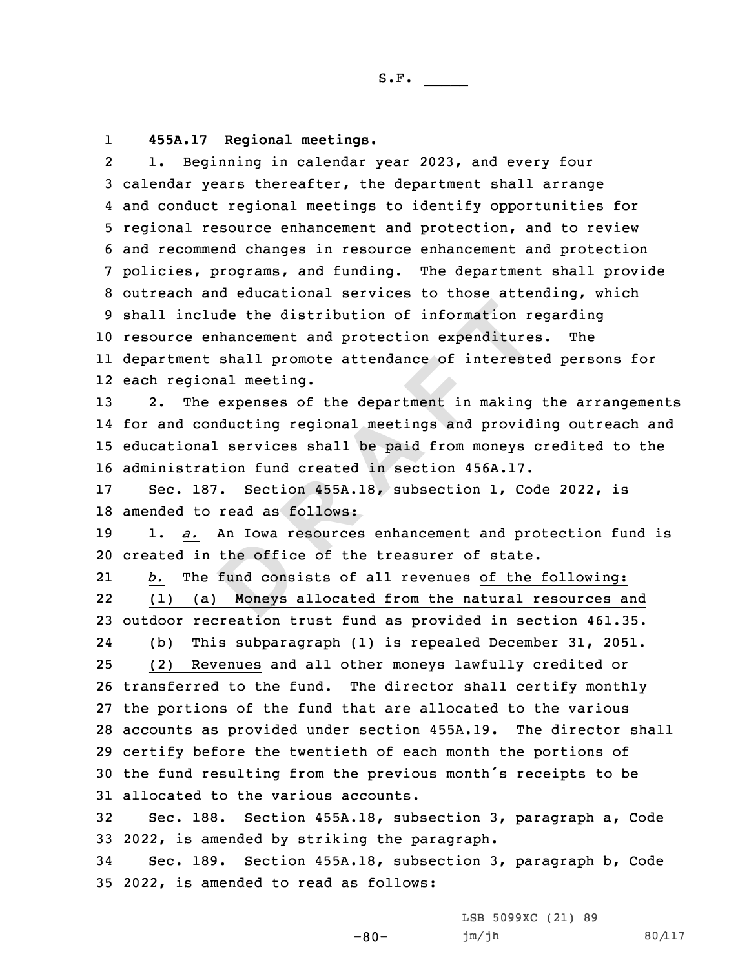## 1**455A.17 Regional meetings.**

clude the distribution of information represented the distribution of information represent than and protection expenditure in the expenses of the department in making conducting regional meetings and provid nal services s 2 1. Beginning in calendar year 2023, and every four calendar years thereafter, the department shall arrange and conduct regional meetings to identify opportunities for regional resource enhancement and protection, and to review and recommend changes in resource enhancement and protection policies, programs, and funding. The department shall provide outreach and educational services to those attending, which shall include the distribution of information regarding resource enhancement and protection expenditures. The department shall promote attendance of interested persons for each regional meeting.

13 2. The expenses of the department in making the arrangements for and conducting regional meetings and providing outreach and educational services shall be paid from moneys credited to the administration fund created in section 456A.17.

17 Sec. 187. Section 455A.18, subsection 1, Code 2022, is 18 amended to read as follows:

19 1. *a.* An Iowa resources enhancement and protection fund is 20 created in the office of the treasurer of state.

the offic<br>
fund cons<br>
<u>Moneys</u> 21b. The fund consists of all revenues of the following: 22 (1) (a) Moneys allocated from the natural resources and 23 outdoor recreation trust fund as provided in section 461.35.

24(b) This subparagraph (1) is repealed December 31, 2051.

25 (2) Revenues and  $aH$  other moneys lawfully credited or transferred to the fund. The director shall certify monthly the portions of the fund that are allocated to the various accounts as provided under section 455A.19. The director shall certify before the twentieth of each month the portions of the fund resulting from the previous month's receipts to be allocated to the various accounts.

32 Sec. 188. Section 455A.18, subsection 3, paragraph a, Code 33 2022, is amended by striking the paragraph.

34 Sec. 189. Section 455A.18, subsection 3, paragraph b, Code 35 2022, is amended to read as follows:

> LSB 5099XC (21) 89 jm/jh 80/117

-80-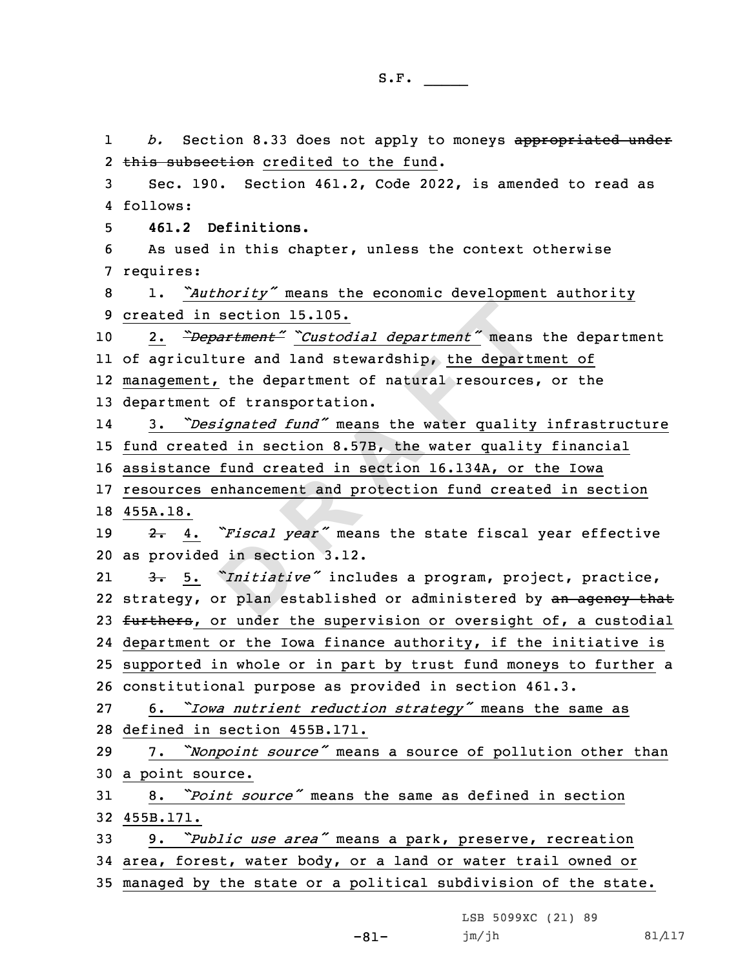d in section<br> *D*<sub>*Initiative*<br> *D*<sub>I</sub> planes</sub> **Example 15.105.**<br> **Repartment**<br> **Repartment**<br> **Repartment**<br> **Repartment**<br> **Repartment**<br> **Repartment**<br> **Repartment**<br> **Repartment**<br> **Repartment**<br> **Repartment**<br> **Repartment**<br> **Repartment**<br> **Repartment**<br> **Repartment**<br> **Repart** 1 *b.* Section 8.33 does not apply to moneys appropriated under 2 this subsection credited to the fund. Sec. 190. Section 461.2, Code 2022, is amended to read as 4 follows: **461.2 Definitions.** As used in this chapter, unless the context otherwise requires: 1. *"Authority"* means the economic development authority created in section 15.105. 2. *"Department" "Custodial department"* means the department of agriculture and land stewardship, the department of management, the department of natural resources, or the department of transportation. 14 3. *"Designated fund"* means the water quality infrastructure fund created in section 8.57B, the water quality financial assistance fund created in section 16.134A, or the Iowa resources enhancement and protection fund created in section 18 455A.18. 2. 4. *"Fiscal year"* means the state fiscal year effective as provided in section 3.12. 21 3. 5. *"Initiative"* includes <sup>a</sup> program, project, practice, 22 strategy, or plan established or administered by an agency that 23 furthers, or under the supervision or oversight of, a custodial department or the Iowa finance authority, if the initiative is supported in whole or in part by trust fund moneys to further <sup>a</sup> constitutional purpose as provided in section 461.3. 6. *"Iowa nutrient reduction strategy"* means the same as defined in section 455B.171. 7. *"Nonpoint source"* means <sup>a</sup> source of pollution other than <sup>a</sup> point source. 8. *"Point source"* means the same as defined in section 455B.171. 9. *"Public use area"* means <sup>a</sup> park, preserve, recreation area, forest, water body, or <sup>a</sup> land or water trail owned or managed by the state or <sup>a</sup> political subdivision of the state.

LSB 5099XC (21) 89

jm/jh 81/117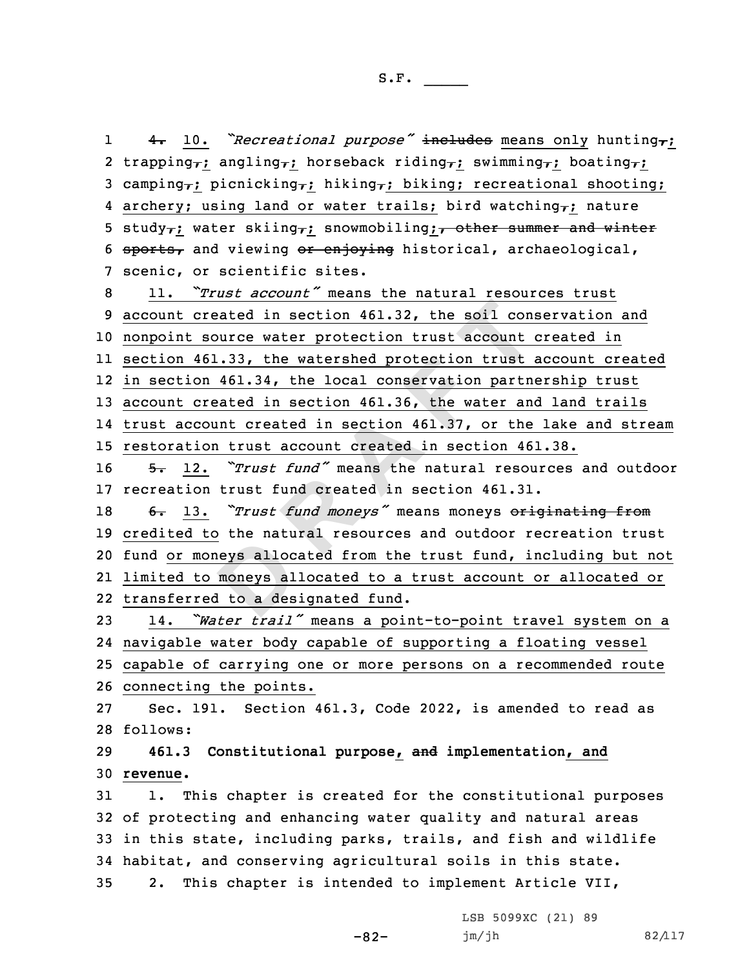eys alloc<br>
moneys al<br>
l to a des created in section 461.32, the soil consequence water protection trust account 461.33, the watershed protection trust account  $461.33$ , the watershed protection trust on 461.34, the local conservation partner created in se 1 4. 10. *"Recreational purpose"* includes means only hunting,; 2 trapping,; angling,; horseback riding,; swimming,; boating,; 3 camping<sub> $\tau$ </sub>; picnicking<sub> $\tau$ </sub>; hiking<sub> $\tau$ </sub>; biking; recreational shooting; 4 archery; using land or water trails; bird watching<sub>7</sub>; nature 5 study<sub>7</sub>; water skiing<sub>7</sub>; snowmobiling; other summer and winter 6 sports, and viewing or enjoying historical, archaeological, scenic, or scientific sites. 11. *"Trust account"* means the natural resources trust account created in section 461.32, the soil conservation and nonpoint source water protection trust account created in section 461.33, the watershed protection trust account created in section 461.34, the local conservation partnership trust account created in section 461.36, the water and land trails trust account created in section 461.37, or the lake and stream restoration trust account created in section 461.38. 5. 12. *"Trust fund"* means the natural resources and outdoor recreation trust fund created in section 461.31. 6. 13. *"Trust fund moneys"* means moneys originating from credited to the natural resources and outdoor recreation trust fund or moneys allocated from the trust fund, including but not limited to moneys allocated to <sup>a</sup> trust account or allocated or transferred to <sup>a</sup> designated fund. 14. *"Water trail"* means <sup>a</sup> point-to-point travel system on <sup>a</sup> navigable water body capable of supporting <sup>a</sup> floating vessel capable of carrying one or more persons on <sup>a</sup> recommended route connecting the points. Sec. 191. Section 461.3, Code 2022, is amended to read as 28 follows: **461.3 Constitutional purpose, and implementation, and** 30 **revenue.** 1. This chapter is created for the constitutional purposes of protecting and enhancing water quality and natural areas in this state, including parks, trails, and fish and wildlife habitat, and conserving agricultural soils in this state. 2. This chapter is intended to implement Article VII,

 $-82-$ 

LSB 5099XC (21) 89 jm/jh 82/117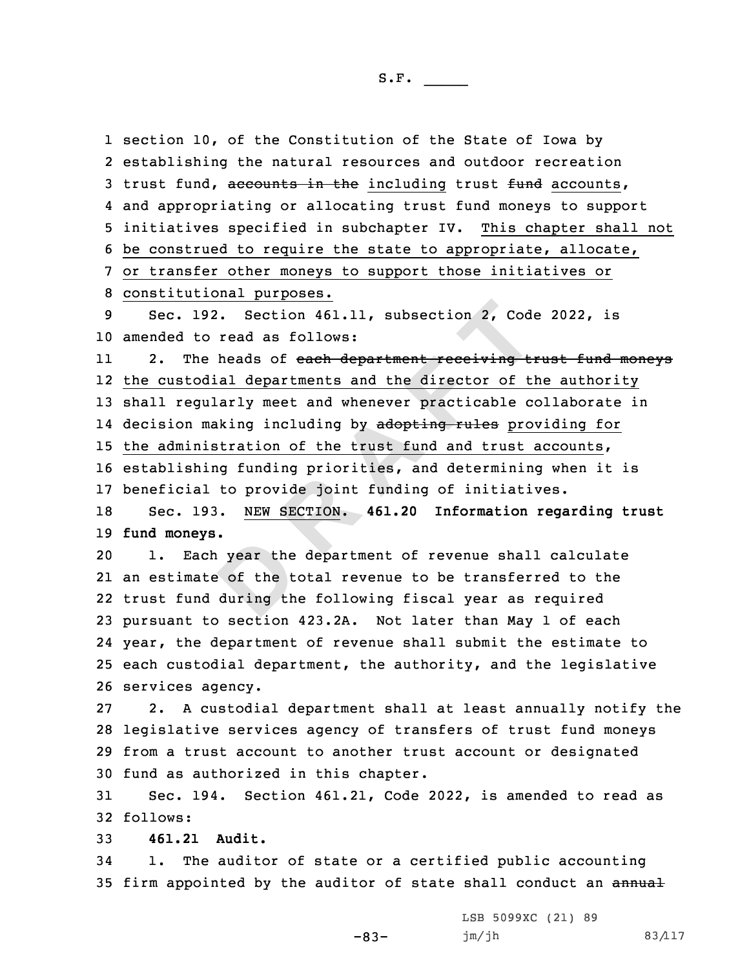exterpture the<br> **D**<br>
during the<br>
during the 192. Section 461.11, subsection 2, Code<br>to read as follows:<br>he heads of each department receiving to<br>odial departments and the director of ti<br>gularly meet and whenever practicable cornaking including by adopting rules pro<br> section 10, of the Constitution of the State of Iowa by establishing the natural resources and outdoor recreation 3 trust fund, accounts in the including trust fund accounts, and appropriating or allocating trust fund moneys to support initiatives specified in subchapter IV. This chapter shall not be construed to require the state to appropriate, allocate, or transfer other moneys to support those initiatives or constitutional purposes. Sec. 192. Section 461.11, subsection 2, Code 2022, is amended to read as follows: 112. The heads of each department receiving trust fund moneys the custodial departments and the director of the authority shall regularly meet and whenever practicable collaborate in 14 decision making including by <del>adopting rules</del> providing for the administration of the trust fund and trust accounts, establishing funding priorities, and determining when it is beneficial to provide joint funding of initiatives. Sec. 193. NEW SECTION. **461.20 Information regarding trust fund moneys.** 1. Each year the department of revenue shall calculate an estimate of the total revenue to be transferred to the trust fund during the following fiscal year as required pursuant to section 423.2A. Not later than May 1 of each year, the department of revenue shall submit the estimate to each custodial department, the authority, and the legislative services agency. 2. <sup>A</sup> custodial department shall at least annually notify the legislative services agency of transfers of trust fund moneys from <sup>a</sup> trust account to another trust account or designated fund as authorized in this chapter. Sec. 194. Section 461.21, Code 2022, is amended to read as 32 follows: **461.21 Audit.**

34 1. The auditor of state or <sup>a</sup> certified public accounting 35 firm appointed by the auditor of state shall conduct an annual

-83-

LSB 5099XC (21) 89 jm/jh 83/117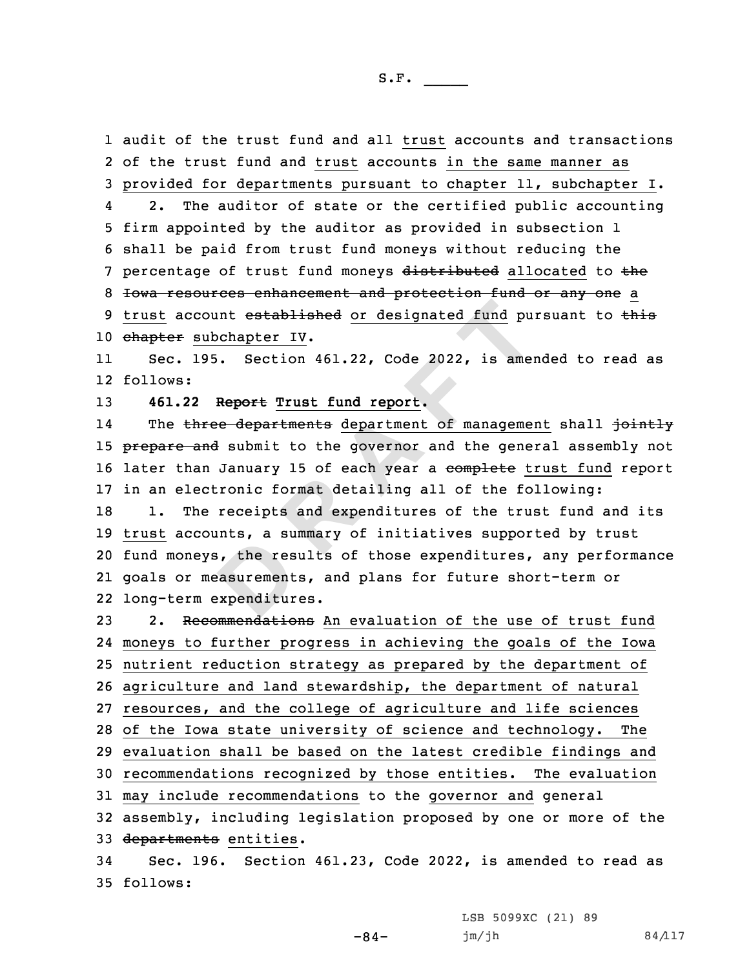1 audit of the trust fund and all trust accounts and transactions

b, the rest<br>easurement<br>expenditur count established or designated fund pu<br>
subchapter IV.<br>
195. Section 461.22, Code 2022, is amer<br>
2 Report Trust fund report.<br>
Aree departments department of management<br>
and submit to the governor and the general<br>
and subm 2 of the trust fund and trust accounts in the same manner as 3 provided for departments pursuant to chapter 11, subchapter I. 4 2. The auditor of state or the certified public accounting 5 firm appointed by the auditor as provided in subsection 1 6 shall be paid from trust fund moneys without reducing the 7 percentage of trust fund moneys distributed allocated to the 8 <del>Iowa resources enhancement and protection fund or any one</del> a 9 trust account established or designated fund pursuant to this 10 chapter subchapter IV. 11 Sec. 195. Section 461.22, Code 2022, is amended to read as 12 follows: 13 **461.22 Report Trust fund report.** 14The three departments department of management shall jointly 15 prepare and submit to the governor and the general assembly not 16 later than January 15 of each year a complete trust fund report 17 in an electronic format detailing all of the following: 18 1. The receipts and expenditures of the trust fund and its 19 trust accounts, <sup>a</sup> summary of initiatives supported by trust 20 fund moneys, the results of those expenditures, any performance 21 goals or measurements, and plans for future short-term or 22 long-term expenditures. 23 2. Recommendations An evaluation of the use of trust fund 24 moneys to further progress in achieving the goals of the Iowa 25 nutrient reduction strategy as prepared by the department of 26 agriculture and land stewardship, the department of natural 27 resources, and the college of agriculture and life sciences 28 of the Iowa state university of science and technology. The 29 evaluation shall be based on the latest credible findings and 30 recommendations recognized by those entities. The evaluation 31 may include recommendations to the governor and general 32 assembly, including legislation proposed by one or more of the

33 departments entities.

34 Sec. 196. Section 461.23, Code 2022, is amended to read as 35 follows:

LSB 5099XC (21) 89

 $-84-$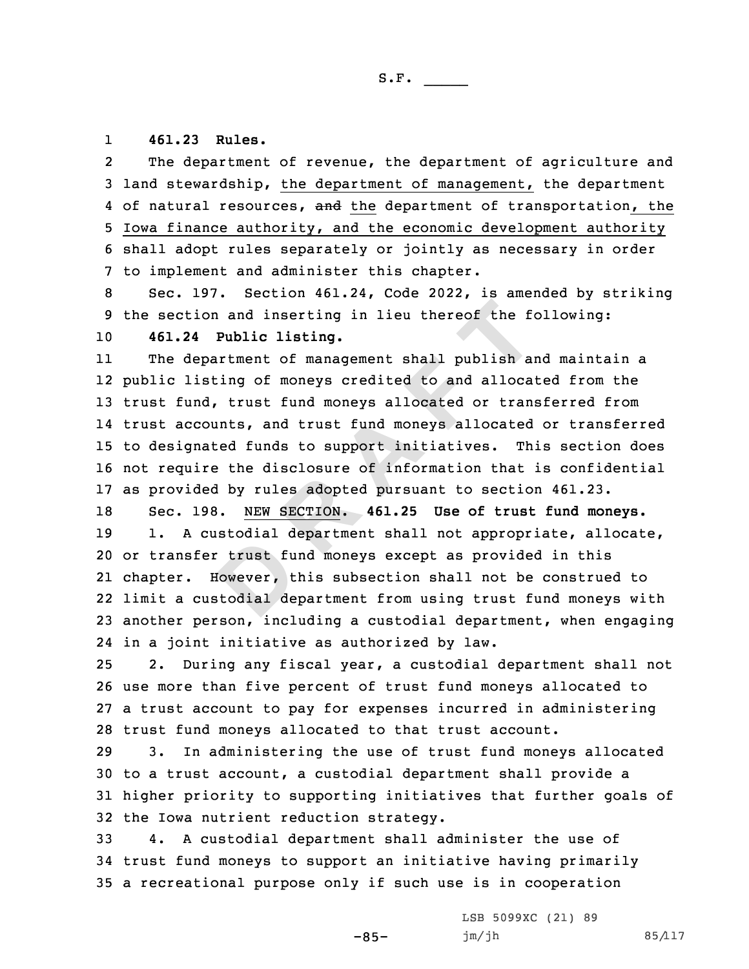## 1**461.23 Rules.**

2 The department of revenue, the department of agriculture and 3 land stewardship, the department of management, the department 4 of natural resources, and the department of transportation, the 5 Iowa finance authority, and the economic development authority 6 shall adopt rules separately or jointly as necessary in order 7 to implement and administer this chapter.

8 Sec. 197. Section 461.24, Code 2022, is amended by striking 9 the section and inserting in lieu thereof the following: 10 **461.24 Public listing.**

ion and inserting in lieu thereof the following a partment of management shall publish and isting of moneys credited to and allocand, trust fund moneys allocated or transcounts, and trust fund moneys allocated or transcoun 11 The department of management shall publish and maintain <sup>a</sup> public listing of moneys credited to and allocated from the trust fund, trust fund moneys allocated or transferred from trust accounts, and trust fund moneys allocated or transferred to designated funds to support initiatives. This section does not require the disclosure of information that is confidential as provided by rules adopted pursuant to section 461.23.

**Example 1**<br> **Example 1**<br> **Example 1**<br> **Example 1**<br> **Example 1**  Sec. 198. NEW SECTION. **461.25 Use of trust fund moneys.** 19 1. A custodial department shall not appropriate, allocate, or transfer trust fund moneys except as provided in this chapter. However, this subsection shall not be construed to limit <sup>a</sup> custodial department from using trust fund moneys with another person, including <sup>a</sup> custodial department, when engaging in <sup>a</sup> joint initiative as authorized by law.

 2. During any fiscal year, <sup>a</sup> custodial department shall not use more than five percent of trust fund moneys allocated to <sup>a</sup> trust account to pay for expenses incurred in administering trust fund moneys allocated to that trust account.

 3. In administering the use of trust fund moneys allocated to <sup>a</sup> trust account, <sup>a</sup> custodial department shall provide <sup>a</sup> higher priority to supporting initiatives that further goals of the Iowa nutrient reduction strategy.

33 4. <sup>A</sup> custodial department shall administer the use of 34 trust fund moneys to support an initiative having primarily 35 <sup>a</sup> recreational purpose only if such use is in cooperation

 $-85-$ 

LSB 5099XC (21) 89 jm/jh 85/117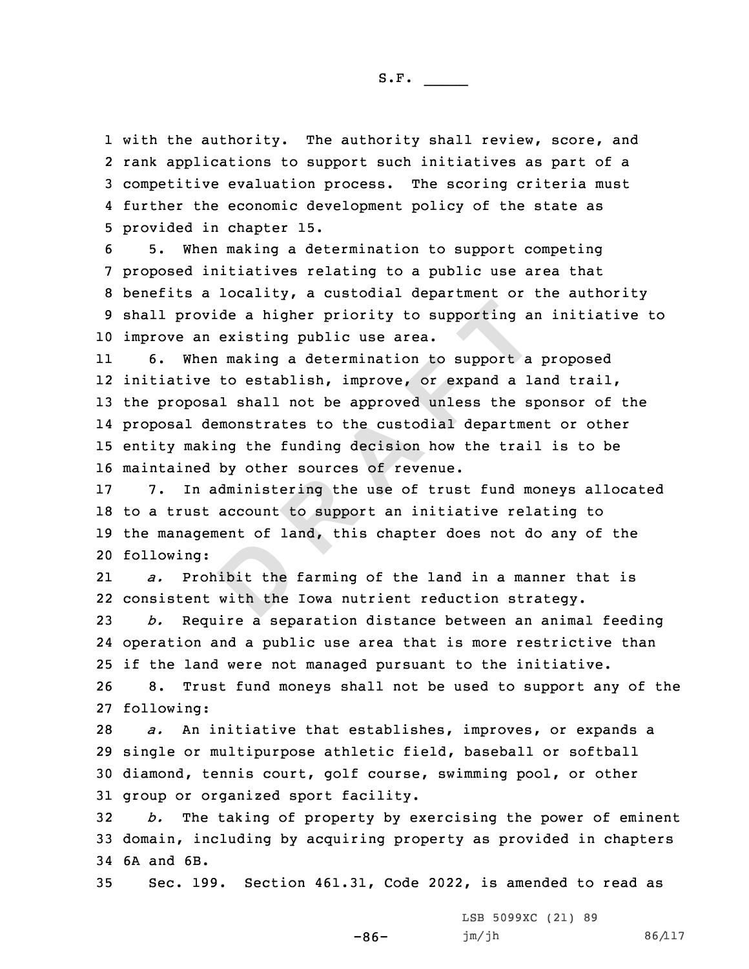with the authority. The authority shall review, score, and rank applications to support such initiatives as part of <sup>a</sup> competitive evaluation process. The scoring criteria must further the economic development policy of the state as provided in chapter 15.

 5. When making <sup>a</sup> determination to support competing proposed initiatives relating to <sup>a</sup> public use area that benefits <sup>a</sup> locality, <sup>a</sup> custodial department or the authority shall provide <sup>a</sup> higher priority to supporting an initiative to improve an existing public use area.

ovide a higher priority to supporting as<br>an existing public use area.<br>hen making a determination to support a<br>ve to establish, improve, or expand a la<br>osal shall not be approved unless the s<sub>1</sub><br>demonstrates to the custodia 11 6. When making <sup>a</sup> determination to support <sup>a</sup> proposed initiative to establish, improve, or expand <sup>a</sup> land trail, the proposal shall not be approved unless the sponsor of the proposal demonstrates to the custodial department or other entity making the funding decision how the trail is to be maintained by other sources of revenue.

 7. In administering the use of trust fund moneys allocated to <sup>a</sup> trust account to support an initiative relating to the management of land, this chapter does not do any of the following:

ibit the<br>with the<br>. 21 *a.* Prohibit the farming of the land in <sup>a</sup> manner that is 22 consistent with the Iowa nutrient reduction strategy.

 *b.* Require <sup>a</sup> separation distance between an animal feeding operation and <sup>a</sup> public use area that is more restrictive than if the land were not managed pursuant to the initiative. 8. Trust fund moneys shall not be used to support any of the

27 following:

 *a.* An initiative that establishes, improves, or expands <sup>a</sup> single or multipurpose athletic field, baseball or softball diamond, tennis court, golf course, swimming pool, or other group or organized sport facility.

32 *b.* The taking of property by exercising the power of eminent 33 domain, including by acquiring property as provided in chapters 34 6A and 6B.

35 Sec. 199. Section 461.31, Code 2022, is amended to read as

-86-

LSB 5099XC (21) 89 jm/jh 86/117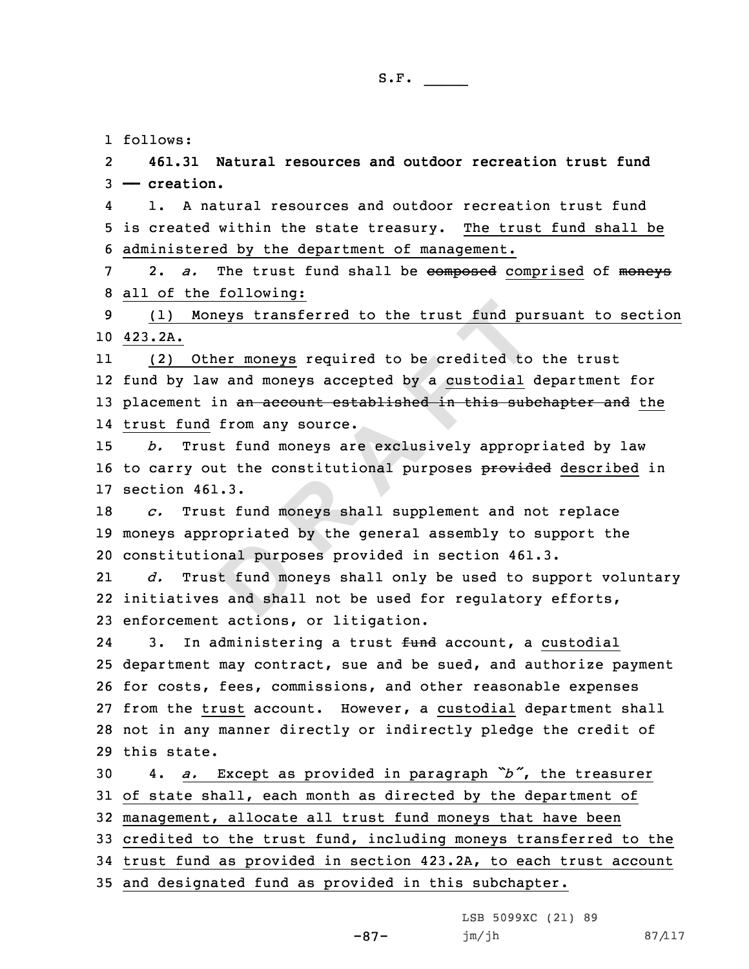1 follows:

2 **461.31 Natural resources and outdoor recreation trust fund** 3 **—— creation.**

4 1. A natural resources and outdoor recreation trust fund 5 is created within the state treasury. The trust fund shall be 6 administered by the department of management.

7 2. *a.* The trust fund shall be composed comprised of moneys 8 all of the following:

9 (1) Moneys transferred to the trust fund pursuant to section 10 423.2A.

Moneys transferred to the trust fund purinted to the trust fund purinted to the moneys required to be credited to law and moneys accepted by a <u>custodial</u> of the and from any source.<br>The from any source and from any source 11 (2) Other moneys required to be credited to the trust 12 fund by law and moneys accepted by <sup>a</sup> custodial department for 13 placement in an account established in this subchapter and the 14 trust fund from any source.

15 *b.* Trust fund moneys are exclusively appropriated by law 16 to carry out the constitutional purposes provided described in 17 section 461.3.

18 *c.* Trust fund moneys shall supplement and not replace 19 moneys appropriated by the general assembly to support the 20 constitutional purposes provided in section 461.3.

**D**21 *d.* Trust fund moneys shall only be used to support voluntary 22 initiatives and shall not be used for regulatory efforts, 23 enforcement actions, or litigation.

243. In administering a trust fund account, a custodial department may contract, sue and be sued, and authorize payment for costs, fees, commissions, and other reasonable expenses from the trust account. However, <sup>a</sup> custodial department shall not in any manner directly or indirectly pledge the credit of this state.

 4. *a.* Except as provided in paragraph *"b"*, the treasurer of state shall, each month as directed by the department of management, allocate all trust fund moneys that have been credited to the trust fund, including moneys transferred to the trust fund as provided in section 423.2A, to each trust account and designated fund as provided in this subchapter.

-87-

LSB 5099XC (21) 89 jm/jh 87/117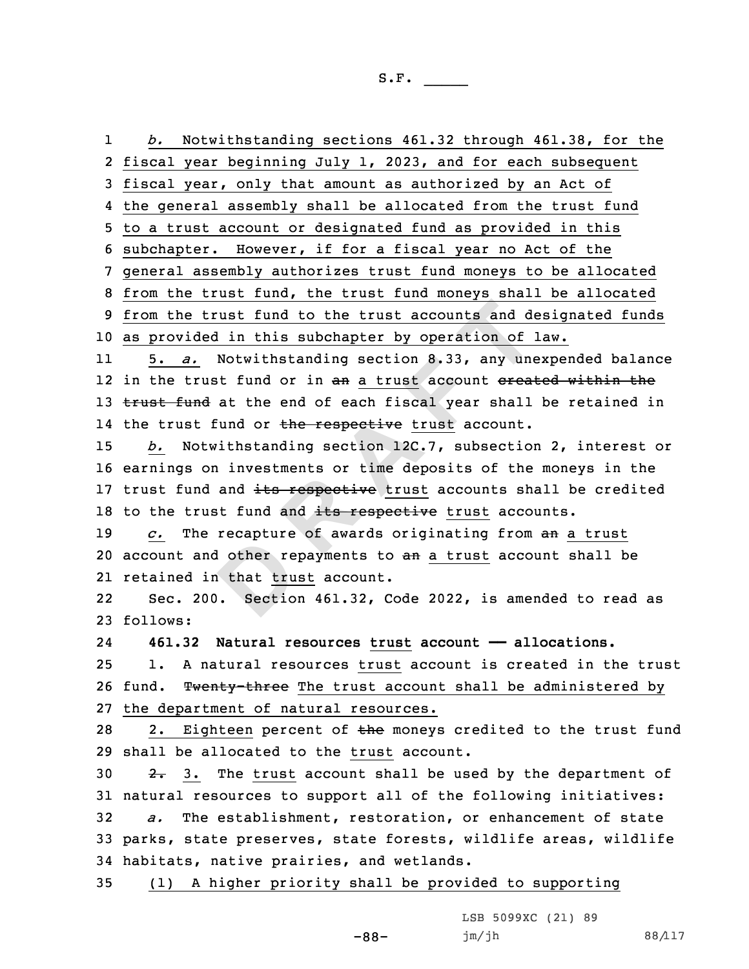d other re<br>
n that <u>tru</u><br>
. Sectio **<sup>R</sup> <sup>A</sup> <sup>F</sup> <sup>T</sup>** 1 *b.* Notwithstanding sections 461.32 through 461.38, for the 2 fiscal year beginning July 1, 2023, and for each subsequent 3 fiscal year, only that amount as authorized by an Act of 4 the general assembly shall be allocated from the trust fund 5 to <sup>a</sup> trust account or designated fund as provided in this 6 subchapter. However, if for <sup>a</sup> fiscal year no Act of the 7 general assembly authorizes trust fund moneys to be allocated 8 from the trust fund, the trust fund moneys shall be allocated 9 from the trust fund to the trust accounts and designated funds 10 as provided in this subchapter by operation of law. 11 5. *a.* Notwithstanding section 8.33, any unexpended balance 12 in the trust fund or in an a trust account <del>created within the</del> 13 trust fund at the end of each fiscal year shall be retained in 14 the trust fund or <del>the respective</del> trust account. 15 *b.* Notwithstanding section 12C.7, subsection 2, interest or 16 earnings on investments or time deposits of the moneys in the 17 trust fund and its respective trust accounts shall be credited 18 to the trust fund and its respective trust accounts. 19 *c.* The recapture of awards originating from an <sup>a</sup> trust 20 account and other repayments to an a trust account shall be 21 retained in that trust account. 22 Sec. 200. Section 461.32, Code 2022, is amended to read as 23 follows: 24 **461.32 Natural resources trust account —— allocations.** 25 1. A natural resources trust account is created in the trust 26 fund. Twenty-three The trust account shall be administered by 27 the department of natural resources. 28 2. Eighteen percent of the moneys credited to the trust fund 29 shall be allocated to the trust account. 30  $2.3.$  The trust account shall be used by the department of 31 natural resources to support all of the following initiatives:

32 *a.* The establishment, restoration, or enhancement of state 33 parks, state preserves, state forests, wildlife areas, wildlife 34 habitats, native prairies, and wetlands.

35 (1) <sup>A</sup> higher priority shall be provided to supporting

-88-

LSB 5099XC (21) 89 jm/jh 88/117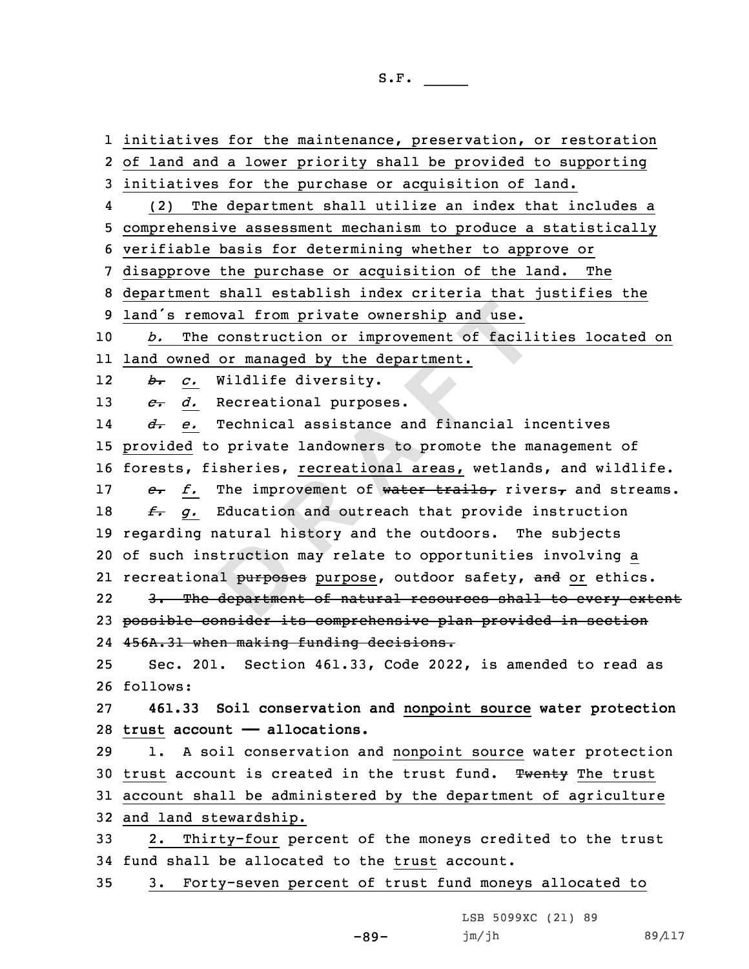diction<br>Diffunction<br>Diffunction<br>Diffunction **EXECUTE:**<br> **REGENTERE 12 CONCIDENT:**<br> **REGENTERE A EXECUTE:**<br> **REGENTERE A REGENTERE A REGENTERE A REGENTERE A REGENTIONS**<br> **REGENTERE A REGENTERE A F CONCIDENCIST**<br> **REGENTERE A F CONCIDE A CONCIDE**  initiatives for the maintenance, preservation, or restoration of land and <sup>a</sup> lower priority shall be provided to supporting initiatives for the purchase or acquisition of land. 4 (2) The department shall utilize an index that includes <sup>a</sup> comprehensive assessment mechanism to produce <sup>a</sup> statistically verifiable basis for determining whether to approve or disapprove the purchase or acquisition of the land. The department shall establish index criteria that justifies the land's removal from private ownership and use. *b.* The construction or improvement of facilities located on land owned or managed by the department. 12 *b. c.* Wildlife diversity. *c. d.* Recreational purposes. 14 *d. e.* Technical assistance and financial incentives provided to private landowners to promote the management of forests, fisheries, recreational areas, wetlands, and wildlife. *e. f.* The improvement of water trails, rivers, and streams. *f. g.* Education and outreach that provide instruction regarding natural history and the outdoors. The subjects of such instruction may relate to opportunities involving <sup>a</sup> 21 recreational <del>purposes</del> purpose, outdoor safety, <del>and</del> or ethics. 22 3. The department of natural resources shall to every extent possible consider its comprehensive plan provided in section 456A.31 when making funding decisions. Sec. 201. Section 461.33, Code 2022, is amended to read as 26 follows: **461.33 Soil conservation and nonpoint source water protection trust account —— allocations.** 1. <sup>A</sup> soil conservation and nonpoint source water protection 30 trust account is created in the trust fund. Twenty The trust account shall be administered by the department of agriculture and land stewardship. 2. Thirty-four percent of the moneys credited to the trust fund shall be allocated to the trust account. 3. Forty-seven percent of trust fund moneys allocated to

LSB 5099XC (21) 89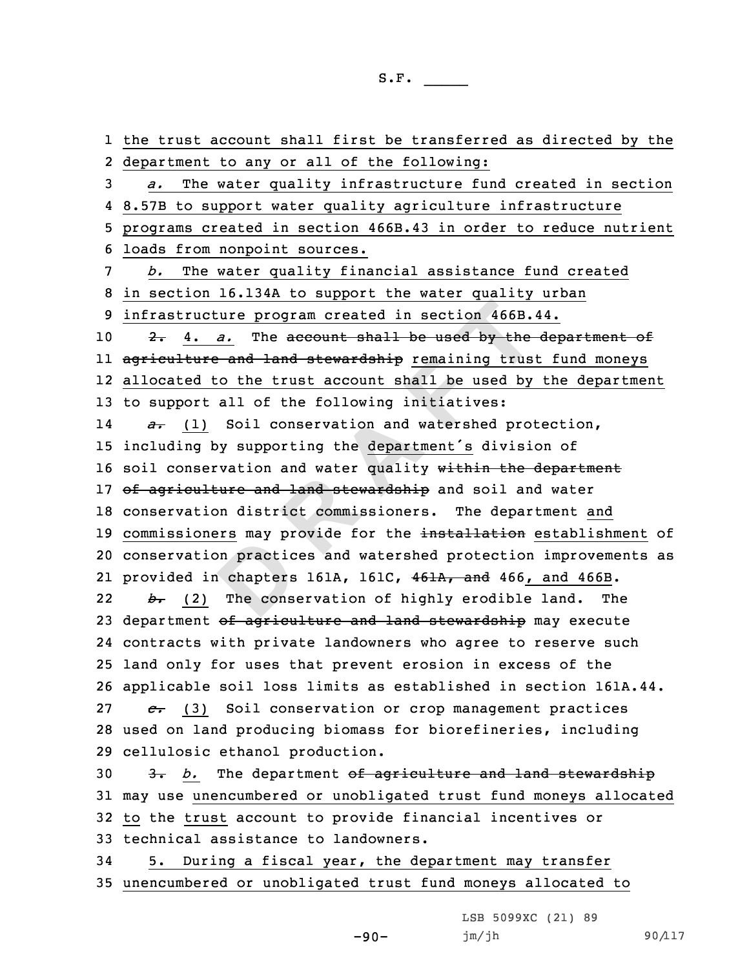on practic<br>
chapters<br>
The cons **R A EXECUTE THE CONSTRENT CONSTRENT AND MONET A CONSTRENT AND THE CONSTRENT (THE CONSTRENT) THE CONSTRENT CONSTRENT SO ID SOLUTION OF THE CONSTRENT OF THE CONSTRENT OF THE CONSTRENT OF THE CONSTRENT OF THE CONSTRENT O**  the trust account shall first be transferred as directed by the department to any or all of the following: *a.* The water quality infrastructure fund created in section 8.57B to support water quality agriculture infrastructure programs created in section 466B.43 in order to reduce nutrient loads from nonpoint sources. *b.* The water quality financial assistance fund created in section 16.134A to support the water quality urban infrastructure program created in section 466B.44. 2. 4. *a.* The account shall be used by the department of ll <del>agriculture and land stewardship</del> remaining trust fund moneys allocated to the trust account shall be used by the department to support all of the following initiatives: 14 *a.* (1) Soil conservation and watershed protection, including by supporting the department's division of 16 soil conservation and water quality within the department 17 of agriculture and land stewardship and soil and water conservation district commissioners. The department and 19 commissioners may provide for the installation establishment of conservation practices and watershed protection improvements as 21 provided in chapters 161A, 161C, 461A, and 466, and 466B. 22 *b.* (2) The conservation of highly erodible land. The 23 department of agriculture and land stewardship may execute contracts with private landowners who agree to reserve such land only for uses that prevent erosion in excess of the applicable soil loss limits as established in section 161A.44. *c.* (3) Soil conservation or crop management practices used on land producing biomass for biorefineries, including cellulosic ethanol production. 30 3. *b*. The department of agriculture and land stewardship may use unencumbered or unobligated trust fund moneys allocated to the trust account to provide financial incentives or technical assistance to landowners. 5. During <sup>a</sup> fiscal year, the department may transfer unencumbered or unobligated trust fund moneys allocated to

-90-

LSB 5099XC (21) 89 jm/jh 90/117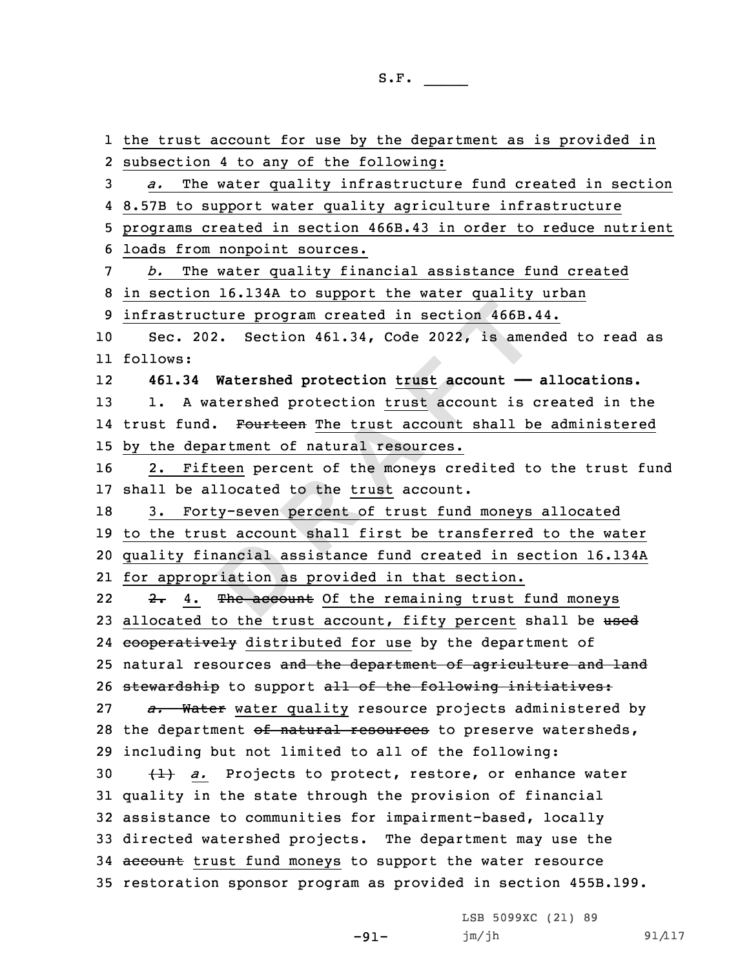ancial as<br>
iation as<br>
The account **<sup>R</sup> <sup>A</sup> <sup>F</sup> <sup>T</sup>** the trust account for use by the department as is provided in subsection 4 to any of the following: *a.* The water quality infrastructure fund created in section 8.57B to support water quality agriculture infrastructure programs created in section 466B.43 in order to reduce nutrient loads from nonpoint sources. *b.* The water quality financial assistance fund created in section 16.134A to support the water quality urban infrastructure program created in section 466B.44. Sec. 202. Section 461.34, Code 2022, is amended to read as 11 follows: 12 **461.34 Watershed protection trust account —— allocations.** 1. <sup>A</sup> watershed protection trust account is created in the 14 trust fund. Fourteen The trust account shall be administered by the department of natural resources. 2. Fifteen percent of the moneys credited to the trust fund shall be allocated to the trust account. 3. Forty-seven percent of trust fund moneys allocated to the trust account shall first be transferred to the water quality financial assistance fund created in section 16.134A for appropriation as provided in that section. 222. 4. The account Of the remaining trust fund moneys 23 allocated to the trust account, fifty percent shall be used 24 cooperatively distributed for use by the department of 25 natural resources and the department of agriculture and land 26 stewardship to support all of the following initiatives: *a.* Water water quality resource projects administered by 28 the department of natural resources to preserve watersheds, including but not limited to all of the following: (1) *a.* Projects to protect, restore, or enhance water quality in the state through the provision of financial assistance to communities for impairment-based, locally directed watershed projects. The department may use the 34 account trust fund moneys to support the water resource restoration sponsor program as provided in section 455B.199.

-91-

LSB 5099XC (21) 89 jm/jh 91/117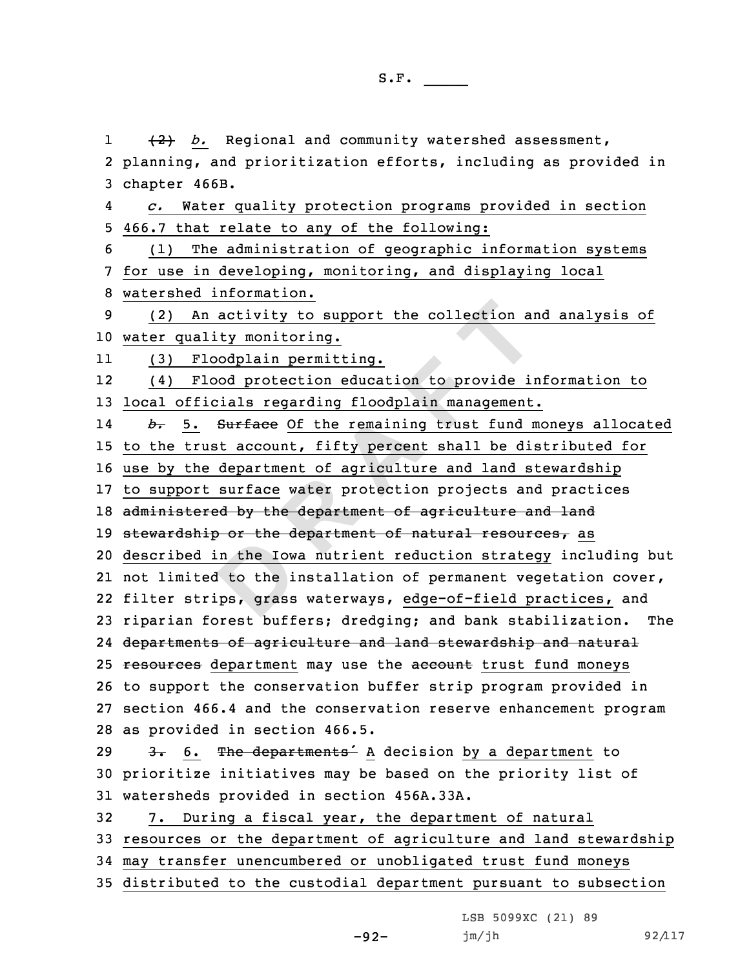n the Iow.<br> **D** to the i<br>
ps, grass An activity to support the collection and<br>
ality monitoring.<br>
Floodplain permitting.<br>
Flood protection education to provide in<br>
ficials regarding floodplain management<br>
. Surface Of the remaining trust fund r<br>
rust account 1 (2) *b.* Regional and community watershed assessment, planning, and prioritization efforts, including as provided in chapter 466B. 4 *c.* Water quality protection programs provided in section 466.7 that relate to any of the following: (1) The administration of geographic information systems for use in developing, monitoring, and displaying local watershed information. (2) An activity to support the collection and analysis of water quality monitoring. 11 (3) Floodplain permitting. 12 (4) Flood protection education to provide information to local officials regarding floodplain management. 14 *b.* 5. Surface Of the remaining trust fund moneys allocated to the trust account, fifty percent shall be distributed for use by the department of agriculture and land stewardship to support surface water protection projects and practices 18 administered by the department of agriculture and land 19 stewardship or the department of natural resources, as described in the Iowa nutrient reduction strategy including but not limited to the installation of permanent vegetation cover, filter strips, grass waterways, edge-of-field practices, and riparian forest buffers; dredging; and bank stabilization. The departments of agriculture and land stewardship and natural 25 resources department may use the account trust fund moneys to support the conservation buffer strip program provided in section 466.4 and the conservation reserve enhancement program as provided in section 466.5. 29 3. 6. The departments<sup>1</sup> A decision by a department to prioritize initiatives may be based on the priority list of watersheds provided in section 456A.33A. 7. During <sup>a</sup> fiscal year, the department of natural resources or the department of agriculture and land stewardship may transfer unencumbered or unobligated trust fund moneys distributed to the custodial department pursuant to subsection

LSB 5099XC (21) 89

jm/jh 92/117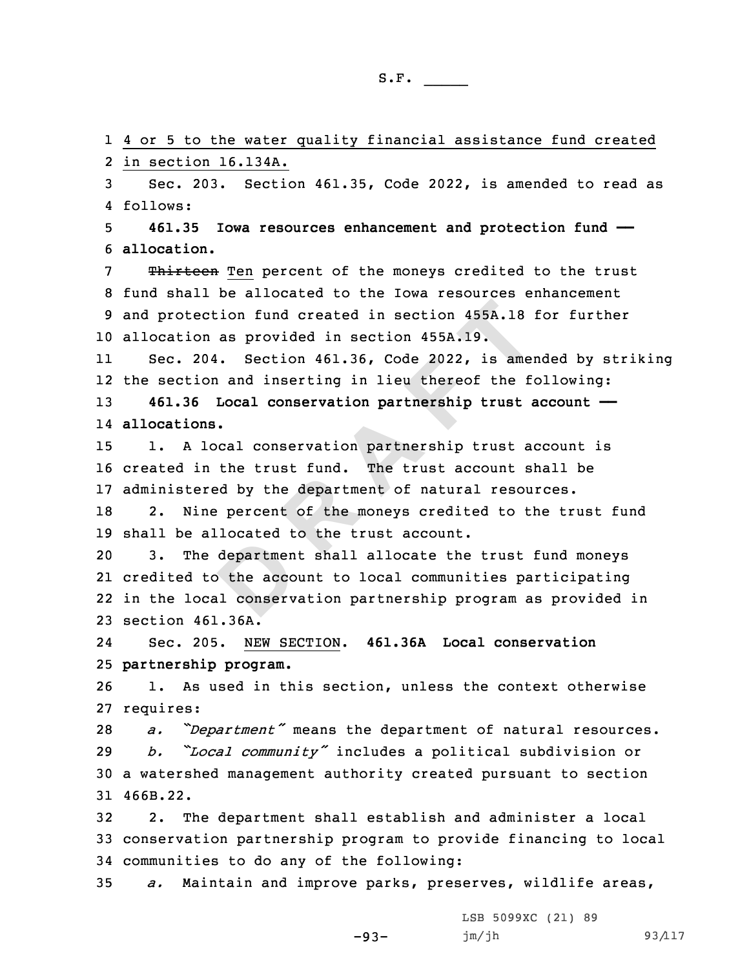4 or 5 to the water quality financial assistance fund created in section 16.134A. Sec. 203. Section 461.35, Code 2022, is amended to read as 4 follows: **461.35 Iowa resources enhancement and protection fund ——**

6 **allocation.**

7 Thirteen Ten percent of the moneys credited to the trust fund shall be allocated to the Iowa resources enhancement and protection fund created in section 455A.18 for further allocation as provided in section 455A.19.

11 Sec. 204. Section 461.36, Code 2022, is amended by striking 12 the section and inserting in lieu thereof the following:

13 **461.36 Local conservation partnership trust account ——** 14 **allocations.**

15 1. <sup>A</sup> local conservation partnership trust account is 16 created in the trust fund. The trust account shall be 17 administered by the department of natural resources.

18 2. Nine percent of the moneys credited to the trust fund 19 shall be allocated to the trust account.

departmen<br>
the acco<br>
al conserv ection fund created in section 455A.18 and<br>on as provided in section 455A.19.<br>204. Section 461.36, Code 2022, is amer<br>ion and inserting in lieu thereof the former<br>on and inserting in lieu thereof the former<br>ons.<br>local cons 3. The department shall allocate the trust fund moneys credited to the account to local communities participating in the local conservation partnership program as provided in section 461.36A.

24 Sec. 205. NEW SECTION. **461.36A Local conservation** 25 **partnership program.**

26 1. As used in this section, unless the context otherwise 27 requires:

 *a. "Department"* means the department of natural resources. *b. "Local community"* includes <sup>a</sup> political subdivision or <sup>a</sup> watershed management authority created pursuant to section 31 466B.22.

32 2. The department shall establish and administer <sup>a</sup> local 33 conservation partnership program to provide financing to local 34 communities to do any of the following:

35 *a.* Maintain and improve parks, preserves, wildlife areas,

-93-

LSB 5099XC (21) 89 jm/jh 93/117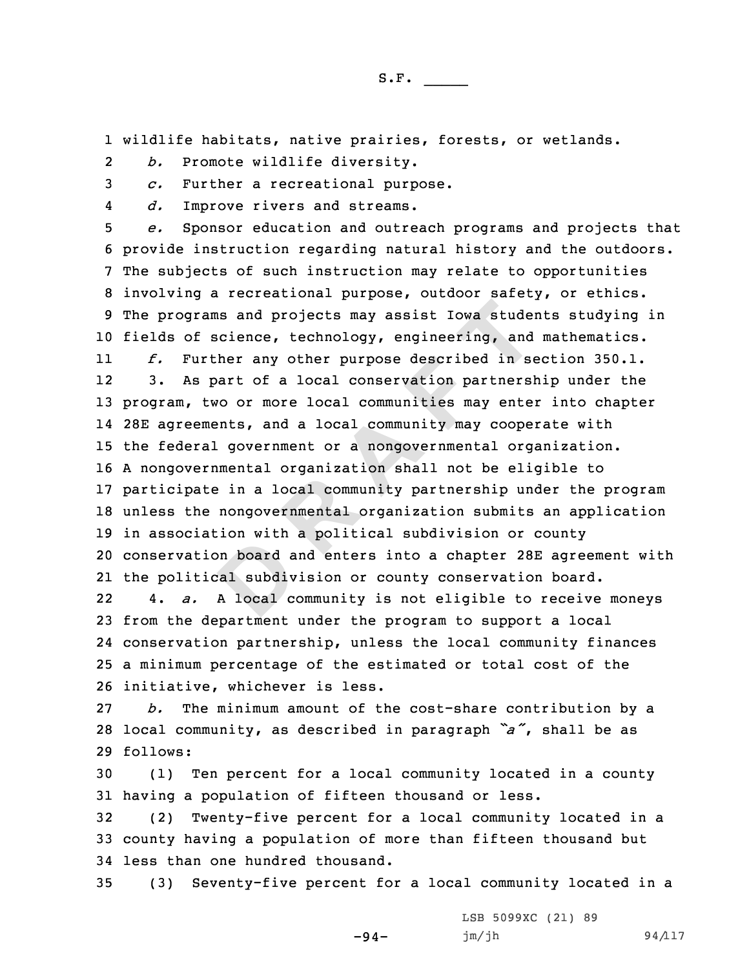1 wildlife habitats, native prairies, forests, or wetlands.

2*b.* Promote wildlife diversity.

3 *c.* Further <sup>a</sup> recreational purpose.

4*d.* Improve rivers and streams.

rams and projects may assist Iowa stude:<br>
f science, technology, engineering, and<br>
urther any other purpose described in second<br>
spart of a local conservation partners<br>
two or more local communities may enter-<br>
ements, and *e.* Sponsor education and outreach programs and projects that provide instruction regarding natural history and the outdoors. The subjects of such instruction may relate to opportunities involving <sup>a</sup> recreational purpose, outdoor safety, or ethics. The programs and projects may assist Iowa students studying in fields of science, technology, engineering, and mathematics. 11 *f.* Further any other purpose described in section 350.1. 12 3. As part of <sup>a</sup> local conservation partnership under the program, two or more local communities may enter into chapter 28E agreements, and <sup>a</sup> local community may cooperate with the federal government or <sup>a</sup> nongovernmental organization. <sup>A</sup> nongovernmental organization shall not be eligible to participate in <sup>a</sup> local community partnership under the program unless the nongovernmental organization submits an application in association with <sup>a</sup> political subdivision or county

**D**20 conservation board and enters into <sup>a</sup> chapter 28E agreement with 21 the political subdivision or county conservation board.

22 4. *a.* <sup>A</sup> local community is not eligible to receive moneys from the department under the program to support <sup>a</sup> local conservation partnership, unless the local community finances <sup>a</sup> minimum percentage of the estimated or total cost of the initiative, whichever is less.

27 *b.* The minimum amount of the cost-share contribution by <sup>a</sup> <sup>28</sup> local community, as described in paragraph *"a"*, shall be as 29 follows:

30 (1) Ten percent for <sup>a</sup> local community located in <sup>a</sup> county 31 having <sup>a</sup> population of fifteen thousand or less.

32 (2) Twenty-five percent for <sup>a</sup> local community located in <sup>a</sup> 33 county having <sup>a</sup> population of more than fifteen thousand but 34 less than one hundred thousand.

35 (3) Seventy-five percent for <sup>a</sup> local community located in <sup>a</sup>

-94-

LSB 5099XC (21) 89 jm/jh 94/117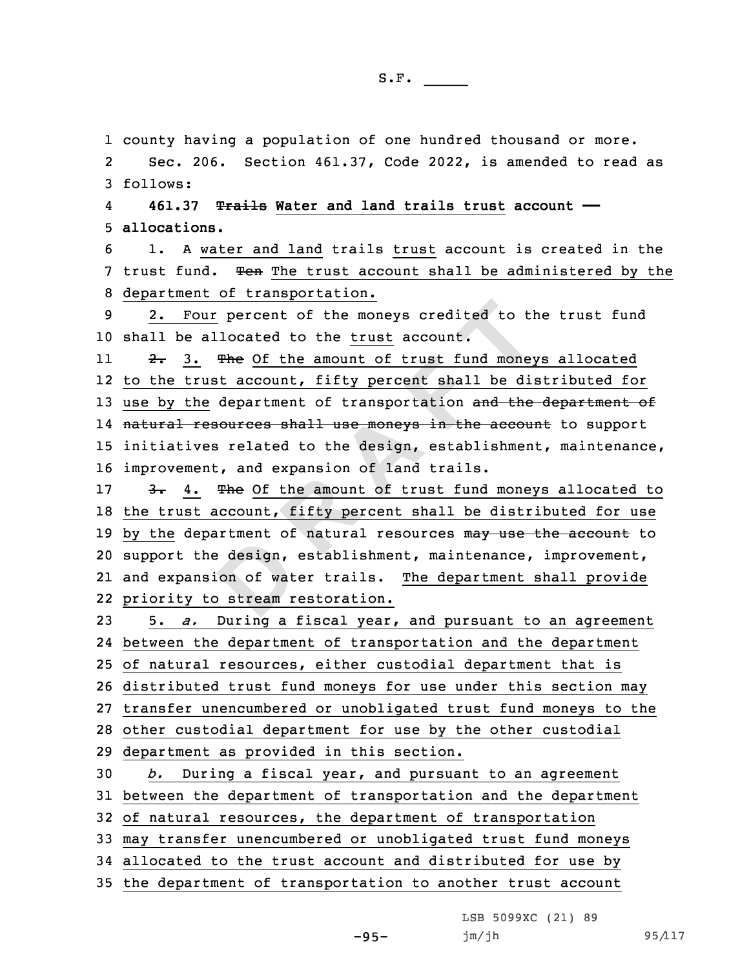1 county having <sup>a</sup> population of one hundred thousand or more.

2 Sec. 206. Section 461.37, Code 2022, is amended to read as 3 follows:

4 **461.37 Trails Water and land trails trust account ——** 5 **allocations.**

6 1. A water and land trails trust account is created in the 7 trust fund. Ten The trust account shall be administered by the 8 department of transportation.

9 2. Four percent of the moneys credited to the trust fund 10 shall be allocated to the trust account.

112. 3. The Of the amount of trust fund moneys allocated 12 to the trust account, fifty percent shall be distributed for 13 use by the department of transportation and the department of 14 <del>natural resources shall use moneys in the account</del> to support 15 initiatives related to the design, establishment, maintenance, 16 improvement, and expansion of land trails.

extendent of<br>
besign,<br>
bestream r our percent of the moneys credited to the<br>
allocated to the <u>trust</u> account.<br>  $\frac{1}{2}$  The Of the amount of trust fund money<br>
rust account, fifty percent shall be di-<br>
he department of transportation and the<br>
resources sh 17 3. 4. The Of the amount of trust fund moneys allocated to 18 the trust account, fifty percent shall be distributed for use 19 by the department of natural resources may use the account to 20 support the design, establishment, maintenance, improvement, 21 and expansion of water trails. The department shall provide 22 priority to stream restoration.

 5. *a.* During <sup>a</sup> fiscal year, and pursuant to an agreement between the department of transportation and the department of natural resources, either custodial department that is distributed trust fund moneys for use under this section may transfer unencumbered or unobligated trust fund moneys to the other custodial department for use by the other custodial department as provided in this section. *b.* During <sup>a</sup> fiscal year, and pursuant to an agreement

31 between the department of transportation and the department

32 of natural resources, the department of transportation

33 may transfer unencumbered or unobligated trust fund moneys

34 allocated to the trust account and distributed for use by

35 the department of transportation to another trust account

LSB 5099XC (21) 89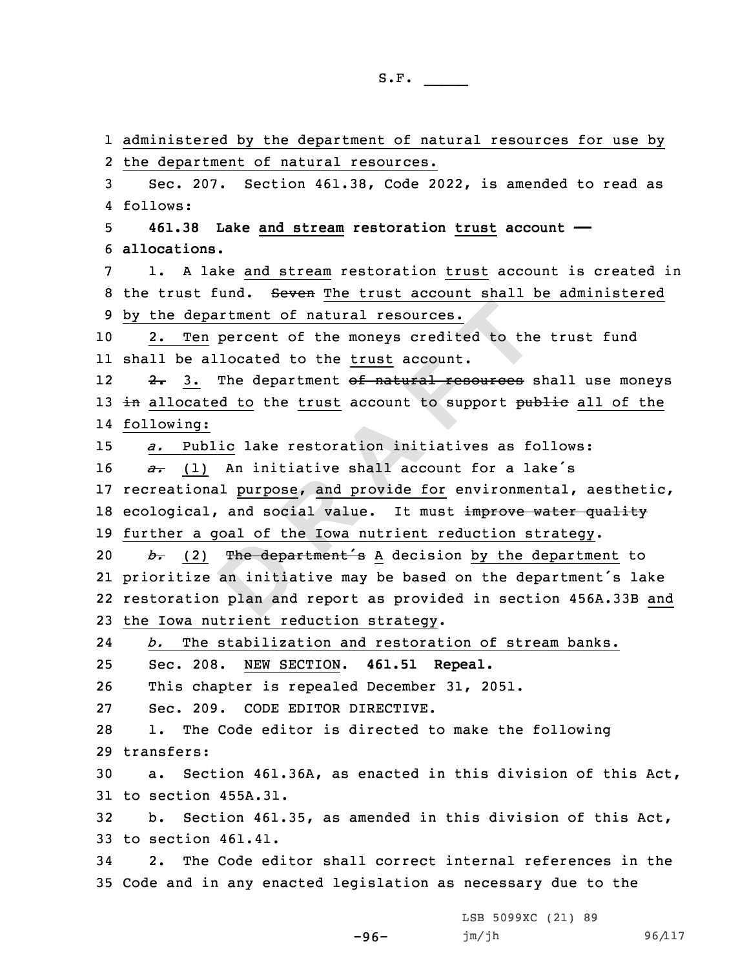The department<br>
an initia<br>
plan and epartment of natural resources.<br>
<u>en</u> percent of the moneys credited to the<br>
allocated to the <u>trust</u> account.<br>
. The department <del>of natural resources</del> s<br>
ated to the <u>trust</u> account to support pud<br>
g:<br>
<u>ublic</u> lake restor administered by the department of natural resources for use by the department of natural resources. Sec. 207. Section 461.38, Code 2022, is amended to read as 4 follows: **461.38 Lake and stream restoration trust account —— allocations.** 1. A lake and stream restoration trust account is created in 8 the trust fund. Seven The trust account shall be administered by the department of natural resources. 2. Ten percent of the moneys credited to the trust fund shall be allocated to the trust account. 122. 3. The department of natural resources shall use moneys 13 in allocated to the trust account to support public all of the following: *a.* Public lake restoration initiatives as follows: *a.* (1) An initiative shall account for a lake's recreational purpose, and provide for environmental, aesthetic, 18 ecological, and social value. It must improve water quality further <sup>a</sup> goal of the Iowa nutrient reduction strategy. *b*. (2) The department's A decision by the department to prioritize an initiative may be based on the department's lake restoration plan and report as provided in section 456A.33B and the Iowa nutrient reduction strategy. 24 *b.* The stabilization and restoration of stream banks. Sec. 208. NEW SECTION. **461.51 Repeal.** This chapter is repealed December 31, 2051. Sec. 209. CODE EDITOR DIRECTIVE. 1. The Code editor is directed to make the following transfers: a. Section 461.36A, as enacted in this division of this Act, to section 455A.31. b. Section 461.35, as amended in this division of this Act, to section 461.41. 2. The Code editor shall correct internal references in the Code and in any enacted legislation as necessary due to the

-96-

LSB 5099XC (21) 89 jm/jh 96/117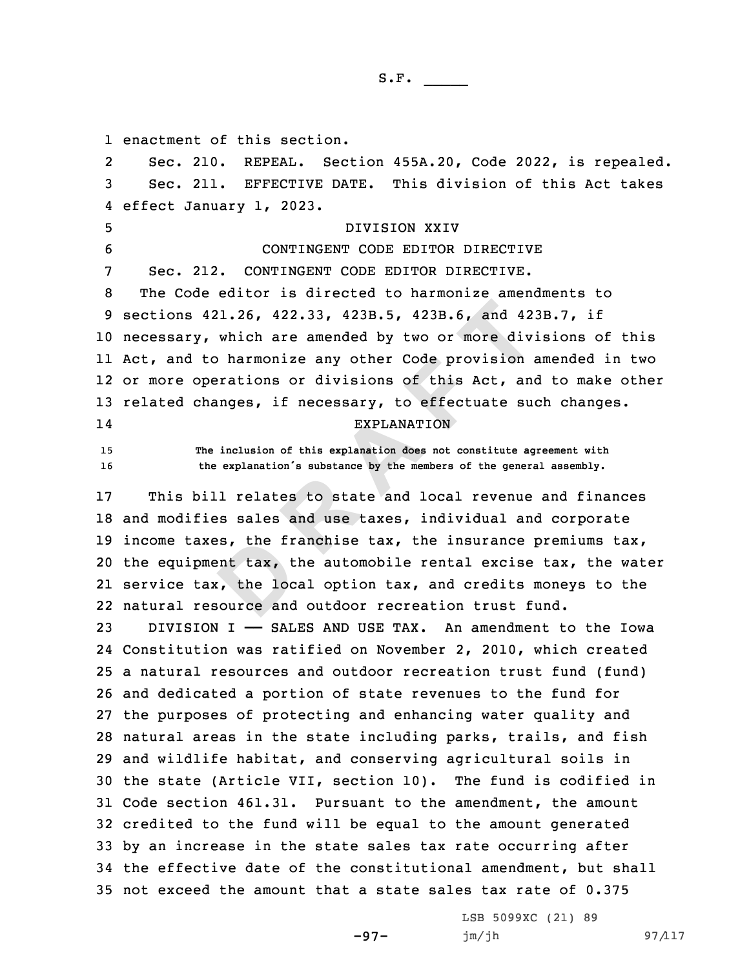1 enactment of this section.

19 income taxes, the franchise tax, the insurance prem<br>20 the equipment tax, the automobile rental excise tax<br>21 service tax, the local option tax, and credits mone<br>22 natural resource and outdoor recreation trust fund. **421.26, 422.33, 423B.5, 423B.6, and 42**<br>**P, which are amended by two or more div**<br>to harmonize any other Code provision operations or divisions of this Act, and<br>changes, if necessary, to effectuate sum EXPLANATION<br>The inc 2 Sec. 210. REPEAL. Section 455A.20, Code 2022, is repealed. Sec. 211. EFFECTIVE DATE. This division of this Act takes effect January 1, 2023. DIVISION XXIV CONTINGENT CODE EDITOR DIRECTIVE Sec. 212. CONTINGENT CODE EDITOR DIRECTIVE. The Code editor is directed to harmonize amendments to sections 421.26, 422.33, 423B.5, 423B.6, and 423B.7, if necessary, which are amended by two or more divisions of this Act, and to harmonize any other Code provision amended in two or more operations or divisions of this Act, and to make other related changes, if necessary, to effectuate such changes. 14 EXPLANATION **The inclusion of this explanation does not constitute agreement with the explanation's substance by the members of the general assembly.** This bill relates to state and local revenue and finances and modifies sales and use taxes, individual and corporate 19 income taxes, the franchise tax, the insurance premiums  $\text{tax}$ , the equipment tax, the automobile rental excise tax, the water service tax, the local option tax, and credits moneys to the DIVISION I —— SALES AND USE TAX. An amendment to the Iowa Constitution was ratified on November 2, 2010, which created <sup>a</sup> natural resources and outdoor recreation trust fund (fund) and dedicated <sup>a</sup> portion of state revenues to the fund for the purposes of protecting and enhancing water quality and natural areas in the state including parks, trails, and fish and wildlife habitat, and conserving agricultural soils in the state (Article VII, section 10). The fund is codified in Code section 461.31. Pursuant to the amendment, the amount credited to the fund will be equal to the amount generated by an increase in the state sales tax rate occurring after the effective date of the constitutional amendment, but shall not exceed the amount that a state sales tax rate of 0.375

-97-

LSB 5099XC (21) 89 jm/jh 97/117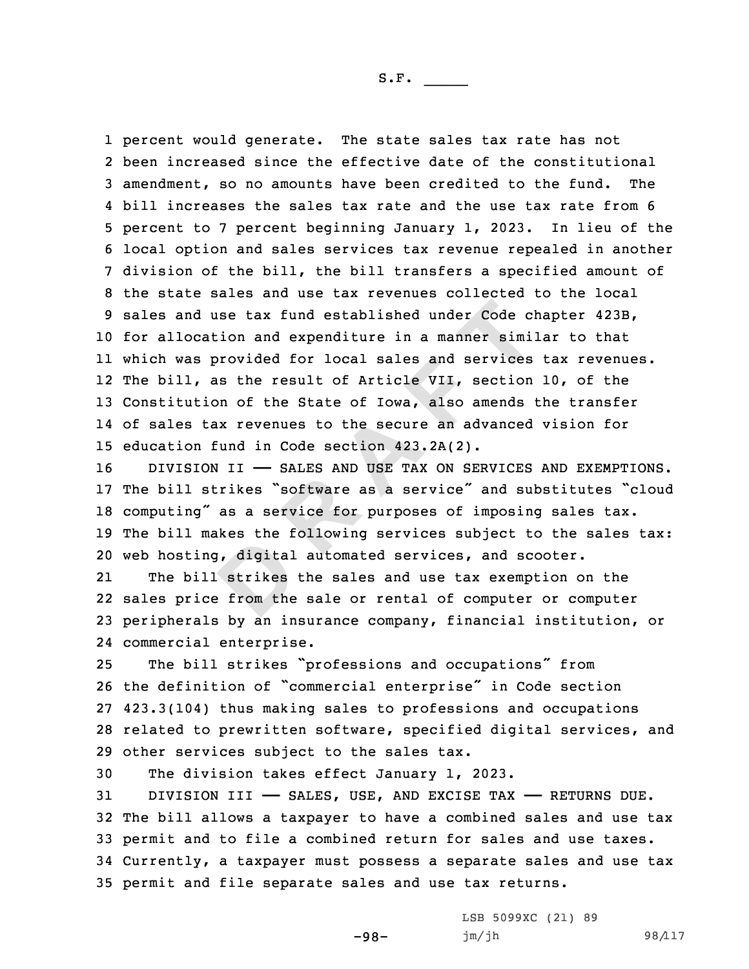d use tax fund established under Code cl<br>cation and expenditure in a manner simils<br>s provided for local sales and services<br>, as the result of Article VII, section<br>tion of the State of Iowa, also amends<br>tax revenues to the percent would generate. The state sales tax rate has not been increased since the effective date of the constitutional amendment, so no amounts have been credited to the fund. The bill increases the sales tax rate and the use tax rate from 6 percent to 7 percent beginning January 1, 2023. In lieu of the local option and sales services tax revenue repealed in another division of the bill, the bill transfers <sup>a</sup> specified amount of the state sales and use tax revenues collected to the local sales and use tax fund established under Code chapter 423B, for allocation and expenditure in <sup>a</sup> manner similar to that which was provided for local sales and services tax revenues. The bill, as the result of Article VII, section 10, of the Constitution of the State of Iowa, also amends the transfer of sales tax revenues to the secure an advanced vision for education fund in Code section 423.2A(2).

16 DIVISION II - SALES AND USE TAX ON SERVICES AND EXEMPTIONS. The bill strikes "software as <sup>a</sup> service" and substitutes "cloud computing" as <sup>a</sup> service for purposes of imposing sales tax. The bill makes the following services subject to the sales tax: web hosting, digital automated services, and scooter.

besting the rate of the set of the set of the set of the set of the set of the set of the set of the set of the set of the set of the set of the set of the set of the set of the set of the set of the set of the set of the 21 The bill strikes the sales and use tax exemption on the 22 sales price from the sale or rental of computer or computer 23 peripherals by an insurance company, financial institution, or 24 commercial enterprise.

 The bill strikes "professions and occupations" from the definition of "commercial enterprise" in Code section 423.3(104) thus making sales to professions and occupations related to prewritten software, specified digital services, and other services subject to the sales tax.

30 The division takes effect January 1, 2023.

31 DIVISION III - SALES, USE, AND EXCISE TAX - RETURNS DUE. The bill allows <sup>a</sup> taxpayer to have <sup>a</sup> combined sales and use tax permit and to file <sup>a</sup> combined return for sales and use taxes. Currently, <sup>a</sup> taxpayer must possess <sup>a</sup> separate sales and use tax permit and file separate sales and use tax returns.

-98-

LSB 5099XC (21) 89 jm/jh 98/117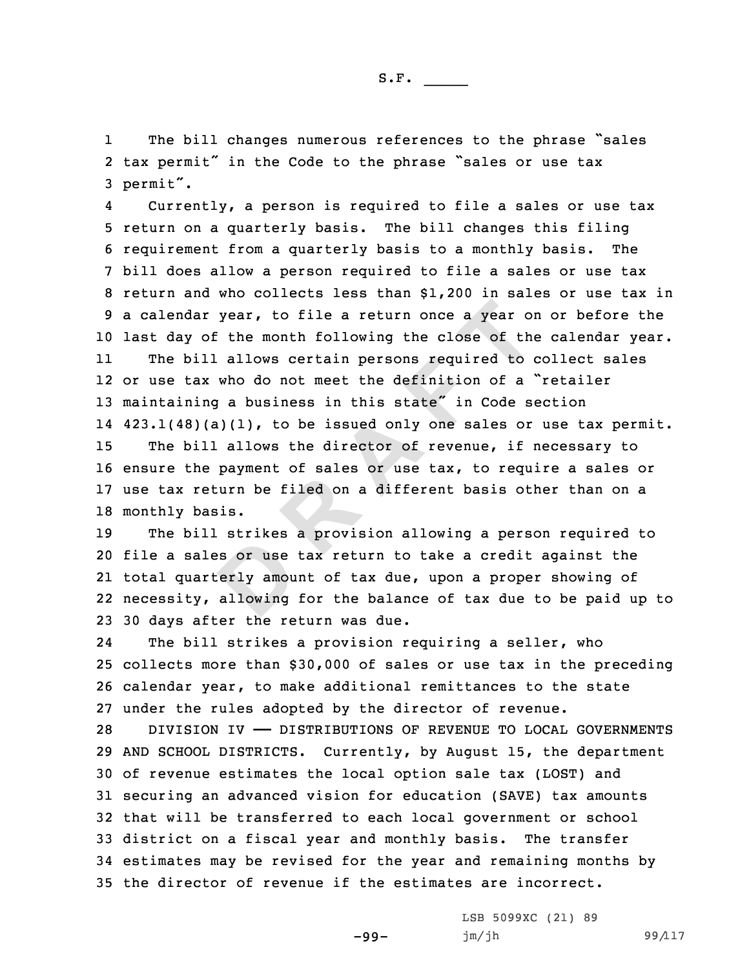1 The bill changes numerous references to the phrase "sales 2 tax permit" in the Code to the phrase "sales or use tax <sup>3</sup> permit".

4 Currently, <sup>a</sup> person is required to file <sup>a</sup> sales or use tax 5 return on <sup>a</sup> quarterly basis. The bill changes this filing 6 requirement from <sup>a</sup> quarterly basis to <sup>a</sup> monthly basis. The 7 bill does allow <sup>a</sup> person required to file <sup>a</sup> sales or use tax 8 return and who collects less than \$1,200 in sales or use tax in 9 <sup>a</sup> calendar year, to file <sup>a</sup> return once <sup>a</sup> year on or before the 10 last day of the month following the close of the calendar year. 11The bill allows certain persons required to collect sales

ar year, to file a return once a year on<br>of the month following the close of the<br>ill allows certain persons required to  $\alpha$ <br>ax who do not meet the definition of a<br>ing a business in this state" in Code se<br> $\beta$  (a)(1), to b or use tax who do not meet the definition of <sup>a</sup> "retailer 13 maintaining a business in this state" in Code section 423.1(48)(a)(1), to be issued only one sales or use tax permit. The bill allows the director of revenue, if necessary to ensure the payment of sales or use tax, to require <sup>a</sup> sales or use tax return be filed on <sup>a</sup> different basis other than on <sup>a</sup> monthly basis.

**D** The bill strikes <sup>a</sup> provision allowing <sup>a</sup> person required to file <sup>a</sup> sales or use tax return to take <sup>a</sup> credit against the total quarterly amount of tax due, upon <sup>a</sup> proper showing of necessity, allowing for the balance of tax due to be paid up to 30 days after the return was due.

24The bill strikes a provision requiring a seller, who 25 collects more than \$30,000 of sales or use tax in the preceding 26 calendar year, to make additional remittances to the state 27 under the rules adopted by the director of revenue.

 DIVISION IV —— DISTRIBUTIONS OF REVENUE TO LOCAL GOVERNMENTS AND SCHOOL DISTRICTS. Currently, by August 15, the department of revenue estimates the local option sale tax (LOST) and securing an advanced vision for education (SAVE) tax amounts that will be transferred to each local government or school district on <sup>a</sup> fiscal year and monthly basis. The transfer estimates may be revised for the year and remaining months by the director of revenue if the estimates are incorrect.

-99-

LSB 5099XC (21) 89 jm/jh 99/117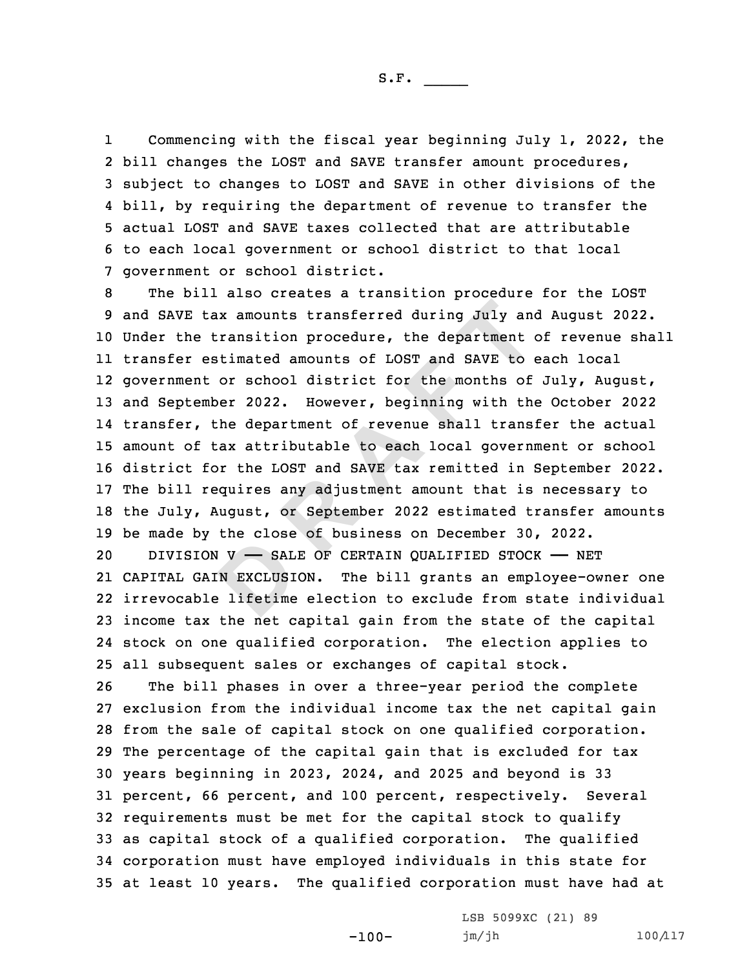1 Commencing with the fiscal year beginning July 1, 2022, the bill changes the LOST and SAVE transfer amount procedures, subject to changes to LOST and SAVE in other divisions of the bill, by requiring the department of revenue to transfer the actual LOST and SAVE taxes collected that are attributable to each local government or school district to that local government or school district.

tax amounts transferred during July and<br>e transition procedure, the department<br>estimated amounts of LOST and SAVE to<br>ont or school district for the months of<br>ember 2022. However, beginning with the<br>, the department of reve The bill also creates <sup>a</sup> transition procedure for the LOST and SAVE tax amounts transferred during July and August 2022. Under the transition procedure, the department of revenue shall transfer estimated amounts of LOST and SAVE to each local government or school district for the months of July, August, and September 2022. However, beginning with the October 2022 transfer, the department of revenue shall transfer the actual amount of tax attributable to each local government or school district for the LOST and SAVE tax remitted in September 2022. The bill requires any adjustment amount that is necessary to the July, August, or September 2022 estimated transfer amounts be made by the close of business on December 30, 2022.

**D**20 DIVISION V — SALE OF CERTAIN QUALIFIED STOCK — NET 21 CAPITAL GAIN EXCLUSION. The bill grants an employee-owner one 22 irrevocable lifetime election to exclude from state individual 23 income tax the net capital gain from the state of the capital 24 stock on one qualified corporation. The election applies to 25 all subsequent sales or exchanges of capital stock.

 The bill phases in over <sup>a</sup> three-year period the complete exclusion from the individual income tax the net capital gain from the sale of capital stock on one qualified corporation. The percentage of the capital gain that is excluded for tax years beginning in 2023, 2024, and 2025 and beyond is 33 percent, 66 percent, and 100 percent, respectively. Several requirements must be met for the capital stock to qualify as capital stock of <sup>a</sup> qualified corporation. The qualified corporation must have employed individuals in this state for at least 10 years. The qualified corporation must have had at

-100-

LSB 5099XC (21) 89 jm/jh 100/117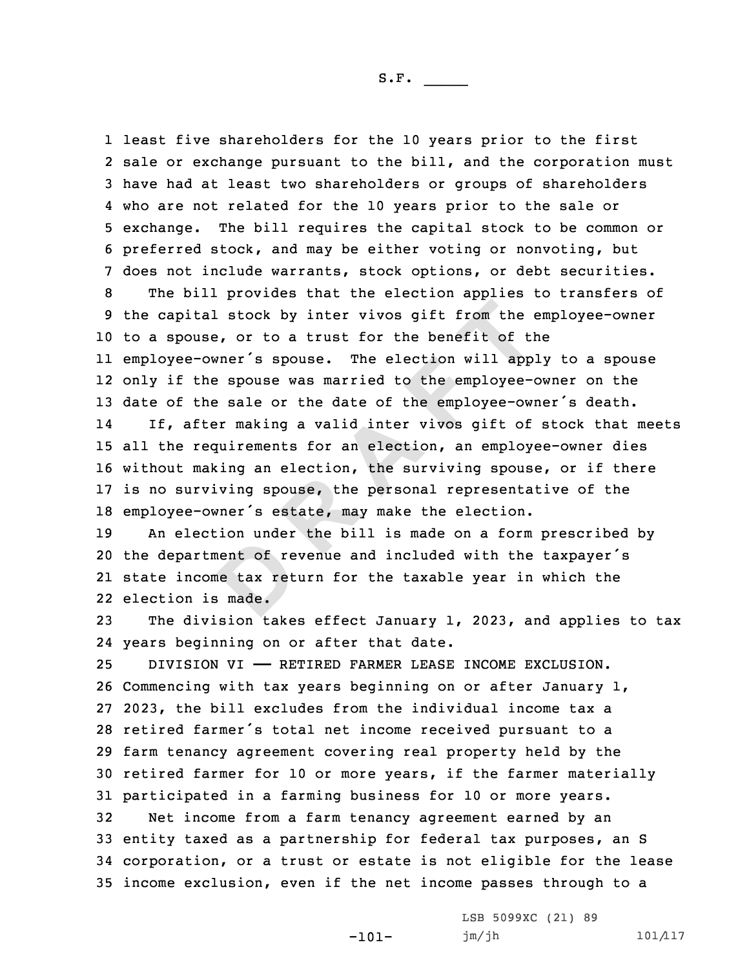nent of re<br>
ne tax ret<br> **B** made. tal stock by inter vivos gift from the use, or to a trust for the benefit of tl<br>
-owner's spouse. The election will app<br>
the spouse was married to the employee--<br>
the sale or the date of the employee--<br>
the sale or the dat least five shareholders for the 10 years prior to the first sale or exchange pursuant to the bill, and the corporation must have had at least two shareholders or groups of shareholders who are not related for the 10 years prior to the sale or exchange. The bill requires the capital stock to be common or preferred stock, and may be either voting or nonvoting, but does not include warrants, stock options, or debt securities. The bill provides that the election applies to transfers of the capital stock by inter vivos gift from the employee-owner to <sup>a</sup> spouse, or to <sup>a</sup> trust for the benefit of the employee-owner's spouse. The election will apply to <sup>a</sup> spouse only if the spouse was married to the employee-owner on the 13 date of the sale or the date of the employee-owner's death. 14 If, after making <sup>a</sup> valid inter vivos gift of stock that meets all the requirements for an election, an employee-owner dies without making an election, the surviving spouse, or if there is no surviving spouse, the personal representative of the employee-owner's estate, may make the election. An election under the bill is made on <sup>a</sup> form prescribed by the department of revenue and included with the taxpayer's state income tax return for the taxable year in which the election is made. The division takes effect January 1, 2023, and applies to tax years beginning on or after that date. DIVISION VI —— RETIRED FARMER LEASE INCOME EXCLUSION. Commencing with tax years beginning on or after January 1, 2023, the bill excludes from the individual income tax <sup>a</sup> retired farmer's total net income received pursuant to <sup>a</sup> farm tenancy agreement covering real property held by the retired farmer for 10 or more years, if the farmer materially participated in <sup>a</sup> farming business for 10 or more years. Net income from <sup>a</sup> farm tenancy agreement earned by an entity taxed as <sup>a</sup> partnership for federal tax purposes, an S corporation, or <sup>a</sup> trust or estate is not eligible for the lease income exclusion, even if the net income passes through to <sup>a</sup>

-101-

LSB 5099XC (21) 89

jm/jh 101/117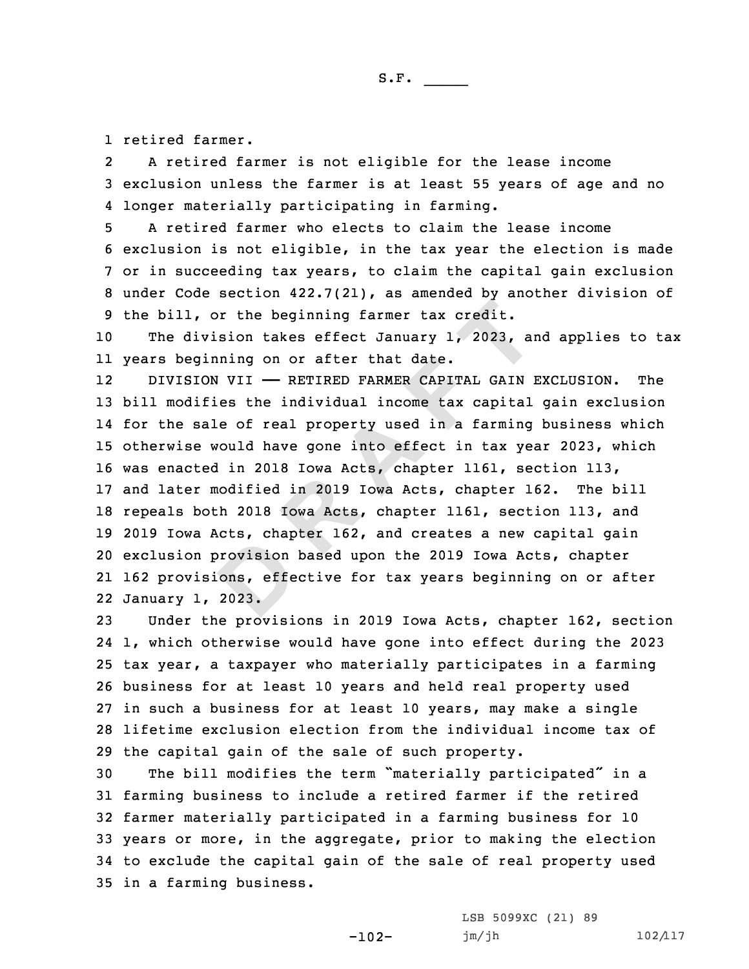1 retired farmer.

2 <sup>A</sup> retired farmer is not eligible for the lease income 3 exclusion unless the farmer is at least 55 years of age and no 4 longer materially participating in farming.

 A retired farmer who elects to claim the lease income exclusion is not eligible, in the tax year the election is made or in succeeding tax years, to claim the capital gain exclusion under Code section 422.7(21), as amended by another division of the bill, or the beginning farmer tax credit.

10 The division takes effect January 1, 2023, and applies to tax 11 years beginning on or after that date.

provision<br>
ons, effe<br>
2023. or the beginning farmer tax credit.<br>
ivision takes effect January 1, 2023, an<br>
ginning on or after that date.<br>
ION VII — RETIRED FARMER CAPITAL GAIN<br>
ifies the individual income tax capital<br>
sale of real property used in a 12 DIVISION VII —— RETIRED FARMER CAPITAL GAIN EXCLUSION. The bill modifies the individual income tax capital gain exclusion for the sale of real property used in <sup>a</sup> farming business which otherwise would have gone into effect in tax year 2023, which was enacted in 2018 Iowa Acts, chapter 1161, section 113, and later modified in 2019 Iowa Acts, chapter 162. The bill repeals both 2018 Iowa Acts, chapter 1161, section 113, and 2019 Iowa Acts, chapter 162, and creates <sup>a</sup> new capital gain exclusion provision based upon the 2019 Iowa Acts, chapter 162 provisions, effective for tax years beginning on or after January 1, 2023.

 Under the provisions in 2019 Iowa Acts, chapter 162, section 1, which otherwise would have gone into effect during the 2023 tax year, <sup>a</sup> taxpayer who materially participates in <sup>a</sup> farming business for at least 10 years and held real property used in such <sup>a</sup> business for at least 10 years, may make <sup>a</sup> single lifetime exclusion election from the individual income tax of the capital gain of the sale of such property.

 The bill modifies the term "materially participated" in <sup>a</sup> farming business to include <sup>a</sup> retired farmer if the retired farmer materially participated in <sup>a</sup> farming business for 10 years or more, in the aggregate, prior to making the election to exclude the capital gain of the sale of real property used in <sup>a</sup> farming business.

-102-

LSB 5099XC (21) 89 jm/jh 102/117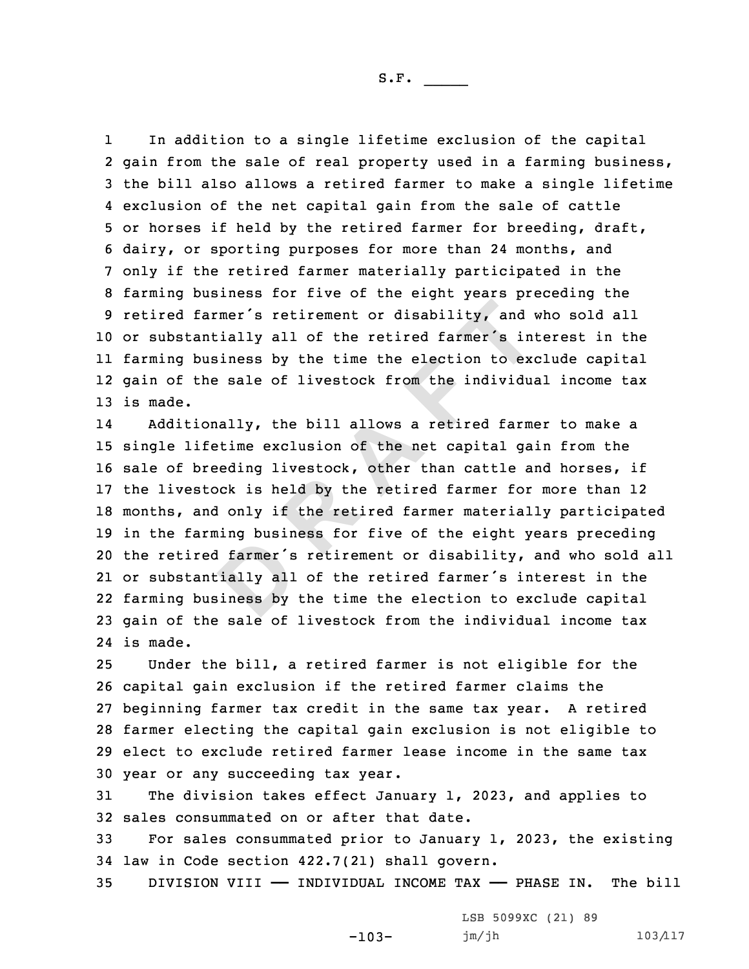1 In addition to <sup>a</sup> single lifetime exclusion of the capital gain from the sale of real property used in <sup>a</sup> farming business, the bill also allows <sup>a</sup> retired farmer to make <sup>a</sup> single lifetime exclusion of the net capital gain from the sale of cattle or horses if held by the retired farmer for breeding, draft, dairy, or sporting purposes for more than 24 months, and only if the retired farmer materially participated in the farming business for five of the eight years preceding the retired farmer's retirement or disability, and who sold all or substantially all of the retired farmer's interest in the farming business by the time the election to exclude capital gain of the sale of livestock from the individual income tax 13 is made.

d farmer's<br>
definitions:<br>
definitions:<br>
definitions:<br>
definitions:<br>
definitions: farmer's retirement or disability, and a<br>antially all of the retired farmer's in<br>business by the time the election to exc<br>the sale of livestock from the individue<br>ionally, the bill allows a retired farmer<br>ifetime exclusion 14 Additionally, the bill allows <sup>a</sup> retired farmer to make <sup>a</sup> single lifetime exclusion of the net capital gain from the sale of breeding livestock, other than cattle and horses, if the livestock is held by the retired farmer for more than 12 months, and only if the retired farmer materially participated in the farming business for five of the eight years preceding the retired farmer's retirement or disability, and who sold all or substantially all of the retired farmer's interest in the farming business by the time the election to exclude capital gain of the sale of livestock from the individual income tax 24 is made.

 Under the bill, <sup>a</sup> retired farmer is not eligible for the capital gain exclusion if the retired farmer claims the beginning farmer tax credit in the same tax year. <sup>A</sup> retired farmer electing the capital gain exclusion is not eligible to elect to exclude retired farmer lease income in the same tax year or any succeeding tax year.

31 The division takes effect January 1, 2023, and applies to 32 sales consummated on or after that date.

33 For sales consummated prior to January 1, 2023, the existing 34 law in Code section 422.7(21) shall govern.

35 DIVISION VIII —— INDIVIDUAL INCOME TAX —— PHASE IN. The bill

-103-

LSB 5099XC (21) 89 jm/jh 103/117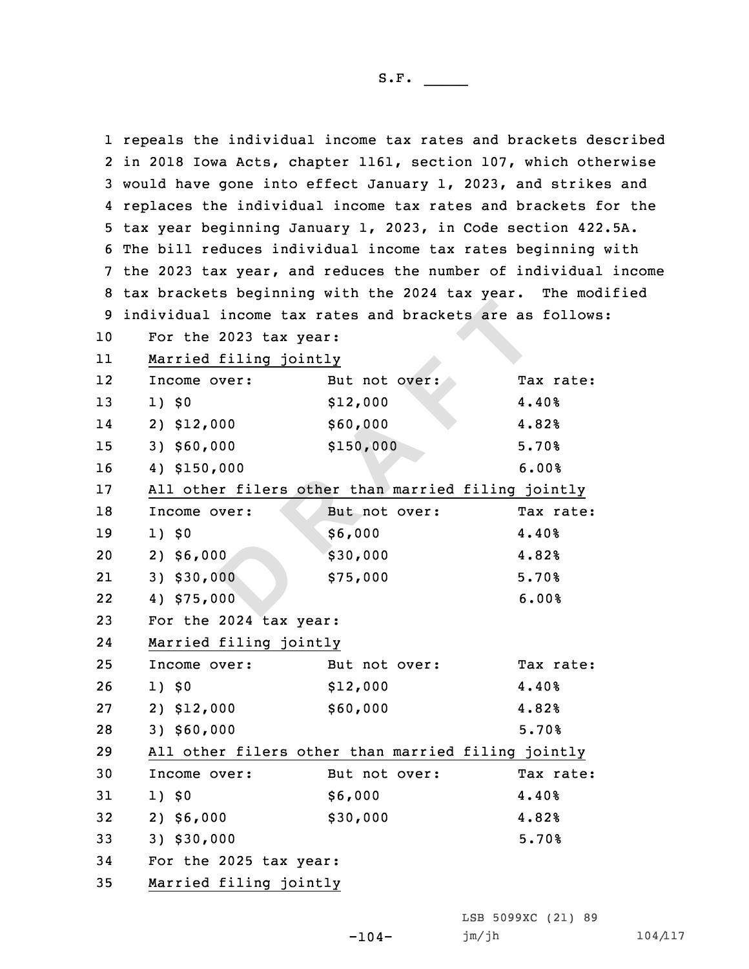|    |                                                    |                                                                 | 1 repeals the individual income tax rates and brackets described |  |  |
|----|----------------------------------------------------|-----------------------------------------------------------------|------------------------------------------------------------------|--|--|
|    |                                                    | 2 in 2018 Iowa Acts, chapter 1161, section 107, which otherwise |                                                                  |  |  |
|    |                                                    | 3 would have gone into effect January 1, 2023, and strikes and  |                                                                  |  |  |
|    |                                                    | 4 replaces the individual income tax rates and brackets for the |                                                                  |  |  |
|    |                                                    | 5 tax year beginning January 1, 2023, in Code section 422.5A.   |                                                                  |  |  |
|    |                                                    | 6 The bill reduces individual income tax rates beginning with   |                                                                  |  |  |
|    |                                                    |                                                                 | 7 the 2023 tax year, and reduces the number of individual income |  |  |
|    |                                                    | 8 tax brackets beginning with the 2024 tax year. The modified   |                                                                  |  |  |
| 9  |                                                    | individual income tax rates and brackets are as follows:        |                                                                  |  |  |
| 10 | For the 2023 tax year:                             |                                                                 |                                                                  |  |  |
| 11 | Married filing jointly                             |                                                                 |                                                                  |  |  |
| 12 | Income over:                                       | But not over:                                                   | Tax rate:                                                        |  |  |
| 13 | 1) \$0                                             | \$12,000                                                        | 4.40%                                                            |  |  |
| 14 | 2) \$12,000                                        | \$60,000                                                        | 4.82%                                                            |  |  |
| 15 | $3)$ \$60,000                                      | \$150,000                                                       | 5.70%                                                            |  |  |
| 16 | 4) \$150,000                                       |                                                                 | 6.00%                                                            |  |  |
| 17 | All other filers other than married filing jointly |                                                                 |                                                                  |  |  |
| 18 | Income over:                                       | But not over:                                                   | Tax rate:                                                        |  |  |
| 19 | 1) \$0                                             | \$6,000                                                         | 4.40%                                                            |  |  |
| 20 | $2)$ \$6,000                                       | \$30,000                                                        | 4.82%                                                            |  |  |
| 21 | 3) \$30,000                                        | \$75,000                                                        | 5.70%                                                            |  |  |
| 22 | 4) \$75,000                                        |                                                                 | 6.00%                                                            |  |  |
| 23 | For the 2024 tax year:                             |                                                                 |                                                                  |  |  |
| 24 | Married filing jointly                             |                                                                 |                                                                  |  |  |
| 25 | Income over:                                       | But not over:                                                   | Tax rate:                                                        |  |  |
| 26 | 1) \$0                                             | \$12,000                                                        | 4.40%                                                            |  |  |
| 27 | 2) \$12,000                                        | \$60,000                                                        | 4.82%                                                            |  |  |
| 28 | 3) \$60,000                                        |                                                                 | 5.70%                                                            |  |  |
| 29 | All other filers other than married filing jointly |                                                                 |                                                                  |  |  |
| 30 | Income over:                                       | But not over:                                                   | Tax rate:                                                        |  |  |
| 31 | 1) \$0                                             | \$6,000                                                         | 4.40%                                                            |  |  |
| 32 | $2)$ \$6,000                                       | \$30,000                                                        | 4.82%                                                            |  |  |
| 33 | 3) \$30,000                                        |                                                                 | 5.70%                                                            |  |  |
| 34 | For the 2025 tax year:                             |                                                                 |                                                                  |  |  |
| 35 | Married filing jointly                             |                                                                 |                                                                  |  |  |

LSB 5099XC (21) 89

-104- jm/jh 104/117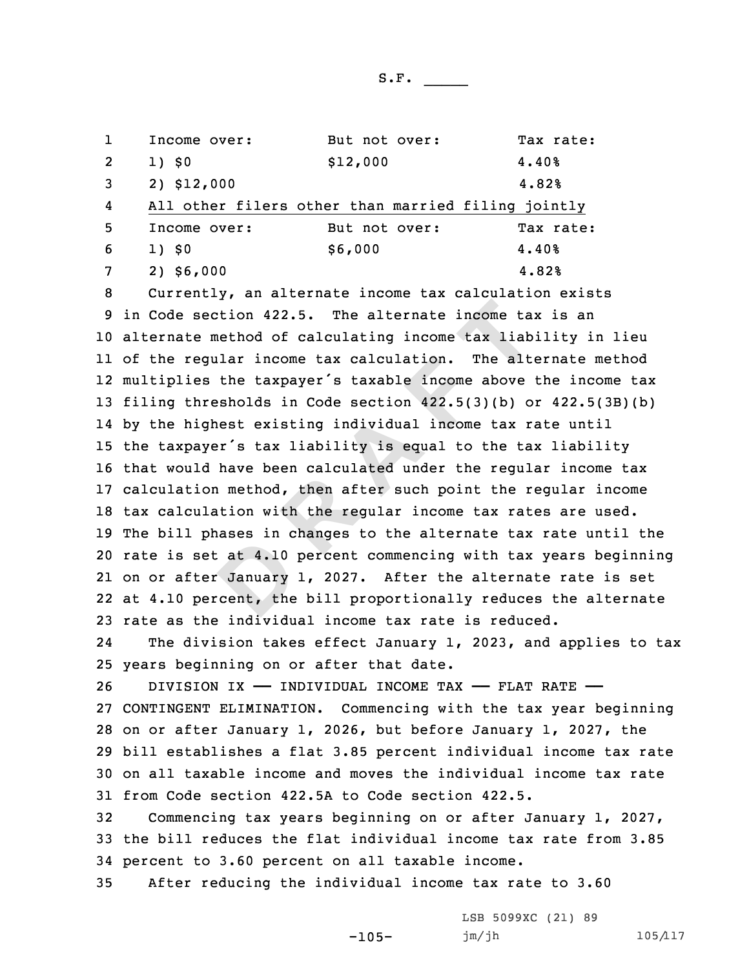|   | Income over: | But not over:                                      | Tax rate: |
|---|--------------|----------------------------------------------------|-----------|
| 2 | 1) \$0       | \$12,000                                           | 4.40%     |
| 3 | 2) \$12,000  |                                                    | 4.82%     |
| 4 |              | All other filers other than married filing jointly |           |
| 5 | Income over: | But not over:                                      | Tax rate: |
| 6 | 1) \$0       | \$6,000                                            | 4.40%     |
|   | $2)$ \$6,000 |                                                    | 4.82%     |

abes in c<br> **d**<br> **D**<br> **D**<br> **D**<br> **D**<br> **D Rection 422.5.** The alternate income taxe method of calculating income tax liab egular income tax calculation. The alternate steps the taxpayer's taxable income above hresholds in Code section  $422.5(3)(b)$  orighest exist Currently, an alternate income tax calculation exists in Code section 422.5. The alternate income tax is an alternate method of calculating income tax liability in lieu of the regular income tax calculation. The alternate method multiplies the taxpayer's taxable income above the income tax filing thresholds in Code section 422.5(3)(b) or 422.5(3B)(b) by the highest existing individual income tax rate until the taxpayer's tax liability is equal to the tax liability that would have been calculated under the regular income tax calculation method, then after such point the regular income tax calculation with the regular income tax rates are used. The bill phases in changes to the alternate tax rate until the rate is set at 4.10 percent commencing with tax years beginning on or after January 1, 2027. After the alternate rate is set at 4.10 percent, the bill proportionally reduces the alternate rate as the individual income tax rate is reduced.

24The division takes effect January 1, 2023, and applies to tax 25 years beginning on or after that date.

26 DIVISION IX - INDIVIDUAL INCOME TAX - FLAT RATE - CONTINGENT ELIMINATION. Commencing with the tax year beginning on or after January 1, 2026, but before January 1, 2027, the bill establishes <sup>a</sup> flat 3.85 percent individual income tax rate on all taxable income and moves the individual income tax rate from Code section 422.5A to Code section 422.5.

32 Commencing tax years beginning on or after January 1, 2027, 33 the bill reduces the flat individual income tax rate from 3.85 34 percent to 3.60 percent on all taxable income.

-105-

35 After reducing the individual income tax rate to 3.60

LSB 5099XC (21) 89 jm/jh 105/117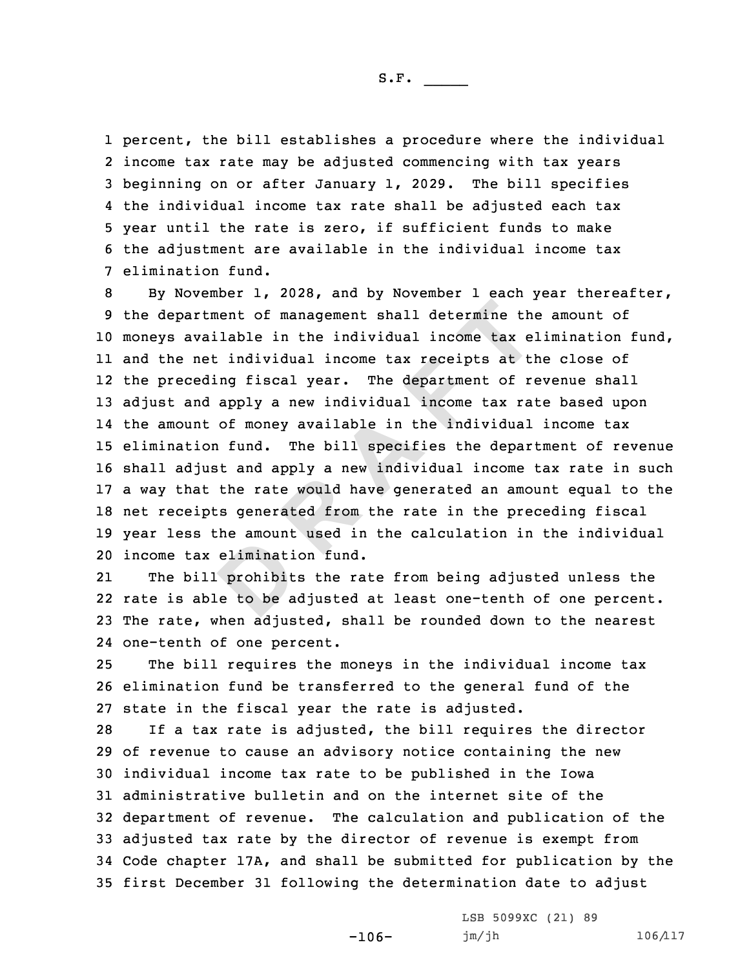percent, the bill establishes <sup>a</sup> procedure where the individual income tax rate may be adjusted commencing with tax years beginning on or after January 1, 2029. The bill specifies the individual income tax rate shall be adjusted each tax year until the rate is zero, if sufficient funds to make the adjustment are available in the individual income tax elimination fund.

rtment of management shall determine th<br>vailable in the individual income tax e<br>met individual income tax receipts at tl<br>eding fiscal year. The department of r<br>nd apply a new individual income tax ra<br>nt of money available By November 1, 2028, and by November 1 each year thereafter, the department of management shall determine the amount of moneys available in the individual income tax elimination fund, and the net individual income tax receipts at the close of the preceding fiscal year. The department of revenue shall adjust and apply <sup>a</sup> new individual income tax rate based upon the amount of money available in the individual income tax elimination fund. The bill specifies the department of revenue shall adjust and apply <sup>a</sup> new individual income tax rate in such <sup>a</sup> way that the rate would have generated an amount equal to the net receipts generated from the rate in the preceding fiscal year less the amount used in the calculation in the individual income tax elimination fund.

eliminati<br>
prohibit<br>
e to be a 21 The bill prohibits the rate from being adjusted unless the 22 rate is able to be adjusted at least one-tenth of one percent. 23 The rate, when adjusted, shall be rounded down to the nearest 24 one-tenth of one percent.

25 The bill requires the moneys in the individual income tax 26 elimination fund be transferred to the general fund of the 27 state in the fiscal year the rate is adjusted.

 If <sup>a</sup> tax rate is adjusted, the bill requires the director of revenue to cause an advisory notice containing the new individual income tax rate to be published in the Iowa administrative bulletin and on the internet site of the department of revenue. The calculation and publication of the adjusted tax rate by the director of revenue is exempt from Code chapter 17A, and shall be submitted for publication by the first December 31 following the determination date to adjust

-106-

LSB 5099XC (21) 89 jm/jh 106/117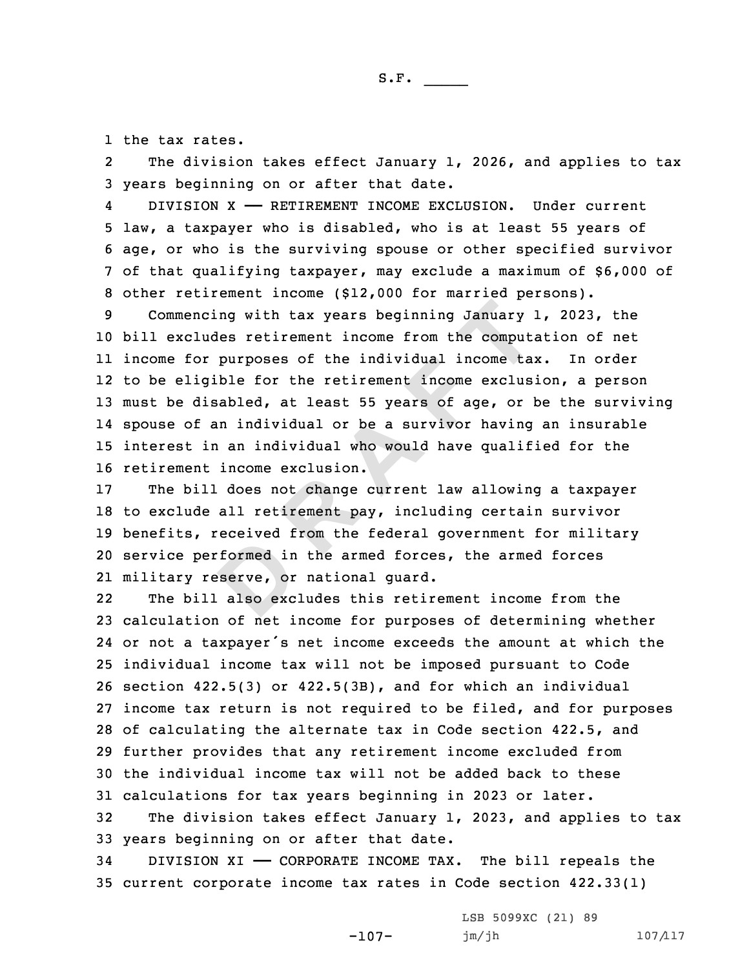1 the tax rates.

2The division takes effect January  $1$ , 2026, and applies to tax 3 years beginning on or after that date.

4 DIVISION X —— RETIREMENT INCOME EXCLUSION. Under current law, <sup>a</sup> taxpayer who is disabled, who is at least 55 years of age, or who is the surviving spouse or other specified survivor of that qualifying taxpayer, may exclude <sup>a</sup> maximum of \$6,000 of other retirement income (\$12,000 for married persons).

noing with tax years beginning January i<br>
ludes retirement income from the comput<br>
or purposes of the individual income tai<br>
igible for the retirement income exclus<br>
disabled, at least 55 years of age, or 1<br>
f an individua Commencing with tax years beginning January 1, 2023, the bill excludes retirement income from the computation of net income for purposes of the individual income tax. In order to be eligible for the retirement income exclusion, <sup>a</sup> person must be disabled, at least 55 years of age, or be the surviving spouse of an individual or be <sup>a</sup> survivor having an insurable interest in an individual who would have qualified for the retirement income exclusion.

formed in<br>
eserve, or<br>
also exc The bill does not change current law allowing <sup>a</sup> taxpayer to exclude all retirement pay, including certain survivor benefits, received from the federal government for military service performed in the armed forces, the armed forces military reserve, or national guard.

22 The bill also excludes this retirement income from the calculation of net income for purposes of determining whether or not <sup>a</sup> taxpayer's net income exceeds the amount at which the individual income tax will not be imposed pursuant to Code section 422.5(3) or 422.5(3B), and for which an individual income tax return is not required to be filed, and for purposes of calculating the alternate tax in Code section 422.5, and further provides that any retirement income excluded from the individual income tax will not be added back to these calculations for tax years beginning in 2023 or later.

32 The division takes effect January 1, 2023, and applies to tax 33 years beginning on or after that date.

-107-

34 DIVISION XI —— CORPORATE INCOME TAX. The bill repeals the 35 current corporate income tax rates in Code section 422.33(1)

> LSB 5099XC (21) 89 jm/jh 107/117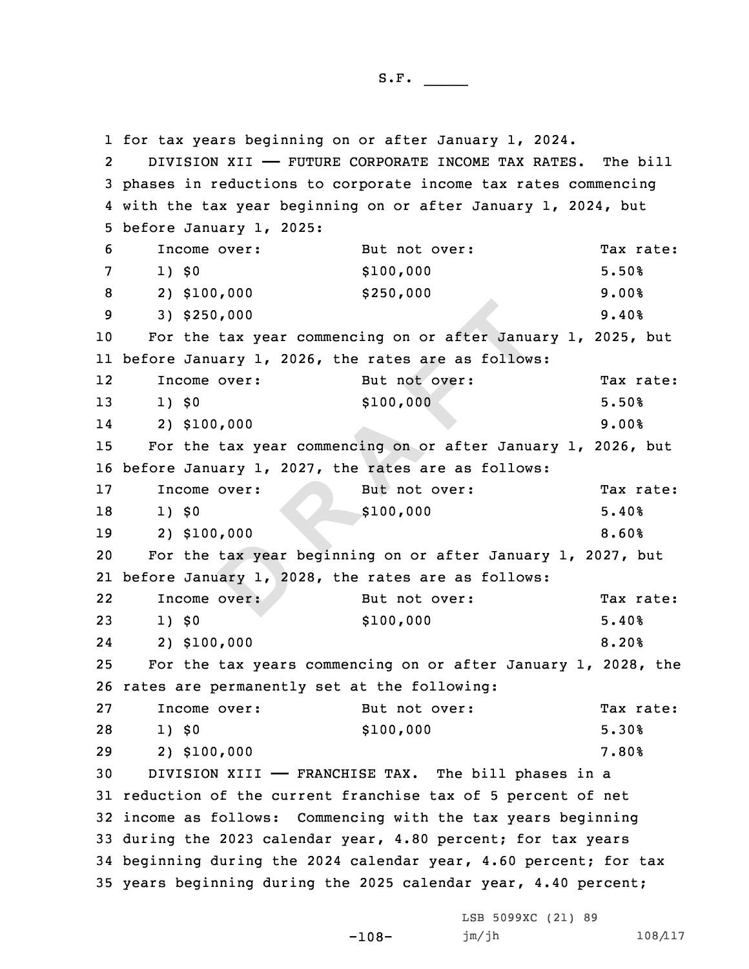tax year<br>
uary 1, 20<br>
over: 250,000<br>
he tax year commencing on or after Janua<br>
anuary 1, 2026, the rates are as follow:<br>
me over:<br>
But not over:<br>
8100,000<br>
he tax year commencing on or after Janua<br>
anuary 1, 2027, the rates are as follow:<br>
me over:<br> for tax years beginning on or after January 1, 2024. 2 DIVISION XII —— FUTURE CORPORATE INCOME TAX RATES. The bill phases in reductions to corporate income tax rates commencing with the tax year beginning on or after January 1, 2024, but before January 1, 2025: Income over: But not over: Tax rate: 1) \$0 \$100,000 5.50% 2) \$100,000 \$250,000 9.00% 3) \$250,000 9.40% For the tax year commencing on or after January 1, 2025, but before January 1, 2026, the rates are as follows: 12Income over: But not over: Tax rate: 13 1) \$0 \$100,000 \$100,000 5.50% 14 2) \$100,000 9.00% For the tax year commencing on or after January 1, 2026, but before January 1, 2027, the rates are as follows: 17 Income over: But not over: Tax rate: 18 1) \$0 \$100,000 5.40% 2) \$100,000 8.60% For the tax year beginning on or after January 1, 2027, but before January 1, 2028, the rates are as follows: 22Income over: But not over: Tax rate: 1) \$0 \$100,000 5.40% 24 2) \$100,000 8.20% For the tax years commencing on or after January 1, 2028, the rates are permanently set at the following: 27 Income over: But not over: Tax rate: 1) \$0 \$100,000 5.30% 2) \$100,000 7.80% DIVISION XIII —— FRANCHISE TAX. The bill phases in <sup>a</sup> reduction of the current franchise tax of 5 percent of net income as follows: Commencing with the tax years beginning during the 2023 calendar year, 4.80 percent; for tax years beginning during the 2024 calendar year, 4.60 percent; for tax years beginning during the 2025 calendar year, 4.40 percent;

-108-

LSB 5099XC (21) 89 jm/jh 108/117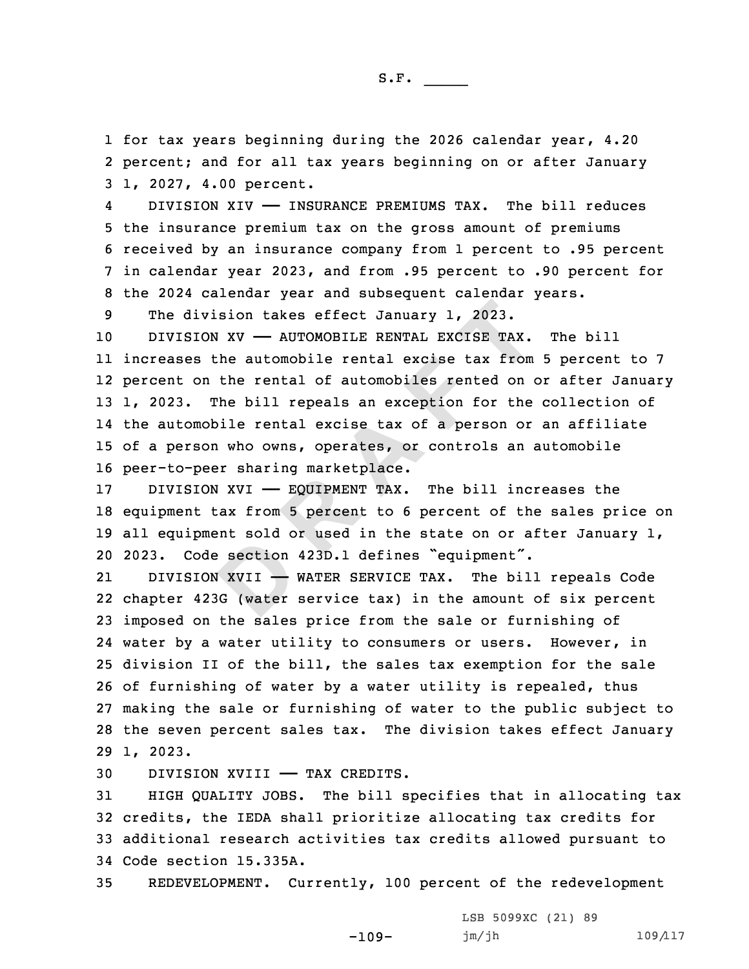1 for tax years beginning during the 2026 calendar year, 4.20 2 percent; and for all tax years beginning on or after January 3 1, 2027, 4.00 percent.

4 DIVISION XIV —— INSURANCE PREMIUMS TAX. The bill reduces the insurance premium tax on the gross amount of premiums received by an insurance company from 1 percent to .95 percent in calendar year 2023, and from .95 percent to .90 percent for the 2024 calendar year and subsequent calendar years.

9 The division takes effect January 1, 2023.

ivision takes effect January 1, 2023.<br> **RA TON XV** — AUTOMOBILE RENTAL EXCISE TAX.<br>
s the automobile rental excise tax from<br>
on the rental of automobiles rented on (The bill repeals an exception for the<br>
mobile rental exci 10 DIVISION XV — AUTOMOBILE RENTAL EXCISE TAX. The bill increases the automobile rental excise tax from 5 percent to 7 percent on the rental of automobiles rented on or after January 1, 2023. The bill repeals an exception for the collection of the automobile rental excise tax of <sup>a</sup> person or an affiliate of <sup>a</sup> person who owns, operates, or controls an automobile peer-to-peer sharing marketplace.

 DIVISION XVI —— EQUIPMENT TAX. The bill increases the equipment tax from 5 percent to 6 percent of the sales price on all equipment sold or used in the state on or after January 1, 2023. Code section 423D.1 defines "equipment".

**B**<br>**B**<br>**D**<br>**B**<br>**B**<br>**C**<br>**C**<br>**C**<br>**C**<br>**C**<br>**D**<br>**D** 21 DIVISION XVII —— WATER SERVICE TAX. The bill repeals Code chapter 423G (water service tax) in the amount of six percent imposed on the sales price from the sale or furnishing of water by <sup>a</sup> water utility to consumers or users. However, in division II of the bill, the sales tax exemption for the sale of furnishing of water by <sup>a</sup> water utility is repealed, thus making the sale or furnishing of water to the public subject to the seven percent sales tax. The division takes effect January 29 1, 2023.

30 DIVISION XVIII —— TAX CREDITS.

 HIGH QUALITY JOBS. The bill specifies that in allocating tax credits, the IEDA shall prioritize allocating tax credits for additional research activities tax credits allowed pursuant to Code section 15.335A.

35 REDEVELOPMENT. Currently, 100 percent of the redevelopment

-109-

LSB 5099XC (21) 89  $jm/jh$  109/117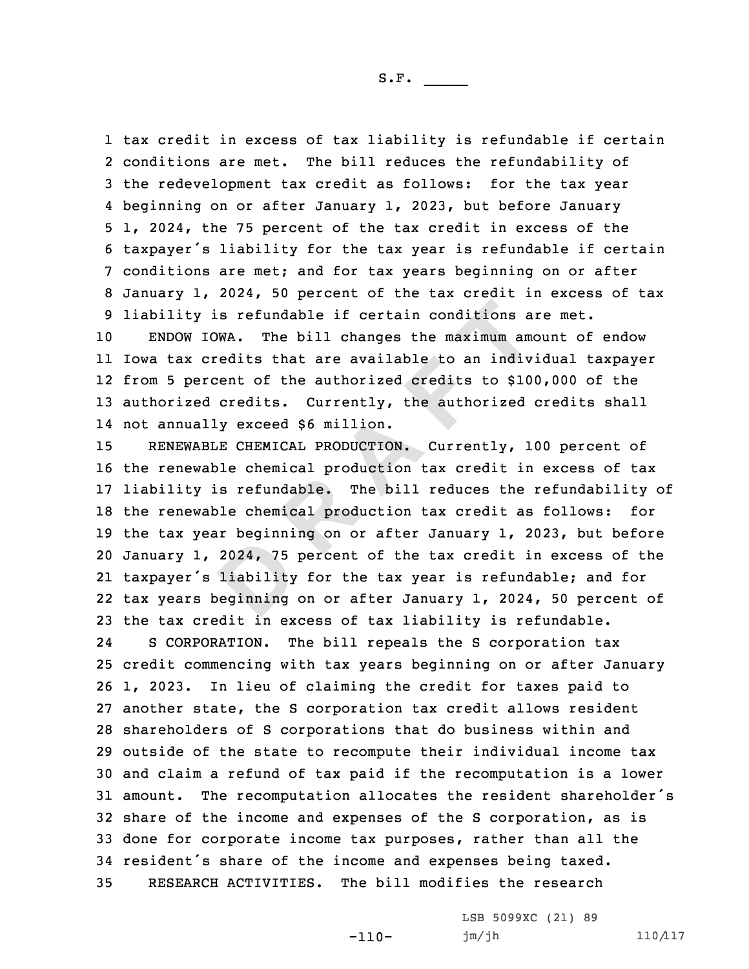tax credit in excess of tax liability is refundable if certain conditions are met. The bill reduces the refundability of the redevelopment tax credit as follows: for the tax year beginning on or after January 1, 2023, but before January 1, 2024, the 75 percent of the tax credit in excess of the taxpayer's liability for the tax year is refundable if certain conditions are met; and for tax years beginning on or after January 1, 2024, 50 percent of the tax credit in excess of tax liability is refundable if certain conditions are met.

 ENDOW IOWA. The bill changes the maximum amount of endow Iowa tax credits that are available to an individual taxpayer from 5 percent of the authorized credits to \$100,000 of the authorized credits. Currently, the authorized credits shall not annually exceed \$6 million.

2024, 75<br>
liability<br>
Deginning **y** is refundable if certain conditions a<br>
IOWA. The bill changes the maximum amoredits that are available to an indivercent of the authorized credits to \$10<br>
ed credits. Currently, the authorized<br>
ally exceed \$6 million.<br> RENEWABLE CHEMICAL PRODUCTION. Currently, 100 percent of the renewable chemical production tax credit in excess of tax liability is refundable. The bill reduces the refundability of the renewable chemical production tax credit as follows: for the tax year beginning on or after January 1, 2023, but before January 1, 2024, 75 percent of the tax credit in excess of the taxpayer's liability for the tax year is refundable; and for tax years beginning on or after January 1, 2024, 50 percent of the tax credit in excess of tax liability is refundable. 24 S CORPORATION. The bill repeals the S corporation tax credit commencing with tax years beginning on or after January 1, 2023. In lieu of claiming the credit for taxes paid to another state, the S corporation tax credit allows resident shareholders of S corporations that do business within and outside of the state to recompute their individual income tax and claim <sup>a</sup> refund of tax paid if the recomputation is <sup>a</sup> lower amount. The recomputation allocates the resident shareholder's share of the income and expenses of the S corporation, as is done for corporate income tax purposes, rather than all the resident's share of the income and expenses being taxed. RESEARCH ACTIVITIES. The bill modifies the research

-110-

LSB 5099XC (21) 89 jm/jh 110/117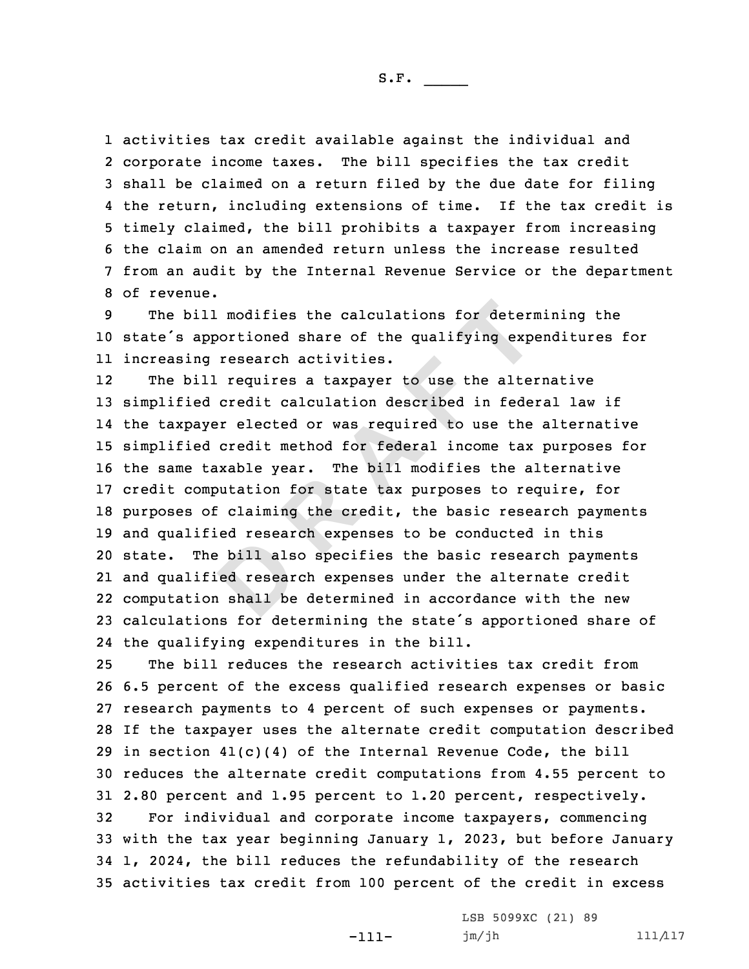S.F.  $\rule{1em}{0.15mm}$ 

 activities tax credit available against the individual and corporate income taxes. The bill specifies the tax credit shall be claimed on <sup>a</sup> return filed by the due date for filing the return, including extensions of time. If the tax credit is timely claimed, the bill prohibits <sup>a</sup> taxpayer from increasing the claim on an amended return unless the increase resulted from an audit by the Internal Revenue Service or the department of revenue.

9 The bill modifies the calculations for determining the <sup>10</sup> state's apportioned share of the qualifying expenditures for 11 increasing research activities.

bill als<br>
ed resear<br>
a shall be ill modifies the calculations for determ<br>apportioned share of the qualifying exportioned share of the qualifying export<br>in requires a taxpayer to use the alterned credit calculation described in fede<br>ayer elected or was re 12The bill requires a taxpayer to use the alternative simplified credit calculation described in federal law if the taxpayer elected or was required to use the alternative simplified credit method for federal income tax purposes for the same taxable year. The bill modifies the alternative credit computation for state tax purposes to require, for purposes of claiming the credit, the basic research payments and qualified research expenses to be conducted in this state. The bill also specifies the basic research payments and qualified research expenses under the alternate credit computation shall be determined in accordance with the new calculations for determining the state's apportioned share of the qualifying expenditures in the bill.

 The bill reduces the research activities tax credit from 6.5 percent of the excess qualified research expenses or basic research payments to 4 percent of such expenses or payments. If the taxpayer uses the alternate credit computation described 29 in section  $41(c)(4)$  of the Internal Revenue Code, the bill reduces the alternate credit computations from 4.55 percent to 2.80 percent and 1.95 percent to 1.20 percent, respectively. For individual and corporate income taxpayers, commencing with the tax year beginning January 1, 2023, but before January 1, 2024, the bill reduces the refundability of the research activities tax credit from 100 percent of the credit in excess

-111-

LSB 5099XC (21) 89 jm/jh 111/117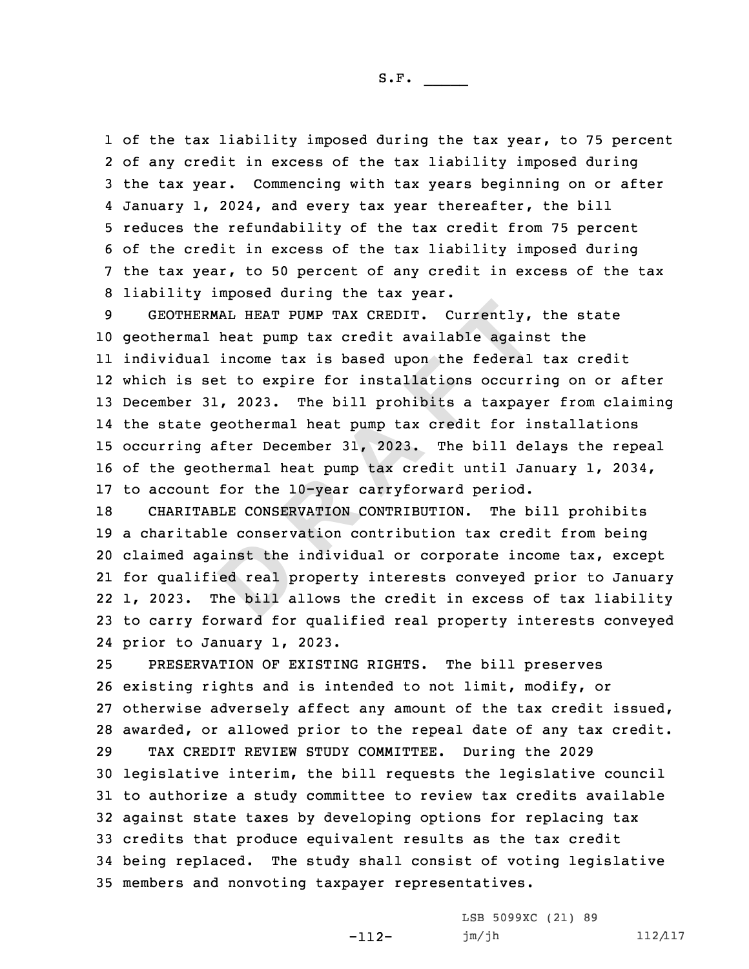S.F.  $\rule{1em}{0.15mm}$ 

 of the tax liability imposed during the tax year, to 75 percent of any credit in excess of the tax liability imposed during the tax year. Commencing with tax years beginning on or after January 1, 2024, and every tax year thereafter, the bill reduces the refundability of the tax credit from 75 percent of the credit in excess of the tax liability imposed during the tax year, to 50 percent of any credit in excess of the tax liability imposed during the tax year.

**ERMAL HEAT PUMP TAX CREDIT.** Currently, al heat pump tax credit available agains<br>al income tax is based upon the federal<br>set to expire for installations occurr<br>31, 2023. The bill prohibits a taxpay<br>e geothermal heat pump GEOTHERMAL HEAT PUMP TAX CREDIT. Currently, the state geothermal heat pump tax credit available against the individual income tax is based upon the federal tax credit which is set to expire for installations occurring on or after December 31, 2023. The bill prohibits <sup>a</sup> taxpayer from claiming the state geothermal heat pump tax credit for installations occurring after December 31, 2023. The bill delays the repeal of the geothermal heat pump tax credit until January 1, 2034, to account for the 10-year carryforward period.

inst the<br>ed real p<br>the bill a CHARITABLE CONSERVATION CONTRIBUTION. The bill prohibits <sup>a</sup> charitable conservation contribution tax credit from being claimed against the individual or corporate income tax, except for qualified real property interests conveyed prior to January 1, 2023. The bill allows the credit in excess of tax liability to carry forward for qualified real property interests conveyed prior to January 1, 2023.

 PRESERVATION OF EXISTING RIGHTS. The bill preserves existing rights and is intended to not limit, modify, or otherwise adversely affect any amount of the tax credit issued, awarded, or allowed prior to the repeal date of any tax credit. TAX CREDIT REVIEW STUDY COMMITTEE. During the 2029 legislative interim, the bill requests the legislative council to authorize <sup>a</sup> study committee to review tax credits available against state taxes by developing options for replacing tax credits that produce equivalent results as the tax credit being replaced. The study shall consist of voting legislative members and nonvoting taxpayer representatives.

> LSB 5099XC (21) 89 jm/jh 112/117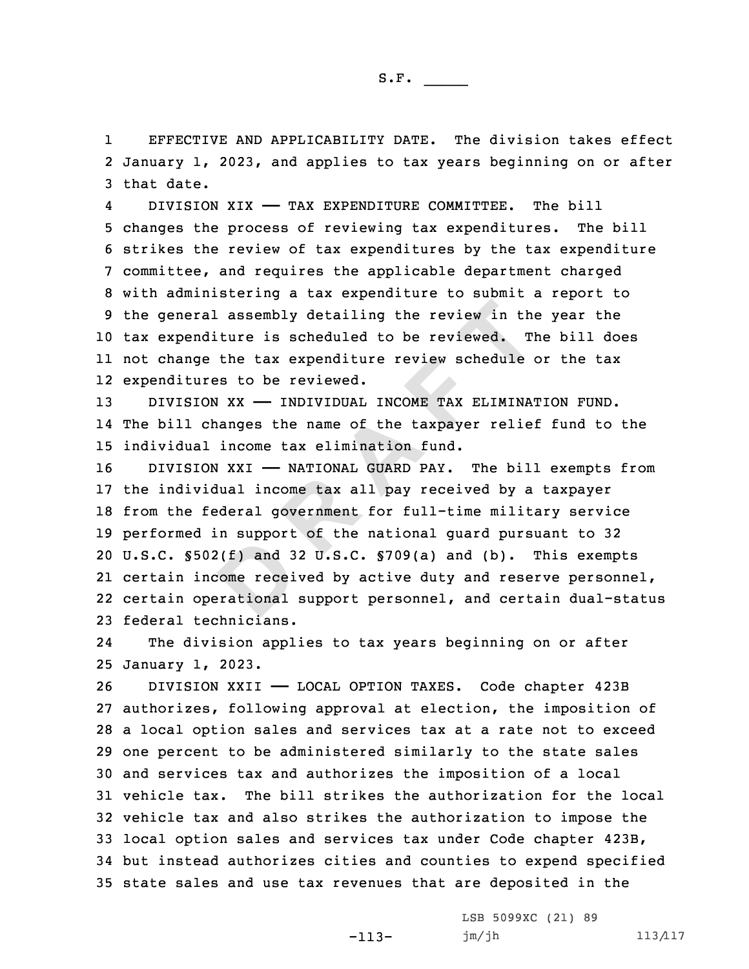1 EFFECTIVE AND APPLICABILITY DATE. The division takes effect 2 January 1, 2023, and applies to tax years beginning on or after 3 that date.

4 DIVISION XIX —— TAX EXPENDITURE COMMITTEE. The bill changes the process of reviewing tax expenditures. The bill strikes the review of tax expenditures by the tax expenditure committee, and requires the applicable department charged with administering <sup>a</sup> tax expenditure to submit <sup>a</sup> report to the general assembly detailing the review in the year the tax expenditure is scheduled to be reviewed. The bill does not change the tax expenditure review schedule or the tax expenditures to be reviewed.

13 DIVISION XX - INDIVIDUAL INCOME TAX ELIMINATION FUND. 14 The bill changes the name of the taxpayer relief fund to the 15 individual income tax elimination fund.

external properties of the second scheme is the second that the second second the second second the second second the second second second second second second second second second second second second second second second ral assembly detailing the review in the<br>nditure is scheduled to be reviewed. The<br>ge the tax expenditure review schedule<br>ures to be reviewed.<br>ION XX — INDIVIDUAL INCOME TAX ELIMINA:<br>changes the name of the taxpayer relie:<br> 16 DIVISION XXI - NATIONAL GUARD PAY. The bill exempts from the individual income tax all pay received by <sup>a</sup> taxpayer from the federal government for full-time military service performed in support of the national guard pursuant to 32 U.S.C. §502(f) and 32 U.S.C. §709(a) and (b). This exempts certain income received by active duty and reserve personnel, certain operational support personnel, and certain dual-status federal technicians.

24 The division applies to tax years beginning on or after 25 January 1, 2023.

 DIVISION XXII —— LOCAL OPTION TAXES. Code chapter 423B authorizes, following approval at election, the imposition of <sup>a</sup> local option sales and services tax at <sup>a</sup> rate not to exceed one percent to be administered similarly to the state sales and services tax and authorizes the imposition of <sup>a</sup> local vehicle tax. The bill strikes the authorization for the local vehicle tax and also strikes the authorization to impose the local option sales and services tax under Code chapter 423B, but instead authorizes cities and counties to expend specified state sales and use tax revenues that are deposited in the

-113-

LSB 5099XC (21) 89 jm/jh 113/117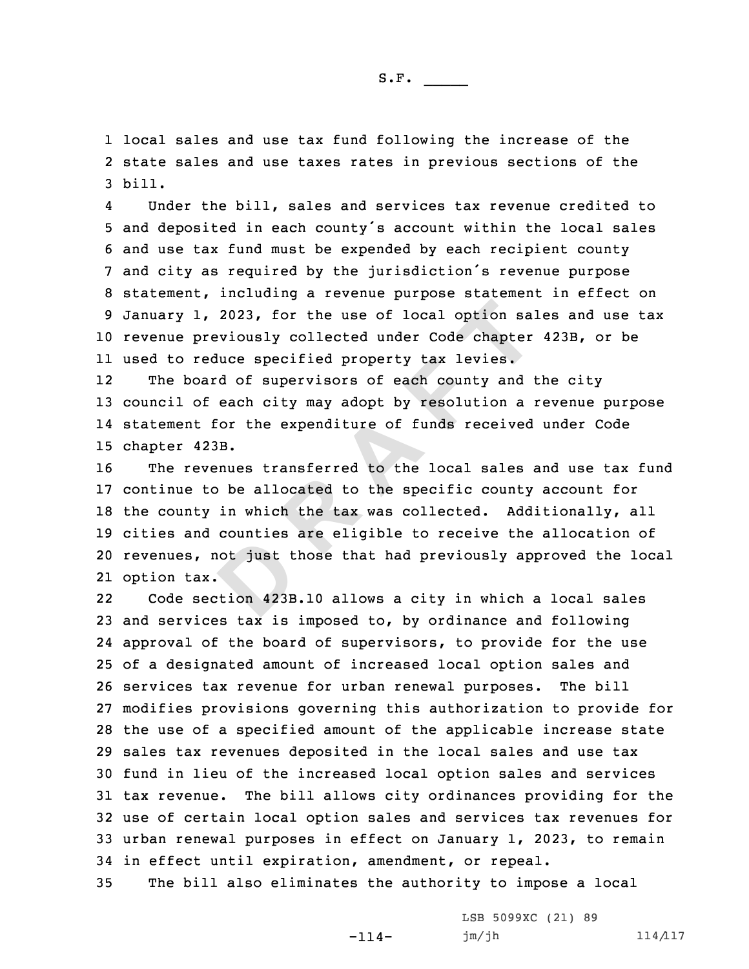1 local sales and use tax fund following the increase of the 2 state sales and use taxes rates in previous sections of the 3 bill.

4 Under the bill, sales and services tax revenue credited to and deposited in each county's account within the local sales and use tax fund must be expended by each recipient county and city as required by the jurisdiction's revenue purpose statement, including <sup>a</sup> revenue purpose statement in effect on January 1, 2023, for the use of local option sales and use tax revenue previously collected under Code chapter 423B, or be used to reduce specified property tax levies.

12 The board of supervisors of each county and the city 13 council of each city may adopt by resolution <sup>a</sup> revenue purpose 14 statement for the expenditure of funds received under Code 15 chapter 423B.

not just the set of the set of the set of the set of the set of the set of the set of the set of the set of the set of the set of the set of the set of the set of the set of the set of the set of the set of the set of the 1, 2023, for the use of local option said<br>previously collected under Code chapter<br>reduce specified property tax levies.<br>oard of supervisors of each county and<br>of each city may adopt by resolution a :<br>t for the expenditure The revenues transferred to the local sales and use tax fund continue to be allocated to the specific county account for the county in which the tax was collected. Additionally, all cities and counties are eligible to receive the allocation of revenues, not just those that had previously approved the local option tax.

22 Code section 423B.10 allows <sup>a</sup> city in which <sup>a</sup> local sales and services tax is imposed to, by ordinance and following approval of the board of supervisors, to provide for the use of <sup>a</sup> designated amount of increased local option sales and services tax revenue for urban renewal purposes. The bill modifies provisions governing this authorization to provide for the use of <sup>a</sup> specified amount of the applicable increase state sales tax revenues deposited in the local sales and use tax fund in lieu of the increased local option sales and services tax revenue. The bill allows city ordinances providing for the use of certain local option sales and services tax revenues for urban renewal purposes in effect on January 1, 2023, to remain in effect until expiration, amendment, or repeal.

35 The bill also eliminates the authority to impose <sup>a</sup> local

-114-

LSB 5099XC (21) 89 jm/jh 114/117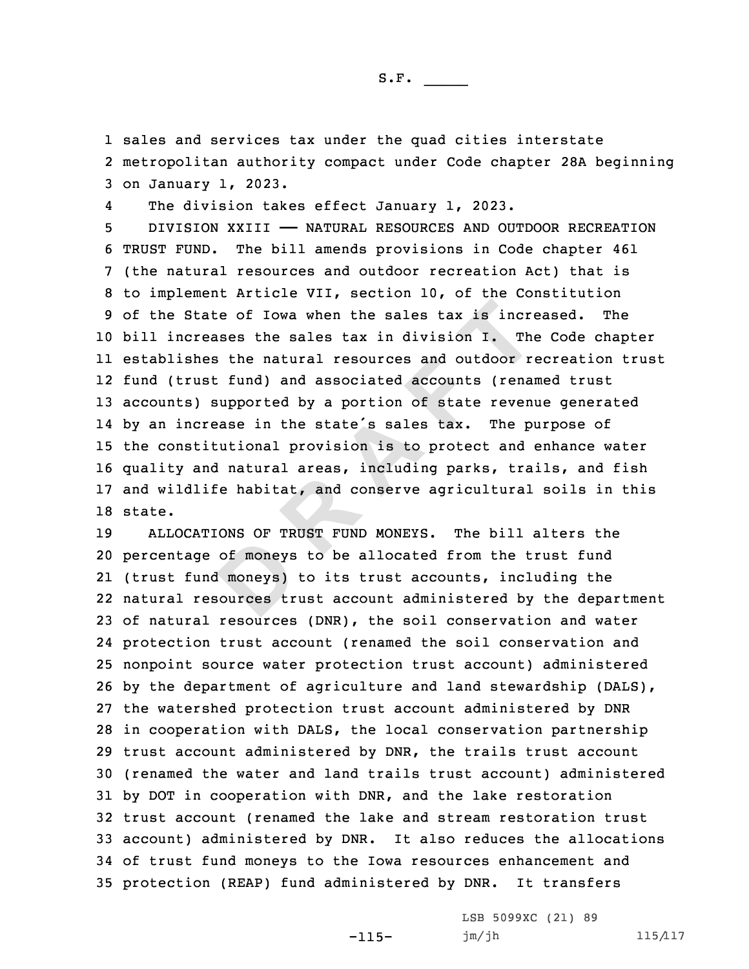1 sales and services tax under the quad cities interstate 2 metropolitan authority compact under Code chapter 28A beginning 3 on January 1, 2023.

4The division takes effect January 1, 2023.

tate of Iowa when the sales tax is increases the sales tax in division I. Then the natural resources and outdoor rust fund) and associated accounts (renam) supported by a portion of state revent crease in the state's sales DIVISION XXIII —— NATURAL RESOURCES AND OUTDOOR RECREATION TRUST FUND. The bill amends provisions in Code chapter 461 (the natural resources and outdoor recreation Act) that is to implement Article VII, section 10, of the Constitution of the State of Iowa when the sales tax is increased. The bill increases the sales tax in division I. The Code chapter establishes the natural resources and outdoor recreation trust fund (trust fund) and associated accounts (renamed trust accounts) supported by <sup>a</sup> portion of state revenue generated by an increase in the state's sales tax. The purpose of the constitutional provision is to protect and enhance water quality and natural areas, including parks, trails, and fish and wildlife habitat, and conserve agricultural soils in this 18 state.

of moneys<br>
d moneys<br>
sources tr ALLOCATIONS OF TRUST FUND MONEYS. The bill alters the percentage of moneys to be allocated from the trust fund (trust fund moneys) to its trust accounts, including the natural resources trust account administered by the department of natural resources (DNR), the soil conservation and water protection trust account (renamed the soil conservation and nonpoint source water protection trust account) administered by the department of agriculture and land stewardship (DALS), the watershed protection trust account administered by DNR in cooperation with DALS, the local conservation partnership trust account administered by DNR, the trails trust account (renamed the water and land trails trust account) administered by DOT in cooperation with DNR, and the lake restoration trust account (renamed the lake and stream restoration trust account) administered by DNR. It also reduces the allocations of trust fund moneys to the Iowa resources enhancement and protection (REAP) fund administered by DNR. It transfers

-115-

LSB 5099XC (21) 89 jm/jh 115/117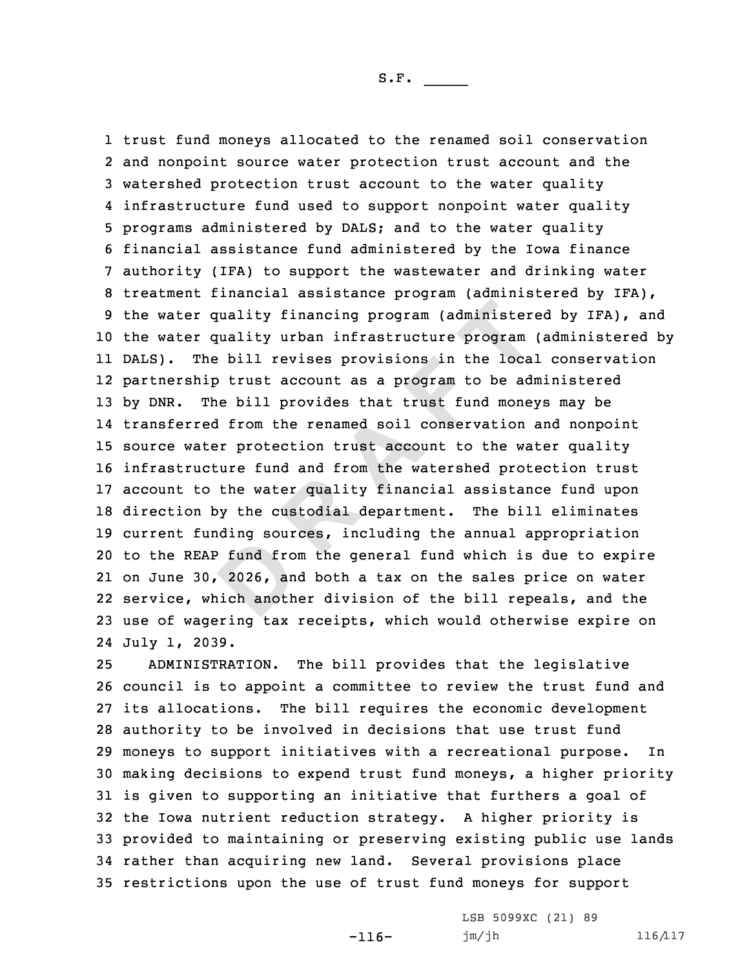extend from<br>2026, an<br>ich anoth **R EXECUTE: R EXECUTE: CONTERT T EXECUTE: CONTERT TO THE DETE TO THE DETE THE DETE THE DETE THE DETE THE DETE THE DETE THE DETE THE DETE THE DETE THE DETE THE DETE THE DETE THE DETE THE DETERTION THE CONDITION**  trust fund moneys allocated to the renamed soil conservation and nonpoint source water protection trust account and the watershed protection trust account to the water quality infrastructure fund used to support nonpoint water quality programs administered by DALS; and to the water quality financial assistance fund administered by the Iowa finance authority (IFA) to support the wastewater and drinking water treatment financial assistance program (administered by IFA), the water quality financing program (administered by IFA), and the water quality urban infrastructure program (administered by DALS). The bill revises provisions in the local conservation partnership trust account as <sup>a</sup> program to be administered by DNR. The bill provides that trust fund moneys may be transferred from the renamed soil conservation and nonpoint source water protection trust account to the water quality infrastructure fund and from the watershed protection trust account to the water quality financial assistance fund upon direction by the custodial department. The bill eliminates current funding sources, including the annual appropriation to the REAP fund from the general fund which is due to expire on June 30, 2026, and both <sup>a</sup> tax on the sales price on water service, which another division of the bill repeals, and the use of wagering tax receipts, which would otherwise expire on July 1, 2039.

 ADMINISTRATION. The bill provides that the legislative council is to appoint <sup>a</sup> committee to review the trust fund and its allocations. The bill requires the economic development authority to be involved in decisions that use trust fund moneys to support initiatives with <sup>a</sup> recreational purpose. In making decisions to expend trust fund moneys, <sup>a</sup> higher priority is given to supporting an initiative that furthers <sup>a</sup> goal of the Iowa nutrient reduction strategy. <sup>A</sup> higher priority is provided to maintaining or preserving existing public use lands rather than acquiring new land. Several provisions place restrictions upon the use of trust fund moneys for support

-116-

LSB 5099XC (21) 89 jm/jh 116/117